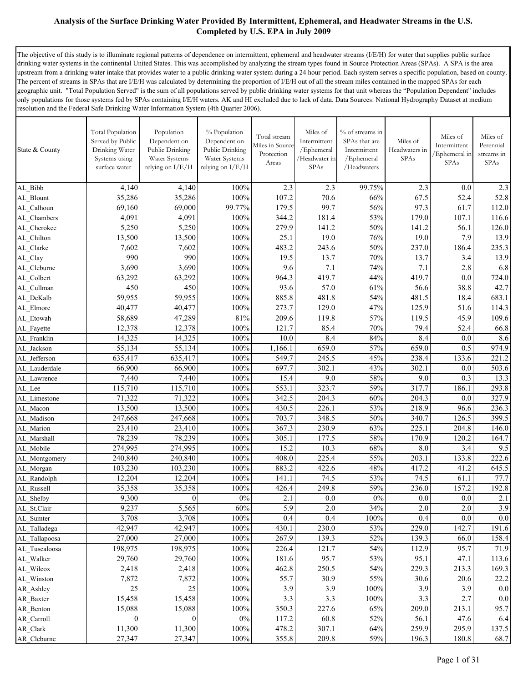The objective of this study is to illuminate regional patterns of dependence on intermittent, ephemeral and headwater streams (I/E/H) for water that supplies public surface drinking water systems in the continental United States. This was accomplished by analyzing the stream types found in Source Protection Areas (SPAs). A SPA is the area upstream from a drinking water intake that provides water to a public drinking water system during a 24 hour period. Each system serves a specific population, based on county. The percent of streams in SPAs that are I/E/H was calculated by determining the proportion of I/E/H out of all the stream miles contained in the mapped SPAs for each geographic unit. "Total Population Served" is the sum of all populations served by public drinking water systems for that unit whereas the "Population Dependent" includes only populations for those systems fed by SPAs containing I/E/H waters. AK and HI excluded due to lack of data. Data Sources: National Hydrography Dataset at medium resolution and the Federal Safe Drinking Water Information System (4th Quarter 2006).

| <b>Total Population</b><br>Population<br>% Population<br>Miles of<br>% of streams in<br>Total stream<br>Served by Public<br>Dependent on<br>Dependent on<br>SPAs that are<br>Miles of<br>Intermittent<br>Miles in Source<br>Drinking Water<br>Public Drinking<br>Public Drinking<br>State & County<br>Intermittent<br>Headwaters in<br>/Ephemeral<br>Protection<br>SPAs<br>Systems using<br>Water Systems<br>Water Systems<br>/Headwater in<br>/Ephemeral<br>Areas<br>surface water<br>relying on I/E/H<br>relying on I/E/H<br><b>SPAs</b><br>/Headwaters | Miles of<br>Intermittent<br>Ephemeral in<br><b>SPAs</b> | Miles of<br>Perennial<br>streams in<br>SPAs |
|-----------------------------------------------------------------------------------------------------------------------------------------------------------------------------------------------------------------------------------------------------------------------------------------------------------------------------------------------------------------------------------------------------------------------------------------------------------------------------------------------------------------------------------------------------------|---------------------------------------------------------|---------------------------------------------|
| 2.3<br>2.3<br>99.75%<br>AL Bibb<br>4,140<br>4,140<br>100%<br>2.3                                                                                                                                                                                                                                                                                                                                                                                                                                                                                          | 0.0                                                     | 2.3                                         |
| 67.5<br>107.2<br>70.6<br>35,286<br>35,286<br>100%<br>66%<br>AL Blount                                                                                                                                                                                                                                                                                                                                                                                                                                                                                     | 52.4                                                    | 52.8                                        |
| 99.7<br>56%<br>69,160<br>99.77%<br>179.5<br>97.3<br>69,000<br>AL Calhoun                                                                                                                                                                                                                                                                                                                                                                                                                                                                                  | 61.7                                                    | 112.0                                       |
| 53%<br>4,091<br>4,091<br>100%<br>344.2<br>181.4<br>179.0<br>AL Chambers                                                                                                                                                                                                                                                                                                                                                                                                                                                                                   | 107.1                                                   | 116.6                                       |
| 5,250<br>50%<br>5,250<br>100%<br>279.9<br>141.2<br>141.2<br>AL Cherokee                                                                                                                                                                                                                                                                                                                                                                                                                                                                                   | 56.1                                                    | 126.0                                       |
| 100%<br>19.0<br>76%<br>13,500<br>13,500<br>25.1<br>19.0<br>AL Chilton                                                                                                                                                                                                                                                                                                                                                                                                                                                                                     | 7.9                                                     | 13.9                                        |
| 100%<br>243.6<br>50%<br>237.0<br>7,602<br>7,602<br>483.2<br>AL Clarke                                                                                                                                                                                                                                                                                                                                                                                                                                                                                     | 186.4                                                   | 235.3                                       |
| 990<br>990<br>100%<br>19.5<br>13.7<br>70%<br>13.7<br>AL Clay                                                                                                                                                                                                                                                                                                                                                                                                                                                                                              | 3.4                                                     | 13.9                                        |
| 3,690<br>3,690<br>9.6<br>7.1<br>74%<br>7.1<br>100%<br>AL Cleburne                                                                                                                                                                                                                                                                                                                                                                                                                                                                                         | 2.8                                                     | 6.8                                         |
| 100%<br>419.7<br>44%<br>419.7<br>63,292<br>63,292<br>964.3<br>AL Colbert                                                                                                                                                                                                                                                                                                                                                                                                                                                                                  | 0.0                                                     | 724.0                                       |
| 450<br>100%<br>57.0<br>61%<br>56.6<br>450<br>93.6<br>AL Cullman                                                                                                                                                                                                                                                                                                                                                                                                                                                                                           | 38.8                                                    | 42.7                                        |
| 59,955<br>59,955<br>100%<br>885.8<br>481.8<br>54%<br>481.5<br>AL DeKalb                                                                                                                                                                                                                                                                                                                                                                                                                                                                                   | 18.4                                                    | 683.1                                       |
| 47%<br>40,477<br>40,477<br>100%<br>273.7<br>129.0<br>125.9<br>AL Elmore                                                                                                                                                                                                                                                                                                                                                                                                                                                                                   | 51.6                                                    | 114.3                                       |
| 58,689<br>47,289<br>81%<br>209.6<br>119.8<br>57%<br>119.5<br>AL Etowah                                                                                                                                                                                                                                                                                                                                                                                                                                                                                    | 45.9                                                    | 109.6                                       |
| 85.4<br>79.4<br>12,378<br>100%<br>121.7<br>70%<br>12,378<br>AL Fayette                                                                                                                                                                                                                                                                                                                                                                                                                                                                                    | 52.4                                                    | 66.8                                        |
| 8.4<br>8.4<br>14,325<br>14,325<br>100%<br>10.0<br>84%<br>AL Franklin                                                                                                                                                                                                                                                                                                                                                                                                                                                                                      | 0.0                                                     | 8.6                                         |
| 55,134<br>100%<br>659.0<br>57%<br>659.0<br>55,134<br>1,166.1<br>AL Jackson                                                                                                                                                                                                                                                                                                                                                                                                                                                                                | 0.5                                                     | 974.9                                       |
| 100%<br>245.5<br>45%<br>238.4<br>635,417<br>635,417<br>549.7<br>AL Jefferson                                                                                                                                                                                                                                                                                                                                                                                                                                                                              | 133.6                                                   | 221.2                                       |
| 100%<br>697.7<br>302.1<br>43%<br>302.1<br>66,900<br>66,900<br>AL Lauderdale                                                                                                                                                                                                                                                                                                                                                                                                                                                                               | 0.0                                                     | 503.6                                       |
| 9.0<br>58%<br>9.0<br>7,440<br>7,440<br>100%<br>15.4<br>AL Lawrence                                                                                                                                                                                                                                                                                                                                                                                                                                                                                        | 0.3                                                     | 13.3                                        |
| 317.7<br>115,710<br>100%<br>553.1<br>323.7<br>59%<br>115,710<br>AL Lee                                                                                                                                                                                                                                                                                                                                                                                                                                                                                    | 186.1                                                   | 293.8                                       |
| 204.3<br>60%<br>71,322<br>71,322<br>100%<br>342.5<br>204.3<br>AL Limestone                                                                                                                                                                                                                                                                                                                                                                                                                                                                                | 0.0                                                     | 327.9                                       |
| 53%<br>218.9<br>13,500<br>13,500<br>100%<br>430.5<br>226.1<br>AL Macon                                                                                                                                                                                                                                                                                                                                                                                                                                                                                    | 96.6                                                    | 236.3                                       |
| 100%<br>348.5<br>50%<br>340.7<br>247,668<br>247,668<br>703.7<br>AL Madison                                                                                                                                                                                                                                                                                                                                                                                                                                                                                | 126.5                                                   | 399.5                                       |
| 63%<br>225.1<br>23,410<br>23,410<br>100%<br>367.3<br>230.9<br>AL Marion                                                                                                                                                                                                                                                                                                                                                                                                                                                                                   | 204.8                                                   | 146.0                                       |
| 177.5<br>58%<br>170.9<br>78,239<br>78,239<br>100%<br>305.1<br>AL Marshall                                                                                                                                                                                                                                                                                                                                                                                                                                                                                 | 120.2                                                   | 164.7                                       |
| 100%<br>15.2<br>10.3<br>68%<br>8.0<br>274,995<br>274,995<br>AL Mobile                                                                                                                                                                                                                                                                                                                                                                                                                                                                                     | 3.4                                                     | 9.5                                         |
| 225.4<br>55%<br>203.1<br>240,840<br>240,840<br>100%<br>408.0<br>AL Montgomery<br>48%                                                                                                                                                                                                                                                                                                                                                                                                                                                                      | 133.8                                                   | 222.6                                       |
| 103,230<br>103,230<br>100%<br>883.2<br>422.6<br>417.2<br>AL_Morgan<br>74.5<br>53%<br>74.5<br>12,204<br>100%<br>141.1                                                                                                                                                                                                                                                                                                                                                                                                                                      | 41.2<br>61.1                                            | 645.5<br>77.7                               |
| 12,204<br>AL Randolph<br>35,358<br>100%<br>426.4<br>249.8<br>59%<br>236.0<br>35,358<br>AL Russell                                                                                                                                                                                                                                                                                                                                                                                                                                                         | 157.2                                                   | 192.8                                       |
| $0\%$<br>9,300<br>0<br>$0\%$<br>2.1<br>0.0<br>0.0<br>AL Shelby                                                                                                                                                                                                                                                                                                                                                                                                                                                                                            | 0.0                                                     | 2.1                                         |
| AL_St.Clair<br>9,237<br>5,565<br>60%<br>5.9<br>2.0<br>34%<br>2.0                                                                                                                                                                                                                                                                                                                                                                                                                                                                                          | 2.0                                                     | 3.9                                         |
| $100\%$<br>AL Sumter<br>3,708<br>3,708<br>0.4<br>0.4<br>100%<br>0.4                                                                                                                                                                                                                                                                                                                                                                                                                                                                                       | 0.0                                                     | 0.0                                         |
| $100\%$<br>53%<br>229.0<br>AL Talladega<br>42,947<br>42,947<br>430.1<br>230.0                                                                                                                                                                                                                                                                                                                                                                                                                                                                             | 142.7                                                   | 191.6                                       |
| 267.9<br>52%<br>27,000<br>27,000<br>100%<br>139.3<br>139.3<br>AL Tallapoosa                                                                                                                                                                                                                                                                                                                                                                                                                                                                               | 66.0                                                    | 158.4                                       |
| 198,975<br>198,975<br>$100\%$<br>226.4<br>121.7<br>54%<br>112.9<br>AL Tuscaloosa                                                                                                                                                                                                                                                                                                                                                                                                                                                                          | 95.7                                                    | 71.9                                        |
| 95.7<br>53%<br>95.1<br>29,760<br>29,760<br>100%<br>181.6<br>AL Walker                                                                                                                                                                                                                                                                                                                                                                                                                                                                                     | 47.1                                                    | 113.6                                       |
| $100\%$<br>462.8<br>250.5<br>54%<br>229.3<br>2,418<br>2,418<br>AL Wilcox                                                                                                                                                                                                                                                                                                                                                                                                                                                                                  | 213.3                                                   | 169.3                                       |
| 7,872<br>7,872<br>100%<br>30.9<br>55%<br>30.6<br>55.7<br>AL Winston                                                                                                                                                                                                                                                                                                                                                                                                                                                                                       | 20.6                                                    | 22.2                                        |
| 25<br>25<br>$100\%$<br>3.9<br>3.9<br>100%<br>3.9<br>AR Ashley                                                                                                                                                                                                                                                                                                                                                                                                                                                                                             | 3.9                                                     | 0.0                                         |
| 15,458<br>100%<br>3.3<br>3.3<br>100%<br>3.3<br>15,458<br>AR Baxter                                                                                                                                                                                                                                                                                                                                                                                                                                                                                        | 2.7                                                     | 0.0                                         |
| 227.6<br>15,088<br>100%<br>350.3<br>65%<br>209.0<br>15,088<br>AR Benton                                                                                                                                                                                                                                                                                                                                                                                                                                                                                   | 213.1                                                   | 95.7                                        |
| $\mathbf{0}$<br>$\overline{0}$<br>$0\%$<br>117.2<br>60.8<br>52%<br>56.1<br>AR Carroll                                                                                                                                                                                                                                                                                                                                                                                                                                                                     | 47.6                                                    | 6.4                                         |
| 259.9<br>11,300<br>11,300<br>100%<br>478.2<br>307.1<br>64%<br>AR Clark                                                                                                                                                                                                                                                                                                                                                                                                                                                                                    | 295.9                                                   | 137.5                                       |
| $100\%$<br>355.8<br>209.8<br>AR_Cleburne<br>27,347<br>27,347<br>59%<br>196.3                                                                                                                                                                                                                                                                                                                                                                                                                                                                              | 180.8                                                   | 68.7                                        |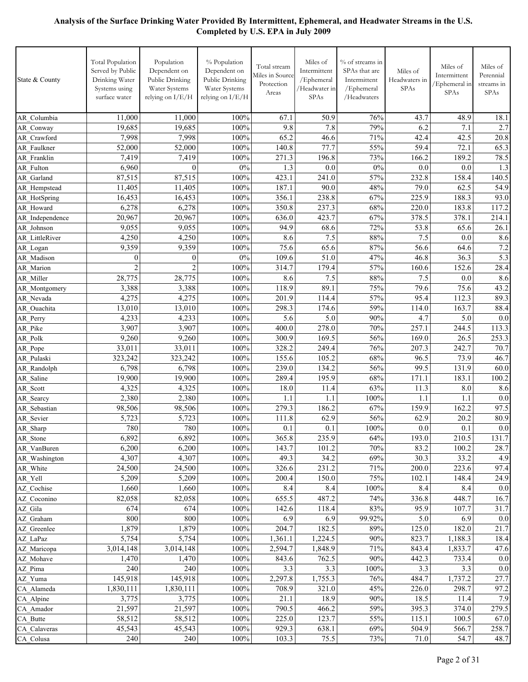| State & County                | Total Population<br>Served by Public<br>Drinking Water<br>Systems using<br>surface water | Population<br>Dependent on<br>Public Drinking<br>Water Systems<br>relying on I/E/H | % Population<br>Dependent on<br>Public Drinking<br>Water Systems<br>relying on I/E/H | Total stream<br>Miles in Source<br>Protection<br>Areas | Miles of<br>Intermittent<br>/Ephemeral<br>/Headwater in<br>SPAs | % of streams in<br>SPAs that are<br>Intermittent<br>/Ephemeral<br>/Headwaters | Miles of<br>Headwaters in<br>SPAs | Miles of<br>Intermittent<br>Ephemeral in<br>SPAs | Miles of<br>Perennial<br>streams in<br>SPAs |
|-------------------------------|------------------------------------------------------------------------------------------|------------------------------------------------------------------------------------|--------------------------------------------------------------------------------------|--------------------------------------------------------|-----------------------------------------------------------------|-------------------------------------------------------------------------------|-----------------------------------|--------------------------------------------------|---------------------------------------------|
| AR Columbia                   | 11,000                                                                                   | 11,000                                                                             | 100%                                                                                 | 67.1                                                   | 50.9                                                            | 76%                                                                           | 43.7                              | 48.9                                             | 18.1                                        |
| AR Conway                     | 19,685                                                                                   | 19,685                                                                             | 100%                                                                                 | 9.8                                                    | 7.8                                                             | 79%                                                                           | 6.2                               | 7.1                                              | 2.7                                         |
| AR Crawford                   | 7,998                                                                                    | 7,998                                                                              | 100%                                                                                 | 65.2                                                   | 46.6                                                            | 71%                                                                           | 42.4                              | 42.5                                             | 20.8                                        |
| AR Faulkner                   | 52,000                                                                                   | 52,000                                                                             | 100%                                                                                 | 140.8                                                  | 77.7                                                            | 55%                                                                           | 59.4                              | 72.1                                             | 65.3                                        |
| AR Franklin                   | 7,419                                                                                    | 7,419                                                                              | 100%                                                                                 | 271.3                                                  | 196.8                                                           | 73%                                                                           | 166.2                             | 189.2                                            | 78.5                                        |
| AR Fulton                     | 6,960                                                                                    | $\mathbf{0}$                                                                       | 0%                                                                                   | 1.3                                                    | 0.0                                                             | $0\%$                                                                         | 0.0                               | 0.0                                              | 1.3                                         |
| AR Garland                    | 87,515                                                                                   | 87,515                                                                             | 100%                                                                                 | 423.1                                                  | 241.0                                                           | 57%                                                                           | 232.8                             | 158.4                                            | 140.5                                       |
| AR Hempstead                  | 11,405                                                                                   | 11,405                                                                             | 100%                                                                                 | 187.1                                                  | 90.0                                                            | 48%                                                                           | 79.0                              | 62.5                                             | 54.9                                        |
| AR_HotSpring                  | 16,453                                                                                   | 16,453                                                                             | 100%                                                                                 | 356.1                                                  | 238.8                                                           | 67%                                                                           | 225.9                             | 188.3                                            | 93.0                                        |
| AR Howard                     | 6,278                                                                                    | 6,278<br>20,967                                                                    | 100%<br>100%                                                                         | 350.8                                                  | 237.3<br>423.7                                                  | 68%<br>67%                                                                    | 220.0                             | 183.8                                            | 117.2                                       |
| AR Independence<br>AR Johnson | 20,967<br>9,055                                                                          | 9,055                                                                              | 100%                                                                                 | 636.0<br>94.9                                          | 68.6                                                            | 72%                                                                           | 378.5<br>53.8                     | 378.1<br>65.6                                    | 214.1<br>26.1                               |
| AR LittleRiver                | 4,250                                                                                    | 4,250                                                                              | 100%                                                                                 | 8.6                                                    | 7.5                                                             | 88%                                                                           | 7.5                               | 0.0                                              | 8.6                                         |
| AR Logan                      | 9,359                                                                                    | 9,359                                                                              | 100%                                                                                 | 75.6                                                   | 65.6                                                            | 87%                                                                           | 56.6                              | 64.6                                             | 7.2                                         |
| AR Madison                    | $\boldsymbol{0}$                                                                         | $\mathbf{0}$                                                                       | $0\%$                                                                                | 109.6                                                  | 51.0                                                            | 47%                                                                           | 46.8                              | 36.3                                             | 5.3                                         |
| AR Marion                     | $\overline{2}$                                                                           | $\overline{2}$                                                                     | 100%                                                                                 | 314.7                                                  | 179.4                                                           | 57%                                                                           | 160.6                             | 152.6                                            | 28.4                                        |
| AR Miller                     | 28,775                                                                                   | 28,775                                                                             | 100%                                                                                 | 8.6                                                    | 7.5                                                             | 88%                                                                           | 7.5                               | 0.0                                              | 8.6                                         |
| AR Montgomery                 | 3,388                                                                                    | 3,388                                                                              | 100%                                                                                 | 118.9                                                  | 89.1                                                            | 75%                                                                           | 79.6                              | 75.6                                             | 43.2                                        |
| AR Nevada                     | 4,275                                                                                    | 4,275                                                                              | 100%                                                                                 | 201.9                                                  | 114.4                                                           | 57%                                                                           | 95.4                              | 112.3                                            | 89.3                                        |
| AR Ouachita                   | 13,010                                                                                   | 13,010                                                                             | 100%                                                                                 | 298.3                                                  | 174.6                                                           | 59%                                                                           | 114.0                             | 163.7                                            | 88.4                                        |
| AR Perry                      | 4,233                                                                                    | 4,233                                                                              | 100%                                                                                 | 5.6                                                    | 5.0                                                             | 90%                                                                           | 4.7                               | 5.0                                              | 0.0                                         |
| AR Pike                       | 3,907                                                                                    | 3,907                                                                              | 100%                                                                                 | 400.0                                                  | 278.0                                                           | 70%                                                                           | 257.1                             | 244.5                                            | 113.3                                       |
| AR Polk                       | 9,260                                                                                    | 9,260                                                                              | 100%                                                                                 | 300.9                                                  | 169.5                                                           | 56%                                                                           | 169.0                             | 26.5                                             | 253.3                                       |
| AR Pope                       | 33,011                                                                                   | 33,011                                                                             | 100%                                                                                 | 328.2                                                  | 249.4                                                           | 76%                                                                           | 207.3                             | 242.7                                            | 70.7                                        |
| AR Pulaski                    | 323,242                                                                                  | 323,242                                                                            | 100%                                                                                 | 155.6                                                  | 105.2                                                           | 68%                                                                           | 96.5                              | 73.9                                             | 46.7                                        |
| AR Randolph                   | 6,798                                                                                    | 6,798                                                                              | 100%                                                                                 | 239.0                                                  | 134.2                                                           | 56%                                                                           | 99.5                              | 131.9                                            | 60.0                                        |
| AR Saline                     | 19,900                                                                                   | 19,900                                                                             | 100%                                                                                 | 289.4                                                  | 195.9                                                           | 68%                                                                           | 171.1                             | 183.1                                            | 100.2                                       |
| AR Scott                      | 4,325                                                                                    | 4,325                                                                              | 100%                                                                                 | 18.0                                                   | 11.4                                                            | 63%                                                                           | 11.3                              | 8.0                                              | 8.6                                         |
| AR Searcy                     | 2,380                                                                                    | 2,380                                                                              | 100%<br>100%                                                                         | 1.1<br>279.3                                           | 1.1<br>186.2                                                    | 100%<br>67%                                                                   | 1.1<br>159.9                      | 1.1<br>162.2                                     | 0.0<br>97.5                                 |
| AR Sebastian                  | 98,506<br>5,723                                                                          | 98,506<br>$5,72\overline{3}$                                                       | 100%                                                                                 | 111.8                                                  | 62.9                                                            | 56%                                                                           | $62.\overline{9}$                 | 20.2                                             | 80.9                                        |
| AR_Sevier<br>AR_Sharp         | 780                                                                                      | 780                                                                                | 100%                                                                                 | 0.1                                                    | 0.1                                                             | 100%                                                                          | 0.0                               | 0.1                                              | 0.0                                         |
| AR_Stone                      | 6,892                                                                                    | 6,892                                                                              | 100%                                                                                 | 365.8                                                  | 235.9                                                           | 64%                                                                           | 193.0                             | 210.5                                            | 131.7                                       |
| AR VanBuren                   | 6,200                                                                                    | 6,200                                                                              | 100%                                                                                 | 143.7                                                  | 101.2                                                           | 70%                                                                           | 83.2                              | 100.2                                            | 28.7                                        |
| AR Washington                 | 4,307                                                                                    | 4,307                                                                              | 100%                                                                                 | 49.3                                                   | 34.2                                                            | 69%                                                                           | 30.3                              | 33.2                                             | 4.9                                         |
| AR White                      | 24,500                                                                                   | 24,500                                                                             | 100%                                                                                 | 326.6                                                  | 231.2                                                           | 71%                                                                           | 200.0                             | 223.6                                            | 97.4                                        |
| AR Yell                       | 5,209                                                                                    | 5,209                                                                              | 100%                                                                                 | 200.4                                                  | 150.0                                                           | 75%                                                                           | 102.1                             | 148.4                                            | 24.9                                        |
| AZ Cochise                    | 1,660                                                                                    | 1,660                                                                              | 100%                                                                                 | 8.4                                                    | 8.4                                                             | 100%                                                                          | 8.4                               | 8.4                                              | 0.0                                         |
| AZ Coconino                   | 82,058                                                                                   | 82,058                                                                             | 100%                                                                                 | 655.5                                                  | 487.2                                                           | 74%                                                                           | 336.8                             | 448.7                                            | 16.7                                        |
| AZ Gila                       | 674                                                                                      | 674                                                                                | 100%                                                                                 | 142.6                                                  | 118.4                                                           | 83%                                                                           | 95.9                              | 107.7                                            | 31.7                                        |
| AZ Graham                     | 800                                                                                      | 800                                                                                | 100%                                                                                 | 6.9                                                    | 6.9                                                             | 99.92%                                                                        | 5.0                               | 6.9                                              | 0.0                                         |
| AZ Greenlee                   | 1,879                                                                                    | 1,879                                                                              | 100%                                                                                 | 204.7                                                  | 182.5                                                           | 89%                                                                           | 125.0                             | 182.0                                            | 21.7                                        |
| AZ_LaPaz                      | 5,754                                                                                    | 5,754                                                                              | 100%                                                                                 | 1,361.1                                                | 1,224.5                                                         | 90%                                                                           | 823.7                             | 1,188.3                                          | 18.4                                        |
| AZ Maricopa                   | 3,014,148                                                                                | 3,014,148                                                                          | 100%                                                                                 | 2,594.7                                                | 1,848.9                                                         | 71%                                                                           | 843.4                             | 1,833.7                                          | 47.6                                        |
| AZ Mohave                     | 1,470                                                                                    | 1,470                                                                              | 100%                                                                                 | 843.6                                                  | 762.5                                                           | 90%                                                                           | 442.3                             | 733.4                                            | 0.0                                         |
| AZ_Pima                       | 240                                                                                      | 240                                                                                | 100%                                                                                 | 3.3                                                    | 3.3                                                             | 100%                                                                          | 3.3                               | 3.3                                              | 0.0                                         |
| AZ Yuma                       | 145,918                                                                                  | 145,918                                                                            | 100%                                                                                 | 2,297.8                                                | 1,755.3                                                         | 76%                                                                           | 484.7                             | 1,737.2                                          | 27.7                                        |
| CA Alameda                    | 1,830,111                                                                                | 1,830,111                                                                          | 100%<br>100%                                                                         | 708.9<br>21.1                                          | 321.0<br>18.9                                                   | 45%<br>90%                                                                    | $226.\overline{0}$                | 298.7                                            | 97.2<br>7.9                                 |
| CA_Alpine<br>CA Amador        | 3,775<br>21,597                                                                          | 3,775<br>21,597                                                                    | 100%                                                                                 | 790.5                                                  | 466.2                                                           | 59%                                                                           | 18.5<br>395.3                     | 11.4<br>374.0                                    | 279.5                                       |
| CA_Butte                      | 58,512                                                                                   | 58,512                                                                             | 100%                                                                                 | 225.0                                                  | 123.7                                                           | 55%                                                                           | 115.1                             | 100.5                                            | 67.0                                        |
| CA Calaveras                  | 45,543                                                                                   | 45,543                                                                             | 100%                                                                                 | 929.3                                                  | 638.1                                                           | 69%                                                                           | 504.9                             | 566.7                                            | 258.7                                       |
| CA_Colusa                     | 240                                                                                      | 240                                                                                | $100\%$                                                                              | 103.3                                                  | 75.5                                                            | 73%                                                                           | 71.0                              | 54.7                                             | 48.7                                        |
|                               |                                                                                          |                                                                                    |                                                                                      |                                                        |                                                                 |                                                                               |                                   |                                                  |                                             |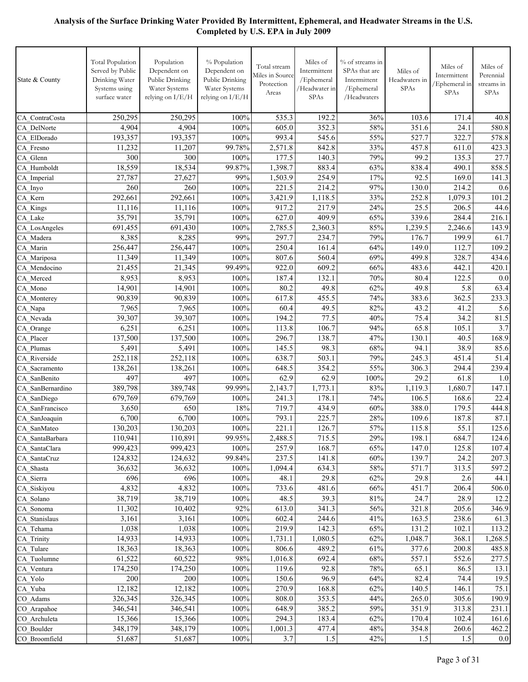| State & County           | <b>Total Population</b><br>Served by Public<br>Drinking Water<br>Systems using<br>surface water | Population<br>Dependent on<br>Public Drinking<br>Water Systems<br>relying on I/E/H | % Population<br>Dependent on<br>Public Drinking<br>Water Systems<br>relying on I/E/H | Total stream<br>Miles in Source<br>Protection<br>Areas | Miles of<br>Intermittent<br>/Ephemeral<br>/Headwater in<br>SPAs | % of streams in<br>SPAs that are<br>Intermittent<br>/Ephemeral<br>/Headwaters | Miles of<br>Headwaters in<br><b>SPAs</b> | Miles of<br>Intermittent<br>/Ephemeral in<br>SPAs | Miles of<br>Perennial<br>streams in<br>SPAs |
|--------------------------|-------------------------------------------------------------------------------------------------|------------------------------------------------------------------------------------|--------------------------------------------------------------------------------------|--------------------------------------------------------|-----------------------------------------------------------------|-------------------------------------------------------------------------------|------------------------------------------|---------------------------------------------------|---------------------------------------------|
| CA ContraCosta           | 250,295                                                                                         | 250,295                                                                            | 100%                                                                                 | 535.3                                                  | 192.2                                                           | 36%                                                                           | 103.6                                    | 171.4                                             | 40.8                                        |
| CA DelNorte              | 4,904                                                                                           | 4,904                                                                              | 100%                                                                                 | 605.0                                                  | 352.3                                                           | 58%                                                                           | 351.6                                    | 24.1                                              | 580.8                                       |
| CA ElDorado              | 193,357                                                                                         | 193,357                                                                            | 100%                                                                                 | 993.4                                                  | 545.6                                                           | 55%                                                                           | 527.7                                    | 322.7                                             | 578.8                                       |
| CA Fresno                | 11,232                                                                                          | 11,207                                                                             | 99.78%                                                                               | 2,571.8                                                | 842.8                                                           | 33%                                                                           | 457.8                                    | 611.0                                             | 423.3                                       |
| CA_Glenn                 | 300                                                                                             | 300                                                                                | 100%                                                                                 | 177.5                                                  | 140.3                                                           | 79%                                                                           | 99.2                                     | 135.3                                             | 27.7                                        |
| CA Humboldt              | 18,559                                                                                          | 18,534                                                                             | 99.87%                                                                               | 1,398.7                                                | 883.4                                                           | 63%                                                                           | 838.4                                    | 490.1                                             | 858.5                                       |
| CA Imperial              | 27,787                                                                                          | 27,627                                                                             | 99%                                                                                  | 1,503.9                                                | 254.9                                                           | 17%                                                                           | 92.5                                     | 169.0                                             | 141.3                                       |
| CA Inyo                  | 260                                                                                             | 260                                                                                | 100%                                                                                 | 221.5                                                  | 214.2                                                           | $\frac{1}{97\%}$                                                              | 130.0                                    | 214.2                                             | 0.6                                         |
| CA Kern                  | 292,661                                                                                         | 292,661                                                                            | 100%                                                                                 | 3,421.9                                                | 1,118.5                                                         | 33%                                                                           | 252.8                                    | 1,079.3                                           | 101.2                                       |
| CA_Kings                 | 11,116                                                                                          | 11,116                                                                             | 100%                                                                                 | 917.2                                                  | 217.9                                                           | 24%                                                                           | 25.5                                     | 206.5                                             | 44.6                                        |
| CA Lake                  | 35,791                                                                                          | 35,791                                                                             | 100%                                                                                 | 627.0                                                  | 409.9                                                           | 65%                                                                           | 339.6                                    | 284.4                                             | 216.1                                       |
| CA LosAngeles            | 691,455                                                                                         | 691,430                                                                            | 100%                                                                                 | 2,785.5                                                | 2,360.3                                                         | 85%                                                                           | 1,239.5                                  | 2,246.6                                           | 143.9                                       |
| CA Madera                | 8,385                                                                                           | 8,285                                                                              | 99%                                                                                  | 297.7                                                  | 234.7                                                           | 79%                                                                           | 176.7                                    | 199.9                                             | 61.7                                        |
| CA Marin                 | 256,447                                                                                         | 256,447                                                                            | 100%                                                                                 | 250.4                                                  | 161.4                                                           | 64%                                                                           | 149.0                                    | 112.7                                             | 109.2                                       |
| CA Mariposa              | 11,349                                                                                          | 11,349                                                                             | 100%                                                                                 | 807.6                                                  | 560.4                                                           | 69%                                                                           | 499.8                                    | 328.7                                             | 434.6                                       |
| CA Mendocino             | 21,455                                                                                          | 21,345                                                                             | 99.49%                                                                               | 922.0                                                  | 609.2                                                           | 66%                                                                           | 483.6                                    | 442.1                                             | 420.1                                       |
| CA Merced                | 8,953                                                                                           | 8,953                                                                              | 100%                                                                                 | 187.4                                                  | 132.1                                                           | 70%                                                                           | 80.4                                     | 122.5                                             | 0.0                                         |
| CA Mono                  | 14,901                                                                                          | 14,901                                                                             | 100%                                                                                 | 80.2                                                   | 49.8                                                            | 62%                                                                           | 49.8                                     | 5.8                                               | 63.4                                        |
| CA Monterey              | 90,839                                                                                          | 90,839                                                                             | 100%                                                                                 | 617.8                                                  | 455.5                                                           | 74%                                                                           | 383.6                                    | 362.5                                             | 233.3                                       |
| CA Napa                  | 7,965                                                                                           | 7,965                                                                              | 100%<br>100%                                                                         | 60.4<br>194.2                                          | 49.5<br>77.5                                                    | 82%<br>40%                                                                    | 43.2<br>75.4                             | 41.2<br>34.2                                      | 5.6<br>81.5                                 |
| CA Nevada                | 39,307<br>6,251                                                                                 | 39,307<br>6,251                                                                    | 100%                                                                                 | 113.8                                                  | 106.7                                                           | 94%                                                                           | 65.8                                     | 105.1                                             | 3.7                                         |
| CA Orange<br>CA Placer   | 137,500                                                                                         | 137,500                                                                            | 100%                                                                                 | 296.7                                                  | 138.7                                                           | 47%                                                                           | 130.1                                    | 40.5                                              | 168.9                                       |
| CA Plumas                | 5,491                                                                                           | 5,491                                                                              | 100%                                                                                 | 145.5                                                  | 98.3                                                            | 68%                                                                           | 94.1                                     | 38.9                                              | 85.6                                        |
| CA Riverside             | 252,118                                                                                         | 252,118                                                                            | 100%                                                                                 | 638.7                                                  | 503.1                                                           | 79%                                                                           | 245.3                                    | 451.4                                             | 51.4                                        |
| CA Sacramento            | 138,261                                                                                         | 138,261                                                                            | 100%                                                                                 | 648.5                                                  | 354.2                                                           | 55%                                                                           | 306.3                                    | 294.4                                             | 239.4                                       |
| CA SanBenito             | 497                                                                                             | 497                                                                                | 100%                                                                                 | 62.9                                                   | 62.9                                                            | 100%                                                                          | 29.2                                     | 61.8                                              | 1.0                                         |
| CA SanBernardino         | 389,798                                                                                         | 389,748                                                                            | 99.99%                                                                               | 2,143.7                                                | 1,773.1                                                         | 83%                                                                           | 1,119.3                                  | 1,680.7                                           | 147.1                                       |
| CA SanDiego              | 679,769                                                                                         | 679,769                                                                            | 100%                                                                                 | 241.3                                                  | 178.1                                                           | 74%                                                                           | 106.5                                    | 168.6                                             | 22.4                                        |
| CA SanFrancisco          | 3,650                                                                                           | 650                                                                                | 18%                                                                                  | 719.7                                                  | 434.9                                                           | 60%                                                                           | 388.0                                    | 179.5                                             | 444.8                                       |
| CA_SanJoaquin            | 6,700                                                                                           | 6,700                                                                              | 100%                                                                                 | 793.1                                                  | 225.7                                                           | 28%                                                                           | 109.6                                    | 187.8                                             | 87.1                                        |
| CA_SanMateo              | 130,203                                                                                         | 130,203                                                                            | $100\%$                                                                              | 221.1                                                  | 126.7                                                           | 57%                                                                           | 115.8                                    | 55.1                                              | 125.6                                       |
| CA SantaBarbara          | 110,941                                                                                         | 110,891                                                                            | 99.95%                                                                               | 2,488.5                                                | 715.5                                                           | 29%                                                                           | 198.1                                    | 684.7                                             | 124.6                                       |
| CA SantaClara            | 999,423                                                                                         | 999,423                                                                            | 100%                                                                                 | 257.9                                                  | 168.7                                                           | 65%                                                                           | 147.0                                    | 125.8                                             | 107.4                                       |
| CA SantaCruz             | 124,832                                                                                         | 124,632                                                                            | 99.84%                                                                               | 237.5                                                  | 141.8                                                           | 60%                                                                           | 139.7                                    | 24.2                                              | 207.3                                       |
| CA Shasta                | 36,632                                                                                          | 36,632                                                                             | 100%                                                                                 | 1,094.4                                                | 634.3                                                           | 58%                                                                           | 571.7                                    | 313.5                                             | 597.2                                       |
| CA_Sierra                | 696                                                                                             | 696                                                                                | 100%                                                                                 | 48.1                                                   | 29.8                                                            | 62%                                                                           | 29.8                                     | 2.6                                               | 44.1                                        |
| CA Siskiyou              | 4,832                                                                                           | 4,832                                                                              | 100%                                                                                 | 733.6                                                  | 481.6                                                           | 66%                                                                           | 451.7                                    | 206.4                                             | 506.0                                       |
| CA Solano                | 38,719                                                                                          | 38,719                                                                             | 100%                                                                                 | 48.5                                                   | 39.3                                                            | $81\%$                                                                        | 24.7                                     | 28.9                                              | 12.2                                        |
| CA Sonoma                | 11,302                                                                                          | 10,402                                                                             | 92%                                                                                  | 613.0                                                  | 341.3                                                           | 56%                                                                           | 321.8                                    | 205.6                                             | 346.9                                       |
| CA Stanislaus            | 3,161                                                                                           | 3,161                                                                              | 100%                                                                                 | 602.4                                                  | 244.6                                                           | 41%                                                                           | 163.5                                    | 238.6                                             | 61.3                                        |
| CA_Tehama                | 1,038                                                                                           | 1,038<br>14,933                                                                    | 100%<br>100%                                                                         | 219.9                                                  | 142.3<br>1,080.5                                                | 65%<br>62%                                                                    | 131.2<br>1,048.7                         | 102.1<br>368.1                                    | 113.2                                       |
| CA Trinity               | 14,933                                                                                          |                                                                                    | 100%                                                                                 | 1,731.1<br>806.6                                       | 489.2                                                           | 61%                                                                           | 377.6                                    | 200.8                                             | 1,268.5                                     |
| CA Tulare<br>CA Tuolumne | 18,363<br>61,522                                                                                | 18,363<br>60,522                                                                   | 98%                                                                                  | 1,016.8                                                | 692.4                                                           | 68%                                                                           | 557.1                                    | 552.6                                             | 485.8<br>277.5                              |
| CA_Ventura               | 174,250                                                                                         | 174,250                                                                            | 100%                                                                                 | 119.6                                                  | 92.8                                                            | 78%                                                                           | 65.1                                     | 86.5                                              | 13.1                                        |
| CA_Yolo                  | 200                                                                                             | 200                                                                                | 100%                                                                                 | 150.6                                                  | 96.9                                                            | 64%                                                                           | 82.4                                     | 74.4                                              | 19.5                                        |
| CA_Yuba                  | 12,182                                                                                          | 12,182                                                                             | 100%                                                                                 | 270.9                                                  | 168.8                                                           | 62%                                                                           | 140.5                                    | 146.1                                             | 75.1                                        |
| CO Adams                 | 326,345                                                                                         | 326,345                                                                            | 100%                                                                                 | 808.0                                                  | 353.5                                                           | 44%                                                                           | 265.0                                    | 305.6                                             | 190.9                                       |
| CO Arapahoe              | 346,541                                                                                         | 346,541                                                                            | 100%                                                                                 | 648.9                                                  | 385.2                                                           | 59%                                                                           | 351.9                                    | 313.8                                             | 231.1                                       |
| CO Archuleta             | 15,366                                                                                          | 15,366                                                                             | 100%                                                                                 | 294.3                                                  | 183.4                                                           | 62%                                                                           | 170.4                                    | 102.4                                             | 161.6                                       |
| CO Boulder               | 348,179                                                                                         | 348,179                                                                            | 100%                                                                                 | 1,001.3                                                | 477.4                                                           | 48%                                                                           | 354.8                                    | 260.6                                             | 462.2                                       |
| CO Broomfield            | 51,687                                                                                          | 51,687                                                                             | 100%                                                                                 | 3.7                                                    | 1.5                                                             | 42%                                                                           | 1.5                                      | $1.5$                                             | 0.0                                         |
|                          |                                                                                                 |                                                                                    |                                                                                      |                                                        |                                                                 |                                                                               |                                          |                                                   |                                             |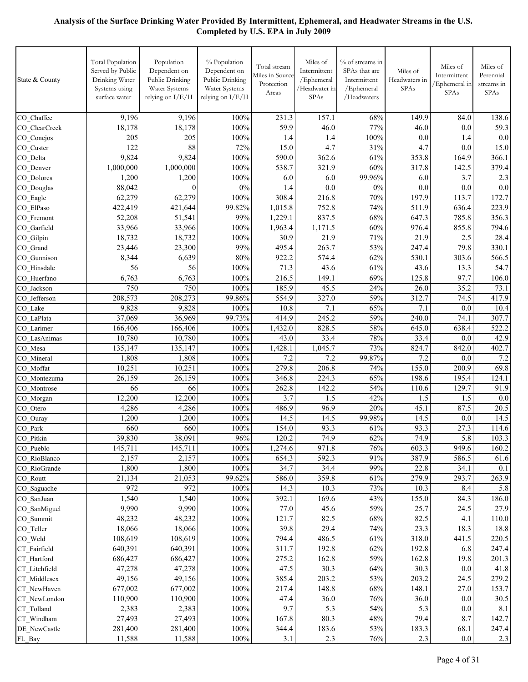| State & County               | <b>Total Population</b><br>Served by Public<br>Drinking Water<br>Systems using<br>surface water | Population<br>Dependent on<br>Public Drinking<br>Water Systems<br>relying on I/E/H | % Population<br>Dependent on<br>Public Drinking<br>Water Systems<br>relying on I/E/H | Total stream<br>Miles in Source<br>Protection<br>Areas | Miles of<br>Intermittent<br>/Ephemeral<br>/Headwater in<br>SPAs | % of streams in<br>SPAs that are<br>Intermittent<br>/Ephemeral<br>/Headwaters | Miles of<br>Headwaters in<br>SPAs | Miles of<br>Intermittent<br>/Ephemeral in<br>SPAs | Miles of<br>Perennial<br>streams in<br>SPAs |
|------------------------------|-------------------------------------------------------------------------------------------------|------------------------------------------------------------------------------------|--------------------------------------------------------------------------------------|--------------------------------------------------------|-----------------------------------------------------------------|-------------------------------------------------------------------------------|-----------------------------------|---------------------------------------------------|---------------------------------------------|
| CO Chaffee                   | 9,196                                                                                           | 9,196                                                                              | 100%                                                                                 | 231.3                                                  | 157.1                                                           | 68%                                                                           | 149.9                             | 84.0                                              | 138.6                                       |
| CO ClearCreek                | 18,178                                                                                          | 18,178                                                                             | 100%                                                                                 | 59.9                                                   | 46.0                                                            | 77%                                                                           | 46.0                              | 0.0                                               | 59.3                                        |
| CO Conejos                   | 205                                                                                             | 205                                                                                | 100%                                                                                 | 1.4                                                    | 1.4                                                             | 100%                                                                          | 0.0                               | 1.4                                               | 0.0                                         |
| CO Custer                    | 122                                                                                             | 88                                                                                 | 72%                                                                                  | 15.0                                                   | 4.7                                                             | 31%                                                                           | 4.7                               | 0.0                                               | 15.0                                        |
| CO Delta                     | 9,824                                                                                           | 9,824                                                                              | 100%                                                                                 | 590.0                                                  | 362.6                                                           | 61%                                                                           | 353.8                             | 164.9                                             | 366.1                                       |
| CO Denver                    | 1,000,000                                                                                       | 1,000,000                                                                          | 100%                                                                                 | 538.7                                                  | 321.9                                                           | 60%                                                                           | 317.8                             | 142.5                                             | 379.4                                       |
| CO Dolores                   | 1,200                                                                                           | 1,200                                                                              | 100%                                                                                 | 6.0                                                    | 6.0                                                             | 99.96%                                                                        | 6.0                               | 3.7                                               | 2.3                                         |
| CO Douglas                   | 88,042                                                                                          | $\theta$                                                                           | 0%                                                                                   | 1.4                                                    | 0.0                                                             | $0\%$                                                                         | 0.0                               | 0.0                                               | 0.0                                         |
| CO_Eagle                     | 62,279                                                                                          | 62,279                                                                             | 100%                                                                                 | 308.4                                                  | 216.8                                                           | 70%                                                                           | 197.9                             | 113.7                                             | 172.7                                       |
| CO ElPaso                    | 422,419                                                                                         | 421,644                                                                            | 99.82%                                                                               | 1,015.8                                                | 752.8                                                           | 74%                                                                           | 511.9                             | 636.4                                             | 223.9                                       |
| CO Fremont                   | 52,208                                                                                          | 51,541                                                                             | 99%                                                                                  | 1,229.1                                                | 837.5                                                           | 68%                                                                           | 647.3                             | 785.8                                             | 356.3                                       |
| CO_Garfield                  | 33,966                                                                                          | 33,966                                                                             | 100%                                                                                 | 1,963.4                                                | 1,171.5                                                         | 60%                                                                           | 976.4                             | 855.8                                             | 794.6                                       |
| CO Gilpin                    | 18,732                                                                                          | 18,732                                                                             | 100%                                                                                 | 30.9                                                   | 21.9                                                            | 71%                                                                           | 21.9                              | 2.5                                               | 28.4                                        |
| CO Grand                     | 23,446                                                                                          | 23,300                                                                             | 99%                                                                                  | 495.4                                                  | 263.7                                                           | 53%                                                                           | 247.4                             | 79.8                                              | 330.1                                       |
| CO Gunnison                  | 8,344                                                                                           | 6,639                                                                              | 80%                                                                                  | 922.2                                                  | 574.4                                                           | 62%                                                                           | 530.1                             | 303.6                                             | 566.5                                       |
| CO Hinsdale                  | 56                                                                                              | 56                                                                                 | 100%                                                                                 | 71.3                                                   | 43.6                                                            | 61%                                                                           | 43.6                              | 13.3                                              | 54.7                                        |
| CO Huerfano                  | 6,763                                                                                           | 6,763                                                                              | 100%                                                                                 | 216.5                                                  | 149.1                                                           | 69%                                                                           | 125.8                             | 97.7                                              | 106.0                                       |
| CO Jackson                   | 750                                                                                             | 750                                                                                | 100%                                                                                 | 185.9                                                  | 45.5                                                            | 24%                                                                           | 26.0                              | 35.2                                              | 73.1                                        |
| CO Jefferson                 | 208,573                                                                                         | 208,273                                                                            | 99.86%                                                                               | 554.9                                                  | 327.0                                                           | 59%                                                                           | 312.7                             | 74.5                                              | 417.9                                       |
| CO Lake                      | 9,828                                                                                           | 9,828                                                                              | 100%                                                                                 | 10.8                                                   | 7.1                                                             | 65%                                                                           | 7.1                               | 0.0                                               | 10.4                                        |
| CO LaPlata                   | 37,069                                                                                          | 36,969                                                                             | 99.73%                                                                               | 414.9                                                  | 245.2                                                           | 59%                                                                           | 240.0                             | 74.1                                              | 307.7                                       |
| CO Larimer                   | 166,406                                                                                         | 166,406                                                                            | 100%                                                                                 | 1,432.0                                                | 828.5                                                           | 58%                                                                           | 645.0                             | 638.4                                             | 522.2                                       |
| CO LasAnimas                 | 10,780                                                                                          | 10,780                                                                             | 100%                                                                                 | 43.0                                                   | 33.4                                                            | 78%                                                                           | 33.4                              | 0.0                                               | 42.9                                        |
| CO Mesa                      | 135,147                                                                                         | 135,147                                                                            | 100%                                                                                 | 1,428.1                                                | 1,045.7                                                         | 73%                                                                           | 824.7                             | 842.0                                             | 402.7                                       |
| CO Mineral                   | 1,808                                                                                           | 1,808                                                                              | 100%                                                                                 | 7.2                                                    | 7.2                                                             | 99.87%                                                                        | 7.2                               | 0.0                                               | 7.2                                         |
| CO Moffat                    | 10,251                                                                                          | 10,251                                                                             | 100%                                                                                 | 279.8                                                  | 206.8                                                           | 74%                                                                           | 155.0                             | 200.9                                             | 69.8                                        |
| CO Montezuma                 | 26,159                                                                                          | 26,159                                                                             | 100%                                                                                 | 346.8                                                  | 224.3                                                           | 65%                                                                           | 198.6                             | 195.4                                             | 124.1                                       |
| CO Montrose                  | 66                                                                                              | 66                                                                                 | 100%                                                                                 | 262.8                                                  | 142.2                                                           | 54%                                                                           | 110.6                             | 129.7                                             | 91.9                                        |
| CO_Morgan                    | 12,200                                                                                          | 12,200                                                                             | 100%                                                                                 | 3.7                                                    | 1.5                                                             | 42%                                                                           | 1.5                               | 1.5                                               | 0.0                                         |
| CO_Otero                     | 4,286                                                                                           | 4,286                                                                              | 100%                                                                                 | 486.9                                                  | 96.9                                                            | 20%                                                                           | 45.1                              | 87.5                                              | 20.5                                        |
| CO_Ouray                     | 1,200                                                                                           | 1,200                                                                              | 100%                                                                                 | 14.5                                                   | 14.5                                                            | 99.98%                                                                        | 14.5                              | 0.0                                               | 14.5                                        |
| $\overline{CO}$ _Park        | 660                                                                                             | 660                                                                                | 100%                                                                                 | 154.0                                                  | 93.3                                                            | 61%                                                                           | 93.3                              | 27.3                                              | 114.6                                       |
| CO_Pitkin                    | 39,830                                                                                          | 38,091                                                                             | 96%                                                                                  | 120.2                                                  | 74.9                                                            | 62%                                                                           | 74.9                              | 5.8                                               | 103.3                                       |
| $\overline{CO}$ _Pueblo      | 145,711                                                                                         | 145,711                                                                            | 100%                                                                                 | 1,274.6                                                | 971.8                                                           | 76%                                                                           | 603.3                             | 949.6                                             | 160.2                                       |
| CO_RioBlanco                 | 2,157                                                                                           | 2,157                                                                              | 100%                                                                                 | 654.3                                                  | 592.3                                                           | 91%                                                                           | 387.9                             | 586.5                                             | 61.6                                        |
| CO RioGrande                 | 1,800                                                                                           | 1,800                                                                              | 100%                                                                                 | 34.7                                                   | 34.4                                                            | 99%                                                                           | 22.8                              | 34.1                                              | 0.1                                         |
| CO_Routt                     | 21,134                                                                                          | 21,053                                                                             | 99.62%                                                                               | 586.0                                                  | 359.8                                                           | 61%                                                                           | 279.9                             | 293.7                                             | 263.9                                       |
| CO Saguache                  | 972                                                                                             | 972                                                                                | 100%                                                                                 | 14.3                                                   | 10.3                                                            | 73%                                                                           | 10.3                              | 8.4                                               | 5.8                                         |
| CO SanJuan                   | 1,540                                                                                           | 1,540                                                                              | 100%                                                                                 | 392.1                                                  | 169.6                                                           | 43%                                                                           | 155.0                             | 84.3                                              | 186.0                                       |
| CO SanMiguel                 | 9,990                                                                                           | 9,990                                                                              | 100%                                                                                 | 77.0                                                   | 45.6                                                            | 59%                                                                           | 25.7                              | 24.5                                              | 27.9                                        |
| CO Summit                    | 48,232                                                                                          | 48,232                                                                             | 100%                                                                                 | 121.7                                                  | 82.5                                                            | 68%                                                                           | 82.5                              | 4.1                                               | 110.0                                       |
| CO Teller                    | 18,066                                                                                          | 18,066                                                                             | 100%                                                                                 | 39.8                                                   | 29.4                                                            | 74%                                                                           | 23.3                              | 18.3                                              | 18.8                                        |
| CO Weld                      | 108,619                                                                                         | 108,619                                                                            | 100%                                                                                 | 794.4                                                  | 486.5                                                           | 61%                                                                           | 318.0                             | 441.5                                             | 220.5                                       |
| CT Fairfield                 | 640,391                                                                                         | 640,391                                                                            | 100%                                                                                 | 311.7                                                  | 192.8                                                           | 62%                                                                           | 192.8                             | 6.8                                               | 247.4                                       |
| CT Hartford<br>CT Litchfield | 686,427<br>47,278                                                                               | 686,427<br>47,278                                                                  | 100%<br>100%                                                                         | 275.2<br>47.5                                          | 162.8<br>30.3                                                   | 59%<br>64%                                                                    | 162.8<br>30.3                     | 19.8                                              | 201.3                                       |
| CT_Middlesex                 | 49,156                                                                                          | 49,156                                                                             | 100%                                                                                 | 385.4                                                  | 203.2                                                           | 53%                                                                           | 203.2                             | 0.0<br>24.5                                       | 41.8<br>279.2                               |
| CT_NewHaven                  | 677,002                                                                                         | 677,002                                                                            | 100%                                                                                 | 217.4                                                  | 148.8                                                           | 68%                                                                           | 148.1                             | 27.0                                              | 153.7                                       |
| CT_NewLondon                 | 110,900                                                                                         | 110,900                                                                            | 100%                                                                                 | 47.4                                                   | 36.0                                                            | 76%                                                                           | 36.0                              | 0.0                                               | 30.5                                        |
| CT_Tolland                   | 2,383                                                                                           | 2,383                                                                              | 100%                                                                                 | 9.7                                                    | 5.3                                                             | 54%                                                                           | 5.3                               | 0.0                                               | 8.1                                         |
| CT_Windham                   | 27,493                                                                                          | 27,493                                                                             | 100%                                                                                 | 167.8                                                  | 80.3                                                            | 48%                                                                           | 79.4                              | 8.7                                               | 142.7                                       |
| DE NewCastle                 | 281,400                                                                                         | 281,400                                                                            | 100%                                                                                 | 344.4                                                  | 183.6                                                           | 53%                                                                           | 183.3                             | 68.1                                              | 247.4                                       |
| FL_Bay                       | 11,588                                                                                          | 11,588                                                                             | $100\%$                                                                              | 3.1                                                    | 2.3                                                             | 76%                                                                           | 2.3                               | 0.0                                               | 2.3                                         |
|                              |                                                                                                 |                                                                                    |                                                                                      |                                                        |                                                                 |                                                                               |                                   |                                                   |                                             |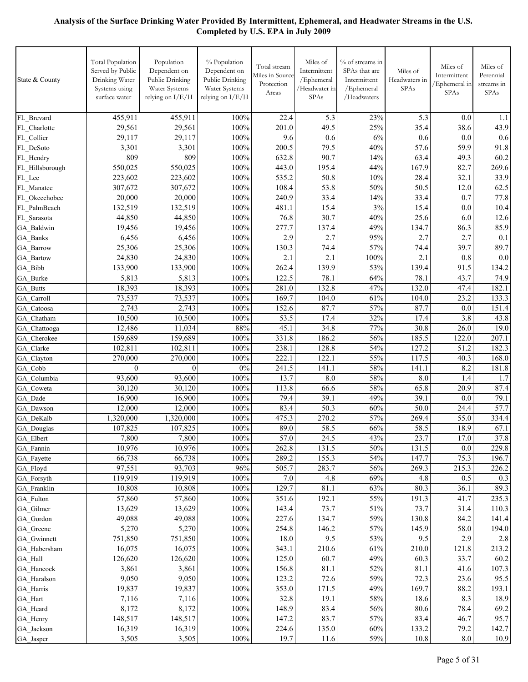| State & County          | <b>Total Population</b><br>Served by Public<br>Drinking Water<br>Systems using<br>surface water | Population<br>Dependent on<br>Public Drinking<br>Water Systems<br>relying on I/E/H | % Population<br>Dependent on<br>Public Drinking<br>Water Systems<br>relying on I/E/H | Total stream<br>Miles in Source<br>Protection<br>Areas | Miles of<br>Intermittent<br>/Ephemeral<br>/Headwater in<br>SPAs | % of streams in<br>SPAs that are<br>Intermittent<br>/Ephemeral<br>/Headwaters | Miles of<br>Headwaters in<br><b>SPAs</b> | Miles of<br>Intermittent<br>Ephemeral in<br><b>SPAs</b> | Miles of<br>Perennial<br>streams in<br>SPAs |
|-------------------------|-------------------------------------------------------------------------------------------------|------------------------------------------------------------------------------------|--------------------------------------------------------------------------------------|--------------------------------------------------------|-----------------------------------------------------------------|-------------------------------------------------------------------------------|------------------------------------------|---------------------------------------------------------|---------------------------------------------|
| FL Brevard              | 455,911                                                                                         | 455,911                                                                            | 100%                                                                                 | 22.4                                                   | 5.3                                                             | 23%                                                                           | 5.3                                      | 0.0                                                     | 1.1                                         |
| FL Charlotte            | 29,561                                                                                          | 29,561                                                                             | 100%                                                                                 | 201.0                                                  | 49.5                                                            | 25%                                                                           | 35.4                                     | 38.6                                                    | 43.9                                        |
| FL Collier              | 29,117                                                                                          | 29,117                                                                             | 100%                                                                                 | 9.6                                                    | 0.6                                                             | 6%                                                                            | 0.6                                      | 0.0                                                     | 0.6                                         |
| FL DeSoto               | 3,301                                                                                           | 3,301                                                                              | 100%                                                                                 | 200.5                                                  | 79.5                                                            | 40%                                                                           | 57.6                                     | 59.9                                                    | 91.8                                        |
| FL Hendry               | 809                                                                                             | 809                                                                                | 100%                                                                                 | 632.8                                                  | 90.7                                                            | 14%                                                                           | 63.4                                     | 49.3                                                    | 60.2                                        |
| FL Hillsborough         | 550,025                                                                                         | 550,025                                                                            | 100%                                                                                 | 443.0                                                  | 195.4                                                           | 44%                                                                           | 167.9                                    | 82.7                                                    | 269.6                                       |
| FL Lee                  | 223,602                                                                                         | 223,602                                                                            | 100%                                                                                 | 535.2                                                  | 50.8                                                            | 10%                                                                           | 28.4                                     | 32.1                                                    | 33.9                                        |
| FL Manatee              | 307,672                                                                                         | 307,672                                                                            | 100%                                                                                 | 108.4                                                  | 53.8                                                            | 50%                                                                           | 50.5                                     | 12.0                                                    | 62.5                                        |
| FL Okeechobee           | 20,000                                                                                          | 20,000                                                                             | 100%                                                                                 | 240.9                                                  | 33.4                                                            | 14%                                                                           | 33.4                                     | 0.7                                                     | 77.8                                        |
| FL PalmBeach            | 132,519                                                                                         | 132,519                                                                            | 100%                                                                                 | 481.1                                                  | 15.4                                                            | 3%                                                                            | 15.4                                     | 0.0                                                     | 10.4                                        |
| FL Sarasota             | 44,850                                                                                          | 44,850                                                                             | 100%                                                                                 | 76.8                                                   | 30.7                                                            | 40%                                                                           | 25.6                                     | 6.0                                                     | 12.6                                        |
| GA Baldwin              | 19,456                                                                                          | 19,456                                                                             | 100%<br>100%                                                                         | 277.7<br>2.9                                           | 137.4<br>2.7                                                    | 49%<br>95%                                                                    | 134.7<br>2.7                             | 86.3<br>2.7                                             | 85.9                                        |
| GA Banks                | 6,456<br>25,306                                                                                 | 6,456<br>25,306                                                                    | 100%                                                                                 | 130.3                                                  | 74.4                                                            | 57%                                                                           | 74.4                                     | 39.7                                                    | 0.1<br>89.7                                 |
| GA Barrow<br>GA Bartow  | 24,830                                                                                          | 24,830                                                                             | 100%                                                                                 | 2.1                                                    | 2.1                                                             | 100%                                                                          | 2.1                                      | 0.8                                                     | 0.0                                         |
| GA_Bibb                 | 133,900                                                                                         | 133,900                                                                            | 100%                                                                                 | 262.4                                                  | 139.9                                                           | 53%                                                                           | 139.4                                    | 91.5                                                    | 134.2                                       |
| GA Burke                | 5,813                                                                                           | 5,813                                                                              | 100%                                                                                 | 122.5                                                  | 78.1                                                            | 64%                                                                           | 78.1                                     | 43.7                                                    | 74.9                                        |
| GA Butts                | 18,393                                                                                          | 18,393                                                                             | 100%                                                                                 | 281.0                                                  | 132.8                                                           | 47%                                                                           | 132.0                                    | 47.4                                                    | 182.1                                       |
| GA Carroll              | 73,537                                                                                          | 73,537                                                                             | 100%                                                                                 | 169.7                                                  | 104.0                                                           | 61%                                                                           | 104.0                                    | 23.2                                                    | 133.3                                       |
| GA Catoosa              | 2,743                                                                                           | 2,743                                                                              | 100%                                                                                 | 152.6                                                  | 87.7                                                            | 57%                                                                           | 87.7                                     | 0.0                                                     | 151.4                                       |
| GA Chatham              | 10,500                                                                                          | 10,500                                                                             | 100%                                                                                 | 53.5                                                   | 17.4                                                            | 32%                                                                           | 17.4                                     | 3.8                                                     | 43.8                                        |
| GA Chattooga            | 12,486                                                                                          | 11,034                                                                             | 88%                                                                                  | 45.1                                                   | 34.8                                                            | 77%                                                                           | 30.8                                     | 26.0                                                    | 19.0                                        |
| GA Cherokee             | 159,689                                                                                         | 159,689                                                                            | 100%                                                                                 | 331.8                                                  | 186.2                                                           | 56%                                                                           | 185.5                                    | 122.0                                                   | 207.1                                       |
| GA Clarke               | 102,811                                                                                         | 102,811                                                                            | 100%                                                                                 | 238.1                                                  | 128.8                                                           | 54%                                                                           | 127.2                                    | 51.2                                                    | 182.3                                       |
| GA Clayton              | 270,000                                                                                         | 270,000                                                                            | 100%                                                                                 | 222.1                                                  | 122.1                                                           | 55%                                                                           | 117.5                                    | 40.3                                                    | 168.0                                       |
| GA Cobb                 | $\theta$                                                                                        | $\mathbf{0}$                                                                       | 0%                                                                                   | 241.5                                                  | 141.1                                                           | 58%                                                                           | 141.1                                    | 8.2                                                     | 181.8                                       |
| GA Columbia             | 93,600                                                                                          | 93,600                                                                             | 100%                                                                                 | 13.7                                                   | 8.0                                                             | 58%                                                                           | 8.0                                      | 1.4                                                     | 1.7                                         |
| GA Coweta               | 30,120                                                                                          | 30,120                                                                             | 100%                                                                                 | 113.8                                                  | 66.6                                                            | 58%                                                                           | 65.8                                     | 20.9                                                    | 87.4                                        |
| GA Dade                 | 16,900                                                                                          | 16,900                                                                             | 100%                                                                                 | 79.4                                                   | 39.1                                                            | 49%                                                                           | 39.1                                     | 0.0                                                     | 79.1                                        |
| GA Dawson               | 12,000                                                                                          | 12,000                                                                             | 100%                                                                                 | 83.4                                                   | 50.3                                                            | 60%                                                                           | 50.0                                     | 24.4                                                    | 57.7                                        |
| GA DeKalb               | 1,320,000                                                                                       | 1,320,000                                                                          | 100%                                                                                 | 475.3                                                  | 270.2                                                           | 57%                                                                           | 269.4                                    | 55.0                                                    | 334.4                                       |
| GA_Douglas              | 107,825                                                                                         | 107,825                                                                            | 100%                                                                                 | 89.0                                                   | 58.5                                                            | 66%                                                                           | 58.5                                     | 18.9                                                    | 67.1                                        |
| GA_Elbert               | 7,800<br>10,976                                                                                 | 7,800                                                                              | 100%                                                                                 | 57.0                                                   | 24.5                                                            | 43%                                                                           | 23.7                                     | 17.0                                                    | 37.8<br>229.8                               |
| GA_Fannin<br>GA_Fayette |                                                                                                 | 10,976<br>66,738                                                                   | 100%<br>100%                                                                         | 262.8<br>289.2                                         | 131.5<br>155.3                                                  | 50%<br>54%                                                                    | 131.5<br>147.7                           | 0.0<br>75.3                                             | 196.7                                       |
| GA_Floyd                | 66,738<br>97,551                                                                                | 93,703                                                                             | 96%                                                                                  | 505.7                                                  | 283.7                                                           | 56%                                                                           | 269.3                                    | 215.3                                                   | 226.2                                       |
| GA_Forsyth              | 119,919                                                                                         | 119,919                                                                            | 100%                                                                                 | 7.0                                                    | 4.8                                                             | 69%                                                                           | 4.8                                      | 0.5                                                     | 0.3                                         |
| GA Franklin             | 10,808                                                                                          | 10,808                                                                             | 100%                                                                                 | 129.7                                                  | 81.1                                                            | 63%                                                                           | 80.3                                     | 36.1                                                    | 89.3                                        |
| GA Fulton               | 57,860                                                                                          | 57,860                                                                             | 100%                                                                                 | 351.6                                                  | 192.1                                                           | 55%                                                                           | 191.3                                    | 41.7                                                    | 235.3                                       |
| GA Gilmer               | 13,629                                                                                          | 13,629                                                                             | 100%                                                                                 | 143.4                                                  | 73.7                                                            | 51%                                                                           | 73.7                                     | 31.4                                                    | 110.3                                       |
| GA Gordon               | 49,088                                                                                          | 49,088                                                                             | 100%                                                                                 | 227.6                                                  | 134.7                                                           | 59%                                                                           | 130.8                                    | 84.2                                                    | 141.4                                       |
| GA Greene               | 5,270                                                                                           | 5,270                                                                              | 100%                                                                                 | 254.8                                                  | 146.2                                                           | 57%                                                                           | 145.9                                    | 58.0                                                    | 194.0                                       |
| GA Gwinnett             | 751,850                                                                                         | 751,850                                                                            | $100\%$                                                                              | 18.0                                                   | 9.5                                                             | 53%                                                                           | 9.5                                      | 2.9                                                     | 2.8                                         |
| GA Habersham            | 16,075                                                                                          | 16,075                                                                             | 100%                                                                                 | 343.1                                                  | 210.6                                                           | 61%                                                                           | 210.0                                    | 121.8                                                   | 213.2                                       |
| GA_Hall                 | 126,620                                                                                         | 126,620                                                                            | 100%                                                                                 | 125.0                                                  | 60.7                                                            | 49%                                                                           | 60.3                                     | 33.7                                                    | 60.2                                        |
| GA_Hancock              | 3,861                                                                                           | 3,861                                                                              | 100%                                                                                 | 156.8                                                  | 81.1                                                            | 52%                                                                           | 81.1                                     | 41.6                                                    | 107.3                                       |
| GA_Haralson             | 9,050                                                                                           | 9,050                                                                              | 100%                                                                                 | 123.2                                                  | 72.6                                                            | 59%                                                                           | 72.3                                     | 23.6                                                    | 95.5                                        |
| GA Harris               | 19,837                                                                                          | 19,837                                                                             | 100%                                                                                 | 353.0                                                  | 171.5                                                           | 49%                                                                           | 169.7                                    | 88.2                                                    | 193.1                                       |
| GA_Hart                 | 7,116                                                                                           | 7,116                                                                              | 100%                                                                                 | 32.8                                                   | 19.1                                                            | 58%                                                                           | 18.6                                     | 8.3                                                     | 18.9                                        |
| GA_Heard                | 8,172                                                                                           | 8,172                                                                              | 100%                                                                                 | 148.9                                                  | 83.4                                                            | 56%                                                                           | 80.6                                     | 78.4                                                    | 69.2                                        |
| GA_Henry                | 148,517                                                                                         | 148,517                                                                            | 100%                                                                                 | 147.2                                                  | 83.7                                                            | 57%                                                                           | 83.4                                     | 46.7                                                    | 95.7                                        |
| GA Jackson              | 16,319                                                                                          | 16,319                                                                             | 100%                                                                                 | 224.6                                                  | 135.0                                                           | 60%                                                                           | 133.2                                    | 79.2                                                    | 142.7                                       |
| GA_Jasper               | 3,505                                                                                           | 3,505                                                                              | 100%                                                                                 | 19.7                                                   | 11.6                                                            | 59%                                                                           | 10.8                                     | 8.0                                                     | 10.9                                        |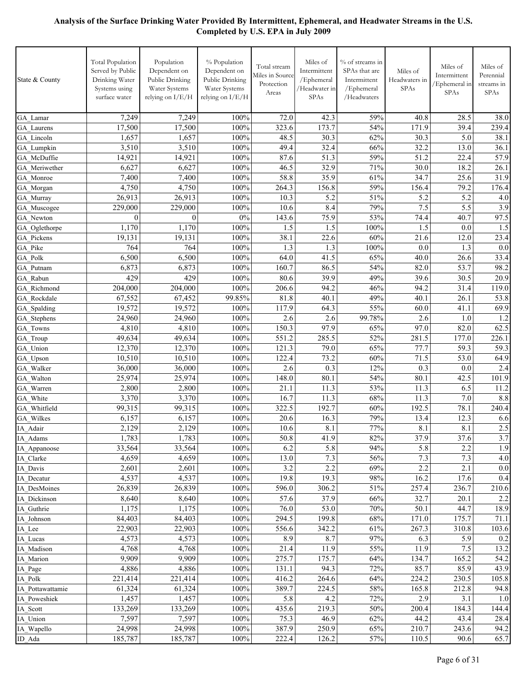| 7,249<br>7,249<br>100%<br>72.0<br>42.3<br>59%<br>40.8<br>GA Lamar                                                               | 28.5<br>39.4<br>5.0<br>13.0<br>22.4<br>18.2 | 38.0<br>239.4<br>38.1<br>36.1 |
|---------------------------------------------------------------------------------------------------------------------------------|---------------------------------------------|-------------------------------|
|                                                                                                                                 |                                             |                               |
| 17,500<br>17,500<br>100%<br>323.6<br>173.7<br>54%<br>171.9<br>GA Laurens                                                        |                                             |                               |
| 1,657<br>1,657<br>100%<br>48.5<br>30.3<br>62%<br>30.3<br>GA Lincoln                                                             |                                             |                               |
| 32.4<br>32.2<br>100%<br>66%<br>3,510<br>3,510<br>49.4<br>GA Lumpkin                                                             |                                             |                               |
| 51.3<br>59%<br>51.2<br>14,921<br>100%<br>87.6<br>14,921<br>GA McDuffie                                                          |                                             | 57.9                          |
| $46.\overline{5}$<br>6,627<br>6,627<br>100%<br>32.9<br>71%<br>30.0<br>GA Meriwether                                             |                                             | 26.1                          |
| 58.8<br>35.9<br>61%<br>34.7<br>7,400<br>7,400<br>100%<br>GA Monroe                                                              | 25.6                                        | 31.9                          |
| 4,750<br>100%<br>156.8<br>59%<br>156.4<br>4,750<br>264.3<br>GA_Morgan                                                           | 79.2                                        | 176.4                         |
| 100%<br>5.2<br>51%<br>5.2<br>26,913<br>26,913<br>10.3<br>GA Murray                                                              | 5.2                                         | 4.0                           |
| 8.4<br>7.5<br>100%<br>79%<br>229,000<br>229,000<br>10.6<br>GA Muscogee                                                          | 5.5                                         | 3.9                           |
| $0\%$<br>75.9<br>53%<br>74.4<br>$\theta$<br>143.6<br>$\mathbf{0}$<br>GA Newton                                                  | 40.7                                        | 97.5                          |
| 1,170<br>1,170<br>100%<br>1.5<br>1.5<br>100%<br>1.5<br>GA Oglethorpe                                                            | 0.0                                         | 1.5                           |
| 38.1<br>22.6<br>60%<br>21.6<br>19,131<br>19,131<br>100%<br>GA Pickens                                                           | 12.0                                        | 23.4                          |
| 764<br>100%<br>1.3<br>1.3<br>100%<br>764<br>0.0<br>GA Pike<br>41.5<br>40.0<br>6,500<br>6,500<br>100%<br>64.0<br>65%<br>GA Polk  | 1.3<br>26.6                                 | 0.0<br>33.4                   |
| 86.5<br>82.0<br>6,873<br>6,873<br>100%<br>160.7<br>54%<br>GA Putnam                                                             | 53.7                                        | 98.2                          |
| 429<br>49%<br>429<br>100%<br>80.6<br>39.9<br>39.6<br>GA Rabun                                                                   | 30.5                                        | 20.9                          |
| 204,000<br>100%<br>206.6<br>94.2<br>46%<br>94.2<br>204,000<br>GA Richmond                                                       | 31.4                                        | 119.0                         |
| 67,552<br>99.85%<br>81.8<br>40.1<br>49%<br>40.1<br>GA Rockdale<br>67,452                                                        | 26.1                                        | 53.8                          |
| 19,572<br>19,572<br>117.9<br>64.3<br>55%<br>60.0<br>100%<br>GA Spalding                                                         | 41.1                                        | 69.9                          |
| 2.6<br>2.6<br>2.6<br>99.78%<br>24,960<br>24,960<br>100%<br>GA Stephens                                                          | 1.0                                         | 1.2                           |
| 97.9<br>97.0<br>4,810<br>4,810<br>100%<br>150.3<br>65%<br>GA Towns                                                              | 82.0                                        | 62.5                          |
| 49,634<br>49,634<br>100%<br>551.2<br>285.5<br>52%<br>281.5<br>GA Troup                                                          | 177.0                                       | 226.1                         |
| 121.3<br>79.0<br>65%<br>77.7<br>12,370<br>12,370<br>100%<br>GA Union                                                            | 59.3                                        | 59.3                          |
| 73.2<br>71.5<br>10,510<br>10,510<br>100%<br>122.4<br>60%<br>GA Upson                                                            | 53.0                                        | 64.9                          |
| 0.3<br>0.3<br>100%<br>12%<br>36,000<br>36,000<br>2.6<br>GA Walker                                                               | 0.0                                         | 2.4                           |
| 80.1<br>80.1<br>25,974<br>25,974<br>100%<br>148.0<br>54%<br>GA Walton                                                           | 42.5                                        | 101.9                         |
| 2,800<br>2,800<br>100%<br>21.1<br>11.3<br>53%<br>11.3<br>GA Warren                                                              | 6.5                                         | 11.2                          |
| 100%<br>11.3<br>68%<br>11.3<br>3,370<br>3,370<br>16.7<br>GA White<br>100%<br>192.7<br>60%<br>192.5<br>99,315<br>322.5           | 7.0<br>78.1                                 | 8.8<br>240.4                  |
| 99,315<br>GA Whitfield<br>79%<br>6,157<br>6,157<br>100%<br>20.6<br>16.3<br>13.4<br>GA_Wilkes                                    | 12.3                                        | 6.6                           |
| 8.1<br>8.1<br>2,129<br>100%<br>10.6<br>77%<br>IA_Adair<br>2,129                                                                 | 8.1                                         | 2.5                           |
| 1,783<br>1,783<br>100%<br>50.8<br>41.9<br>$82\%$<br>37.9<br>IA_Adams                                                            | 37.6                                        | 3.7                           |
| 5.8<br>5.8<br>33,564<br>33,564<br>100%<br>6.2<br>94%<br>IA Appanoose                                                            | 2.2                                         | 1.9                           |
| 4,659<br>4,659<br>100%<br>13.0<br>7.3<br>56%<br>7.3<br>IA Clarke                                                                | 7.3                                         | $4.0\,$                       |
| 100%<br>3.2<br>2.2<br>69%<br>2.2<br>2,601<br>2,601<br>IA Davis                                                                  | 2.1                                         | $0.0\,$                       |
| 98%<br>4,537<br>4,537<br>100%<br>19.8<br>19.3<br>16.2<br>IA Decatur                                                             | 17.6                                        | 0.4                           |
| 26,839<br>306.2<br>51%<br>257.4<br>26,839<br>100%<br>596.0<br>IA DesMoines                                                      | 236.7                                       | 210.6                         |
| 37.9<br>32.7<br>8,640<br>8,640<br>$100\%$<br>57.6<br>66%<br>IA Dickinson                                                        | 20.1                                        | 2.2                           |
| 1,175<br>1,175<br>100%<br>76.0<br>53.0<br>70%<br>50.1<br>IA Guthrie                                                             | 44.7                                        | 18.9                          |
| 294.5<br>199.8<br>68%<br>171.0<br>84,403<br>84,403<br>$100\%$<br>IA Johnson                                                     | 175.7                                       | 71.1                          |
| 22,903<br>22,903<br>100%<br>556.6<br>342.2<br>61%<br>267.3<br>IA_Lee                                                            | 310.8                                       | 103.6                         |
| 8.7<br>97%<br>4,573<br>4,573<br>$100\%$<br>8.9<br>6.3<br>IA Lucas                                                               | 5.9                                         | 0.2                           |
| 4,768<br>4,768<br>100%<br>21.4<br>11.9<br>55%<br>11.9<br>IA Madison                                                             | 7.5                                         | 13.2                          |
| 9,909<br>9,909<br>100%<br>275.7<br>175.7<br>64%<br>134.7<br>IA Marion<br>85.7<br>4,886<br>4,886<br>100%<br>131.1<br>94.3<br>72% | 165.2<br>85.9                               | 54.2<br>43.9                  |
| IA_Page<br>224.2<br>221,414<br>221,414<br>100%<br>416.2<br>264.6<br>64%<br>IA Polk                                              | 230.5                                       | 105.8                         |
| 61,324<br>61,324<br>100%<br>389.7<br>224.5<br>58%<br>165.8<br>IA Pottawattamie                                                  | 212.8                                       | 94.8                          |
| 2.9<br>1,457<br>1,457<br>100%<br>5.8<br>4.2<br>72%<br>IA Poweshiek                                                              | 3.1                                         | 1.0                           |
| 100%<br>435.6<br>219.3<br>50%<br>200.4<br>IA_Scott<br>133,269<br>133,269                                                        | 184.3                                       | 144.4                         |
| 7,597<br>7,597<br>100%<br>46.9<br>62%<br>44.2<br>75.3<br>IA Union                                                               | 43.4                                        | 28.4                          |
| 24,998<br>24,998<br>100%<br>387.9<br>250.9<br>65%<br>210.7<br>IA Wapello                                                        | 243.6                                       | 94.2                          |
| 185,787<br>100%<br>222.4<br>126.2<br>185,787<br>57%<br>110.5<br>ID_Ada                                                          | 90.6                                        | 65.7                          |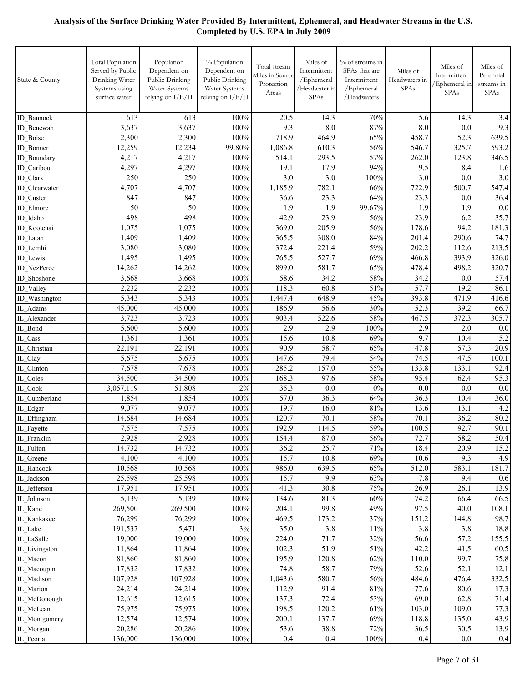| State & County                  | <b>Total Population</b><br>Served by Public<br>Drinking Water<br>Systems using<br>surface water | Population<br>Dependent on<br>Public Drinking<br>Water Systems<br>relying on I/E/H | % Population<br>Dependent on<br>Public Drinking<br>Water Systems<br>relying on I/E/H | Total stream<br>Miles in Source<br>Protection<br>Areas | Miles of<br>Intermittent<br>/Ephemeral<br>/Headwater in<br>SPAs | % of streams in<br>SPAs that are<br>Intermittent<br>/Ephemeral<br>/Headwaters | Miles of<br>Headwaters in<br>SPAs | Miles of<br>Intermittent<br>Ephemeral in<br>SPAs | Miles of<br>Perennial<br>streams in<br>SPAs |
|---------------------------------|-------------------------------------------------------------------------------------------------|------------------------------------------------------------------------------------|--------------------------------------------------------------------------------------|--------------------------------------------------------|-----------------------------------------------------------------|-------------------------------------------------------------------------------|-----------------------------------|--------------------------------------------------|---------------------------------------------|
| <b>ID</b> Bannock               | 613                                                                                             | 613                                                                                | 100%                                                                                 | 20.5                                                   | 14.3                                                            | 70%                                                                           | 5.6                               | 14.3                                             | 3.4                                         |
| ID Benewah                      | 3,637                                                                                           | 3,637                                                                              | 100%                                                                                 | 9.3                                                    | 8.0                                                             | 87%                                                                           | 8.0                               | 0.0                                              | 9.3                                         |
| ID Boise                        | 2,300                                                                                           | 2,300                                                                              | 100%                                                                                 | 718.9                                                  | 464.9                                                           | 65%                                                                           | 458.7                             | 52.3                                             | 639.5                                       |
| <b>ID</b> Bonner                | 12,259                                                                                          | 12,234                                                                             | 99.80%                                                                               | 1,086.8                                                | 610.3                                                           | 56%                                                                           | 546.7                             | 325.7                                            | 593.2                                       |
| <b>ID</b> Boundary              | 4,217                                                                                           | 4,217                                                                              | 100%                                                                                 | 514.1                                                  | 293.5                                                           | 57%                                                                           | 262.0                             | 123.8                                            | 346.5                                       |
| ID Caribou                      | 4,297                                                                                           | 4,297                                                                              | 100%                                                                                 | 19.1                                                   | 17.9                                                            | 94%                                                                           | 9.5                               | 8.4                                              | 1.6                                         |
| ID Clark                        | 250                                                                                             | 250                                                                                | 100%                                                                                 | 3.0                                                    | $\overline{3.0}$                                                | 100%                                                                          | 3.0                               | 0.0                                              | 3.0                                         |
| ID Clearwater                   | 4,707                                                                                           | 4,707                                                                              | 100%                                                                                 | 1,185.9                                                | 782.1                                                           | 66%                                                                           | 722.9                             | 500.7                                            | 547.4                                       |
| ID Custer                       | 847                                                                                             | 847                                                                                | 100%                                                                                 | 36.6                                                   | 23.3                                                            | 64%                                                                           | 23.3                              | 0.0                                              | 36.4                                        |
| ID Elmore                       | 50<br>498                                                                                       | 50<br>498                                                                          | 100%<br>100%                                                                         | 1.9<br>42.9                                            | 1.9<br>23.9                                                     | 99.67%                                                                        | 1.9<br>23.9                       | 1.9<br>6.2                                       | 0.0                                         |
| ID Idaho                        | 1,075                                                                                           | 1,075                                                                              | 100%                                                                                 | 369.0                                                  | 205.9                                                           | 56%<br>56%                                                                    | 178.6                             | 94.2                                             | 35.7<br>181.3                               |
| ID Kootenai<br>ID Latah         | 1,409                                                                                           | 1,409                                                                              | 100%                                                                                 | 365.5                                                  | 308.0                                                           | 84%                                                                           | 201.4                             | 290.6                                            | 74.7                                        |
| ID Lemhi                        | 3,080                                                                                           | 3,080                                                                              | 100%                                                                                 | 372.4                                                  | 221.4                                                           | 59%                                                                           | 202.2                             | 112.6                                            | 213.5                                       |
| ID Lewis                        | 1,495                                                                                           | 1,495                                                                              | 100%                                                                                 | 765.5                                                  | 527.7                                                           | 69%                                                                           | 466.8                             | 393.9                                            | 326.0                                       |
| <b>ID</b> NezPerce              | 14,262                                                                                          | 14,262                                                                             | 100%                                                                                 | 899.0                                                  | 581.7                                                           | 65%                                                                           | 478.4                             | 498.2                                            | 320.7                                       |
| ID Shoshone                     | 3,668                                                                                           | 3,668                                                                              | 100%                                                                                 | 58.6                                                   | 34.2                                                            | 58%                                                                           | 34.2                              | 0.0                                              | 57.4                                        |
| ID Valley                       | 2,232                                                                                           | 2,232                                                                              | 100%                                                                                 | 118.3                                                  | 60.8                                                            | 51%                                                                           | 57.7                              | 19.2                                             | 86.1                                        |
| ID Washington                   | 5,343                                                                                           | 5,343                                                                              | 100%                                                                                 | 1,447.4                                                | 648.9                                                           | 45%                                                                           | 393.8                             | 471.9                                            | 416.6                                       |
| IL Adams                        | 45,000                                                                                          | 45,000                                                                             | 100%                                                                                 | 186.9                                                  | 56.6                                                            | 30%                                                                           | 52.3                              | 39.2                                             | 66.7                                        |
| IL Alexander                    | 3,723                                                                                           | 3,723                                                                              | 100%                                                                                 | 903.4                                                  | 522.6                                                           | 58%                                                                           | 467.5                             | 372.3                                            | 305.7                                       |
| IL Bond                         | 5,600                                                                                           | 5,600                                                                              | 100%                                                                                 | 2.9                                                    | 2.9                                                             | 100%                                                                          | 2.9                               | 2.0                                              | 0.0                                         |
| IL Cass                         | 1,361                                                                                           | 1,361                                                                              | 100%                                                                                 | 15.6                                                   | 10.8                                                            | 69%                                                                           | 9.7                               | 10.4                                             | 5.2                                         |
| IL Christian                    | 22,191                                                                                          | 22,191                                                                             | 100%                                                                                 | 90.9                                                   | 58.7                                                            | 65%                                                                           | 47.8                              | 57.3                                             | 20.9                                        |
| IL Clay                         | 5,675                                                                                           | 5,675                                                                              | 100%                                                                                 | 147.6                                                  | 79.4                                                            | 54%                                                                           | 74.5                              | 47.5                                             | 100.1                                       |
| IL Clinton                      | 7,678                                                                                           | 7,678                                                                              | 100%                                                                                 | 285.2                                                  | 157.0                                                           | 55%                                                                           | 133.8                             | 133.1                                            | 92.4                                        |
| IL Coles<br>IL Cook             | 34,500<br>3,057,119                                                                             | 34,500                                                                             | 100%<br>2%                                                                           | 168.3<br>35.3                                          | 97.6<br>0.0                                                     | 58%<br>$0\%$                                                                  | 95.4<br>0.0                       | 62.4                                             | 95.3<br>0.0                                 |
| IL Cumberland                   | 1,854                                                                                           | 51,808<br>1,854                                                                    | 100%                                                                                 | 57.0                                                   | 36.3                                                            | 64%                                                                           | 36.3                              | 0.0<br>10.4                                      | 36.0                                        |
| IL_Edgar                        | 9,077                                                                                           | 9,077                                                                              | 100%                                                                                 | 19.7                                                   | 16.0                                                            | 81%                                                                           | 13.6                              | 13.1                                             | 4.2                                         |
| IL_Effingham                    | 14,684                                                                                          | 14,684                                                                             | 100%                                                                                 | 120.7                                                  | 70.1                                                            | 58%                                                                           | 70.1                              | 36.2                                             | 80.2                                        |
| $\overline{\text{IL}}$ Fayette  | 7,575                                                                                           | 7,575                                                                              | 100%                                                                                 | 192.9                                                  | 114.5                                                           | 59%                                                                           | 100.5                             | 92.7                                             | 90.1                                        |
| IL_Franklin                     | 2,928                                                                                           | 2,928                                                                              | 100%                                                                                 | 154.4                                                  | 87.0                                                            | 56%                                                                           | 72.7                              | 58.2                                             | 50.4                                        |
| $\overline{\text{IL}}_r$ Fulton | 14,732                                                                                          | 14,732                                                                             | 100%                                                                                 | 36.2                                                   | 25.7                                                            | 71%                                                                           | 18.4                              | 20.9                                             | 15.2                                        |
| IL_Greene                       | 4,100                                                                                           | 4,100                                                                              | 100%                                                                                 | 15.7                                                   | 10.8                                                            | 69%                                                                           | 10.6                              | 9.3                                              | 4.9                                         |
| IL_Hancock                      | 10,568                                                                                          | 10,568                                                                             | 100%                                                                                 | 986.0                                                  | 639.5                                                           | 65%                                                                           | 512.0                             | 583.1                                            | 181.7                                       |
| IL_Jackson                      | 25,598                                                                                          | 25,598                                                                             | 100%                                                                                 | 15.7                                                   | 9.9                                                             | 63%                                                                           | 7.8                               | 9.4                                              | 0.6                                         |
| IL_Jefferson                    | 17,951                                                                                          | 17,951                                                                             | 100%                                                                                 | 41.3                                                   | 30.8                                                            | 75%                                                                           | 26.9                              | 26.1                                             | 13.9                                        |
| IL Johnson                      | 5,139                                                                                           | 5,139                                                                              | 100%                                                                                 | 134.6                                                  | 81.3                                                            | 60%                                                                           | 74.2                              | 66.4                                             | 66.5                                        |
| IL Kane                         | 269,500                                                                                         | 269,500                                                                            | 100%                                                                                 | 204.1                                                  | 99.8                                                            | 49%                                                                           | 97.5                              | 40.0                                             | 108.1                                       |
| IL Kankakee                     | 76,299                                                                                          | 76,299                                                                             | 100%                                                                                 | 469.5                                                  | 173.2                                                           | 37%                                                                           | 151.2                             | 144.8                                            | 98.7                                        |
| IL_Lake                         | 191,537                                                                                         | 5,471                                                                              | $3\%$                                                                                | 35.0                                                   | 3.8                                                             | 11%                                                                           | 3.8                               | 3.8                                              | 18.8                                        |
| IL_LaSalle<br>IL Livingston     | 19,000<br>11,864                                                                                | 19,000<br>11,864                                                                   | 100%<br>100%                                                                         | 224.0<br>102.3                                         | 71.7<br>51.9                                                    | 32%<br>51%                                                                    | 56.6<br>42.2                      | 57.2<br>41.5                                     | 155.5<br>60.5                               |
| IL Macon                        | 81,860                                                                                          | 81,860                                                                             | 100%                                                                                 | 195.9                                                  | 120.8                                                           | 62%                                                                           | 110.0                             | 99.7                                             | 75.8                                        |
| IL_Macoupin                     | 17,832                                                                                          | 17,832                                                                             | 100%                                                                                 | 74.8                                                   | 58.7                                                            | 79%                                                                           | 52.6                              | 52.1                                             | 12.1                                        |
| IL Madison                      | 107,928                                                                                         | 107,928                                                                            | 100%                                                                                 | 1,043.6                                                | 580.7                                                           | 56%                                                                           | 484.6                             | 476.4                                            | 332.5                                       |
| IL Marion                       | 24,214                                                                                          | 24,214                                                                             | 100%                                                                                 | 112.9                                                  | 91.4                                                            | 81%                                                                           | 77.6                              | 80.6                                             | 17.3                                        |
| IL_McDonough                    | 12,615                                                                                          | 12,615                                                                             | 100%                                                                                 | 137.3                                                  | 72.4                                                            | 53%                                                                           | 69.0                              | 62.8                                             | 71.4                                        |
| IL_McLean                       | 75,975                                                                                          | 75,975                                                                             | 100%                                                                                 | 198.5                                                  | 120.2                                                           | 61%                                                                           | 103.0                             | 109.0                                            | 77.3                                        |
| IL_Montgomery                   | 12,574                                                                                          | 12,574                                                                             | 100%                                                                                 | 200.1                                                  | 137.7                                                           | 69%                                                                           | 118.8                             | 135.0                                            | 43.9                                        |
| IL_Morgan                       | 20,286                                                                                          | 20,286                                                                             | 100%                                                                                 | 53.6                                                   | 38.8                                                            | 72%                                                                           | 36.5                              | 30.5                                             | 13.9                                        |
| IL_Peoria                       | 136,000                                                                                         | 136,000                                                                            | 100%                                                                                 | 0.4                                                    | 0.4                                                             | 100%                                                                          | 0.4                               | 0.0                                              | 0.4                                         |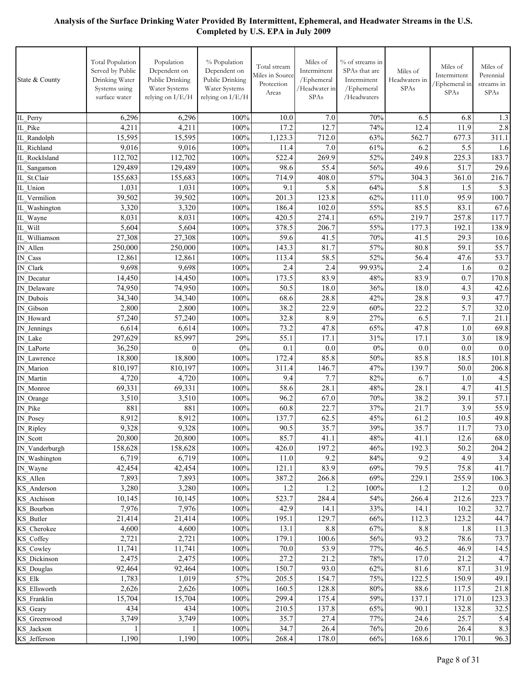| State & County            | <b>Total Population</b><br>Served by Public<br>Drinking Water<br>Systems using<br>surface water | Population<br>Dependent on<br>Public Drinking<br>Water Systems<br>relying on I/E/H | % Population<br>Dependent on<br>Public Drinking<br>Water Systems<br>relying on I/E/H | Total stream<br>Miles in Source<br>Protection<br>Areas | Miles of<br>Intermittent<br>/Ephemeral<br>/Headwater in<br>SPAs | % of streams in<br>SPAs that are<br>Intermittent<br>/Ephemeral<br>/Headwaters | Miles of<br>Headwaters in<br>SPAs | Miles of<br>Intermittent<br>/Ephemeral in<br>SPAs | Miles of<br>Perennial<br>streams in<br>SPAs |
|---------------------------|-------------------------------------------------------------------------------------------------|------------------------------------------------------------------------------------|--------------------------------------------------------------------------------------|--------------------------------------------------------|-----------------------------------------------------------------|-------------------------------------------------------------------------------|-----------------------------------|---------------------------------------------------|---------------------------------------------|
| IL_Perry                  | 6,296                                                                                           | 6,296                                                                              | 100%                                                                                 | 10.0                                                   | 7.0                                                             | 70%                                                                           | 6.5                               | 6.8                                               | 1.3                                         |
| IL_Pike                   | 4,211                                                                                           | 4,211                                                                              | 100%                                                                                 | 17.2                                                   | 12.7                                                            | 74%                                                                           | 12.4                              | 11.9                                              | 2.8                                         |
| IL Randolph               | 15,595                                                                                          | 15,595                                                                             | 100%                                                                                 | 1,123.3                                                | 712.0                                                           | 63%                                                                           | 562.7                             | 677.3                                             | 311.1                                       |
| IL Richland               | 9,016                                                                                           | 9,016                                                                              | 100%                                                                                 | 11.4                                                   | 7.0                                                             | 61%                                                                           | 6.2                               | 5.5                                               | 1.6                                         |
| IL RockIsland             | 112,702                                                                                         | 112,702                                                                            | 100%                                                                                 | 522.4                                                  | 269.9                                                           | 52%                                                                           | 249.8                             | 225.3                                             | 183.7                                       |
| IL Sangamon               | 129,489                                                                                         | 129,489                                                                            | 100%                                                                                 | 98.6                                                   | 55.4                                                            | 56%                                                                           | 49.6                              | 51.7                                              | 29.6                                        |
| IL St.Clair               | 155,683                                                                                         | 155,683                                                                            | 100%                                                                                 | 714.9                                                  | 408.0                                                           | 57%                                                                           | 304.3                             | 361.0                                             | 216.7                                       |
| IL Union                  | 1,031                                                                                           | 1,031                                                                              | 100%                                                                                 | 9.1                                                    | 5.8                                                             | 64%                                                                           | 5.8                               | 1.5                                               | 5.3                                         |
| IL Vermilion              | 39,502                                                                                          | 39,502                                                                             | 100%                                                                                 | 201.3                                                  | 123.8                                                           | 62%                                                                           | 111.0                             | 95.9                                              | 100.7                                       |
| IL Washington             | 3,320                                                                                           | 3,320                                                                              | 100%                                                                                 | 186.4                                                  | 102.0                                                           | 55%                                                                           | 85.5                              | 83.1                                              | 67.6                                        |
| IL Wayne                  | 8,031                                                                                           | 8,031                                                                              | 100%                                                                                 | 420.5                                                  | 274.1                                                           | 65%                                                                           | 219.7                             | 257.8                                             | 117.7                                       |
| IL Will                   | 5,604                                                                                           | 5,604                                                                              | 100%                                                                                 | 378.5                                                  | 206.7                                                           | 55%                                                                           | 177.3                             | 192.1                                             | 138.9                                       |
| IL Williamson             | 27,308                                                                                          | 27,308                                                                             | 100%                                                                                 | 59.6                                                   | 41.5                                                            | 70%                                                                           | 41.5                              | 29.3                                              | 10.6                                        |
| IN Allen                  | 250,000                                                                                         | 250,000                                                                            | 100%                                                                                 | 143.3                                                  | $81.\overline{7}$                                               | 57%                                                                           | 80.8                              | 59.1                                              | 55.7                                        |
| $IN_{\_} Cass$            | 12,861                                                                                          | 12,861                                                                             | 100%                                                                                 | 113.4                                                  | 58.5                                                            | 52%                                                                           | 56.4                              | 47.6                                              | 53.7                                        |
| IN_Clark                  | 9,698                                                                                           | 9,698                                                                              | 100%                                                                                 | 2.4                                                    | 2.4                                                             | 99.93%                                                                        | 2.4                               | 1.6                                               | 0.2                                         |
| IN Decatur                | 14,450                                                                                          | 14,450                                                                             | 100%                                                                                 | 173.5                                                  | 83.9                                                            | 48%                                                                           | 83.9                              | 0.7                                               | 170.8                                       |
| IN Delaware               | 74,950                                                                                          | 74,950                                                                             | 100%                                                                                 | 50.5                                                   | 18.0                                                            | 36%                                                                           | 18.0                              | 4.3                                               | 42.6                                        |
| IN Dubois                 | 34,340                                                                                          | 34,340                                                                             | 100%                                                                                 | 68.6                                                   | 28.8                                                            | 42%                                                                           | 28.8                              | 9.3                                               | 47.7                                        |
| IN Gibson                 | 2,800                                                                                           | 2,800                                                                              | 100%                                                                                 | 38.2                                                   | 22.9                                                            | 60%                                                                           | 22.2                              | 5.7                                               | 32.0                                        |
| IN Howard                 | 57,240                                                                                          | 57,240                                                                             | 100%                                                                                 | 32.8                                                   | 8.9                                                             | 27%                                                                           | 6.5                               | 7.1                                               | 21.1                                        |
| IN Jennings               | 6,614                                                                                           | 6,614                                                                              | 100%                                                                                 | 73.2                                                   | 47.8                                                            | 65%                                                                           | 47.8                              | 1.0                                               | 69.8                                        |
| IN Lake                   | 297,629                                                                                         | 85,997                                                                             | 29%                                                                                  | 55.1                                                   | 17.1                                                            | 31%                                                                           | 17.1                              | 3.0                                               | 18.9                                        |
| IN LaPorte                | 36,250                                                                                          | $\boldsymbol{0}$                                                                   | 0%                                                                                   | 0.1                                                    | 0.0                                                             | $0\%$                                                                         | 0.0                               | 0.0                                               | 0.0                                         |
| IN Lawrence               | 18,800                                                                                          | 18,800                                                                             | 100%                                                                                 | 172.4                                                  | 85.8                                                            | 50%                                                                           | 85.8                              | 18.5                                              | 101.8                                       |
| IN Marion                 | 810,197                                                                                         | 810,197                                                                            | 100%                                                                                 | 311.4                                                  | 146.7                                                           | 47%                                                                           | 139.7                             | 50.0                                              | 206.8                                       |
| IN Martin                 | 4,720                                                                                           | 4,720                                                                              | 100%                                                                                 | 9.4                                                    | 7.7                                                             | 82%                                                                           | 6.7                               | 1.0                                               | 4.5                                         |
| IN_Monroe                 | 69,331                                                                                          | 69,331                                                                             | 100%                                                                                 | 58.6                                                   | 28.1                                                            | 48%                                                                           | 28.1                              | 4.7                                               | 41.5                                        |
| IN_Orange                 | 3,510                                                                                           | 3,510                                                                              | 100%                                                                                 | 96.2                                                   | 67.0                                                            | 70%                                                                           | 38.2                              | 39.1                                              | 57.1                                        |
| IN_Pike                   | 881                                                                                             | 881                                                                                | 100%                                                                                 | 60.8                                                   | 22.7                                                            | 37%                                                                           | 21.7                              | 3.9                                               | 55.9                                        |
| IN_Posey                  | 8,912                                                                                           | 8,912                                                                              | 100%                                                                                 | 137.7                                                  | 62.5                                                            | 45%                                                                           | 61.2                              | 10.5                                              | 49.8                                        |
| IN_Ripley                 | 9,328                                                                                           | 9,328                                                                              | 100%                                                                                 | 90.5                                                   | 35.7                                                            | 39%                                                                           | 35.7                              | 11.7                                              | 73.0                                        |
| IN_Scott                  | 20,800                                                                                          | 20,800                                                                             | 100%                                                                                 | 85.7                                                   | 41.1                                                            | 48%                                                                           | 41.1                              | 12.6                                              | 68.0                                        |
| IN_Vanderburgh            | 158,628                                                                                         | 158,628                                                                            | 100%                                                                                 | 426.0                                                  | 197.2                                                           | 46%                                                                           | 192.3                             | 50.2                                              | 204.2                                       |
| IN Washington             | 6,719                                                                                           | 6,719                                                                              | 100%                                                                                 | 11.0                                                   | 9.2                                                             | 84%                                                                           | 9.2                               | 4.9                                               | 3.4                                         |
| IN_Wayne                  | 42,454                                                                                          | 42,454                                                                             | 100%                                                                                 | 121.1                                                  | 83.9                                                            | 69%                                                                           | 79.5                              | 75.8                                              | 41.7                                        |
| KS Allen                  | 7,893                                                                                           | 7,893                                                                              | 100%                                                                                 | 387.2                                                  | 266.8                                                           | 69%                                                                           | 229.1                             | 255.9                                             | 106.3<br>0.0                                |
| KS_Anderson               | 3,280<br>10,145                                                                                 | 3,280<br>10,145                                                                    | 100%<br>100%                                                                         | 1.2<br>523.7                                           | 1.2<br>284.4                                                    | 100%<br>54%                                                                   | 1.2<br>266.4                      | 1.2<br>212.6                                      | 223.7                                       |
| KS_Atchison<br>KS_Bourbon | 7,976                                                                                           | 7,976                                                                              | 100%                                                                                 | 42.9                                                   | 14.1                                                            | 33%                                                                           | 14.1                              | 10.2                                              | 32.7                                        |
| KS_Butler                 | 21,414                                                                                          | 21,414                                                                             | 100%                                                                                 | 195.1                                                  | 129.7                                                           | 66%                                                                           | 112.3                             | 123.2                                             | 44.7                                        |
| KS Cherokee               | 4,600                                                                                           | 4,600                                                                              | 100%                                                                                 | 13.1                                                   | 8.8                                                             | 67%                                                                           | 8.8                               | 1.8                                               | 11.3                                        |
| KS_Coffey                 | 2,721                                                                                           | 2,721                                                                              | 100%                                                                                 | 179.1                                                  | 100.6                                                           | 56%                                                                           | 93.2                              | 78.6                                              | 73.7                                        |
| KS Cowley                 | 11,741                                                                                          | 11,741                                                                             | 100%                                                                                 | 70.0                                                   | 53.9                                                            | 77%                                                                           | 46.5                              | 46.9                                              | 14.5                                        |
| KS Dickinson              | 2,475                                                                                           | 2,475                                                                              | 100%                                                                                 | 27.2                                                   | 21.2                                                            | 78%                                                                           | 17.0                              | 21.2                                              | 4.7                                         |
| KS_Douglas                | 92,464                                                                                          | 92,464                                                                             | 100%                                                                                 | 150.7                                                  | 93.0                                                            | 62%                                                                           | 81.6                              | 87.1                                              | 31.9                                        |
| $KS_Elk$                  | 1,783                                                                                           | 1,019                                                                              | 57%                                                                                  | 205.5                                                  | 154.7                                                           | 75%                                                                           | 122.5                             | 150.9                                             | 49.1                                        |
| KS_Ellsworth              | 2,626                                                                                           | 2,626                                                                              | 100%                                                                                 | 160.5                                                  | 128.8                                                           | $80\%$                                                                        | 88.6                              | 117.5                                             | 21.8                                        |
| KS_Franklin               | 15,704                                                                                          | 15,704                                                                             | 100%                                                                                 | 299.4                                                  | 175.4                                                           | 59%                                                                           | 137.1                             | 171.0                                             | 123.3                                       |
| KS_Geary                  | 434                                                                                             | 434                                                                                | 100%                                                                                 | 210.5                                                  | 137.8                                                           | 65%                                                                           | 90.1                              | 132.8                                             | 32.5                                        |
| KS_Greenwood              | 3,749                                                                                           | 3,749                                                                              | 100%                                                                                 | 35.7                                                   | 27.4                                                            | 77%                                                                           | 24.6                              | 25.7                                              | 5.4                                         |
| KS_Jackson                |                                                                                                 |                                                                                    | 100%                                                                                 | 34.7                                                   | 26.4                                                            | 76%                                                                           | 20.6                              | 26.4                                              | 8.3                                         |
| KS_Jefferson              | 1,190                                                                                           | 1,190                                                                              | 100%                                                                                 | 268.4                                                  | 178.0                                                           | 66%                                                                           | 168.6                             | 170.1                                             | 96.3                                        |
|                           |                                                                                                 |                                                                                    |                                                                                      |                                                        |                                                                 |                                                                               |                                   |                                                   |                                             |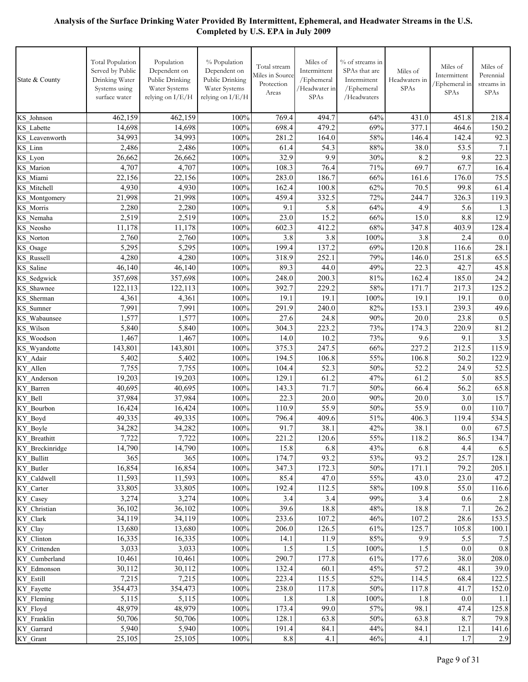| State & County                 | <b>Total Population</b><br>Served by Public<br>Drinking Water<br>Systems using<br>surface water | Population<br>Dependent on<br>Public Drinking<br>Water Systems<br>relying on I/E/H | % Population<br>Dependent on<br>Public Drinking<br>Water Systems<br>relying on I/E/H | Total stream<br>Miles in Source<br>Protection<br>Areas | Miles of<br>Intermittent<br>/Ephemeral<br>/Headwater in<br>SPAs | % of streams in<br>SPAs that are<br>Intermittent<br>/Ephemeral<br>/Headwaters | Miles of<br>Headwaters in<br><b>SPAs</b> | Miles of<br>Intermittent<br>/Ephemeral in<br>SPAs | Miles of<br>Perennial<br>streams in<br>SPAs |
|--------------------------------|-------------------------------------------------------------------------------------------------|------------------------------------------------------------------------------------|--------------------------------------------------------------------------------------|--------------------------------------------------------|-----------------------------------------------------------------|-------------------------------------------------------------------------------|------------------------------------------|---------------------------------------------------|---------------------------------------------|
| KS Johnson                     | 462,159                                                                                         | 462,159                                                                            | 100%                                                                                 | 769.4                                                  | 494.7                                                           | 64%                                                                           | 431.0                                    | 451.8                                             | 218.4                                       |
| KS Labette                     | 14,698                                                                                          | 14,698                                                                             | 100%                                                                                 | 698.4                                                  | 479.2                                                           | 69%                                                                           | 377.1                                    | 464.6                                             | 150.2                                       |
| KS Leavenworth                 | 34,993                                                                                          | 34,993                                                                             | 100%                                                                                 | 281.2                                                  | 164.0                                                           | 58%                                                                           | 146.4                                    | 142.4                                             | 92.3                                        |
| KS Linn                        | 2,486                                                                                           | 2,486                                                                              | 100%                                                                                 | 61.4                                                   | 54.3                                                            | 88%                                                                           | 38.0                                     | 53.5                                              | 7.1                                         |
| KS Lyon                        | 26,662                                                                                          | 26,662                                                                             | 100%                                                                                 | 32.9                                                   | 9.9                                                             | 30%                                                                           | 8.2                                      | 9.8                                               | 22.3                                        |
| KS Marion                      | 4,707                                                                                           | 4,707                                                                              | 100%                                                                                 | 108.3                                                  | 76.4                                                            | 71%                                                                           | 69.7                                     | 67.7                                              | 16.4                                        |
| KS Miami                       | 22,156                                                                                          | 22,156                                                                             | 100%                                                                                 | 283.0                                                  | 186.7                                                           | 66%                                                                           | 161.6                                    | 176.0                                             | 75.5                                        |
| KS Mitchell                    | 4,930                                                                                           | 4,930                                                                              | 100%                                                                                 | 162.4                                                  | 100.8                                                           | 62%                                                                           | 70.5                                     | 99.8                                              | 61.4                                        |
| KS Montgomery                  | 21,998                                                                                          | 21,998                                                                             | 100%                                                                                 | 459.4                                                  | 332.5                                                           | 72%                                                                           | 244.7                                    | 326.3                                             | 119.3                                       |
| KS Morris                      | 2,280                                                                                           | 2,280                                                                              | 100%                                                                                 | 9.1                                                    | 5.8                                                             | 64%                                                                           | 4.9                                      | 5.6                                               | 1.3                                         |
| KS Nemaha                      | 2,519                                                                                           | 2,519                                                                              | 100%                                                                                 | 23.0                                                   | 15.2                                                            | 66%                                                                           | 15.0                                     | 8.8                                               | 12.9                                        |
| KS Neosho                      | 11,178                                                                                          | 11,178                                                                             | 100%                                                                                 | 602.3                                                  | 412.2                                                           | 68%                                                                           | 347.8                                    | 403.9                                             | 128.4                                       |
| <b>KS</b> Norton               | 2,760                                                                                           | 2,760                                                                              | 100%                                                                                 | 3.8                                                    | 3.8                                                             | 100%                                                                          | 3.8                                      | 2.4                                               | 0.0                                         |
| KS_Osage                       | 5,295                                                                                           | 5,295                                                                              | 100%                                                                                 | 199.4                                                  | 137.2                                                           | 69%                                                                           | 120.8                                    | 116.6                                             | 28.1                                        |
| <b>KS</b> Russell              | 4,280                                                                                           | 4,280                                                                              | 100%                                                                                 | 318.9                                                  | 252.1                                                           | 79%                                                                           | 146.0                                    | 251.8                                             | 65.5                                        |
| KS Saline                      | 46,140                                                                                          | 46,140                                                                             | 100%                                                                                 | 89.3                                                   | 44.0                                                            | 49%                                                                           | 22.3                                     | 42.7                                              | 45.8                                        |
| KS Sedgwick                    | 357,698                                                                                         | 357,698                                                                            | 100%                                                                                 | 248.0                                                  | 200.3                                                           | 81%                                                                           | 162.4                                    | 185.0                                             | 24.2                                        |
| <b>KS</b> Shawnee              | 122,113                                                                                         | 122,113                                                                            | 100%                                                                                 | 392.7                                                  | 229.2                                                           | 58%                                                                           | 171.7                                    | 217.3                                             | 125.2                                       |
| KS Sherman                     | 4,361                                                                                           | 4,361                                                                              | 100%                                                                                 | 19.1                                                   | 19.1                                                            | 100%                                                                          | 19.1                                     | 19.1                                              | 0.0                                         |
| KS Sumner                      | 7,991<br>1,577                                                                                  | 7,991<br>1,577                                                                     | 100%<br>100%                                                                         | 291.9<br>27.6                                          | 240.0<br>24.8                                                   | 82%<br>90%                                                                    | 153.1<br>20.0                            | 239.3<br>23.8                                     | 49.6<br>0.5                                 |
| KS Wabaunsee<br>KS Wilson      | 5,840                                                                                           | 5,840                                                                              | 100%                                                                                 | 304.3                                                  | 223.2                                                           | 73%                                                                           | 174.3                                    | 220.9                                             | 81.2                                        |
| KS Woodson                     | 1,467                                                                                           | 1,467                                                                              | 100%                                                                                 | 14.0                                                   | 10.2                                                            | 73%                                                                           | 9.6                                      | 9.1                                               | 3.5                                         |
| KS Wyandotte                   | 143,801                                                                                         | 143,801                                                                            | 100%                                                                                 | 375.3                                                  | 247.5                                                           | 66%                                                                           | 227.2                                    | 212.5                                             | 115.9                                       |
| KY Adair                       | 5,402                                                                                           | 5,402                                                                              | 100%                                                                                 | 194.5                                                  | 106.8                                                           | 55%                                                                           | 106.8                                    | 50.2                                              | 122.9                                       |
| KY Allen                       | 7,755                                                                                           | 7,755                                                                              | 100%                                                                                 | 104.4                                                  | 52.3                                                            | 50%                                                                           | 52.2                                     | 24.9                                              | 52.5                                        |
| KY Anderson                    | 19,203                                                                                          | 19,203                                                                             | 100%                                                                                 | 129.1                                                  | 61.2                                                            | 47%                                                                           | 61.2                                     | 5.0                                               | 85.5                                        |
| KY Barren                      | 40,695                                                                                          | 40,695                                                                             | 100%                                                                                 | 143.3                                                  | 71.7                                                            | 50%                                                                           | 66.4                                     | 56.2                                              | 65.8                                        |
| KY Bell                        | 37,984                                                                                          | 37,984                                                                             | 100%                                                                                 | 22.3                                                   | 20.0                                                            | 90%                                                                           | 20.0                                     | 3.0                                               | 15.7                                        |
| KY Bourbon                     | 16,424                                                                                          | 16,424                                                                             | 100%                                                                                 | 110.9                                                  | 55.9                                                            | 50%                                                                           | 55.9                                     | 0.0                                               | 110.7                                       |
| KY Boyd                        | 49,335                                                                                          | 49,335                                                                             | 100%                                                                                 | 796.4                                                  | 409.6                                                           | 51%                                                                           | 406.3                                    | 119.4                                             | 534.5                                       |
| KY_Boyle                       | 34,282                                                                                          | 34,282                                                                             | 100%                                                                                 | 91.7                                                   | 38.1                                                            | 42%                                                                           | 38.1                                     | 0.0                                               | 67.5                                        |
| KY Breathitt                   | 7,722                                                                                           | 7,722                                                                              | $100\%$                                                                              | 221.2                                                  | 120.6                                                           | 55%                                                                           | 118.2                                    | 86.5                                              | 134.7                                       |
| KY Breckinridge                | 14,790                                                                                          | 14,790                                                                             | 100%                                                                                 | 15.8                                                   | 6.8                                                             | 43%                                                                           | 6.8                                      | 4.4                                               | 6.5                                         |
| KY Bullitt                     | 365                                                                                             | 365                                                                                | 100%                                                                                 | 174.7                                                  | 93.2                                                            | 53%                                                                           | 93.2                                     | 25.7                                              | 128.1                                       |
| KY Butler                      | 16,854                                                                                          | 16,854                                                                             | 100%                                                                                 | 347.3                                                  | 172.3                                                           | 50%                                                                           | 171.1                                    | 79.2                                              | 205.1                                       |
| KY Caldwell                    | 11,593                                                                                          | 11,593                                                                             | 100%                                                                                 | 85.4                                                   | 47.0                                                            | 55%                                                                           | 43.0                                     | 23.0                                              | 47.2                                        |
| KY Carter                      | 33,805                                                                                          | 33,805                                                                             | 100%                                                                                 | 192.4                                                  | 112.5                                                           | 58%                                                                           | 109.8                                    | 55.0                                              | 116.6                                       |
| KY_Casey                       | 3,274                                                                                           | 3,274                                                                              | 100%                                                                                 | 3.4                                                    | 3.4                                                             | 99%                                                                           | 3.4                                      | 0.6                                               | 2.8                                         |
| KY Christian                   | 36,102                                                                                          | 36,102                                                                             | 100%                                                                                 | 39.6                                                   | 18.8                                                            | 48%                                                                           | 18.8                                     | 7.1                                               | 26.2                                        |
| KY_Clark                       | 34,119                                                                                          | 34,119<br>13,680                                                                   | 100%                                                                                 | 233.6                                                  | 107.2                                                           | 46%                                                                           | 107.2                                    | 28.6                                              | 153.5                                       |
| KY_Clay                        | 13,680<br>16,335                                                                                | 16,335                                                                             | 100%<br>100%                                                                         | 206.0                                                  | 126.5<br>11.9                                                   | 61%<br>85%                                                                    | 125.7<br>9.9                             | 105.8<br>5.5                                      | 100.1<br>7.5                                |
| KY Clinton                     | 3,033                                                                                           | 3,033                                                                              | 100%                                                                                 | 14.1<br>1.5                                            | 1.5                                                             | $100\%$                                                                       | 1.5                                      | $0.0\,$                                           | 0.8                                         |
| KY Crittenden<br>KY Cumberland | 10,461                                                                                          | 10,461                                                                             | 100%                                                                                 | 290.7                                                  | 177.8                                                           | 61%                                                                           | 177.6                                    | 38.0                                              | 208.0                                       |
| KY Edmonson                    | 30,112                                                                                          | 30,112                                                                             | 100%                                                                                 | 132.4                                                  | 60.1                                                            | 45%                                                                           | 57.2                                     | 48.1                                              | 39.0                                        |
| KY_Estill                      | 7,215                                                                                           | 7,215                                                                              | 100%                                                                                 | 223.4                                                  | 115.5                                                           | 52%                                                                           | 114.5                                    | 68.4                                              | $\overline{122.5}$                          |
| KY_Fayette                     | 354,473                                                                                         | 354,473                                                                            | 100%                                                                                 | 238.0                                                  | 117.8                                                           | 50%                                                                           | 117.8                                    | 41.7                                              | 152.0                                       |
| KY_Fleming                     | 5,115                                                                                           | 5,115                                                                              | 100%                                                                                 | 1.8                                                    | 1.8                                                             | $100\%$                                                                       | 1.8                                      | 0.0                                               | 1.1                                         |
| KY Floyd                       | 48,979                                                                                          | 48,979                                                                             | 100%                                                                                 | 173.4                                                  | 99.0                                                            | 57%                                                                           | 98.1                                     | 47.4                                              | 125.8                                       |
| KY Franklin                    | 50,706                                                                                          | 50,706                                                                             | 100%                                                                                 | 128.1                                                  | 63.8                                                            | 50%                                                                           | 63.8                                     | 8.7                                               | 79.8                                        |
| KY Garrard                     | 5,940                                                                                           | 5,940                                                                              | 100%                                                                                 | 191.4                                                  | 84.1                                                            | 44%                                                                           | 84.1                                     | 12.1                                              | 141.6                                       |
| KY_Grant                       | 25,105                                                                                          | 25,105                                                                             | 100%                                                                                 | $8.8\,$                                                | 4.1                                                             | 46%                                                                           | 4.1                                      | 1.7                                               | 2.9                                         |
|                                |                                                                                                 |                                                                                    |                                                                                      |                                                        |                                                                 |                                                                               |                                          |                                                   |                                             |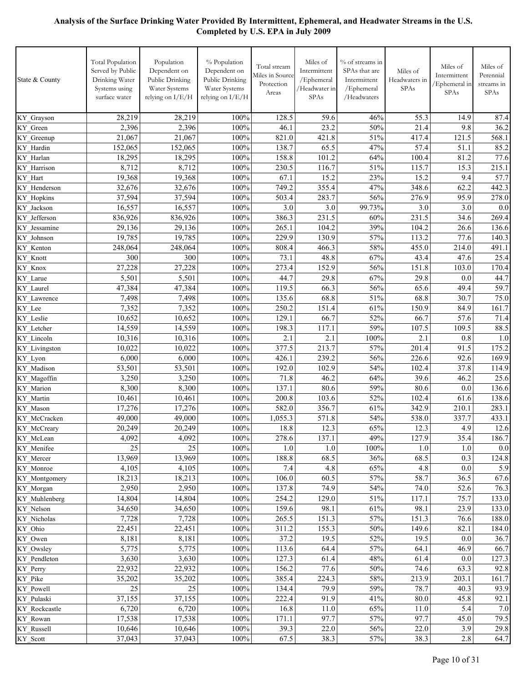| State & County           | <b>Total Population</b><br>Served by Public<br>Drinking Water<br>Systems using<br>surface water | Population<br>Dependent on<br>Public Drinking<br>Water Systems<br>relying on I/E/H | % Population<br>Dependent on<br>Public Drinking<br>Water Systems<br>relying on I/E/H | Total stream<br>Miles in Source<br>Protection<br>Areas | Miles of<br>Intermittent<br>/Ephemeral<br>/Headwater in<br>SPAs | % of streams in<br>SPAs that are<br>Intermittent<br>/Ephemeral<br>/Headwaters | Miles of<br>Headwaters in<br>SPAs | Miles of<br>Intermittent<br>/Ephemeral in<br>SPAs | Miles of<br>Perennial<br>streams in<br><b>SPAs</b> |
|--------------------------|-------------------------------------------------------------------------------------------------|------------------------------------------------------------------------------------|--------------------------------------------------------------------------------------|--------------------------------------------------------|-----------------------------------------------------------------|-------------------------------------------------------------------------------|-----------------------------------|---------------------------------------------------|----------------------------------------------------|
| KY_Grayson               | 28,219                                                                                          | 28,219                                                                             | 100%                                                                                 | 128.5                                                  | 59.6                                                            | 46%                                                                           | 55.3                              | 14.9                                              | 87.4                                               |
| KY Green                 | 2,396                                                                                           | 2,396                                                                              | 100%                                                                                 | 46.1                                                   | 23.2                                                            | 50%                                                                           | 21.4                              | 9.8                                               | 36.2                                               |
| KY Greenup               | 21,067                                                                                          | 21,067                                                                             | 100%                                                                                 | 821.0                                                  | 421.8                                                           | 51%                                                                           | 417.4                             | 121.5                                             | 568.1                                              |
| KY Hardin                | 152,065                                                                                         | 152,065                                                                            | 100%                                                                                 | 138.7                                                  | 65.5                                                            | 47%                                                                           | 57.4                              | 51.1                                              | 85.2                                               |
| KY Harlan                | 18,295                                                                                          | 18,295                                                                             | 100%                                                                                 | 158.8                                                  | 101.2                                                           | 64%                                                                           | 100.4                             | 81.2                                              | 77.6                                               |
| KY_Harrison              | 8,712                                                                                           | 8,712                                                                              | 100%                                                                                 | 230.5                                                  | 116.7                                                           | 51%                                                                           | 115.7                             | 15.3                                              | 215.1                                              |
| KY Hart                  | 19,368                                                                                          | 19,368                                                                             | 100%                                                                                 | 67.1                                                   | 15.2                                                            | 23%                                                                           | 15.2                              | 9.4                                               | 57.7                                               |
| KY Henderson             | 32,676                                                                                          | 32,676                                                                             | 100%                                                                                 | 749.2                                                  | 355.4                                                           | 47%                                                                           | 348.6                             | 62.2                                              | 442.3                                              |
| <b>KY</b> Hopkins        | 37,594                                                                                          | 37,594                                                                             | 100%                                                                                 | 503.4                                                  | 283.7                                                           | 56%                                                                           | 276.9                             | 95.9                                              | 278.0                                              |
| KY Jackson               | 16,557                                                                                          | 16,557                                                                             | 100%                                                                                 | 3.0                                                    | 3.0                                                             | 99.73%                                                                        | 3.0                               | 3.0                                               | 0.0                                                |
| KY Jefferson             | 836,926                                                                                         | 836,926                                                                            | 100%                                                                                 | 386.3                                                  | 231.5                                                           | 60%                                                                           | 231.5                             | 34.6                                              | 269.4                                              |
| KY Jessamine             | 29,136                                                                                          | 29,136                                                                             | 100%                                                                                 | 265.1                                                  | 104.2                                                           | 39%                                                                           | 104.2                             | 26.6                                              | 136.6                                              |
| KY Johnson               | 19,785                                                                                          | 19,785                                                                             | 100%                                                                                 | 229.9                                                  | 130.9                                                           | 57%                                                                           | 113.2                             | 77.6                                              | 140.3                                              |
| KY Kenton                | 248,064                                                                                         | 248,064                                                                            | 100%                                                                                 | 808.4                                                  | 466.3                                                           | 58%                                                                           | 455.0                             | 214.0                                             | 491.1                                              |
| KY_Knott                 | 300                                                                                             | 300<br>27,228                                                                      | 100%                                                                                 | 73.1                                                   | 48.8<br>152.9                                                   | 67%                                                                           | 43.4<br>151.8                     | 47.6                                              | 25.4                                               |
| KY_Knox<br>KY_Larue      | 27,228<br>5,501                                                                                 | 5,501                                                                              | 100%<br>100%                                                                         | 273.4<br>44.7                                          | 29.8                                                            | 56%<br>67%                                                                    | 29.8                              | 103.0<br>0.0                                      | 170.4<br>44.7                                      |
| KY Laurel                | 47,384                                                                                          | 47,384                                                                             | 100%                                                                                 | 119.5                                                  | 66.3                                                            | 56%                                                                           | 65.6                              | 49.4                                              | 59.7                                               |
| KY Lawrence              | 7,498                                                                                           | 7,498                                                                              | 100%                                                                                 | 135.6                                                  | 68.8                                                            | 51%                                                                           | 68.8                              | 30.7                                              | 75.0                                               |
| KY Lee                   | 7,352                                                                                           | 7,352                                                                              | 100%                                                                                 | 250.2                                                  | 151.4                                                           | 61%                                                                           | 150.9                             | 84.9                                              | 161.7                                              |
| KY Leslie                | 10,652                                                                                          | 10,652                                                                             | 100%                                                                                 | 129.1                                                  | 66.7                                                            | 52%                                                                           | 66.7                              | 57.6                                              | 71.4                                               |
| KY Letcher               | 14,559                                                                                          | 14,559                                                                             | 100%                                                                                 | 198.3                                                  | 117.1                                                           | 59%                                                                           | 107.5                             | 109.5                                             | 88.5                                               |
| KY Lincoln               | 10,316                                                                                          | 10,316                                                                             | 100%                                                                                 | 2.1                                                    | 2.1                                                             | 100%                                                                          | 2.1                               | 0.8                                               | 1.0                                                |
| KY Livingston            | 10,022                                                                                          | 10,022                                                                             | 100%                                                                                 | 377.5                                                  | 213.7                                                           | 57%                                                                           | 201.4                             | 91.5                                              | 175.2                                              |
| KY_Lyon                  | 6,000                                                                                           | 6,000                                                                              | 100%                                                                                 | 426.1                                                  | 239.2                                                           | 56%                                                                           | 226.6                             | 92.6                                              | 169.9                                              |
| KY Madison               | 53,501                                                                                          | 53,501                                                                             | 100%                                                                                 | 192.0                                                  | 102.9                                                           | 54%                                                                           | 102.4                             | 37.8                                              | 114.9                                              |
| KY Magoffin              | 3,250                                                                                           | 3,250                                                                              | 100%                                                                                 | 71.8                                                   | 46.2                                                            | 64%                                                                           | 39.6                              | 46.2                                              | 25.6                                               |
| KY Marion                | 8,300                                                                                           | 8,300                                                                              | 100%                                                                                 | 137.1                                                  | 80.6                                                            | 59%                                                                           | 80.6                              | 0.0                                               | 136.6                                              |
| KY Martin                | 10,461                                                                                          | 10,461                                                                             | 100%                                                                                 | 200.8                                                  | 103.6                                                           | 52%                                                                           | 102.4                             | 61.6                                              | 138.6                                              |
| KY_Mason                 | 17,276                                                                                          | 17,276                                                                             | 100%                                                                                 | 582.0                                                  | 356.7                                                           | 61%                                                                           | 342.9                             | 210.1                                             | 283.1                                              |
| KY_McCracken             | 49,000                                                                                          | 49,000                                                                             | 100%                                                                                 | 1,055.3                                                | 571.8                                                           | 54%                                                                           | 538.0                             | 337.7                                             | 433.1                                              |
| KY_McCreary              | 20,249                                                                                          | 20,249                                                                             | 100%                                                                                 | 18.8                                                   | 12.3                                                            | 65%                                                                           | 12.3                              | 4.9                                               | 12.6                                               |
| KY_McLean                | 4,092                                                                                           | 4,092                                                                              | 100%                                                                                 | 278.6                                                  | 137.1                                                           | 49%                                                                           | 127.9                             | 35.4                                              | 186.7                                              |
| KY_Menifee               | 25                                                                                              | 25                                                                                 | 100%                                                                                 | 1.0                                                    | 1.0                                                             | 100%                                                                          | 1.0                               | 1.0                                               | 0.0                                                |
| KY_Mercer                | 13,969                                                                                          | 13,969                                                                             | 100%                                                                                 | 188.8                                                  | 68.5                                                            | 36%                                                                           | 68.5                              | 0.3                                               | 124.8                                              |
| KY_Monroe                | 4,105                                                                                           | 4,105                                                                              | 100%                                                                                 | 7.4                                                    | 4.8                                                             | 65%                                                                           | 4.8                               | 0.0                                               | 5.9                                                |
| KY_Montgomery            | 18,213                                                                                          | 18,213                                                                             | 100%                                                                                 | 106.0                                                  | 60.5                                                            | 57%                                                                           | 58.7                              | 36.5                                              | 67.6                                               |
| KY_Morgan                | 2,950                                                                                           | 2,950                                                                              | 100%                                                                                 | 137.8                                                  | 74.9                                                            | 54%                                                                           | 74.0                              | 52.6                                              | 76.3                                               |
| KY Muhlenberg            | 14,804                                                                                          | 14,804<br>34,650                                                                   | 100%<br>100%                                                                         | 254.2<br>159.6                                         | 129.0<br>98.1                                                   | 51%<br>61%                                                                    | 117.1<br>98.1                     | 75.7<br>23.9                                      | 133.0<br>133.0                                     |
| KY_Nelson<br>KY Nicholas | 34,650<br>7,728                                                                                 | 7,728                                                                              | 100%                                                                                 | 265.5                                                  | 151.3                                                           | 57%                                                                           | 151.3                             | 76.6                                              | 188.0                                              |
| KY_Ohio                  | 22,451                                                                                          | 22,451                                                                             | 100%                                                                                 | 311.2                                                  | 155.3                                                           | $50\%$                                                                        | 149.6                             | 82.1                                              | 184.0                                              |
| KY Owen                  | 8,181                                                                                           | 8,181                                                                              | 100%                                                                                 | 37.2                                                   | 19.5                                                            | 52%                                                                           | 19.5                              | 0.0                                               | 36.7                                               |
| KY Owsley                | 5,775                                                                                           | 5,775                                                                              | 100%                                                                                 | 113.6                                                  | 64.4                                                            | 57%                                                                           | 64.1                              | 46.9                                              | 66.7                                               |
| KY Pendleton             | 3,630                                                                                           | 3,630                                                                              | 100%                                                                                 | 127.3                                                  | 61.4                                                            | 48%                                                                           | 61.4                              | 0.0                                               | 127.3                                              |
| KY_Perry                 | 22,932                                                                                          | 22,932                                                                             | 100%                                                                                 | 156.2                                                  | 77.6                                                            | $50\%$                                                                        | 74.6                              | 63.3                                              | 92.8                                               |
| KY_Pike                  | 35,202                                                                                          | 35,202                                                                             | 100%                                                                                 | 385.4                                                  | 224.3                                                           | 58%                                                                           | 213.9                             | 203.1                                             | 161.7                                              |
| KY_Powell                | 25                                                                                              | 25                                                                                 | 100%                                                                                 | 134.4                                                  | 79.9                                                            | 59%                                                                           | 78.7                              | 40.3                                              | 93.9                                               |
| KY_Pulaski               | 37,155                                                                                          | 37,155                                                                             | 100%                                                                                 | 222.4                                                  | 91.9                                                            | 41%                                                                           | 80.0                              | 45.8                                              | 92.1                                               |
| KY_Rockcastle            | 6,720                                                                                           | 6,720                                                                              | 100%                                                                                 | 16.8                                                   | 11.0                                                            | 65%                                                                           | 11.0                              | 5.4                                               | 7.0                                                |
| KY_Rowan                 | 17,538                                                                                          | 17,538                                                                             | 100%                                                                                 | 171.1                                                  | 97.7                                                            | 57%                                                                           | 97.7                              | 45.0                                              | 79.5                                               |
| KY_Russell               | 10,646                                                                                          | 10,646                                                                             | 100%                                                                                 | 39.3                                                   | 22.0                                                            | 56%                                                                           | 22.0                              | 3.9                                               | 29.8                                               |
| KY_Scott                 | 37,043                                                                                          | 37,043                                                                             | $100\%$                                                                              | 67.5                                                   | 38.3                                                            | 57%                                                                           | 38.3                              | 2.8                                               | 64.7                                               |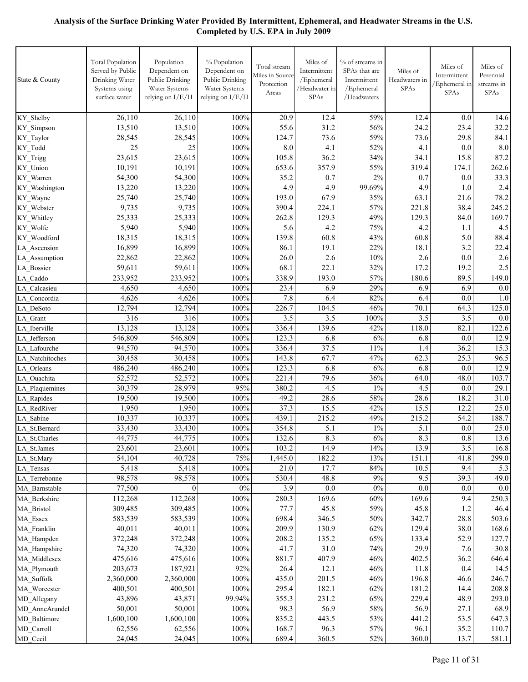| State & County               | <b>Total Population</b><br>Served by Public<br>Drinking Water<br>Systems using<br>surface water | Population<br>Dependent on<br>Public Drinking<br>Water Systems<br>relying on I/E/H | % Population<br>Dependent on<br>Public Drinking<br>Water Systems<br>relying on I/E/H | Total stream<br>Miles in Source<br>Protection<br>Areas | Miles of<br>Intermittent<br>/Ephemeral<br>/Headwater in<br>SPAs | % of streams in<br>SPAs that are<br>Intermittent<br>/Ephemeral<br>/Headwaters | Miles of<br>Headwaters in<br><b>SPAs</b> | Miles of<br>Intermittent<br>Ephemeral in<br>SPAs | Miles of<br>Perennial<br>streams in<br><b>SPAs</b> |
|------------------------------|-------------------------------------------------------------------------------------------------|------------------------------------------------------------------------------------|--------------------------------------------------------------------------------------|--------------------------------------------------------|-----------------------------------------------------------------|-------------------------------------------------------------------------------|------------------------------------------|--------------------------------------------------|----------------------------------------------------|
| KY Shelby                    | 26,110                                                                                          | 26,110                                                                             | 100%                                                                                 | 20.9                                                   | 12.4                                                            | 59%                                                                           | 12.4                                     | 0.0                                              | 14.6                                               |
| KY Simpson                   | 13,510                                                                                          | 13,510                                                                             | 100%                                                                                 | 55.6                                                   | 31.2                                                            | 56%                                                                           | 24.2                                     | 23.4                                             | 32.2                                               |
| KY Taylor                    | 28,545                                                                                          | 28,545                                                                             | 100%                                                                                 | 124.7                                                  | 73.6                                                            | 59%                                                                           | 73.6                                     | 29.8                                             | 84.1                                               |
| KY Todd                      | 25                                                                                              | 25                                                                                 | 100%                                                                                 | 8.0                                                    | 4.1                                                             | 52%                                                                           | 4.1                                      | 0.0                                              | 8.0                                                |
| KY_Trigg                     | 23,615                                                                                          | 23,615                                                                             | 100%                                                                                 | 105.8                                                  | 36.2                                                            | 34%                                                                           | 34.1                                     | 15.8                                             | 87.2                                               |
| KY Union                     | 10,191                                                                                          | 10,191                                                                             | 100%                                                                                 | 653.6                                                  | 357.9                                                           | 55%                                                                           | 319.4                                    | 174.1                                            | 262.6                                              |
| KY Warren                    | 54,300                                                                                          | 54,300                                                                             | 100%                                                                                 | 35.2                                                   | 0.7                                                             | 2%                                                                            | 0.7                                      | 0.0                                              | 33.3                                               |
| KY Washington                | 13,220                                                                                          | 13,220                                                                             | 100%                                                                                 | 4.9                                                    | 4.9                                                             | 99.69%                                                                        | 4.9                                      | 1.0                                              | 2.4                                                |
| KY Wayne                     | 25,740                                                                                          | 25,740                                                                             | 100%                                                                                 | 193.0                                                  | 67.9                                                            | 35%                                                                           | 63.1                                     | 21.6                                             | 78.2                                               |
| KY Webster                   | 9,735                                                                                           | 9,735                                                                              | 100%                                                                                 | 390.4                                                  | 224.1                                                           | 57%                                                                           | 221.8                                    | 38.4                                             | 245.2                                              |
| KY_Whitley                   | 25,333                                                                                          | 25,333                                                                             | 100%                                                                                 | 262.8                                                  | 129.3                                                           | 49%                                                                           | 129.3                                    | 84.0                                             | 169.7                                              |
| KY Wolfe                     | 5,940                                                                                           | 5,940                                                                              | 100%                                                                                 | 5.6                                                    | 4.2                                                             | 75%                                                                           | 4.2                                      | 1.1                                              | 4.5                                                |
| KY Woodford                  | 18,315                                                                                          | 18,315                                                                             | 100%                                                                                 | 139.8                                                  | 60.8                                                            | 43%                                                                           | 60.8                                     | 5.0                                              | 88.4                                               |
| LA Ascension                 | 16,899                                                                                          | 16,899                                                                             | 100%                                                                                 | 86.1                                                   | 19.1                                                            | 22%                                                                           | 18.1                                     | 3.2                                              | 22.4                                               |
| LA Assumption                | 22,862                                                                                          | 22,862                                                                             | 100%                                                                                 | 26.0                                                   | 2.6                                                             | 10%                                                                           | 2.6                                      | 0.0                                              | 2.6                                                |
| LA Bossier                   | 59,611                                                                                          | 59,611                                                                             | 100%                                                                                 | 68.1                                                   | 22.1                                                            | 32%                                                                           | 17.2                                     | 19.2                                             | 2.5                                                |
| LA Caddo                     | 233,952                                                                                         | 233,952                                                                            | 100%                                                                                 | 338.9                                                  | 193.0                                                           | 57%                                                                           | 180.6                                    | 89.5                                             | 149.0                                              |
| LA Calcasieu                 | 4,650                                                                                           | 4,650                                                                              | 100%                                                                                 | 23.4                                                   | 6.9                                                             | 29%                                                                           | 6.9                                      | 6.9                                              | 0.0                                                |
| LA Concordia                 | 4,626                                                                                           | 4,626                                                                              | 100%                                                                                 | 7.8                                                    | 6.4                                                             | 82%                                                                           | 6.4                                      | 0.0                                              | 1.0                                                |
| LA DeSoto                    | 12,794                                                                                          | 12,794                                                                             | 100%                                                                                 | 226.7                                                  | 104.5                                                           | 46%                                                                           | 70.1                                     | 64.3                                             | 125.0                                              |
| LA Grant                     | 316                                                                                             | 316                                                                                | 100%                                                                                 | 3.5                                                    | 3.5                                                             | 100%                                                                          | 3.5                                      | 3.5                                              | 0.0                                                |
| LA Iberville                 | 13,128                                                                                          | 13,128                                                                             | 100%                                                                                 | 336.4                                                  | 139.6                                                           | 42%                                                                           | 118.0                                    | 82.1                                             | 122.6                                              |
| LA Jefferson                 | 546,809                                                                                         | 546,809                                                                            | 100%                                                                                 | 123.3                                                  | 6.8                                                             | 6%                                                                            | 6.8                                      | 0.0                                              | 12.9                                               |
| LA Lafourche                 | 94,570                                                                                          | 94,570                                                                             | 100%                                                                                 | 336.4                                                  | 37.5                                                            | 11%                                                                           | 1.4                                      | 36.2                                             | 15.3                                               |
| LA Natchitoches              | 30,458<br>486,240                                                                               | 30,458                                                                             | 100%<br>100%                                                                         | 143.8                                                  | 67.7<br>6.8                                                     | 47%<br>6%                                                                     | 62.3<br>6.8                              | 25.3<br>0.0                                      | 96.5<br>12.9                                       |
| LA_Orleans                   | 52,572                                                                                          | 486,240<br>52,572                                                                  | 100%                                                                                 | 123.3<br>221.4                                         | 79.6                                                            | 36%                                                                           | 64.0                                     | 48.0                                             | 103.7                                              |
| LA_Ouachita                  | 30,379                                                                                          | 28,979                                                                             | 95%                                                                                  | 380.2                                                  | 4.5                                                             | $1\%$                                                                         | 4.5                                      | 0.0                                              | 29.1                                               |
| LA Plaquemines<br>LA Rapides | 19,500                                                                                          | 19,500                                                                             | 100%                                                                                 | 49.2                                                   | 28.6                                                            | 58%                                                                           | 28.6                                     | 18.2                                             | 31.0                                               |
| LA RedRiver                  | 1,950                                                                                           | 1,950                                                                              | 100%                                                                                 | 37.3                                                   | 15.5                                                            | 42%                                                                           | 15.5                                     | 12.2                                             | 25.0                                               |
| LA Sabine                    | 10,337                                                                                          | 10,337                                                                             | 100%                                                                                 | 439.1                                                  | 215.2                                                           | 49%                                                                           | 215.2                                    | 54.2                                             | 188.7                                              |
| LA St.Bernard                | 33,430                                                                                          | 33,430                                                                             | 100%                                                                                 | 354.8                                                  | 5.1                                                             | $1\%$                                                                         | 5.1                                      | 0.0                                              | 25.0                                               |
| LA_St.Charles                | 44,775                                                                                          | 44,775                                                                             | $100\%$                                                                              | 132.6                                                  | $8.3\,$                                                         | $6\%$                                                                         | 8.3                                      | 0.8                                              | 13.6                                               |
| LA_St.James                  | 23,601                                                                                          | 23,601                                                                             | $100\%$                                                                              | 103.2                                                  | 14.9                                                            | 14%                                                                           | 13.9                                     | 3.5                                              | 16.8                                               |
| LA St.Mary                   | 54,104                                                                                          | 40,728                                                                             | 75%                                                                                  | 1,445.0                                                | 182.2                                                           | 13%                                                                           | 151.1                                    | 41.8                                             | 299.0                                              |
| LA Tensas                    | 5,418                                                                                           | 5,418                                                                              | $100\%$                                                                              | 21.0                                                   | 17.7                                                            | $84\%$                                                                        | 10.5                                     | 9.4                                              | 5.3                                                |
| LA Terrebonne                | 98,578                                                                                          | 98,578                                                                             | 100%                                                                                 | 530.4                                                  | 48.8                                                            | $9\%$                                                                         | 9.5                                      | 39.3                                             | 49.0                                               |
| MA Barnstable                | 77,500                                                                                          | $\boldsymbol{0}$                                                                   | $0\%$                                                                                | 3.9                                                    | $0.0\,$                                                         | $0\%$                                                                         | 0.0                                      | 0.0                                              | 0.0                                                |
| MA Berkshire                 | 112,268                                                                                         | 112,268                                                                            | 100%                                                                                 | 280.3                                                  | 169.6                                                           | 60%                                                                           | 169.6                                    | 9.4                                              | 250.3                                              |
| MA Bristol                   | 309,485                                                                                         | 309,485                                                                            | $100\%$                                                                              | 77.7                                                   | 45.8                                                            | 59%                                                                           | 45.8                                     | 1.2                                              | 46.4                                               |
| MA Essex                     | 583,539                                                                                         | 583,539                                                                            | $100\%$                                                                              | 698.4                                                  | 346.5                                                           | $50\%$                                                                        | 342.7                                    | 28.8                                             | 503.6                                              |
| MA Franklin                  | 40,011                                                                                          | 40,011                                                                             | 100%                                                                                 | 209.9                                                  | 130.9                                                           | 62%                                                                           | 129.4                                    | 38.0                                             | 168.6                                              |
| MA Hampden                   | 372,248                                                                                         | 372,248                                                                            | $100\%$                                                                              | 208.2                                                  | 135.2                                                           | 65%                                                                           | 133.4                                    | 52.9                                             | 127.7                                              |
| MA Hampshire                 | 74,320                                                                                          | 74,320                                                                             | $100\%$                                                                              | 41.7                                                   | 31.0                                                            | 74%                                                                           | 29.9                                     | 7.6                                              | 30.8                                               |
| MA Middlesex                 | 475,616                                                                                         | 475,616                                                                            | 100%                                                                                 | 881.7                                                  | 407.9                                                           | 46%                                                                           | 402.5                                    | 36.2                                             | 646.4                                              |
| MA Plymouth                  | 203,673                                                                                         | 187,921                                                                            | 92%                                                                                  | 26.4                                                   | 12.1                                                            | 46%                                                                           | 11.8                                     | 0.4                                              | 14.5                                               |
| MA Suffolk                   | 2,360,000                                                                                       | 2,360,000                                                                          | 100%                                                                                 | 435.0                                                  | 201.5                                                           | 46%                                                                           | 196.8                                    | 46.6                                             | 246.7                                              |
| MA Worcester                 | 400,501                                                                                         | 400,501                                                                            | 100%                                                                                 | 295.4                                                  | 182.1                                                           | 62%                                                                           | 181.2                                    | 14.4                                             | 208.8                                              |
| MD_Allegany                  | 43,896                                                                                          | 43,871                                                                             | 99.94%                                                                               | 355.3                                                  | 231.2                                                           | 65%                                                                           | 229.4                                    | 48.9                                             | 293.0                                              |
| MD AnneArundel               | 50,001                                                                                          | 50,001                                                                             | 100%                                                                                 | 98.3                                                   | 56.9                                                            | 58%                                                                           | 56.9                                     | 27.1                                             | 68.9                                               |
| MD Baltimore                 | 1,600,100                                                                                       | 1,600,100                                                                          | 100%                                                                                 | 835.2                                                  | 443.5                                                           | 53%                                                                           | 441.2                                    | 53.5                                             | 647.3                                              |
| MD Carroll                   | 62,556                                                                                          | 62,556                                                                             | 100%                                                                                 | 168.7                                                  | 96.3                                                            | 57%                                                                           | 96.1                                     | 35.2                                             | 110.7                                              |
| MD_Cecil                     | 24,045                                                                                          | 24,045                                                                             | 100%                                                                                 | 689.4                                                  | 360.5                                                           | 52%                                                                           | 360.0                                    | 13.7                                             | 581.1                                              |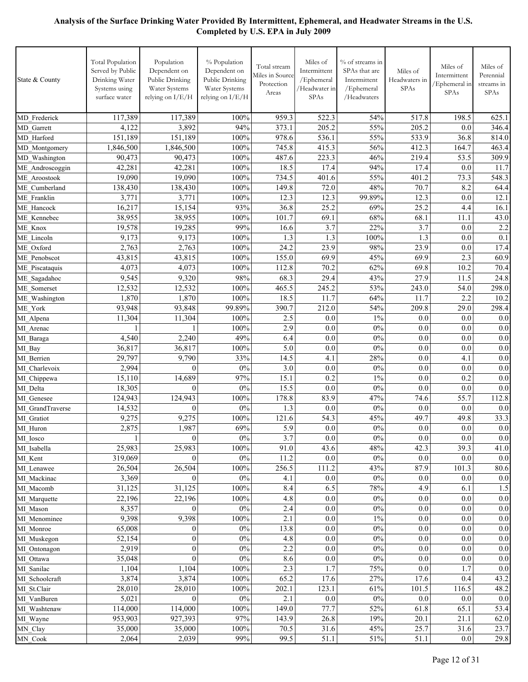| State & County              | <b>Total Population</b><br>Served by Public<br>Drinking Water<br>Systems using<br>surface water | Population<br>Dependent on<br>Public Drinking<br>Water Systems<br>relying on I/E/H | % Population<br>Dependent on<br>Public Drinking<br>Water Systems<br>relying on I/E/H | Total stream<br>Miles in Source<br>Protection<br>Areas | Miles of<br>Intermittent<br>/Ephemeral<br>/Headwater in<br>SPAs | % of streams in<br>SPAs that are<br>Intermittent<br>/Ephemeral<br>/ $Headwaters$ | Miles of<br>Headwaters in<br>SPAs | Miles of<br>Intermittent<br>/Ephemeral in<br>SPAs | Miles of<br>Perennial<br>streams in<br>SPAs |
|-----------------------------|-------------------------------------------------------------------------------------------------|------------------------------------------------------------------------------------|--------------------------------------------------------------------------------------|--------------------------------------------------------|-----------------------------------------------------------------|----------------------------------------------------------------------------------|-----------------------------------|---------------------------------------------------|---------------------------------------------|
| MD Frederick                | 117,389                                                                                         | 117,389                                                                            | 100%                                                                                 | 959.3                                                  | 522.3                                                           | 54%                                                                              | 517.8                             | 198.5                                             | 625.1                                       |
| MD Garrett                  | 4,122                                                                                           | 3,892                                                                              | 94%                                                                                  | 373.1                                                  | 205.2                                                           | 55%                                                                              | 205.2                             | 0.0                                               | 346.4                                       |
| MD Harford                  | 151,189                                                                                         | 151,189                                                                            | 100%                                                                                 | 978.6                                                  | 536.1                                                           | 55%                                                                              | 533.9                             | 36.8                                              | 814.0                                       |
| MD Montgomery               | 1,846,500                                                                                       | 1,846,500                                                                          | 100%                                                                                 | 745.8                                                  | 415.3                                                           | 56%                                                                              | 412.3                             | 164.7                                             | 463.4                                       |
| MD Washington               | 90,473                                                                                          | 90,473                                                                             | 100%                                                                                 | 487.6                                                  | 223.3                                                           | 46%                                                                              | 219.4                             | 53.5                                              | 309.9                                       |
| ME Androscoggin             | 42,281                                                                                          | 42,281                                                                             | 100%                                                                                 | $18.\overline{5}$                                      | 17.4                                                            | 94%                                                                              | 17.4                              | 0.0                                               | 11.7                                        |
| ME Aroostook                | 19,090                                                                                          | 19,090                                                                             | 100%                                                                                 | 734.5                                                  | 401.6                                                           | 55%                                                                              | 401.2                             | 73.3                                              | 548.3                                       |
| ME Cumberland               | 138,430                                                                                         | 138,430                                                                            | 100%                                                                                 | 149.8                                                  | 72.0                                                            | 48%                                                                              | 70.7                              | 8.2                                               | 64.4                                        |
| ME Franklin                 | 3,771                                                                                           | 3,771                                                                              | 100%                                                                                 | 12.3                                                   | 12.3                                                            | 99.89%                                                                           | 12.3                              | 0.0                                               | 12.1                                        |
| ME Hancock                  | 16,217                                                                                          | 15,154                                                                             | 93%                                                                                  | 36.8                                                   | 25.2                                                            | 69%                                                                              | 25.2                              | 4.4                                               | 16.1                                        |
| ME Kennebec                 | 38,955                                                                                          | 38,955                                                                             | 100%                                                                                 | 101.7                                                  | 69.1                                                            | 68%                                                                              | 68.1                              | 11.1                                              | 43.0                                        |
| ME Knox                     | 19,578                                                                                          | 19,285                                                                             | 99%                                                                                  | 16.6                                                   | 3.7                                                             | 22%                                                                              | 3.7                               | 0.0                                               | 2.2                                         |
| ME Lincoln                  | 9,173                                                                                           | 9,173                                                                              | 100%                                                                                 | 1.3                                                    | 1.3                                                             | 100%                                                                             | 1.3                               | 0.0                                               | 0.1                                         |
| ME Oxford                   | 2,763                                                                                           | 2,763                                                                              | 100%                                                                                 | 24.2                                                   | 23.9                                                            | 98%                                                                              | 23.9                              | 0.0                                               | 17.4                                        |
| ME Penobscot                | 43,815                                                                                          | 43,815                                                                             | 100%                                                                                 | 155.0                                                  | 69.9                                                            | 45%                                                                              | 69.9                              | 2.3                                               | 60.9                                        |
| ME Piscataquis              | 4,073                                                                                           | 4,073                                                                              | 100%                                                                                 | 112.8                                                  | 70.2                                                            | 62%                                                                              | 69.8                              | 10.2                                              | 70.4                                        |
| ME_Sagadahoc                | 9,545                                                                                           | 9,320                                                                              | 98%                                                                                  | 68.3                                                   | 29.4                                                            | 43%                                                                              | 27.9                              | 11.5                                              | 24.8                                        |
| ME Somerset                 | 12,532                                                                                          | 12,532                                                                             | 100%                                                                                 | 465.5                                                  | 245.2                                                           | 53%                                                                              | 243.0                             | 54.0                                              | 298.0                                       |
| ME Washington               | 1,870                                                                                           | 1,870                                                                              | 100%                                                                                 | 18.5                                                   | 11.7                                                            | 64%                                                                              | 11.7                              | 2.2                                               | 10.2                                        |
| ME York                     | 93,948                                                                                          | 93,848                                                                             | 99.89%                                                                               | 390.7                                                  | 212.0                                                           | 54%                                                                              | 209.8                             | 29.0                                              | 298.4                                       |
| MI Alpena                   | 11,304                                                                                          | 11,304                                                                             | 100%                                                                                 | 2.5                                                    | 0.0                                                             | $1\%$                                                                            | 0.0                               | 0.0                                               | 0.0                                         |
| MI Arenac                   | 1                                                                                               |                                                                                    | 100%                                                                                 | 2.9                                                    | 0.0                                                             | 0%                                                                               | 0.0                               | 0.0                                               | 0.0                                         |
| MI Baraga                   | 4,540                                                                                           | 2,240                                                                              | 49%                                                                                  | 6.4                                                    | 0.0                                                             | 0%                                                                               | 0.0                               | 0.0                                               | 0.0                                         |
| MI Bay                      | 36,817                                                                                          | 36,817                                                                             | 100%                                                                                 | 5.0                                                    | 0.0                                                             | $0\%$                                                                            | 0.0                               | 0.0                                               | 0.0                                         |
| MI Berrien                  | 29,797                                                                                          | 9,790                                                                              | 33%                                                                                  | 14.5                                                   | 4.1                                                             | 28%                                                                              | 0.0                               | 4.1                                               | 0.0                                         |
| MI Charlevoix               | 2,994                                                                                           | $\mathbf{0}$                                                                       | 0%                                                                                   | 3.0                                                    | 0.0                                                             | 0%                                                                               | 0.0                               | 0.0                                               | 0.0                                         |
| MI Chippewa                 | 15,110                                                                                          | 14,689                                                                             | 97%                                                                                  | 15.1                                                   | 0.2                                                             | $1\%$                                                                            | 0.0                               | 0.2                                               | 0.0                                         |
| MI Delta                    | 18,305                                                                                          | $\mathbf{0}$                                                                       | 0%                                                                                   | 15.5                                                   | 0.0                                                             | 0%                                                                               | 0.0                               | 0.0                                               | 0.0                                         |
| MI Genesee                  | 124,943                                                                                         | 124,943                                                                            | 100%                                                                                 | 178.8                                                  | 83.9                                                            | 47%                                                                              | 74.6                              | 55.7                                              | 112.8                                       |
| MI GrandTraverse            | 14,532                                                                                          | $\mathbf{0}$                                                                       | 0%                                                                                   | 1.3                                                    | 0.0                                                             | $0\%$                                                                            | 0.0                               | 0.0                                               | 0.0                                         |
| MI Gratiot                  | 9,275                                                                                           | 9,275                                                                              | 100%                                                                                 | 121.6                                                  | 54.3                                                            | 45%                                                                              | 49.7                              | 49.8                                              | 33.3                                        |
| MI Huron                    | 2,875                                                                                           | 1,987                                                                              | 69%                                                                                  | 5.9                                                    | 0.0                                                             | $0\%$                                                                            | 0.0                               | 0.0                                               | 0.0                                         |
| MI Iosco                    | 1                                                                                               | $\overline{0}$                                                                     | $0\%$                                                                                | 3.7                                                    | $\overline{0.0}$                                                | $0\%$                                                                            | 0.0                               | 0.0                                               | 0.0                                         |
| MI Isabella                 | 25,983                                                                                          | 25,983                                                                             | 100%                                                                                 | 91.0                                                   | 43.6                                                            | 48%                                                                              | 42.3                              | 39.3                                              | 41.0                                        |
| MI Kent                     | 319,069                                                                                         | $\Omega$                                                                           | $0\%$                                                                                | 11.2                                                   | $0.0\,$                                                         | 0%                                                                               | $0.0\,$                           | 0.0                                               | 0.0                                         |
| MI Lenawee                  | 26,504                                                                                          | 26,504                                                                             | 100%                                                                                 | 256.5                                                  | 111.2                                                           | 43%                                                                              | 87.9                              | 101.3                                             | 80.6                                        |
| MI Mackinac                 | 3,369                                                                                           | $\mathbf{0}$                                                                       | $0\%$                                                                                | 4.1                                                    | $0.0\,$                                                         | $0\%$                                                                            | 0.0                               | 0.0                                               | 0.0                                         |
| MI Macomb                   | 31,125                                                                                          | 31,125                                                                             | 100%                                                                                 | 8.4                                                    | 6.5                                                             | 78%                                                                              | 4.9                               | 6.1                                               | 1.5                                         |
| MI Marquette                | 22,196                                                                                          | 22,196                                                                             | 100%                                                                                 | 4.8                                                    | $0.0\,$                                                         | $0\%$                                                                            | $0.0\,$                           | 0.0                                               | 0.0                                         |
| MI Mason                    | 8,357                                                                                           | $\boldsymbol{0}$                                                                   | $0\%$                                                                                | 2.4                                                    | 0.0                                                             | $0\%$                                                                            | $0.0\,$                           | 0.0                                               | 0.0                                         |
| MI Menominee                | 9,398                                                                                           | 9,398                                                                              | 100%                                                                                 | 2.1                                                    | $0.0\,$                                                         | $1\%$                                                                            | $0.0\,$                           | 0.0                                               | 0.0                                         |
| MI Monroe                   | 65,008                                                                                          | $\boldsymbol{0}$                                                                   | $0\%$                                                                                | 13.8                                                   | $0.0\,$                                                         | $0\%$                                                                            | $0.0\,$                           | $0.0\,$                                           | 0.0                                         |
| MI Muskegon                 | 52,154                                                                                          | $\boldsymbol{0}$                                                                   | 0%                                                                                   | 4.8                                                    | 0.0                                                             | $0\%$                                                                            | 0.0                               | 0.0                                               | 0.0                                         |
| MI Ontonagon                | 2,919                                                                                           | $\boldsymbol{0}$                                                                   | $0\%$                                                                                | 2.2                                                    | 0.0                                                             | $0\%$                                                                            | 0.0                               | 0.0                                               | 0.0                                         |
| MI Ottawa                   | 35,048                                                                                          | $\mathbf{0}$                                                                       | $0\%$                                                                                | 8.6<br>2.3                                             | 0.0<br>1.7                                                      | $0\%$<br>75%                                                                     | 0.0<br>0.0                        | $0.0\,$<br>1.7                                    | 0.0                                         |
| MI Sanilac                  | 1,104                                                                                           | 1,104                                                                              | 100%                                                                                 | 65.2                                                   | 17.6                                                            |                                                                                  | 17.6                              |                                                   | 0.0                                         |
| MI Schoolcraft              | 3,874<br>28,010                                                                                 | 3,874<br>28,010                                                                    | 100%<br>100%                                                                         | 202.1                                                  |                                                                 | 27%<br>61%                                                                       | 101.5                             | 0.4<br>116.5                                      | 43.2<br>48.2                                |
| MI St.Clair                 | 5,021                                                                                           | $\mathbf{0}$                                                                       | $0\%$                                                                                | 2.1                                                    | 123.1<br>$0.0\,$                                                | $0\%$                                                                            | $0.0\,$                           |                                                   | 0.0                                         |
| MI VanBuren<br>MI Washtenaw | 114,000                                                                                         | 114,000                                                                            | 100%                                                                                 | 149.0                                                  | 77.7                                                            | 52%                                                                              | 61.8                              | 0.0<br>65.1                                       | 53.4                                        |
| MI Wayne                    | 953,903                                                                                         | 927,393                                                                            | 97%                                                                                  | 143.9                                                  | 26.8                                                            | 19%                                                                              | 20.1                              | 21.1                                              | 62.0                                        |
| MN_Clay                     | 35,000                                                                                          | 35,000                                                                             | 100%                                                                                 | 70.5                                                   | 31.6                                                            | 45%                                                                              | 25.7                              | 31.6                                              | 23.7                                        |
| MN_Cook                     | 2,064                                                                                           | 2,039                                                                              | 99%                                                                                  | 99.5                                                   | 51.1                                                            | $51\%$                                                                           | 51.1                              | $0.0\,$                                           | 29.8                                        |
|                             |                                                                                                 |                                                                                    |                                                                                      |                                                        |                                                                 |                                                                                  |                                   |                                                   |                                             |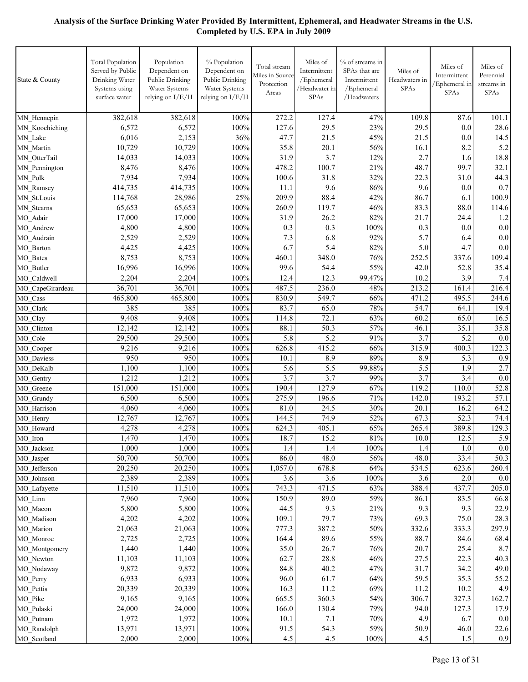| State & County             | <b>Total Population</b><br>Served by Public<br>Drinking Water<br>Systems using<br>surface water | Population<br>Dependent on<br>Public Drinking<br>Water Systems<br>relying on I/E/H | % Population<br>Dependent on<br>Public Drinking<br>Water Systems<br>relying on I/E/H | Total stream<br>Miles in Source<br>Protection<br>Areas | Miles of<br>Intermittent<br>/Ephemeral<br>/Headwater in<br>SPAs | % of streams in<br>SPAs that are<br>Intermittent<br>/Ephemeral<br>/Headwaters | Miles of<br>Headwaters in<br><b>SPAs</b> | Miles of<br>Intermittent<br>Ephemeral in<br>SPAs | Miles of<br>Perennial<br>streams in<br>SPAs |
|----------------------------|-------------------------------------------------------------------------------------------------|------------------------------------------------------------------------------------|--------------------------------------------------------------------------------------|--------------------------------------------------------|-----------------------------------------------------------------|-------------------------------------------------------------------------------|------------------------------------------|--------------------------------------------------|---------------------------------------------|
| MN_Hennepin                | 382,618                                                                                         | 382,618                                                                            | 100%                                                                                 | 272.2                                                  | 127.4                                                           | 47%                                                                           | 109.8                                    | 87.6                                             | 101.1                                       |
| MN Koochiching             | 6,572                                                                                           | 6,572                                                                              | 100%                                                                                 | 127.6                                                  | 29.5                                                            | 23%                                                                           | 29.5                                     | 0.0                                              | 28.6                                        |
| MN Lake                    | 6,016                                                                                           | 2,153                                                                              | 36%                                                                                  | 47.7                                                   | 21.5                                                            | 45%                                                                           | 21.5                                     | 0.0                                              | 14.5                                        |
| MN Martin                  | 10,729                                                                                          | 10,729                                                                             | 100%                                                                                 | 35.8                                                   | 20.1                                                            | 56%                                                                           | 16.1                                     | 8.2                                              | 5.2                                         |
| MN OtterTail               | 14,033                                                                                          | 14,033                                                                             | 100%                                                                                 | 31.9                                                   | 3.7                                                             | 12%                                                                           | 2.7                                      | 1.6                                              | 18.8                                        |
| MN Pennington              | 8,476                                                                                           | 8,476                                                                              | 100%                                                                                 | 478.2                                                  | 100.7                                                           | 21%                                                                           | 48.7                                     | 99.7                                             | 32.1                                        |
| MN Polk                    | 7,934                                                                                           | 7,934                                                                              | 100%                                                                                 | 100.6                                                  | 31.8                                                            | 32%                                                                           | 22.3                                     | 31.0                                             | 44.3                                        |
| MN_Ramsey                  | 414,735                                                                                         | 414,735                                                                            | 100%                                                                                 | 11.1                                                   | 9.6                                                             | 86%                                                                           | 9.6                                      | 0.0                                              | 0.7                                         |
| MN St.Louis                | 114,768                                                                                         | 28,986                                                                             | 25%                                                                                  | 209.9                                                  | 88.4                                                            | 42%                                                                           | 86.7                                     | 6.1                                              | 100.9                                       |
| MN Stearns                 | 65,653                                                                                          | 65,653                                                                             | 100%                                                                                 | 260.9                                                  | 119.7                                                           | 46%                                                                           | 83.3                                     | 88.0                                             | 114.6                                       |
| MO Adair                   | 17,000                                                                                          | 17,000                                                                             | 100%                                                                                 | 31.9                                                   | 26.2                                                            | 82%                                                                           | 21.7                                     | 24.4                                             | 1.2                                         |
| MO Andrew                  | 4,800                                                                                           | 4,800                                                                              | 100%                                                                                 | 0.3                                                    | 0.3                                                             | 100%                                                                          | 0.3                                      | 0.0                                              | 0.0                                         |
| MO Audrain                 | 2,529                                                                                           | 2,529                                                                              | 100%                                                                                 | 7.3                                                    | 6.8                                                             | 92%                                                                           | 5.7                                      | 6.4                                              | 0.0                                         |
| MO Barton                  | 4,425                                                                                           | 4,425                                                                              | 100%                                                                                 | 6.7                                                    | 5.4                                                             | 82%                                                                           | 5.0                                      | 4.7                                              | 0.0                                         |
| MO Bates                   | 8,753<br>16,996                                                                                 | 8,753<br>16,996                                                                    | 100%<br>100%                                                                         | 460.1<br>99.6                                          | 348.0<br>54.4                                                   | 76%<br>55%                                                                    | 252.5<br>42.0                            | 337.6<br>52.8                                    | 109.4<br>35.4                               |
| MO Butler<br>MO Caldwell   | 2,204                                                                                           | 2,204                                                                              | 100%                                                                                 | 12.4                                                   | 12.3                                                            | 99.47%                                                                        | 10.2                                     | 3.9                                              | 7.4                                         |
| MO CapeGirardeau           | 36,701                                                                                          | 36,701                                                                             | 100%                                                                                 | 487.5                                                  | 236.0                                                           | 48%                                                                           | 213.2                                    | 161.4                                            | 216.4                                       |
| MO Cass                    | 465,800                                                                                         | 465,800                                                                            | 100%                                                                                 | 830.9                                                  | 549.7                                                           | 66%                                                                           | 471.2                                    | 495.5                                            | 244.6                                       |
| MO Clark                   | 385                                                                                             | 385                                                                                | 100%                                                                                 | 83.7                                                   | 65.0                                                            | 78%                                                                           | 54.7                                     | 64.1                                             | 19.4                                        |
| MO Clay                    | 9,408                                                                                           | 9,408                                                                              | 100%                                                                                 | 114.8                                                  | 72.1                                                            | 63%                                                                           | 60.2                                     | 65.0                                             | 16.5                                        |
| MO Clinton                 | 12,142                                                                                          | 12,142                                                                             | 100%                                                                                 | 88.1                                                   | 50.3                                                            | 57%                                                                           | 46.1                                     | 35.1                                             | 35.8                                        |
| MO Cole                    | 29,500                                                                                          | 29,500                                                                             | 100%                                                                                 | 5.8                                                    | 5.2                                                             | 91%                                                                           | 3.7                                      | 5.2                                              | 0.0                                         |
| MO Cooper                  | 9,216                                                                                           | 9,216                                                                              | 100%                                                                                 | 626.8                                                  | 415.2                                                           | 66%                                                                           | 315.9                                    | 400.3                                            | 122.3                                       |
| MO Daviess                 | 950                                                                                             | 950                                                                                | 100%                                                                                 | 10.1                                                   | 8.9                                                             | 89%                                                                           | 8.9                                      | 5.3                                              | 0.9                                         |
| MO DeKalb                  | 1,100                                                                                           | 1,100                                                                              | 100%                                                                                 | 5.6                                                    | 5.5                                                             | 99.88%                                                                        | 5.5                                      | 1.9                                              | 2.7                                         |
| MO Gentry                  | 1,212                                                                                           | 1,212                                                                              | 100%                                                                                 | 3.7                                                    | 3.7                                                             | 99%                                                                           | 3.7                                      | 3.4                                              | 0.0                                         |
| MO Greene                  | 151,000                                                                                         | 151,000                                                                            | 100%                                                                                 | 190.4                                                  | 127.9                                                           | 67%                                                                           | 119.2                                    | 110.0                                            | 52.8                                        |
| MO Grundy                  | 6,500                                                                                           | 6,500                                                                              | 100%                                                                                 | 275.9                                                  | 196.6                                                           | 71%                                                                           | 142.0                                    | 193.2                                            | 57.1                                        |
| MO Harrison                | 4,060                                                                                           | 4,060                                                                              | 100%                                                                                 | 81.0                                                   | 24.5                                                            | 30%                                                                           | 20.1                                     | 16.2                                             | 64.2                                        |
| MO_Henry                   | 12,767                                                                                          | 12,767                                                                             | 100%                                                                                 | 144.5                                                  | 74.9                                                            | 52%                                                                           | 67.3                                     | 52.3                                             | 74.4                                        |
| MO_Howard                  | 4,278                                                                                           | 4,278                                                                              | 100%                                                                                 | 624.3                                                  | 405.1                                                           | 65%                                                                           | 265.4                                    | 389.8                                            | 129.3                                       |
| MO Iron                    | 1,470                                                                                           | 1,470                                                                              | 100%                                                                                 | 18.7                                                   | 15.2                                                            | $81\%$                                                                        | $10.0\,$                                 | 12.5                                             | 5.9                                         |
| MO Jackson                 | 1,000                                                                                           | 1,000                                                                              | 100%                                                                                 | 1.4                                                    | 1.4                                                             | $100\%$                                                                       | 1.4                                      | 1.0                                              | 0.0                                         |
| MO_Jasper                  | 50,700                                                                                          | 50,700                                                                             | 100%                                                                                 | 86.0                                                   | 48.0                                                            | 56%                                                                           | 48.0                                     | 33.4                                             | 50.3                                        |
| MO Jefferson               | 20,250<br>2,389                                                                                 | 20,250<br>2,389                                                                    | 100%<br>100%                                                                         | 1,057.0                                                | 678.8<br>3.6                                                    | 64%                                                                           | 534.5<br>3.6                             | 623.6                                            | 260.4                                       |
| MO Johnson<br>MO Lafayette | 11,510                                                                                          | 11,510                                                                             | 100%                                                                                 | 3.6<br>743.3                                           | 471.5                                                           | 100%<br>63%                                                                   | 388.4                                    | 2.0<br>437.7                                     | 0.0<br>205.0                                |
| MO Linn                    | 7,960                                                                                           | 7,960                                                                              | 100%                                                                                 | 150.9                                                  | 89.0                                                            | 59%                                                                           | 86.1                                     | 83.5                                             | 66.8                                        |
| MO Macon                   | 5,800                                                                                           | 5,800                                                                              | 100%                                                                                 | 44.5                                                   | 9.3                                                             | 21%                                                                           | 9.3                                      | 9.3                                              | 22.9                                        |
| MO Madison                 | 4,202                                                                                           | 4,202                                                                              | 100%                                                                                 | 109.1                                                  | 79.7                                                            | 73%                                                                           | 69.3                                     | 75.0                                             | 28.3                                        |
| MO Marion                  | 21,063                                                                                          | 21,063                                                                             | 100%                                                                                 | 777.3                                                  | 387.2                                                           | 50%                                                                           | 332.6                                    | 333.3                                            | 297.9                                       |
| MO Monroe                  | 2,725                                                                                           | 2,725                                                                              | 100%                                                                                 | 164.4                                                  | 89.6                                                            | 55%                                                                           | 88.7                                     | 84.6                                             | 68.4                                        |
| MO_Montgomery              | 1,440                                                                                           | 1,440                                                                              | 100%                                                                                 | 35.0                                                   | 26.7                                                            | 76%                                                                           | 20.7                                     | 25.4                                             | 8.7                                         |
| MO Newton                  | 11,103                                                                                          | 11,103                                                                             | 100%                                                                                 | 62.7                                                   | 28.8                                                            | 46%                                                                           | 27.5                                     | 22.3                                             | 40.3                                        |
| MO_Nodaway                 | 9,872                                                                                           | 9,872                                                                              | 100%                                                                                 | 84.8                                                   | 40.2                                                            | 47%                                                                           | 31.7                                     | 34.2                                             | 49.0                                        |
| MO Perry                   | 6,933                                                                                           | 6,933                                                                              | 100%                                                                                 | 96.0                                                   | 61.7                                                            | 64%                                                                           | 59.5                                     | 35.3                                             | 55.2                                        |
| MO_Pettis                  | 20,339                                                                                          | 20,339                                                                             | 100%                                                                                 | 16.3                                                   | 11.2                                                            | 69%                                                                           | 11.2                                     | 10.2                                             | 4.9                                         |
| MO Pike                    | 9,165                                                                                           | 9,165                                                                              | 100%                                                                                 | 665.5                                                  | 360.3                                                           | 54%                                                                           | 306.7                                    | 327.3                                            | 162.7                                       |
| MO Pulaski                 | 24,000                                                                                          | 24,000                                                                             | 100%                                                                                 | 166.0                                                  | 130.4                                                           | 79%                                                                           | 94.0                                     | 127.3                                            | 17.9                                        |
| MO Putnam                  | 1,972                                                                                           | 1,972                                                                              | 100%                                                                                 | 10.1                                                   | 7.1                                                             | 70%                                                                           | 4.9                                      | 6.7                                              | 0.0                                         |
| MO_Randolph                | 13,971                                                                                          | 13,971                                                                             | 100%                                                                                 | 91.5                                                   | 54.3                                                            | 59%                                                                           | 50.9                                     | 46.0                                             | 22.6                                        |
| MO_Scotland                | 2,000                                                                                           | 2,000                                                                              | 100%                                                                                 | 4.5                                                    | 4.5                                                             | 100%                                                                          | 4.5                                      | 1.5                                              | 0.9                                         |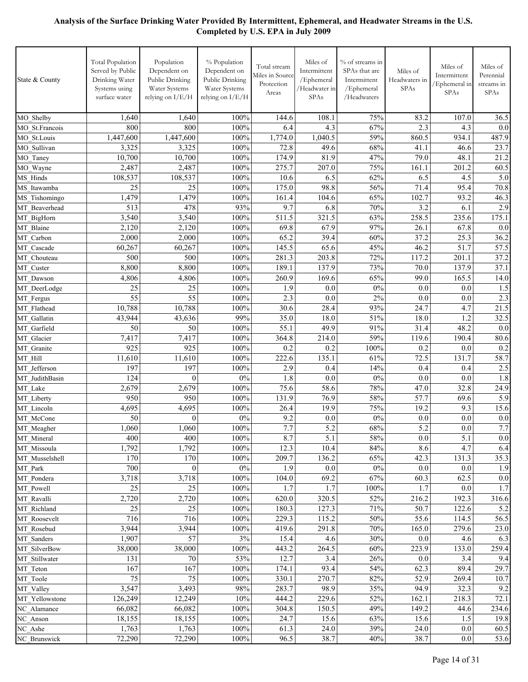| State & County             | <b>Total Population</b><br>Served by Public<br>Drinking Water<br>Systems using<br>surface water | Population<br>Dependent on<br>Public Drinking<br>Water Systems<br>relying on I/E/H | % Population<br>Dependent on<br>Public Drinking<br>Water Systems<br>relying on I/E/H | Total stream<br>Miles in Source<br>Protection<br>Areas | Miles of<br>Intermittent<br>/Ephemeral<br>/Headwater in<br>SPAs | % of streams in<br>SPAs that are<br>Intermittent<br>/Ephemeral<br>/Headwaters | Miles of<br>Headwaters in<br>SPAs | Miles of<br>Intermittent<br>/Ephemeral in<br>SPAs | Miles of<br>Perennial<br>streams in<br><b>SPAs</b> |
|----------------------------|-------------------------------------------------------------------------------------------------|------------------------------------------------------------------------------------|--------------------------------------------------------------------------------------|--------------------------------------------------------|-----------------------------------------------------------------|-------------------------------------------------------------------------------|-----------------------------------|---------------------------------------------------|----------------------------------------------------|
| MO Shelby                  | 1,640                                                                                           | 1,640                                                                              | 100%                                                                                 | 144.6                                                  | 108.1                                                           | 75%                                                                           | 83.2                              | 107.0                                             | 36.5                                               |
| MO St.Francois             | 800                                                                                             | 800                                                                                | 100%                                                                                 | 6.4                                                    | 4.3                                                             | 67%                                                                           | 2.3                               | 4.3                                               | 0.0                                                |
| MO St.Louis                | 1,447,600                                                                                       | 1,447,600                                                                          | 100%                                                                                 | 1,774.0                                                | 1,040.5                                                         | 59%                                                                           | 860.5                             | 934.1                                             | 487.9                                              |
| MO Sullivan                | 3,325                                                                                           | 3,325                                                                              | 100%                                                                                 | 72.8                                                   | 49.6                                                            | 68%                                                                           | 41.1                              | 46.6                                              | 23.7                                               |
| MO Taney                   | 10,700                                                                                          | 10,700                                                                             | 100%                                                                                 | 174.9                                                  | 81.9                                                            | 47%                                                                           | 79.0                              | 48.1                                              | 21.2                                               |
| MO Wayne                   | 2,487                                                                                           | 2,487                                                                              | 100%                                                                                 | 275.7                                                  | 207.0                                                           | 75%                                                                           | 161.1                             | 201.2                                             | 60.5                                               |
| MS Hinds                   | 108,537                                                                                         | 108,537                                                                            | 100%                                                                                 | 10.6                                                   | 6.5                                                             | 62%                                                                           | 6.5                               | 4.5                                               | 5.0                                                |
| MS Itawamba                | 25                                                                                              | 25                                                                                 | 100%                                                                                 | 175.0                                                  | 98.8                                                            | 56%                                                                           | 71.4                              | 95.4                                              | 70.8                                               |
| MS Tishomingo              | 1,479                                                                                           | 1,479                                                                              | 100%                                                                                 | 161.4                                                  | 104.6                                                           | 65%                                                                           | 102.7                             | 93.2                                              | 46.3                                               |
| MT Beaverhead              | 513<br>3,540                                                                                    | 478<br>3,540                                                                       | 93%<br>100%                                                                          | 9.7                                                    | 6.8<br>321.5                                                    | 70%<br>63%                                                                    | 3.2<br>258.5                      | 6.1<br>235.6                                      | 2.9                                                |
| MT BigHorn                 | 2,120                                                                                           | 2,120                                                                              | 100%                                                                                 | 511.5<br>69.8                                          | 67.9                                                            | 97%                                                                           | 26.1                              | 67.8                                              | 175.1<br>0.0                                       |
| MT Blaine<br>MT Carbon     | 2,000                                                                                           | 2,000                                                                              | 100%                                                                                 | 65.2                                                   | 39.4                                                            | 60%                                                                           | 37.2                              | 25.3                                              | 36.2                                               |
| MT Cascade                 | 60,267                                                                                          | 60,267                                                                             | 100%                                                                                 | 145.5                                                  | 65.6                                                            | 45%                                                                           | 46.2                              | 51.7                                              | 57.5                                               |
| MT Chouteau                | 500                                                                                             | 500                                                                                | 100%                                                                                 | 281.3                                                  | 203.8                                                           | 72%                                                                           | 117.2                             | 201.1                                             | 37.2                                               |
| MT Custer                  | 8,800                                                                                           | 8,800                                                                              | 100%                                                                                 | 189.1                                                  | 137.9                                                           | 73%                                                                           | 70.0                              | 137.9                                             | 37.1                                               |
| MT Dawson                  | 4,806                                                                                           | 4,806                                                                              | 100%                                                                                 | 260.9                                                  | 169.6                                                           | 65%                                                                           | 99.0                              | 165.5                                             | 14.0                                               |
| MT DeerLodge               | 25                                                                                              | 25                                                                                 | 100%                                                                                 | 1.9                                                    | 0.0                                                             | 0%                                                                            | 0.0                               | 0.0                                               | 1.5                                                |
| MT_Fergus                  | 55                                                                                              | 55                                                                                 | 100%                                                                                 | 2.3                                                    | 0.0                                                             | 2%                                                                            | 0.0                               | 0.0                                               | 2.3                                                |
| MT Flathead                | 10,788                                                                                          | 10,788                                                                             | 100%                                                                                 | 30.6                                                   | 28.4                                                            | 93%                                                                           | 24.7                              | 4.7                                               | 21.5                                               |
| MT Gallatin                | 43,944                                                                                          | 43,636                                                                             | 99%                                                                                  | 35.0                                                   | 18.0                                                            | 51%                                                                           | 18.0                              | 1.2                                               | 32.5                                               |
| MT Garfield                | 50                                                                                              | 50                                                                                 | 100%                                                                                 | 55.1                                                   | 49.9                                                            | 91%                                                                           | 31.4                              | 48.2                                              | 0.0                                                |
| MT Glacier                 | 7,417                                                                                           | 7,417                                                                              | 100%                                                                                 | 364.8                                                  | 214.0                                                           | 59%                                                                           | 119.6                             | 190.4                                             | 80.6                                               |
| MT Granite                 | 925                                                                                             | 925                                                                                | 100%                                                                                 | 0.2                                                    | 0.2                                                             | 100%                                                                          | 0.2                               | 0.0                                               | 0.2                                                |
| MT Hill                    | 11,610                                                                                          | 11,610                                                                             | 100%                                                                                 | 222.6                                                  | 135.1                                                           | 61%                                                                           | 72.5                              | 131.7                                             | 58.7                                               |
| MT Jefferson               | 197<br>124                                                                                      | 197                                                                                | 100%<br>$0\%$                                                                        | 2.9<br>1.8                                             | 0.4<br>0.0                                                      | 14%<br>0%                                                                     | 0.4<br>0.0                        | 0.4<br>0.0                                        | 2.5                                                |
| MT JudithBasin<br>MT Lake  | 2,679                                                                                           | $\mathbf{0}$<br>2,679                                                              | 100%                                                                                 | 75.6                                                   | 58.6                                                            | 78%                                                                           | 47.0                              | 32.8                                              | 1.8<br>24.9                                        |
| MT Liberty                 | 950                                                                                             | 950                                                                                | 100%                                                                                 | 131.9                                                  | 76.9                                                            | 58%                                                                           | 57.7                              | 69.6                                              | 5.9                                                |
| MT Lincoln                 | 4,695                                                                                           | 4,695                                                                              | 100%                                                                                 | 26.4                                                   | 19.9                                                            | 75%                                                                           | 19.2                              | 9.3                                               | 15.6                                               |
| MT McCone                  | 50                                                                                              | $\theta$                                                                           | 0%                                                                                   | 9.2                                                    | 0.0                                                             | $0\%$                                                                         | 0.0                               | 0.0                                               | 0.0                                                |
| MT_Meagher                 | 1,060                                                                                           | 1,060                                                                              | 100%                                                                                 | 7.7                                                    | 5.2                                                             | 68%                                                                           | 5.2                               | 0.0                                               | $7.7\,$                                            |
| MT_Mineral                 | 400                                                                                             | 400                                                                                | 100%                                                                                 | 8.7                                                    | 5.1                                                             | $58\%$                                                                        | 0.0                               | 5.1                                               | 0.0                                                |
| MT Missoula                | 1,792                                                                                           | 1,792                                                                              | 100%                                                                                 | 12.3                                                   | 10.4                                                            | 84%                                                                           | 8.6                               | 4.7                                               | 6.4                                                |
| MT Musselshell             | 170                                                                                             | 170                                                                                | 100%                                                                                 | 209.7                                                  | 136.2                                                           | 65%                                                                           | 42.3                              | 131.3                                             | 35.3                                               |
| MT Park                    | 700                                                                                             | $\mathbf{0}$                                                                       | $0\%$                                                                                | 1.9                                                    | $0.0\,$                                                         | 0%                                                                            | 0.0                               | 0.0                                               | 1.9                                                |
| MT Pondera                 | 3,718                                                                                           | 3,718                                                                              | $100\%$                                                                              | 104.0                                                  | 69.2                                                            | 67%                                                                           | 60.3                              | 62.5                                              | $0.0\,$                                            |
| MT Powell                  | 25                                                                                              | 25                                                                                 | 100%                                                                                 | 1.7                                                    | 1.7                                                             | 100%                                                                          | 1.7                               | 0.0                                               | 1.7                                                |
| MT Ravalli                 | 2,720                                                                                           | 2,720                                                                              | 100%                                                                                 | 620.0                                                  | 320.5                                                           | 52%                                                                           | 216.2                             | 192.3                                             | 316.6                                              |
| MT Richland                | 25<br>716                                                                                       | 25<br>716                                                                          | 100%                                                                                 | 180.3                                                  | 127.3                                                           | 71%                                                                           | 50.7<br>55.6                      | 122.6                                             | 5.2                                                |
| MT Roosevelt<br>MT Rosebud | 3,944                                                                                           | 3,944                                                                              | 100%<br>100%                                                                         | 229.3<br>419.6                                         | 115.2<br>291.8                                                  | $50\%$<br>70%                                                                 | 165.0                             | 114.5<br>279.6                                    | 56.5<br>23.0                                       |
| MT Sanders                 | 1,907                                                                                           | 57                                                                                 | $3\%$                                                                                | 15.4                                                   | 4.6                                                             | 30%                                                                           | $0.0\,$                           | 4.6                                               | 6.3                                                |
| MT SilverBow               | 38,000                                                                                          | 38,000                                                                             | 100%                                                                                 | 443.2                                                  | 264.5                                                           | 60%                                                                           | 223.9                             | 133.0                                             | 259.4                                              |
| MT Stillwater              | 131                                                                                             | 70                                                                                 | 53%                                                                                  | 12.7                                                   | 3.4                                                             | 26%                                                                           | 0.0                               | 3.4                                               | 9.4                                                |
| MT_Teton                   | 167                                                                                             | 167                                                                                | 100%                                                                                 | 174.1                                                  | 93.4                                                            | 54%                                                                           | 62.3                              | 89.4                                              | 29.7                                               |
| MT_Toole                   | 75                                                                                              | 75                                                                                 | 100%                                                                                 | 330.1                                                  | 270.7                                                           | 82%                                                                           | 52.9                              | 269.4                                             | 10.7                                               |
| MT_Valley                  | 3,547                                                                                           | 3,493                                                                              | 98%                                                                                  | 283.7                                                  | 98.9                                                            | 35%                                                                           | 94.9                              | 32.3                                              | 9.2                                                |
| MT_Yellowstone             | 126,249                                                                                         | 12,249                                                                             | 10%                                                                                  | 444.2                                                  | 229.6                                                           | 52%                                                                           | 162.1                             | 218.3                                             | 72.1                                               |
| NC Alamance                | 66,082                                                                                          | 66,082                                                                             | 100%                                                                                 | 304.8                                                  | 150.5                                                           | 49%                                                                           | 149.2                             | 44.6                                              | 234.6                                              |
| NC_Anson                   | 18,155                                                                                          | 18,155                                                                             | 100%                                                                                 | 24.7                                                   | 15.6                                                            | 63%                                                                           | 15.6                              | 1.5                                               | 19.8                                               |
| NC Ashe                    | 1,763                                                                                           | 1,763                                                                              | 100%                                                                                 | 61.3                                                   | 24.0                                                            | 39%                                                                           | 24.0                              | 0.0                                               | 60.5                                               |
| NC Brunswick               | 72,290                                                                                          | 72,290                                                                             | 100%                                                                                 | 96.5                                                   | 38.7                                                            | 40%                                                                           | 38.7                              | 0.0                                               | 53.6                                               |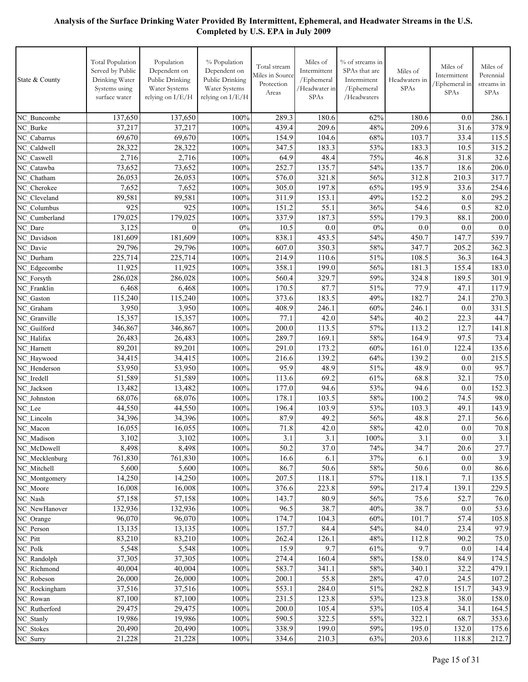| State & County                | <b>Total Population</b><br>Served by Public<br>Drinking Water<br>Systems using<br>surface water | Population<br>Dependent on<br>Public Drinking<br>Water Systems<br>relying on I/E/H | % Population<br>Dependent on<br>Public Drinking<br>Water Systems<br>relying on I/E/H | Total stream<br>Miles in Source<br>Protection<br>Areas | Miles of<br>Intermittent<br>/Ephemeral<br>/Headwater in<br>SPAs | % of streams in<br>SPAs that are<br>Intermittent<br>/Ephemeral<br>/Headwaters | Miles of<br>Headwaters in<br><b>SPAs</b> | Miles of<br>Intermittent<br>Ephemeral in<br>SPAs | Miles of<br>Perennial<br>streams in<br>SPAs |
|-------------------------------|-------------------------------------------------------------------------------------------------|------------------------------------------------------------------------------------|--------------------------------------------------------------------------------------|--------------------------------------------------------|-----------------------------------------------------------------|-------------------------------------------------------------------------------|------------------------------------------|--------------------------------------------------|---------------------------------------------|
| NC Buncombe                   | 137,650                                                                                         | 137,650                                                                            | 100%                                                                                 | 289.3                                                  | 180.6                                                           | 62%                                                                           | 180.6                                    | 0.0                                              | 286.1                                       |
| NC Burke                      | 37,217                                                                                          | 37,217                                                                             | 100%                                                                                 | 439.4                                                  | 209.6                                                           | 48%                                                                           | 209.6                                    | 31.6                                             | 378.9                                       |
| NC Cabarrus                   | 69,670                                                                                          | 69,670                                                                             | 100%                                                                                 | 154.9                                                  | 104.6                                                           | 68%                                                                           | 103.7                                    | 33.4                                             | 115.5                                       |
| NC Caldwell                   | 28,322                                                                                          | 28,322                                                                             | 100%                                                                                 | 347.5                                                  | 183.3                                                           | 53%                                                                           | 183.3                                    | 10.5                                             | 315.2                                       |
| NC Caswell                    | 2,716                                                                                           | 2,716                                                                              | 100%                                                                                 | 64.9                                                   | 48.4                                                            | 75%                                                                           | 46.8                                     | 31.8                                             | 32.6                                        |
| NC Catawba                    | 73,652                                                                                          | 73,652                                                                             | 100%                                                                                 | 252.7                                                  | 135.7                                                           | 54%                                                                           | 135.7                                    | 18.6                                             | 206.0                                       |
| NC Chatham                    | 26,053                                                                                          | 26,053                                                                             | 100%                                                                                 | 576.0                                                  | 321.8                                                           | 56%                                                                           | 312.8                                    | 210.3                                            | 317.7                                       |
| NC Cherokee                   | 7,652                                                                                           | 7,652                                                                              | 100%                                                                                 | 305.0                                                  | 197.8                                                           | 65%                                                                           | 195.9                                    | 33.6                                             | 254.6                                       |
| NC Cleveland                  | 89,581                                                                                          | 89,581                                                                             | 100%                                                                                 | 311.9                                                  | 153.1                                                           | 49%                                                                           | 152.2                                    | 8.0                                              | 295.2                                       |
| NC Columbus                   | 925                                                                                             | 925                                                                                | 100%                                                                                 | 151.2                                                  | 55.1                                                            | 36%                                                                           | 54.6                                     | 0.5                                              | 82.0                                        |
| NC Cumberland                 | 179,025                                                                                         | 179,025                                                                            | 100%                                                                                 | 337.9                                                  | 187.3                                                           | 55%                                                                           | 179.3                                    | 88.1                                             | 200.0                                       |
| NC Dare                       | 3,125                                                                                           | $\theta$                                                                           | $0\%$                                                                                | 10.5                                                   | 0.0                                                             | $0\%$                                                                         | 0.0                                      | 0.0                                              | 0.0                                         |
| NC Davidson                   | 181,609                                                                                         | 181,609                                                                            | 100%                                                                                 | 838.1                                                  | 453.5                                                           | 54%                                                                           | 450.7                                    | 147.7                                            | 539.7                                       |
| NC Davie                      | 29,796                                                                                          | 29,796                                                                             | 100%                                                                                 | 607.0                                                  | 350.3                                                           | 58%                                                                           | 347.7                                    | 205.2                                            | 362.3                                       |
| NC Durham                     | 225,714<br>11,925                                                                               | 225,714<br>11,925                                                                  | 100%<br>100%                                                                         | 214.9<br>358.1                                         | 110.6<br>199.0                                                  | 51%<br>56%                                                                    | 108.5<br>181.3                           | 36.3<br>155.4                                    | 164.3<br>183.0                              |
| NC Edgecombe<br>NC Forsyth    | 286,028                                                                                         | 286,028                                                                            | 100%                                                                                 | 560.4                                                  | 329.7                                                           | 59%                                                                           | 324.8                                    | 189.5                                            | 301.9                                       |
| NC Franklin                   | 6,468                                                                                           | 6,468                                                                              | 100%                                                                                 | 170.5                                                  | 87.7                                                            | 51%                                                                           | 77.9                                     | 47.1                                             | 117.9                                       |
| NC Gaston                     | 115,240                                                                                         | 115,240                                                                            | 100%                                                                                 | 373.6                                                  | 183.5                                                           | 49%                                                                           | 182.7                                    | 24.1                                             | 270.3                                       |
| NC Graham                     | 3,950                                                                                           | 3,950                                                                              | 100%                                                                                 | 408.9                                                  | 246.1                                                           | 60%                                                                           | 246.1                                    | 0.0                                              | 331.5                                       |
| NC Granville                  | 15,357                                                                                          | 15,357                                                                             | 100%                                                                                 | 77.1                                                   | 42.0                                                            | 54%                                                                           | 40.2                                     | 22.3                                             | 44.7                                        |
| NC Guilford                   | 346,867                                                                                         | 346,867                                                                            | 100%                                                                                 | 200.0                                                  | 113.5                                                           | 57%                                                                           | 113.2                                    | 12.7                                             | 141.8                                       |
| NC Halifax                    | 26,483                                                                                          | 26,483                                                                             | 100%                                                                                 | 289.7                                                  | 169.1                                                           | 58%                                                                           | 164.9                                    | 97.5                                             | 73.4                                        |
| NC Harnett                    | 89,201                                                                                          | 89,201                                                                             | 100%                                                                                 | 291.0                                                  | 173.2                                                           | 60%                                                                           | 161.0                                    | 122.4                                            | 135.6                                       |
| NC Haywood                    | 34,415                                                                                          | 34,415                                                                             | 100%                                                                                 | 216.6                                                  | 139.2                                                           | 64%                                                                           | 139.2                                    | 0.0                                              | 215.5                                       |
| NC Henderson                  | 53,950                                                                                          | 53,950                                                                             | 100%                                                                                 | 95.9                                                   | 48.9                                                            | 51%                                                                           | 48.9                                     | 0.0                                              | 95.7                                        |
| NC Iredell                    | 51,589                                                                                          | 51,589                                                                             | 100%                                                                                 | 113.6                                                  | 69.2                                                            | 61%                                                                           | 68.8                                     | 32.1                                             | 75.0                                        |
| NC Jackson                    | 13,482                                                                                          | 13,482                                                                             | 100%                                                                                 | 177.0                                                  | 94.6                                                            | 53%                                                                           | 94.6                                     | 0.0                                              | 152.3                                       |
| NC Johnston                   | 68,076                                                                                          | 68,076                                                                             | 100%                                                                                 | 178.1                                                  | 103.5                                                           | 58%                                                                           | 100.2                                    | 74.5                                             | 98.0                                        |
| NC_Lee                        | 44,550                                                                                          | 44,550                                                                             | 100%                                                                                 | 196.4                                                  | 103.9                                                           | 53%                                                                           | $103.\overline{3}$                       | 49.1                                             | 143.9                                       |
| NC Lincoln                    | 34,396                                                                                          | 34,396                                                                             | 100%                                                                                 | 87.9                                                   | 49.2                                                            | 56%                                                                           | $48.\overline{8}$                        | 27.1                                             | 56.6                                        |
| NC Macon                      | 16,055                                                                                          | 16,055                                                                             | 100%                                                                                 | 71.8                                                   | 42.0                                                            | 58%                                                                           | 42.0                                     | 0.0                                              | 70.8                                        |
| NC_Madison                    | 3,102                                                                                           | 3,102                                                                              | 100%                                                                                 | 3.1                                                    | 3.1                                                             | 100%                                                                          | 3.1                                      | 0.0                                              | 3.1                                         |
| NC_McDowell                   | 8,498                                                                                           | 8,498                                                                              | 100%                                                                                 | 50.2                                                   | 37.0                                                            | 74%                                                                           | 34.7                                     | 20.6                                             | 27.7                                        |
| NC_Mecklenburg<br>NC Mitchell | 761,830<br>5,600                                                                                | 761,830<br>5,600                                                                   | 100%<br>100%                                                                         | 16.6<br>86.7                                           | 6.1<br>50.6                                                     | 37%<br>58%                                                                    | 6.1<br>50.6                              | 0.0<br>0.0                                       | 3.9<br>86.6                                 |
| NC Montgomery                 | 14,250                                                                                          | 14,250                                                                             | 100%                                                                                 | 207.5                                                  | 118.1                                                           | 57%                                                                           | 118.1                                    | 7.1                                              | 135.5                                       |
| NC Moore                      | 16,008                                                                                          | 16,008                                                                             | 100%                                                                                 | 376.6                                                  | 223.8                                                           | 59%                                                                           | 217.4                                    | 139.1                                            | 229.5                                       |
| NC_Nash                       | 57,158                                                                                          | 57,158                                                                             | 100%                                                                                 | 143.7                                                  | 80.9                                                            | 56%                                                                           | 75.6                                     | 52.7                                             | 76.0                                        |
| NC NewHanover                 | 132,936                                                                                         | 132,936                                                                            | 100%                                                                                 | 96.5                                                   | 38.7                                                            | 40%                                                                           | 38.7                                     | 0.0                                              | 53.6                                        |
| NC_Orange                     | 96,070                                                                                          | 96,070                                                                             | 100%                                                                                 | 174.7                                                  | 104.3                                                           | 60%                                                                           | 101.7                                    | 57.4                                             | 105.8                                       |
| NC_Person                     | 13,135                                                                                          | 13,135                                                                             | 100%                                                                                 | 157.7                                                  | 84.4                                                            | 54%                                                                           | 84.0                                     | 23.4                                             | 97.9                                        |
| NC_Pitt                       | 83,210                                                                                          | 83,210                                                                             | 100%                                                                                 | 262.4                                                  | 126.1                                                           | 48%                                                                           | 112.8                                    | 90.2                                             | 75.0                                        |
| NC_Polk                       | 5,548                                                                                           | 5,548                                                                              | 100%                                                                                 | 15.9                                                   | 9.7                                                             | 61%                                                                           | 9.7                                      | 0.0                                              | 14.4                                        |
| NC Randolph                   | 37,305                                                                                          | 37,305                                                                             | 100%                                                                                 | 274.4                                                  | 160.4                                                           | 58%                                                                           | 158.0                                    | 84.9                                             | 174.5                                       |
| NC_Richmond                   | 40,004                                                                                          | 40,004                                                                             | 100%                                                                                 | 583.7                                                  | 341.1                                                           | 58%                                                                           | 340.1                                    | 32.2                                             | 479.1                                       |
| NC_Robeson                    | 26,000                                                                                          | 26,000                                                                             | 100%                                                                                 | 200.1                                                  | 55.8                                                            | 28%                                                                           | 47.0                                     | 24.5                                             | 107.2                                       |
| NC_Rockingham                 | 37,516                                                                                          | 37,516                                                                             | 100%                                                                                 | 553.1                                                  | 284.0                                                           | 51%                                                                           | 282.8                                    | 151.7                                            | 343.9                                       |
| NC_Rowan                      | 87,100                                                                                          | 87,100                                                                             | 100%                                                                                 | 231.5                                                  | 123.8                                                           | 53%                                                                           | 123.8                                    | 38.0                                             | 158.0                                       |
| NC_Rutherford                 | 29,475                                                                                          | 29,475                                                                             | 100%                                                                                 | 200.0                                                  | 105.4                                                           | 53%                                                                           | 105.4                                    | 34.1                                             | 164.5                                       |
| NC Stanly                     | 19,986                                                                                          | 19,986                                                                             | 100%                                                                                 | 590.5                                                  | 322.5                                                           | 55%                                                                           | 322.1                                    | 68.7                                             | 353.6                                       |
| NC_Stokes                     | 20,490                                                                                          | 20,490                                                                             | 100%                                                                                 | 338.9                                                  | 199.0                                                           | 59%                                                                           | 195.0                                    | 132.0                                            | 175.6                                       |
| NC_Surry                      | 21,228                                                                                          | 21,228                                                                             | $100\%$                                                                              | 334.6                                                  | 210.3                                                           | 63%                                                                           | 203.6                                    | 118.8                                            | 212.7                                       |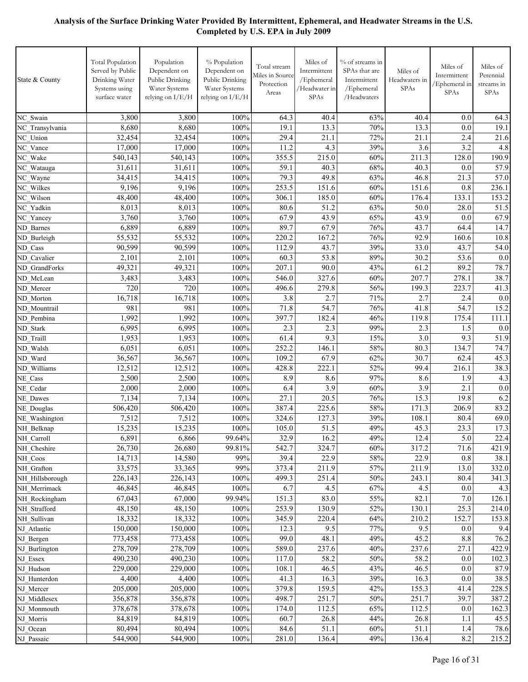| State & County              | <b>Total Population</b><br>Served by Public<br>Drinking Water<br>Systems using<br>surface water | Population<br>Dependent on<br>Public Drinking<br>Water Systems<br>relying on I/E/H | % Population<br>Dependent on<br>Public Drinking<br>Water Systems<br>relying on I/E/H | Total stream<br>Miles in Source<br>Protection<br>Areas | Miles of<br>Intermittent<br>/Ephemeral<br>/Headwater in<br>SPAs | % of streams in<br>SPAs that are<br>Intermittent<br>/Ephemeral<br>/Headwaters | Miles of<br>Headwaters in<br>SPAs | Miles of<br>Intermittent<br>Ephemeral in<br>SPAs | Miles of<br>Perennial<br>streams in<br>SPAs |
|-----------------------------|-------------------------------------------------------------------------------------------------|------------------------------------------------------------------------------------|--------------------------------------------------------------------------------------|--------------------------------------------------------|-----------------------------------------------------------------|-------------------------------------------------------------------------------|-----------------------------------|--------------------------------------------------|---------------------------------------------|
| NC Swain                    | 3,800                                                                                           | 3,800                                                                              | 100%                                                                                 | 64.3                                                   | 40.4                                                            | 63%                                                                           | 40.4                              | 0.0                                              | 64.3                                        |
| NC Transylvania             | 8,680                                                                                           | 8,680                                                                              | 100%                                                                                 | 19.1                                                   | 13.3                                                            | 70%                                                                           | 13.3                              | 0.0                                              | 19.1                                        |
| NC Union                    | 32,454                                                                                          | 32,454                                                                             | 100%                                                                                 | 29.4                                                   | 21.1                                                            | 72%                                                                           | 21.1                              | 2.4                                              | 21.6                                        |
| NC Vance                    | 17,000                                                                                          | 17,000                                                                             | 100%                                                                                 | 11.2                                                   | 4.3                                                             | 39%                                                                           | 3.6                               | 3.2                                              | 4.8                                         |
| NC Wake                     | 540,143                                                                                         | 540,143                                                                            | 100%                                                                                 | 355.5                                                  | 215.0                                                           | 60%                                                                           | 211.3                             | 128.0                                            | 190.9                                       |
| NC_Watauga                  | 31,611                                                                                          | 31,611                                                                             | 100%                                                                                 | 59.1                                                   | 40.3                                                            | 68%                                                                           | 40.3                              | 0.0                                              | 57.9                                        |
| NC Wayne                    | 34,415                                                                                          | 34,415                                                                             | 100%                                                                                 | 79.3                                                   | 49.8                                                            | 63%                                                                           | 46.8                              | $\overline{2}1.3$                                | 57.0                                        |
| NC Wilkes                   | 9,196                                                                                           | 9,196                                                                              | 100%                                                                                 | 253.5                                                  | 151.6                                                           | 60%                                                                           | 151.6                             | 0.8                                              | 236.1                                       |
| NC Wilson                   | 48,400                                                                                          | 48,400                                                                             | 100%                                                                                 | 306.1                                                  | 185.0                                                           | 60%                                                                           | 176.4                             | 133.1                                            | 153.2                                       |
| NC Yadkin                   | 8,013                                                                                           | 8,013<br>3,760                                                                     | 100%<br>100%                                                                         | 80.6<br>67.9                                           | 51.2<br>43.9                                                    | 63%<br>65%                                                                    | 50.0<br>43.9                      | 28.0                                             | 51.5                                        |
| NC Yancey<br>ND Barnes      | 3,760<br>6,889                                                                                  | 6,889                                                                              | 100%                                                                                 | 89.7                                                   | 67.9                                                            | 76%                                                                           | 43.7                              | 0.0<br>64.4                                      | 67.9<br>14.7                                |
| ND Burleigh                 | 55,532                                                                                          | 55,532                                                                             | 100%                                                                                 | 220.2                                                  | 167.2                                                           | 76%                                                                           | 92.9                              | 160.6                                            | 10.8                                        |
| ND Cass                     | 90,599                                                                                          | 90,599                                                                             | 100%                                                                                 | 112.9                                                  | 43.7                                                            | 39%                                                                           | 33.0                              | 43.7                                             | 54.0                                        |
| ND Cavalier                 | 2,101                                                                                           | 2,101                                                                              | 100%                                                                                 | 60.3                                                   | 53.8                                                            | 89%                                                                           | 30.2                              | 53.6                                             | 0.0                                         |
| ND GrandForks               | 49,321                                                                                          | 49,321                                                                             | 100%                                                                                 | 207.1                                                  | 90.0                                                            | 43%                                                                           | 61.2                              | 89.2                                             | 78.7                                        |
| ND McLean                   | 3,483                                                                                           | 3,483                                                                              | 100%                                                                                 | 546.0                                                  | 327.6                                                           | 60%                                                                           | 207.7                             | 278.1                                            | 38.7                                        |
| ND Mercer                   | 720                                                                                             | 720                                                                                | 100%                                                                                 | 496.6                                                  | 279.8                                                           | 56%                                                                           | 199.3                             | 223.7                                            | 41.3                                        |
| ND Morton                   | 16,718                                                                                          | 16,718                                                                             | 100%                                                                                 | 3.8                                                    | 2.7                                                             | 71%                                                                           | 2.7                               | 2.4                                              | 0.0                                         |
| ND Mountrail                | 981                                                                                             | 981                                                                                | 100%                                                                                 | 71.8                                                   | 54.7                                                            | 76%                                                                           | 41.8                              | 54.7                                             | 15.2                                        |
| ND Pembina                  | 1,992                                                                                           | 1,992                                                                              | 100%                                                                                 | 397.7                                                  | 182.4                                                           | 46%                                                                           | 119.8                             | 175.4                                            | 111.1                                       |
| ND Stark                    | 6,995                                                                                           | 6,995                                                                              | 100%                                                                                 | 2.3                                                    | 2.3                                                             | 99%                                                                           | 2.3                               | 1.5                                              | 0.0                                         |
| ND Traill                   | 1,953                                                                                           | 1,953                                                                              | 100%                                                                                 | 61.4                                                   | 9.3                                                             | 15%                                                                           | 3.0                               | 9.3                                              | 51.9                                        |
| ND Walsh                    | 6,051                                                                                           | 6,051                                                                              | 100%                                                                                 | 252.2                                                  | 146.1                                                           | 58%                                                                           | 80.3                              | 134.7                                            | 74.7                                        |
| ND Ward                     | 36,567                                                                                          | 36,567                                                                             | 100%                                                                                 | 109.2                                                  | 67.9                                                            | 62%                                                                           | 30.7                              | 62.4                                             | 45.3                                        |
| ND Williams                 | 12,512                                                                                          | 12,512                                                                             | 100%                                                                                 | 428.8                                                  | 222.1                                                           | 52%                                                                           | 99.4                              | 216.1                                            | 38.3                                        |
| NE Cass                     | 2,500                                                                                           | 2,500                                                                              | 100%                                                                                 | 8.9                                                    | 8.6                                                             | 97%                                                                           | 8.6                               | 1.9                                              | 4.3                                         |
| NE Cedar                    | 2,000                                                                                           | 2,000                                                                              | 100%                                                                                 | 6.4                                                    | $\overline{3.9}$                                                | 60%                                                                           | 3.9                               | 2.1                                              | 0.0                                         |
| NE Dawes                    | 7,134                                                                                           | 7,134                                                                              | 100%<br>100%                                                                         | 27.1<br>387.4                                          | 20.5<br>225.6                                                   | 76%<br>58%                                                                    | 15.3<br>171.3                     | 19.8<br>206.9                                    | 6.2<br>83.2                                 |
| NE Douglas<br>NE_Washington | 506,420<br>7,512                                                                                | 506,420<br>7,512                                                                   | 100%                                                                                 | 324.6                                                  | 127.3                                                           | 39%                                                                           | 108.1                             | 80.4                                             | 69.0                                        |
| NH Belknap                  | 15,235                                                                                          | 15,235                                                                             | 100%                                                                                 | 105.0                                                  | 51.5                                                            | 49%                                                                           | 45.3                              | 23.3                                             | 17.3                                        |
| NH Carroll                  | 6,891                                                                                           | 6,866                                                                              | 99.64%                                                                               | 32.9                                                   | 16.2                                                            | 49%                                                                           | 12.4                              | 5.0                                              | 22.4                                        |
| NH Cheshire                 | 26,730                                                                                          | 26,680                                                                             | 99.81%                                                                               | 542.7                                                  | 324.7                                                           | 60%                                                                           | 317.2                             | 71.6                                             | 421.9                                       |
| NH Coos                     | 14,713                                                                                          | 14,580                                                                             | 99%                                                                                  | 39.4                                                   | 22.9                                                            | 58%                                                                           | 22.9                              | 0.8                                              | 38.1                                        |
| NH Grafton                  | 33,575                                                                                          | 33,365                                                                             | 99%                                                                                  | 373.4                                                  | 211.9                                                           | 57%                                                                           | 211.9                             | 13.0                                             | 332.0                                       |
| NH Hillsborough             | 226,143                                                                                         | 226,143                                                                            | 100%                                                                                 | 499.3                                                  | 251.4                                                           | 50%                                                                           | 243.1                             | 80.4                                             | 341.3                                       |
| NH Merrimack                | 46,845                                                                                          | 46,845                                                                             | 100%                                                                                 | 6.7                                                    | 4.5                                                             | 67%                                                                           | 4.5                               | 0.0                                              | 4.3                                         |
| NH Rockingham               | 67,043                                                                                          | 67,000                                                                             | 99.94%                                                                               | 151.3                                                  | 83.0                                                            | 55%                                                                           | 82.1                              | 7.0                                              | 126.1                                       |
| NH Strafford                | 48,150                                                                                          | 48,150                                                                             | 100%                                                                                 | 253.9                                                  | 130.9                                                           | 52%                                                                           | 130.1                             | 25.3                                             | 214.0                                       |
| NH Sullivan                 | 18,332                                                                                          | 18,332                                                                             | 100%                                                                                 | 345.9                                                  | 220.4                                                           | 64%                                                                           | 210.2                             | 152.7                                            | 153.8                                       |
| NJ Atlantic                 | 150,000                                                                                         | 150,000                                                                            | 100%                                                                                 | 12.3                                                   | 9.5                                                             | 77%                                                                           | 9.5                               | $0.0\,$                                          | 9.4                                         |
| NJ_Bergen                   | 773,458                                                                                         | 773,458                                                                            | 100%                                                                                 | 99.0                                                   | 48.1                                                            | 49%                                                                           | 45.2                              | 8.8                                              | 76.2                                        |
| NJ Burlington               | 278,709                                                                                         | 278,709                                                                            | 100%                                                                                 | 589.0                                                  | 237.6                                                           | 40%                                                                           | 237.6                             | 27.1                                             | 422.9                                       |
| NJ Essex                    | 490,230                                                                                         | 490,230                                                                            | 100%                                                                                 | 117.0                                                  | 58.2                                                            | 50%                                                                           | 58.2                              | 0.0                                              | 102.3                                       |
| NJ Hudson                   | 229,000                                                                                         | 229,000                                                                            | 100%                                                                                 | 108.1                                                  | 46.5                                                            | 43%                                                                           | 46.5                              | 0.0                                              | 87.9                                        |
| NJ Hunterdon                | 4,400                                                                                           | 4,400                                                                              | 100%                                                                                 | 41.3                                                   | 16.3                                                            | 39%                                                                           | 16.3                              | 0.0                                              | 38.5                                        |
| NJ Mercer                   | 205,000                                                                                         | 205,000                                                                            | 100%<br>100%                                                                         | 379.8<br>498.7                                         | 159.5<br>251.7                                                  | 42%<br>50%                                                                    | 155.3                             | 41.4<br>39.7                                     | 228.5                                       |
| NJ Middlesex<br>NJ Monmouth | 356,878<br>378,678                                                                              | 356,878<br>378,678                                                                 | 100%                                                                                 | 174.0                                                  | 112.5                                                           | 65%                                                                           | 251.7<br>112.5                    | 0.0                                              | 387.2<br>162.3                              |
| NJ Morris                   | 84,819                                                                                          | 84,819                                                                             | 100%                                                                                 | 60.7                                                   | 26.8                                                            | 44%                                                                           | 26.8                              | 1.1                                              | 45.5                                        |
| NJ Ocean                    | 80,494                                                                                          | 80,494                                                                             | 100%                                                                                 | 84.6                                                   | 51.1                                                            | 60%                                                                           | 51.1                              | 1.4                                              | 78.6                                        |
| NJ_Passaic                  | 544,900                                                                                         | 544,900                                                                            | $100\%$                                                                              | 281.0                                                  | 136.4                                                           | 49%                                                                           | 136.4                             | 8.2                                              | 215.2                                       |
|                             |                                                                                                 |                                                                                    |                                                                                      |                                                        |                                                                 |                                                                               |                                   |                                                  |                                             |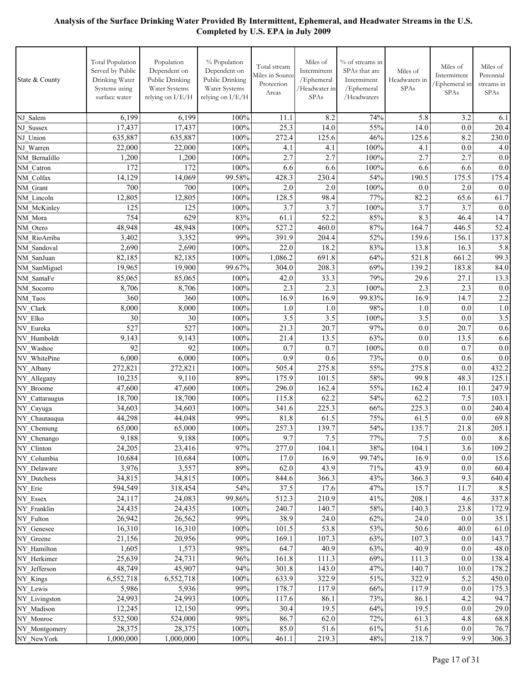| State & County              | <b>Total Population</b><br>Served by Public<br>Drinking Water<br>Systems using<br>surface water | Population<br>Dependent on<br>Public Drinking<br>Water Systems<br>relying on I/E/H | % Population<br>Dependent on<br>Public Drinking<br>Water Systems<br>relying on I/E/H | Total stream<br>Miles in Source<br>Protection<br>Areas | Miles of<br>Intermittent<br>/Ephemeral<br>/Headwater in<br>SPAs | % of streams in<br>SPAs that are<br>Intermittent<br>/Ephemeral<br>/Headwaters | Miles of<br>Headwaters in<br>SPAs | Miles of<br>Intermittent<br>/Ephemeral in<br>SPAs | Miles of<br>Perennial<br>streams in<br>SPAs |
|-----------------------------|-------------------------------------------------------------------------------------------------|------------------------------------------------------------------------------------|--------------------------------------------------------------------------------------|--------------------------------------------------------|-----------------------------------------------------------------|-------------------------------------------------------------------------------|-----------------------------------|---------------------------------------------------|---------------------------------------------|
| NJ Salem                    | 6,199                                                                                           | 6,199                                                                              | 100%                                                                                 | 11.1                                                   | 8.2                                                             | 74%                                                                           | 5.8                               | 3.2                                               | 6.1                                         |
| NJ Sussex                   | 17,437                                                                                          | 17,437                                                                             | 100%                                                                                 | 25.3                                                   | 14.0                                                            | 55%                                                                           | 14.0                              | 0.0                                               | 20.4                                        |
| NJ Union                    | 635,887                                                                                         | 635,887                                                                            | 100%                                                                                 | 272.4                                                  | 125.6                                                           | 46%                                                                           | 125.6                             | 8.2                                               | 230.0                                       |
| NJ Warren                   | 22,000                                                                                          | 22,000                                                                             | 100%                                                                                 | 4.1                                                    | 4.1                                                             | 100%                                                                          | 4.1                               | 0.0                                               | 4.0                                         |
| NM Bernalillo               | 1,200                                                                                           | 1,200                                                                              | 100%                                                                                 | $\overline{2.7}$                                       | 2.7                                                             | 100%                                                                          | 2.7                               | 2.7                                               | 0.0                                         |
| NM Catron                   | 172                                                                                             | 172                                                                                | 100%                                                                                 | 6.6                                                    | 6.6                                                             | $100\%$                                                                       | 6.6                               | 6.6                                               | 0.0                                         |
| NM Colfax                   | 14,129                                                                                          | 14,069                                                                             | 99.58%                                                                               | 428.3                                                  | 230.4                                                           | 54%                                                                           | 190.5                             | 175.5                                             | 175.4                                       |
| NM Grant                    | 700                                                                                             | 700                                                                                | 100%                                                                                 | 2.0                                                    | 2.0                                                             | 100%                                                                          | 0.0                               | 2.0                                               | 0.0                                         |
| NM Lincoln                  | 12,805                                                                                          | 12,805                                                                             | 100%                                                                                 | 128.5                                                  | 98.4                                                            | 77%                                                                           | 82.2                              | 65.6                                              | 61.7                                        |
| NM McKinley                 | 125                                                                                             | 125                                                                                | 100%                                                                                 | 3.7                                                    | 3.7                                                             | 100%                                                                          | 3.7                               | 3.7                                               | 0.0                                         |
| NM Mora                     | 754                                                                                             | 629                                                                                | 83%                                                                                  | 61.1                                                   | $\overline{52.2}$                                               | 85%                                                                           | 8.3                               | 46.4                                              | 14.7                                        |
| NM Otero                    | 48,948                                                                                          | 48,948                                                                             | 100%                                                                                 | 527.2                                                  | 460.0                                                           | 87%                                                                           | 164.7                             | 446.5                                             | 52.4                                        |
| NM RioArriba                | 3,402                                                                                           | 3,352                                                                              | 99%                                                                                  | 391.9                                                  | 204.4                                                           | 52%                                                                           | 159.6                             | 156.1                                             | 137.8                                       |
| NM Sandoval                 | 2,690                                                                                           | 2,690                                                                              | 100%                                                                                 | 22.0                                                   | 18.2                                                            | 83%                                                                           | 13.8                              | 16.3                                              | 5.8                                         |
| NM SanJuan                  | 82,185                                                                                          | 82,185                                                                             | 100%                                                                                 | 1,086.2                                                | 691.8                                                           | 64%                                                                           | 521.8                             | 661.2                                             | 99.3                                        |
| NM SanMiguel                | 19,965                                                                                          | 19,900                                                                             | 99.67%                                                                               | 304.0                                                  | 208.3                                                           | 69%                                                                           | 139.2                             | 183.8                                             | 84.0                                        |
| NM SantaFe                  | 85,065                                                                                          | 85,065                                                                             | 100%                                                                                 | 42.0                                                   | 33.3                                                            | 79%                                                                           | 29.6                              | 27.1                                              | 13.3                                        |
| NM Socorro                  | 8,706                                                                                           | 8,706                                                                              | 100%                                                                                 | 2.3                                                    | 2.3                                                             | 100%                                                                          | 2.3                               | 2.3                                               | 0.0                                         |
| NM Taos                     | 360                                                                                             | 360                                                                                | 100%                                                                                 | 16.9                                                   | 16.9                                                            | 99.83%                                                                        | 16.9                              | 14.7                                              | 2.2                                         |
| NV Clark                    | 8,000                                                                                           | 8,000                                                                              | 100%                                                                                 | 1.0                                                    | 1.0                                                             | 98%                                                                           | 1.0                               | 0.0                                               | 1.0                                         |
| NV Elko                     | 30                                                                                              | 30                                                                                 | 100%                                                                                 | 3.5                                                    | 3.5                                                             | 100%                                                                          | 3.5                               | 0.0                                               | 3.5                                         |
| NV Eureka                   | 527                                                                                             | 527                                                                                | 100%                                                                                 | 21.3                                                   | 20.7                                                            | 97%                                                                           | 0.0                               | 20.7                                              | 0.6                                         |
| NV Humboldt                 | 9,143                                                                                           | 9,143                                                                              | 100%                                                                                 | 21.4                                                   | 13.5                                                            | 63%                                                                           | 0.0                               | 13.5                                              | 6.6                                         |
| NV Washoe                   | 92                                                                                              | 92                                                                                 | 100%                                                                                 | 0.7                                                    | 0.7                                                             | 100%                                                                          | 0.0                               | 0.7                                               | 0.0                                         |
| NV WhitePine                | 6,000                                                                                           | 6,000                                                                              | 100%                                                                                 | 0.9                                                    | 0.6                                                             | 73%                                                                           | 0.0                               | 0.6                                               | 0.0                                         |
| NY Albany                   | 272,821                                                                                         | 272,821                                                                            | 100%<br>89%                                                                          | 505.4<br>175.9                                         | 275.8<br>101.5                                                  | 55%<br>58%                                                                    | 275.8<br>99.8                     | 0.0<br>48.3                                       | 432.2                                       |
| NY_Allegany                 | 10,235<br>47,600                                                                                | 9,110                                                                              | 100%                                                                                 |                                                        | 162.4                                                           | 55%                                                                           | 162.4                             |                                                   | 125.1                                       |
| NY Broome                   | 18,700                                                                                          | 47,600<br>18,700                                                                   | 100%                                                                                 | 296.0<br>115.8                                         | 62.2                                                            | 54%                                                                           | 62.2                              | 10.1<br>7.5                                       | 247.9<br>103.1                              |
| NY Cattaraugus<br>NY Cayuga | 34,603                                                                                          | 34,603                                                                             | 100%                                                                                 | 341.6                                                  | 225.3                                                           | 66%                                                                           | 225.3                             | 0.0                                               | 240.4                                       |
| NY_Chautauqua               | 44,298                                                                                          | 44,048                                                                             | 99%                                                                                  | 81.8                                                   | 61.5                                                            | 75%                                                                           | 61.5                              | 0.0                                               | 69.8                                        |
| NY_Chemung                  | 65,000                                                                                          | 65,000                                                                             | 100%                                                                                 | 257.3                                                  | 139.7                                                           | 54%                                                                           | 135.7                             | 21.8                                              | 205.1                                       |
| NY_Chenango                 | 9,188                                                                                           | 9,188                                                                              | 100%                                                                                 | 9.7                                                    | 7.5                                                             | 77%                                                                           | $7.5\,$                           | 0.0                                               | 8.6                                         |
| NY_Clinton                  | 24,205                                                                                          | 23,416                                                                             | 97%                                                                                  | 277.0                                                  | 104.1                                                           | 38%                                                                           | 104.1                             | 3.6                                               | 109.2                                       |
| NY_Columbia                 | 10,684                                                                                          | 10,684                                                                             | 100%                                                                                 | 17.0                                                   | 16.9                                                            | 99.74%                                                                        | 16.9                              | 0.0                                               | 15.6                                        |
| NY_Delaware                 | 3,976                                                                                           | 3,557                                                                              | 89%                                                                                  | 62.0                                                   | 43.9                                                            | 71%                                                                           | 43.9                              | 0.0                                               | 60.4                                        |
| NY Dutchess                 | 34,815                                                                                          | 34,815                                                                             | 100%                                                                                 | 844.6                                                  | 366.3                                                           | 43%                                                                           | 366.3                             | 9.3                                               | 640.4                                       |
| NY_Erie                     | 594,549                                                                                         | 318,454                                                                            | 54%                                                                                  | 37.5                                                   | 17.6                                                            | 47%                                                                           | 15.7                              | 11.7                                              | 8.5                                         |
| NY_Essex                    | 24,117                                                                                          | 24,083                                                                             | 99.86%                                                                               | 512.3                                                  | 210.9                                                           | 41%                                                                           | 208.1                             | 4.6                                               | 337.8                                       |
| NY_Franklin                 | 24,435                                                                                          | 24,435                                                                             | 100%                                                                                 | 240.7                                                  | 140.7                                                           | 58%                                                                           | 140.3                             | 23.8                                              | 172.9                                       |
| NY_Fulton                   | 26,942                                                                                          | 26,562                                                                             | 99%                                                                                  | 38.9                                                   | 24.0                                                            | 62%                                                                           | 24.0                              | 0.0                                               | 35.1                                        |
| NY_Genesee                  | 16,310                                                                                          | 16,310                                                                             | 100%                                                                                 | 101.5                                                  | 53.8                                                            | 53%                                                                           | 50.6                              | 40.0                                              | 61.0                                        |
| NY_Greene                   | 21,156                                                                                          | 20,956                                                                             | 99%                                                                                  | 169.1                                                  | 107.3                                                           | 63%                                                                           | 107.3                             | 0.0                                               | 143.7                                       |
| NY Hamilton                 | 1,605                                                                                           | 1,573                                                                              | 98%                                                                                  | 64.7                                                   | 40.9                                                            | 63%                                                                           | 40.9                              | 0.0                                               | 48.0                                        |
| NY Herkimer                 | 25,639                                                                                          | 24,731                                                                             | 96%                                                                                  | 161.8                                                  | 111.3                                                           | 69%                                                                           | 111.3                             | 0.0                                               | 138.4                                       |
| NY_Jefferson                | 48,749                                                                                          | 45,907                                                                             | 94%                                                                                  | 301.8                                                  | 143.0                                                           | 47%                                                                           | 140.7                             | 10.0                                              | 178.2                                       |
| NY_Kings                    | 6,552,718                                                                                       | 6,552,718                                                                          | 100%                                                                                 | 633.9                                                  | 322.9                                                           | 51%                                                                           | 322.9                             | 5.2                                               | 450.0                                       |
| NY_Lewis                    | 5,986                                                                                           | 5,936                                                                              | 99%                                                                                  | 178.7                                                  | 117.9                                                           | 66%                                                                           | 117.9                             | 0.0                                               | 175.3                                       |
| NY_Livingston               | 24,993                                                                                          | 24,993                                                                             | 100%                                                                                 | 117.6                                                  | 86.1                                                            | 73%                                                                           | 86.1                              | 4.2                                               | 94.7                                        |
| NY_Madison                  | 12,245                                                                                          | 12,150                                                                             | 99%                                                                                  | 30.4                                                   | 19.5                                                            | 64%                                                                           | 19.5                              | 0.0                                               | 29.0                                        |
| NY_Monroe                   | 532,500                                                                                         | 524,000                                                                            | 98%                                                                                  | 86.7                                                   | 62.0                                                            | 72%                                                                           | 61.3                              | 4.8                                               | 68.8                                        |
| NY_Montgomery               | 28,375                                                                                          | 28,375                                                                             | 100%                                                                                 | 85.0                                                   | 51.6                                                            | 61%                                                                           | 51.6                              | 0.0                                               | 76.7                                        |
| NY_NewYork                  | 1,000,000                                                                                       | 1,000,000                                                                          | $100\%$                                                                              | 461.1                                                  | 219.3                                                           | $48\%$                                                                        | 218.7                             | 9.9                                               | 306.3                                       |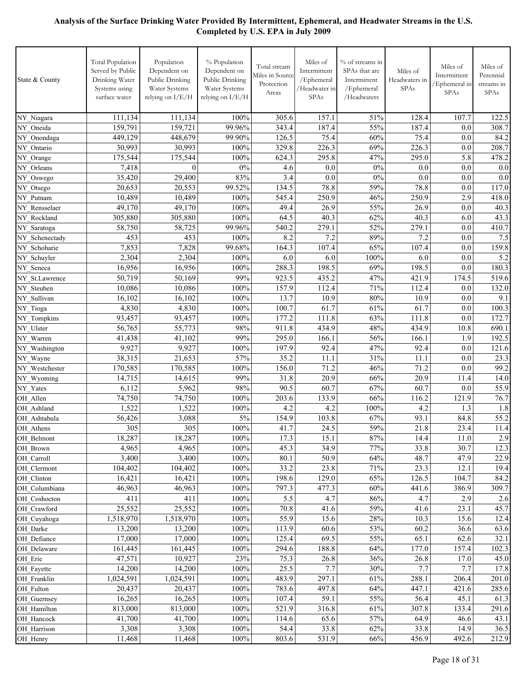| State & County                  | <b>Total Population</b><br>Served by Public<br>Drinking Water<br>Systems using<br>surface water | Population<br>Dependent on<br>Public Drinking<br>Water Systems<br>relying on I/E/H | % Population<br>Dependent on<br>Public Drinking<br>Water Systems<br>relying on I/E/H | Total stream<br>Miles in Source<br>Protection<br>Areas | Miles of<br>Intermittent<br>/Ephemeral<br>/Headwater in<br>SPAs | % of streams in<br>SPAs that are<br>Intermittent<br>/Ephemeral<br>/Headwaters | Miles of<br>Headwaters in<br><b>SPAs</b> | Miles of<br>Intermittent<br>Ephemeral in<br><b>SPAs</b> | Miles of<br>Perennial<br>streams in<br>SPAs |
|---------------------------------|-------------------------------------------------------------------------------------------------|------------------------------------------------------------------------------------|--------------------------------------------------------------------------------------|--------------------------------------------------------|-----------------------------------------------------------------|-------------------------------------------------------------------------------|------------------------------------------|---------------------------------------------------------|---------------------------------------------|
| NY_Niagara                      | 111,134                                                                                         | 111,134                                                                            | 100%                                                                                 | 305.6                                                  | 157.1                                                           | 51%                                                                           | 128.4                                    | 107.7                                                   | 122.5                                       |
| NY Oneida                       | 159,791                                                                                         | 159,721                                                                            | 99.96%                                                                               | 343.4                                                  | 187.4                                                           | 55%                                                                           | 187.4                                    | 0.0                                                     | 308.7                                       |
| NY_Onondaga                     | 449,129                                                                                         | 448,679                                                                            | 99.90%                                                                               | 126.5                                                  | 75.4                                                            | 60%                                                                           | 75.4                                     | 0.0                                                     | 84.2                                        |
| NY Ontario                      | 30,993                                                                                          | 30,993                                                                             | 100%                                                                                 | 329.8                                                  | 226.3                                                           | 69%                                                                           | 226.3                                    | 0.0                                                     | 208.7                                       |
| NY_Orange                       | 175,544                                                                                         | 175,544                                                                            | 100%                                                                                 | 624.3                                                  | 295.8                                                           | 47%                                                                           | 295.0                                    | 5.8                                                     | 478.2                                       |
| NY Orleans                      | 7,418                                                                                           | $\theta$                                                                           | $0\%$                                                                                | 4.6                                                    | 0.0                                                             | 0%                                                                            | 0.0                                      | 0.0                                                     | 0.0                                         |
| NY Oswego                       | 35,420                                                                                          | 29,400                                                                             | 83%                                                                                  | 3.4                                                    | 0.0                                                             | $0\%$                                                                         | 0.0                                      | 0.0                                                     | 0.0                                         |
| NY_Otsego                       | 20,653                                                                                          | 20,553                                                                             | 99.52%                                                                               | 134.5                                                  | 78.8                                                            | 59%                                                                           | 78.8                                     | 0.0                                                     | 117.0                                       |
| NY Putnam                       | 10,489                                                                                          | 10,489                                                                             | 100%                                                                                 | 545.4                                                  | 250.9                                                           | 46%                                                                           | 250.9                                    | 2.9                                                     | 418.0                                       |
| NY Rensselaer                   | 49,170                                                                                          | 49,170                                                                             | 100%                                                                                 | 49.4                                                   | 26.9                                                            | 55%                                                                           | 26.9                                     | 0.0                                                     | 40.3                                        |
| NY Rockland                     | 305,880                                                                                         | 305,880                                                                            | 100%                                                                                 | 64.5                                                   | 40.3                                                            | 62%                                                                           | 40.3                                     | 6.0                                                     | 43.3                                        |
| NY Saratoga                     | 58,750                                                                                          | 58,725                                                                             | 99.96%                                                                               | 540.2                                                  | 279.1                                                           | 52%                                                                           | 279.1                                    | 0.0                                                     | 410.7                                       |
| NY Schenectady                  | 453                                                                                             | 453                                                                                | 100%                                                                                 | 8.2                                                    | 7.2                                                             | 89%                                                                           | 7.2                                      | 0.0                                                     | 7.5                                         |
| NY Schoharie                    | 7,853                                                                                           | 7,828                                                                              | 99.68%                                                                               | 164.3                                                  | 107.4                                                           | 65%                                                                           | 107.4                                    | 0.0                                                     | 159.8                                       |
| NY_Schuyler                     | 2,304                                                                                           | 2,304                                                                              | 100%                                                                                 | 6.0                                                    | 6.0                                                             | 100%                                                                          | 6.0                                      | 0.0                                                     | 5.2                                         |
| NY_Seneca                       | 16,956                                                                                          | 16,956                                                                             | 100%                                                                                 | 288.3                                                  | 198.5                                                           | 69%                                                                           | 198.5                                    | 0.0                                                     | 180.3                                       |
| NY St.Lawrence                  | 50,719                                                                                          | 50,169                                                                             | 99%                                                                                  | 923.5                                                  | 435.2                                                           | 47%                                                                           | 421.9                                    | 174.5                                                   | 519.6                                       |
| NY Steuben                      | 10,086                                                                                          | 10,086                                                                             | 100%                                                                                 | 157.9                                                  | 112.4                                                           | 71%                                                                           | 112.4                                    | 0.0                                                     | 132.0                                       |
| NY Sullivan                     | 16,102                                                                                          | 16,102                                                                             | 100%                                                                                 | 13.7                                                   | 10.9                                                            | 80%                                                                           | 10.9                                     | 0.0                                                     | 9.1                                         |
| NY Tioga                        | 4,830                                                                                           | 4,830                                                                              | 100%                                                                                 | 100.7                                                  | 61.7                                                            | 61%                                                                           | 61.7                                     | 0.0                                                     | 100.3                                       |
| NY Tompkins                     | 93,457                                                                                          | 93,457                                                                             | 100%                                                                                 | 177.2<br>911.8                                         | 111.8                                                           | 63%                                                                           | 111.8<br>434.9                           | 0.0                                                     | 172.7                                       |
| NY Ulster                       | 56,765<br>41,438                                                                                | 55,773<br>41,102                                                                   | 98%<br>99%                                                                           | 295.0                                                  | 434.9<br>166.1                                                  | 48%<br>56%                                                                    | 166.1                                    | 10.8<br>1.9                                             | 690.1<br>192.5                              |
| NY Warren                       | 9,927                                                                                           | 9,927                                                                              | 100%                                                                                 | 197.9                                                  | 92.4                                                            | 47%                                                                           | 92.4                                     | 0.0                                                     | 121.6                                       |
| NY Washington<br>NY_Wayne       | 38,315                                                                                          | 21,653                                                                             | 57%                                                                                  | 35.2                                                   | 11.1                                                            | 31%                                                                           | 11.1                                     | 0.0                                                     | 23.3                                        |
| NY Westchester                  | 170,585                                                                                         | 170,585                                                                            | 100%                                                                                 | 156.0                                                  | 71.2                                                            | 46%                                                                           | 71.2                                     | 0.0                                                     | 99.2                                        |
| NY Wyoming                      | 14,715                                                                                          | 14,615                                                                             | 99%                                                                                  | 31.8                                                   | $20.\overline{9}$                                               | 66%                                                                           | 20.9                                     | 11.4                                                    | 14.0                                        |
| NY Yates                        | 6,112                                                                                           | 5,962                                                                              | 98%                                                                                  | 90.5                                                   | 60.7                                                            | 67%                                                                           | 60.7                                     | 0.0                                                     | 55.9                                        |
| OH Allen                        | 74,750                                                                                          | 74,750                                                                             | 100%                                                                                 | 203.6                                                  | 133.9                                                           | 66%                                                                           | 116.2                                    | 121.9                                                   | 76.7                                        |
| OH_Ashland                      | 1,522                                                                                           | 1,522                                                                              | 100%                                                                                 | 4.2                                                    | 4.2                                                             | 100%                                                                          | 4.2                                      | 1.3                                                     | 1.8                                         |
| OH_Ashtabula                    | 56,426                                                                                          | 3,088                                                                              | 5%                                                                                   | 154.9                                                  | 103.8                                                           | 67%                                                                           | 93.1                                     | 84.8                                                    | 55.2                                        |
| OH Athens                       | 305                                                                                             | 305                                                                                | 100%                                                                                 | 41.7                                                   | 24.5                                                            | 59%                                                                           | 21.8                                     | 23.4                                                    | 11.4                                        |
| OH Belmont                      | 18,287                                                                                          | 18,287                                                                             | $100\%$                                                                              | 17.3                                                   | 15.1                                                            | 87%                                                                           | 14.4                                     | 11.0                                                    | 2.9                                         |
| OH Brown                        | 4,965                                                                                           | 4,965                                                                              | 100%                                                                                 | 45.3                                                   | 34.9                                                            | 77%                                                                           | 33.8                                     | 30.7                                                    | 12.3                                        |
| OH_Carroll                      | 3,400                                                                                           | 3,400                                                                              | 100%                                                                                 | 80.1                                                   | 50.9                                                            | 64%                                                                           | 48.7                                     | 47.9                                                    | 22.9                                        |
| OH Clermont                     | 104,402                                                                                         | 104,402                                                                            | 100%                                                                                 | 33.2                                                   | 23.8                                                            | 71%                                                                           | 23.3                                     | 12.1                                                    | 19.4                                        |
| OH Clinton                      | 16,421                                                                                          | 16,421                                                                             | 100%                                                                                 | 198.6                                                  | 129.0                                                           | 65%                                                                           | 126.5                                    | 104.7                                                   | 84.2                                        |
| OH Columbiana                   | 46,963                                                                                          | 46,963                                                                             | 100%                                                                                 | 797.3                                                  | 477.3                                                           | 60%                                                                           | 441.6                                    | 386.9                                                   | 309.7                                       |
| OH Coshocton                    | 411                                                                                             | 411                                                                                | 100%                                                                                 | 5.5                                                    | 4.7                                                             | 86%                                                                           | 4.7                                      | 2.9                                                     | 2.6                                         |
| OH Crawford                     | 25,552                                                                                          | 25,552                                                                             | $100\%$                                                                              | 70.8                                                   | 41.6                                                            | 59%                                                                           | 41.6                                     | 23.1                                                    | 45.7                                        |
| OH Cuyahoga                     | 1,518,970                                                                                       | 1,518,970                                                                          | 100%                                                                                 | 55.9                                                   | 15.6                                                            | 28%                                                                           | 10.3                                     | 15.6                                                    | 12.4                                        |
| OH Darke                        | 13,200                                                                                          | 13,200                                                                             | $100\%$                                                                              | 113.9                                                  | 60.6                                                            | 53%                                                                           | 60.2                                     | 36.6                                                    | 63.6                                        |
| OH Defiance                     | 17,000                                                                                          | 17,000                                                                             | 100%                                                                                 | 125.4                                                  | 69.5                                                            | 55%                                                                           | 65.1                                     | 62.6                                                    | 32.1                                        |
| OH Delaware                     | 161,445                                                                                         | 161,445                                                                            | 100%                                                                                 | 294.6                                                  | 188.8                                                           | 64%                                                                           | 177.0                                    | 157.4                                                   | 102.3                                       |
| OH Erie                         | 47,571                                                                                          | 10,927                                                                             | 23%                                                                                  | 75.3                                                   | 26.8                                                            | 36%                                                                           | 26.8                                     | 17.0                                                    | 45.0                                        |
| OH Fayette                      | 14,200                                                                                          | 14,200                                                                             | 100%                                                                                 | 25.5                                                   | 7.7                                                             | 30%                                                                           | 7.7                                      | 7.7                                                     | 17.8                                        |
| OH Franklin<br>$\rm OH\_Fulton$ | 1,024,591<br>20,437                                                                             | 1,024,591<br>20,437                                                                | 100%<br>100%                                                                         | 483.9<br>783.6                                         | 297.1<br>497.8                                                  | 61%<br>64%                                                                    | 288.1<br>447.1                           | 206.4<br>421.6                                          | 201.0<br>285.6                              |
| OH_Guernsey                     | 16,265                                                                                          | 16,265                                                                             | 100%                                                                                 | 107.4                                                  | 59.1                                                            | 55%                                                                           | 56.4                                     | 45.1                                                    | 61.3                                        |
| OH Hamilton                     | 813,000                                                                                         | 813,000                                                                            | 100%                                                                                 | 521.9                                                  | 316.8                                                           | 61%                                                                           | 307.8                                    | 133.4                                                   | 291.6                                       |
| OH_Hancock                      | 41,700                                                                                          | 41,700                                                                             | 100%                                                                                 | 114.6                                                  | 65.6                                                            | 57%                                                                           | 64.9                                     | 46.6                                                    | 43.1                                        |
| OH Harrison                     | 3,308                                                                                           | 3,308                                                                              | $100\%$                                                                              | 54.4                                                   | 33.8                                                            | 62%                                                                           | 33.8                                     | 14.9                                                    | 36.5                                        |
| OH_Henry                        | 11,468                                                                                          | 11,468                                                                             | 100%                                                                                 | 803.6                                                  | 531.9                                                           | 66%                                                                           | 456.9                                    | 492.6                                                   | 212.9                                       |
|                                 |                                                                                                 |                                                                                    |                                                                                      |                                                        |                                                                 |                                                                               |                                          |                                                         |                                             |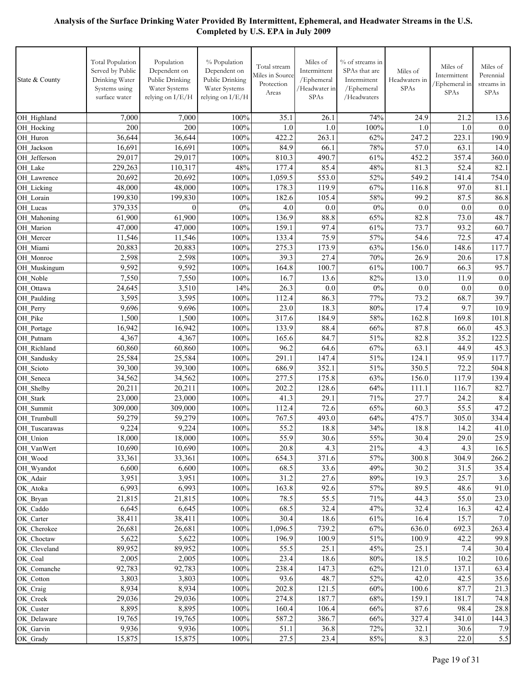| State & County           | Total Population<br>Served by Public<br>Drinking Water<br>Systems using<br>surface water | Population<br>Dependent on<br>Public Drinking<br>Water Systems<br>relying on I/E/H | % Population<br>Dependent on<br>Public Drinking<br>Water Systems<br>relying on I/E/H | Total stream<br>Miles in Source<br>Protection<br>Areas | Miles of<br>Intermittent<br>/Ephemeral<br>/Headwater in<br>SPAs | % of streams in<br>SPAs that are<br>Intermittent<br>/Ephemeral<br>/Headwaters | Miles of<br>Headwaters in<br><b>SPAs</b> | Miles of<br>Intermittent<br>/Ephemeral in<br><b>SPAs</b> | Miles of<br>Perennial<br>streams in<br><b>SPAs</b> |
|--------------------------|------------------------------------------------------------------------------------------|------------------------------------------------------------------------------------|--------------------------------------------------------------------------------------|--------------------------------------------------------|-----------------------------------------------------------------|-------------------------------------------------------------------------------|------------------------------------------|----------------------------------------------------------|----------------------------------------------------|
| OH Highland              | 7,000                                                                                    | 7,000                                                                              | 100%                                                                                 | 35.1                                                   | 26.1                                                            | 74%                                                                           | 24.9                                     | 21.2                                                     | 13.6                                               |
| OH Hocking               | 200                                                                                      | 200                                                                                | 100%                                                                                 | 1.0                                                    | 1.0                                                             | 100%                                                                          | 1.0                                      | 1.0                                                      | 0.0                                                |
| OH Huron                 | 36,644                                                                                   | 36,644                                                                             | 100%                                                                                 | 422.2                                                  | 263.1                                                           | 62%                                                                           | 247.2                                    | 223.1                                                    | 190.9                                              |
| OH Jackson               | 16,691                                                                                   | 16,691                                                                             | 100%                                                                                 | 84.9                                                   | 66.1                                                            | 78%                                                                           | 57.0                                     | 63.1                                                     | 14.0                                               |
| OH Jefferson             | 29,017                                                                                   | 29,017                                                                             | 100%                                                                                 | 810.3                                                  | 490.7                                                           | 61%                                                                           | 452.2                                    | 357.4                                                    | 360.0                                              |
| OH Lake                  | 229,263                                                                                  | 110,317                                                                            | 48%                                                                                  | 177.4                                                  | 85.4                                                            | 48%                                                                           | 81.3                                     | 52.4                                                     | 82.1                                               |
| OH_Lawrence              | 20,692                                                                                   | 20,692                                                                             | 100%                                                                                 | 1,059.5                                                | 553.0                                                           | 52%                                                                           | 549.2                                    | 141.4                                                    | 754.0                                              |
| OH_Licking               | 48,000                                                                                   | 48,000                                                                             | 100%                                                                                 | 178.3                                                  | 119.9                                                           | 67%<br>58%                                                                    | 116.8<br>99.2                            | 97.0<br>87.5                                             | 81.1                                               |
| OH Lorain                | 199,830<br>379,335                                                                       | 199,830<br>$\theta$                                                                | 100%<br>$0\%$                                                                        | 182.6<br>4.0                                           | 105.4<br>0.0                                                    | 0%                                                                            | 0.0                                      | 0.0                                                      | 86.8<br>0.0                                        |
| OH Lucas<br>OH Mahoning  | 61,900                                                                                   | 61,900                                                                             | 100%                                                                                 | 136.9                                                  | 88.8                                                            | 65%                                                                           | 82.8                                     | 73.0                                                     | 48.7                                               |
| OH Marion                | 47,000                                                                                   | 47,000                                                                             | 100%                                                                                 | 159.1                                                  | 97.4                                                            | 61%                                                                           | 73.7                                     | 93.2                                                     | 60.7                                               |
| OH Mercer                | 11,546                                                                                   | 11,546                                                                             | 100%                                                                                 | 133.4                                                  | 75.9                                                            | 57%                                                                           | 54.6                                     | 72.5                                                     | 47.4                                               |
| OH Miami                 | 20,883                                                                                   | 20,883                                                                             | 100%                                                                                 | 275.3                                                  | 173.9                                                           | 63%                                                                           | 156.0                                    | 148.6                                                    | 117.7                                              |
| OH Monroe                | 2,598                                                                                    | 2,598                                                                              | 100%                                                                                 | 39.3                                                   | 27.4                                                            | 70%                                                                           | 26.9                                     | 20.6                                                     | 17.8                                               |
| OH_Muskingum             | 9,592                                                                                    | 9,592                                                                              | 100%                                                                                 | 164.8                                                  | 100.7                                                           | 61%                                                                           | 100.7                                    | 66.3                                                     | 95.7                                               |
| OH Noble                 | 7,550                                                                                    | 7,550                                                                              | 100%                                                                                 | 16.7                                                   | 13.6                                                            | 82%                                                                           | 13.0                                     | 11.9                                                     | 0.0                                                |
| OH Ottawa                | 24.645                                                                                   | 3,510                                                                              | 14%                                                                                  | 26.3                                                   | 0.0                                                             | 0%                                                                            | 0.0                                      | 0.0                                                      | 0.0                                                |
| OH Paulding              | 3,595                                                                                    | 3,595                                                                              | 100%                                                                                 | 112.4                                                  | 86.3                                                            | 77%                                                                           | 73.2                                     | 68.7                                                     | 39.7                                               |
| OH Perry                 | 9,696                                                                                    | 9,696                                                                              | 100%                                                                                 | 23.0                                                   | 18.3                                                            | 80%                                                                           | 17.4                                     | 9.7                                                      | 10.9                                               |
| OH Pike                  | 1,500                                                                                    | 1,500                                                                              | 100%                                                                                 | 317.6                                                  | 184.9                                                           | 58%                                                                           | 162.8                                    | 169.8                                                    | 101.8                                              |
| OH Portage               | 16,942                                                                                   | 16,942                                                                             | 100%                                                                                 | 133.9                                                  | 88.4                                                            | 66%                                                                           | 87.8                                     | 66.0                                                     | 45.3                                               |
| OH Putnam                | 4,367                                                                                    | 4,367                                                                              | 100%                                                                                 | 165.6                                                  | 84.7                                                            | 51%                                                                           | 82.8                                     | 35.2                                                     | 122.5                                              |
| OH Richland              | 60,860                                                                                   | 60,860                                                                             | 100%                                                                                 | 96.2                                                   | 64.6                                                            | 67%                                                                           | 63.1                                     | 44.9                                                     | 45.3                                               |
| OH Sandusky<br>OH Scioto | 25,584<br>39,300                                                                         | 25,584<br>39,300                                                                   | 100%<br>100%                                                                         | 291.1<br>686.9                                         | 147.4<br>352.1                                                  | 51%<br>51%                                                                    | 124.1<br>350.5                           | 95.9<br>72.2                                             | 117.7<br>504.8                                     |
| OH Seneca                | 34,562                                                                                   | 34,562                                                                             | 100%                                                                                 | 277.5                                                  | 175.8                                                           | 63%                                                                           | 156.0                                    | 117.9                                                    | 139.4                                              |
| OH Shelby                | 20,211                                                                                   | 20,211                                                                             | 100%                                                                                 | 202.2                                                  | 128.6                                                           | 64%                                                                           | 111.1                                    | 116.7                                                    | 82.7                                               |
| OH Stark                 | 23,000                                                                                   | 23,000                                                                             | 100%                                                                                 | 41.3                                                   | 29.1                                                            | 71%                                                                           | 27.7                                     | 24.2                                                     | 8.4                                                |
| OH_Summit                | 309,000                                                                                  | 309,000                                                                            | 100%                                                                                 | 112.4                                                  | 72.6                                                            | 65%                                                                           | 60.3                                     | 55.5                                                     | 47.2                                               |
| OH_Trumbull              | 59,279                                                                                   | 59,279                                                                             | 100%                                                                                 | 767.5                                                  | 493.0                                                           | 64%                                                                           | 475.7                                    | 305.0                                                    | 334.4                                              |
| OH_Tuscarawas            | 9,224                                                                                    | 9,224                                                                              | 100%                                                                                 | 55.2                                                   | 18.8                                                            | 34%                                                                           | 18.8                                     | 14.2                                                     | 41.0                                               |
| OH_Union                 | 18,000                                                                                   | 18,000                                                                             | 100%                                                                                 | 55.9                                                   | 30.6                                                            | 55%                                                                           | 30.4                                     | 29.0                                                     | 25.9                                               |
| OH VanWert               | 10,690                                                                                   | 10,690                                                                             | 100%                                                                                 | 20.8                                                   | 4.3                                                             | 21%                                                                           | 4.3                                      | 4.3                                                      | 16.5                                               |
| OH Wood                  | 33,361                                                                                   | 33,361                                                                             | 100%                                                                                 | 654.3                                                  | 371.6                                                           | 57%                                                                           | 300.8                                    | 304.9                                                    | 266.2                                              |
| OH Wyandot               | 6,600                                                                                    | 6,600                                                                              | 100%                                                                                 | 68.5                                                   | 33.6                                                            | 49%                                                                           | 30.2                                     | 31.5                                                     | 35.4                                               |
| OK_Adair                 | 3,951                                                                                    | 3,951                                                                              | 100%                                                                                 | 31.2                                                   | 27.6                                                            | 89%                                                                           | 19.3                                     | 25.7                                                     | 3.6                                                |
| OK Atoka                 | 6,993                                                                                    | 6,993                                                                              | 100%                                                                                 | 163.8                                                  | 92.6                                                            | 57%                                                                           | 89.5                                     | 48.6                                                     | 91.0                                               |
| OK Bryan<br>OK Caddo     | 21,815<br>6,645                                                                          | 21,815<br>6,645                                                                    | 100%<br>100%                                                                         | 78.5<br>68.5                                           | 55.5<br>32.4                                                    | 71%<br>47%                                                                    | 44.3<br>32.4                             | 55.0<br>16.3                                             | 23.0<br>42.4                                       |
| OK Carter                | 38,411                                                                                   | 38,411                                                                             | 100%                                                                                 | 30.4                                                   | 18.6                                                            | 61%                                                                           | 16.4                                     | 15.7                                                     | 7.0                                                |
| OK Cherokee              | 26,681                                                                                   | 26,681                                                                             | 100%                                                                                 | 1,096.5                                                | 739.2                                                           | 67%                                                                           | 636.0                                    | 692.3                                                    | 263.4                                              |
| OK Choctaw               | 5,622                                                                                    | 5,622                                                                              | 100%                                                                                 | 196.9                                                  | 100.9                                                           | 51%                                                                           | 100.9                                    | 42.2                                                     | 99.8                                               |
| OK Cleveland             | 89,952                                                                                   | 89,952                                                                             | 100%                                                                                 | 55.5                                                   | 25.1                                                            | 45%                                                                           | 25.1                                     | 7.4                                                      | 30.4                                               |
| OK_Coal                  | 2,005                                                                                    | 2,005                                                                              | 100%                                                                                 | 23.4                                                   | 18.6                                                            | $80\%$                                                                        | 18.5                                     | 10.2                                                     | 10.6                                               |
| OK Comanche              | 92,783                                                                                   | 92,783                                                                             | 100%                                                                                 | 238.4                                                  | 147.3                                                           | 62%                                                                           | 121.0                                    | 137.1                                                    | 63.4                                               |
| OK_Cotton                | 3,803                                                                                    | 3,803                                                                              | 100%                                                                                 | 93.6                                                   | 48.7                                                            | 52%                                                                           | 42.0                                     | 42.5                                                     | 35.6                                               |
| OK_Craig                 | 8,934                                                                                    | 8,934                                                                              | 100%                                                                                 | 202.8                                                  | 121.5                                                           | 60%                                                                           | 100.6                                    | 87.7                                                     | 21.3                                               |
| OK_Creek                 | 29,036                                                                                   | 29,036                                                                             | 100%                                                                                 | 274.8                                                  | 187.7                                                           | 68%                                                                           | 159.1                                    | 181.7                                                    | 74.8                                               |
| OK Custer                | 8,895                                                                                    | 8,895                                                                              | 100%                                                                                 | 160.4                                                  | 106.4                                                           | 66%                                                                           | 87.6                                     | 98.4                                                     | 28.8                                               |
| OK_Delaware              | 19,765                                                                                   | 19,765                                                                             | 100%                                                                                 | 587.2                                                  | 386.7                                                           | 66%                                                                           | 327.4                                    | 341.0                                                    | 144.3                                              |
| OK Garvin                | 9,936                                                                                    | 9,936                                                                              | 100%                                                                                 | 51.1                                                   | 36.8                                                            | 72%                                                                           | 32.1                                     | 30.6                                                     | 7.9                                                |
| OK_Grady                 | 15,875                                                                                   | 15,875                                                                             | 100%                                                                                 | 27.5                                                   | 23.4                                                            | $85\%$                                                                        | 8.3                                      | 22.0                                                     | 5.5                                                |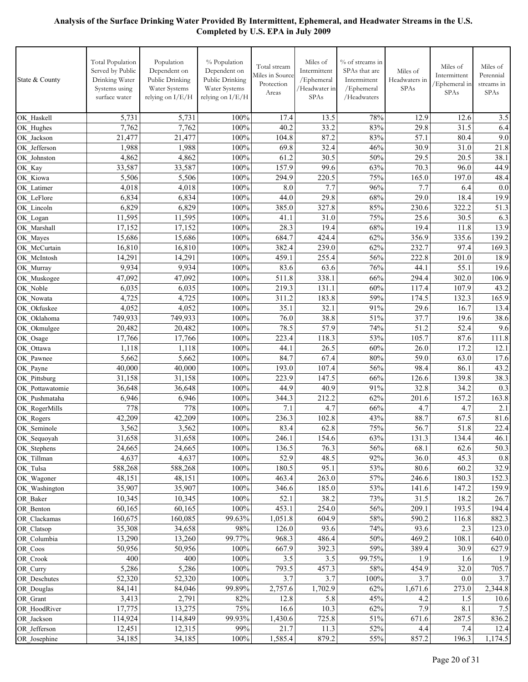| Public Drinking<br>Public Drinking<br>Drinking Water<br>State & County<br>/Ephemeral<br>Intermittent<br>Headwaters in<br>Protection<br>Water Systems<br>Water Systems<br>/Headwater in<br>/Ephemeral<br>Systems using<br>Areas<br>relying on I/E/H<br>relying on I/E/H<br>SPAs<br>surface water<br>/Headwaters | SPAs          | Intermittent<br>Ephemeral in<br><b>SPAs</b> | Perennial<br>streams in<br>SPAs |
|----------------------------------------------------------------------------------------------------------------------------------------------------------------------------------------------------------------------------------------------------------------------------------------------------------------|---------------|---------------------------------------------|---------------------------------|
| 5,731<br>5,731<br>100%<br>17.4<br>13.5<br>78%<br>OK Haskell                                                                                                                                                                                                                                                    | 12.9          | 12.6                                        | 3.5                             |
| 7,762<br>7,762<br>100%<br>40.2<br>33.2<br>83%<br>OK Hughes                                                                                                                                                                                                                                                     | 29.8          | 31.5                                        | 6.4                             |
| 21,477<br>100%<br>87.2<br>83%<br>21,477<br>104.8<br>OK Jackson                                                                                                                                                                                                                                                 | 57.1          | 80.4                                        | 9.0                             |
| 32.4<br>100%<br>69.8<br>OK Jefferson<br>1,988<br>1,988<br>46%                                                                                                                                                                                                                                                  | 30.9          | 31.0                                        | 21.8                            |
| 61.2<br>30.5<br>4,862<br>4,862<br>100%<br>50%<br>OK Johnston                                                                                                                                                                                                                                                   | 29.5          | 20.5                                        | 38.1                            |
| 99.6<br>63%<br>33,587<br>33,587<br>100%<br>157.9<br>OK_Kay                                                                                                                                                                                                                                                     | 70.3          | 96.0                                        | 44.9                            |
| 5,506<br>5,506<br>100%<br>294.9<br>220.5<br>75%<br>OK Kiowa                                                                                                                                                                                                                                                    | 165.0         | 197.0                                       | 48.4                            |
| 4,018<br>8.0<br>7.7<br>96%<br>4,018<br>100%<br>OK Latimer                                                                                                                                                                                                                                                      | 7.7           | 6.4                                         | 0.0                             |
| 29.8<br>6,834<br>100%<br>68%<br>6,834<br>44.0<br>OK LeFlore                                                                                                                                                                                                                                                    | 29.0          | 18.4                                        | 19.9                            |
| 6,829<br>6,829<br>100%<br>327.8<br>85%<br>385.0<br>OK Lincoln<br>11,595<br>100%<br>31.0<br>75%                                                                                                                                                                                                                 | 230.6<br>25.6 | 322.2<br>30.5                               | 51.3                            |
| 11,595<br>41.1<br>OK Logan<br>19.4<br>100%<br>28.3<br>17,152<br>17,152<br>68%                                                                                                                                                                                                                                  | 19.4          | 11.8                                        | 6.3<br>13.9                     |
| OK Marshall<br>15,686<br>100%<br>684.7<br>424.4<br>15,686<br>62%<br>OK Mayes                                                                                                                                                                                                                                   | 356.9         | 335.6                                       | 139.2                           |
| 100%<br>239.0<br>62%<br>16,810<br>16,810<br>382.4<br>OK McCurtain                                                                                                                                                                                                                                              | 232.7         | 97.4                                        | 169.3                           |
| 14,291<br>100%<br>255.4<br>14,291<br>459.1<br>56%<br>OK McIntosh                                                                                                                                                                                                                                               | 222.8         | 201.0                                       | 18.9                            |
| 9,934<br>9,934<br>83.6<br>63.6<br>100%<br>76%<br>OK_Murray                                                                                                                                                                                                                                                     | 44.1          | 55.1                                        | 19.6                            |
| 511.8<br>338.1<br>47,092<br>47,092<br>100%<br>66%<br>OK_Muskogee                                                                                                                                                                                                                                               | 294.4         | 302.0                                       | 106.9                           |
| 6,035<br>6,035<br>100%<br>219.3<br>131.1<br>60%<br>OK Noble                                                                                                                                                                                                                                                    | 117.4         | 107.9                                       | 43.2                            |
| 4,725<br>4,725<br>100%<br>311.2<br>183.8<br>59%<br>OK Nowata                                                                                                                                                                                                                                                   | 174.5         | 132.3                                       | 165.9                           |
| 32.1<br>4,052<br>4,052<br>100%<br>35.1<br>91%<br>OK Okfuskee                                                                                                                                                                                                                                                   | 29.6          | 16.7                                        | 13.4                            |
| 38.8<br>749,933<br>100%<br>76.0<br>51%<br>749,933<br>OK Oklahoma                                                                                                                                                                                                                                               | 37.7          | 19.6                                        | 38.6                            |
| 78.5<br>57.9<br>20,482<br>100%<br>74%<br>20,482<br>OK_Okmulgee                                                                                                                                                                                                                                                 | 51.2          | 52.4                                        | 9.6                             |
| 118.3<br>53%<br>17,766<br>17,766<br>100%<br>223.4<br>OK Osage                                                                                                                                                                                                                                                  | 105.7         | 87.6                                        | 111.8                           |
| 26.5<br>1,118<br>1,118<br>100%<br>44.1<br>60%<br>OK Ottawa                                                                                                                                                                                                                                                     | 26.0          | 17.2                                        | 12.1                            |
| 5,662<br>5,662<br>100%<br>84.7<br>67.4<br>80%<br>OK Pawnee                                                                                                                                                                                                                                                     | 59.0          | 63.0                                        | 17.6                            |
| 100%<br>40,000<br>40,000<br>193.0<br>107.4<br>56%<br>OK Payne                                                                                                                                                                                                                                                  | 98.4          | 86.1                                        | 43.2                            |
| 31,158<br>31,158<br>100%<br>147.5<br>223.9<br>66%<br>OK Pittsburg                                                                                                                                                                                                                                              | 126.6         | 139.8                                       | 38.3                            |
| 40.9<br>100%<br>44.9<br>91%<br>36,648<br>36,648<br>OK Pottawatomie<br>100%<br>212.2<br>6,946<br>6,946<br>344.3<br>62%                                                                                                                                                                                          | 32.8<br>201.6 | 34.2<br>157.2                               | 0.3<br>163.8                    |
| OK Pushmataha<br>778<br>778<br>100%<br>4.7<br>7.1<br>66%<br>OK RogerMills                                                                                                                                                                                                                                      | 4.7           | 4.7                                         | 2.1                             |
| 42,209<br>100%<br>102.8<br>43%<br>42,209<br>236.3<br>OK_Rogers                                                                                                                                                                                                                                                 | 88.7          | 67.5                                        | 81.6                            |
| OK_Seminole<br>62.8<br>3,562<br>3,562<br>100%<br>83.4<br>75%                                                                                                                                                                                                                                                   | 56.7          | 51.8                                        | 22.4                            |
| 31,658<br>100%<br>154.6<br>31,658<br>246.1<br>63%<br>OK Sequoyah                                                                                                                                                                                                                                               | 131.3         | 134.4                                       | 46.1                            |
| OK_Stephens<br>100%<br>76.3<br>56%<br>24,665<br>24,665<br>136.5                                                                                                                                                                                                                                                | 68.1          | 62.6                                        | 50.3                            |
| 52.9<br>48.5<br>92%<br>OK_Tillman<br>4,637<br>4,637<br>100%                                                                                                                                                                                                                                                    | 36.0          | 45.3                                        | 0.8                             |
| 95.1<br>OK_Tulsa<br>588,268<br>588,268<br>100%<br>180.5<br>53%                                                                                                                                                                                                                                                 | 80.6          | 60.2                                        | 32.9                            |
| 100%<br>463.4<br>263.0<br>57%<br>OK Wagoner<br>48,151<br>48,151                                                                                                                                                                                                                                                | 246.6         | 180.3                                       | 152.3                           |
| 35,907<br>100%<br>185.0<br>53%<br>OK Washington<br>35,907<br>346.6                                                                                                                                                                                                                                             | 141.6         | 147.2                                       | 159.9                           |
| 52.1<br>38.2<br>10,345<br>10,345<br>100%<br>73%<br>OR Baker                                                                                                                                                                                                                                                    | 31.5          | 18.2                                        | 26.7                            |
| 60,165<br>100%<br>453.1<br>254.0<br>56%<br>60,165<br>OR Benton                                                                                                                                                                                                                                                 | 209.1         | 193.5                                       | 194.4                           |
| 160,675<br>160,085<br>99.63%<br>1,051.8<br>604.9<br>58%<br>OR Clackamas                                                                                                                                                                                                                                        | 590.2         | 116.8                                       | 882.3                           |
| 98%<br>93.6<br>35,308<br>34,658<br>126.0<br>74%<br>OR Clatsop                                                                                                                                                                                                                                                  | 93.6          | 2.3                                         | 123.0                           |
| 13,290<br>13,260<br>99.77%<br>968.3<br>486.4<br>50%<br>OR Columbia                                                                                                                                                                                                                                             | 469.2         | 108.1                                       | 640.0                           |
| 100%<br>392.3<br>59%<br>50,956<br>50,956<br>667.9<br>OR Coos                                                                                                                                                                                                                                                   | 389.4         | 30.9                                        | 627.9                           |
| 400<br>400<br>100%<br>3.5<br>3.5<br>99.75%<br>OR Crook<br>5,286<br>5,286<br>100%<br>457.3<br>793.5<br>58%<br>OR Curry                                                                                                                                                                                          | 1.9<br>454.9  | 1.6<br>32.0                                 | 1.9<br>705.7                    |
| 3.7<br>3.7<br>52,320<br>52,320<br>100%<br>$100\%$<br>OR Deschutes                                                                                                                                                                                                                                              | 3.7           | 0.0                                         | 3.7                             |
| 99.89%<br>1,702.9<br>OR_Douglas<br>84,141<br>84,046<br>2,757.6<br>62%                                                                                                                                                                                                                                          | 1,671.6       | 273.0                                       | 2,344.8                         |
| OR_Grant<br>3,413<br>2,791<br>82%<br>5.8<br>45%<br>12.8                                                                                                                                                                                                                                                        | 4.2           | 1.5                                         | 10.6                            |
| 10.3<br>OR HoodRiver<br>17,775<br>75%<br>16.6<br>62%<br>13,275                                                                                                                                                                                                                                                 | 7.9           | 8.1                                         | 7.5                             |
| OR_Jackson<br>99.93%<br>1,430.6<br>725.8<br>114,924<br>114,849<br>51%                                                                                                                                                                                                                                          | 671.6         | 287.5                                       | 836.2                           |
| 12,315<br>99%<br>21.7<br>52%<br>OR Jefferson<br>12,451<br>11.3                                                                                                                                                                                                                                                 | 4.4           | 7.4                                         | 12.4                            |
| 34,185<br>34,185<br>100%<br>1,585.4<br>879.2<br>55%<br>OR_Josephine                                                                                                                                                                                                                                            | 857.2         | 196.3                                       | 1,174.5                         |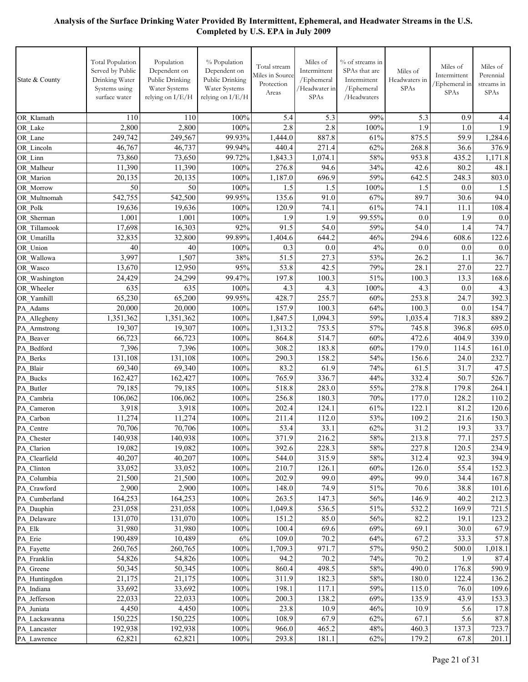| State & County              | Total Population<br>Served by Public<br>Drinking Water<br>Systems using<br>surface water | Population<br>Dependent on<br>Public Drinking<br>Water Systems<br>relying on I/E/H | % Population<br>Dependent on<br>Public Drinking<br>Water Systems<br>relying on I/E/H | Total stream<br>Miles in Source<br>Protection<br>Areas | Miles of<br>Intermittent<br>/Ephemeral<br>/Headwater in<br>SPAs | % of streams in<br>SPAs that are<br>Intermittent<br>/Ephemeral<br>/Headwaters | Miles of<br>Headwaters in<br><b>SPAs</b> | Miles of<br>Intermittent<br>Ephemeral in<br>SPAs | Miles of<br>Perennial<br>streams in<br>SPAs |
|-----------------------------|------------------------------------------------------------------------------------------|------------------------------------------------------------------------------------|--------------------------------------------------------------------------------------|--------------------------------------------------------|-----------------------------------------------------------------|-------------------------------------------------------------------------------|------------------------------------------|--------------------------------------------------|---------------------------------------------|
| OR Klamath                  | 110                                                                                      | 110                                                                                | 100%                                                                                 | 5.4                                                    | 5.3                                                             | 99%                                                                           | 5.3                                      | 0.9                                              | 4.4                                         |
| OR Lake                     | 2,800                                                                                    | 2,800                                                                              | 100%                                                                                 | 2.8                                                    | 2.8                                                             | 100%                                                                          | 1.9                                      | 1.0                                              | 1.9                                         |
| OR Lane                     | 249.742                                                                                  | 249,567                                                                            | 99.93%                                                                               | 1,444.0                                                | 887.8                                                           | 61%                                                                           | 875.5                                    | 59.9                                             | 1,284.6                                     |
| OR Lincoln                  | 46,767                                                                                   | 46,737                                                                             | 99.94%                                                                               | 440.4                                                  | 271.4                                                           | 62%                                                                           | 268.8                                    | 36.6                                             | 376.9                                       |
| OR Linn                     | 73,860                                                                                   | 73,650                                                                             | 99.72%                                                                               | 1,843.3                                                | 1,074.1                                                         | 58%                                                                           | 953.8                                    | 435.2                                            | 1,171.8                                     |
| OR Malheur                  | 11,390                                                                                   | 11,390                                                                             | 100%                                                                                 | 276.8                                                  | 94.6                                                            | 34%                                                                           | 42.6                                     | 80.2                                             | 48.1                                        |
| OR Marion                   | 20,135                                                                                   | 20,135                                                                             | 100%                                                                                 | 1,187.0                                                | 696.9                                                           | 59%                                                                           | 642.5                                    | 248.3                                            | 803.0                                       |
| OR Morrow                   | 50                                                                                       | 50                                                                                 | 100%                                                                                 | 1.5                                                    | 1.5                                                             | 100%                                                                          | 1.5                                      | 0.0                                              | 1.5                                         |
| OR Multnomah                | 542,755                                                                                  | 542,500                                                                            | 99.95%                                                                               | 135.6                                                  | 91.0                                                            | 67%                                                                           | 89.7                                     | 30.6                                             | 94.0                                        |
| OR Polk                     | 19,636                                                                                   | 19,636                                                                             | 100%                                                                                 | 120.9                                                  | 74.1                                                            | 61%                                                                           | 74.1                                     | 11.1                                             | 108.4                                       |
| OR Sherman                  | 1,001                                                                                    | 1,001                                                                              | 100%                                                                                 | 1.9                                                    | 1.9                                                             | 99.55%                                                                        | 0.0                                      | 1.9                                              | 0.0                                         |
| OR Tillamook                | 17,698                                                                                   | 16,303                                                                             | 92%                                                                                  | 91.5                                                   | 54.0                                                            | 59%                                                                           | 54.0                                     | 1.4                                              | 74.7                                        |
| OR Umatilla                 | 32,835                                                                                   | 32,800                                                                             | 99.89%                                                                               | 1,404.6                                                | 644.2                                                           | 46%                                                                           | 294.6                                    | 608.6                                            | 122.6                                       |
| OR Union                    | 40                                                                                       | 40                                                                                 | 100%                                                                                 | 0.3                                                    | 0.0                                                             | 4%                                                                            | 0.0                                      | 0.0                                              | 0.0                                         |
| OR Wallowa                  | 3,997                                                                                    | 1,507                                                                              | 38%                                                                                  | 51.5                                                   | 27.3                                                            | 53%                                                                           | 26.2                                     | 1.1                                              | 36.7                                        |
| OR Wasco                    | 13.670                                                                                   | 12,950                                                                             | 95%                                                                                  | 53.8                                                   | 42.5                                                            | 79%                                                                           | 28.1                                     | 27.0                                             | 22.7                                        |
| OR Washington               | 24,429                                                                                   | 24,299                                                                             | 99.47%                                                                               | 197.8                                                  | 100.3                                                           | 51%                                                                           | 100.3                                    | 13.3                                             | 168.6                                       |
| OR Wheeler                  | 635                                                                                      | 635                                                                                | 100%                                                                                 | 4.3                                                    | 4.3                                                             | 100%                                                                          | 4.3                                      | 0.0                                              | 4.3                                         |
| OR Yamhill                  | 65,230                                                                                   | 65,200                                                                             | 99.95%                                                                               | 428.7                                                  | 255.7                                                           | 60%                                                                           | 253.8                                    | 24.7                                             | 392.3                                       |
| PA Adams                    | 20,000                                                                                   | 20,000                                                                             | 100%                                                                                 | 157.9                                                  | 100.3                                                           | 64%                                                                           | 100.3                                    | 0.0                                              | 154.7                                       |
| PA Allegheny                | 1,351,362                                                                                | 1,351,362                                                                          | 100%                                                                                 | 1,847.5                                                | 1,094.3                                                         | 59%                                                                           | 1,035.4                                  | 718.3                                            | 889.2                                       |
| PA_Armstrong                | 19,307                                                                                   | 19,307                                                                             | 100%                                                                                 | 1,313.2                                                | 753.5                                                           | 57%                                                                           | 745.8                                    | 396.8                                            | 695.0                                       |
| PA Beaver                   | 66,723                                                                                   | 66,723                                                                             | 100%                                                                                 | 864.8                                                  | 514.7                                                           | 60%                                                                           | 472.6                                    | 404.9                                            | 339.0                                       |
| PA Bedford                  | 7,396                                                                                    | 7,396                                                                              | 100%                                                                                 | 308.2                                                  | 183.8                                                           | 60%                                                                           | 179.0                                    | 114.5                                            | 161.0                                       |
| PA Berks                    | 131,108                                                                                  | 131,108                                                                            | 100%                                                                                 | 290.3                                                  | 158.2                                                           | 54%                                                                           | 156.6                                    | 24.0                                             | 232.7                                       |
| PA Blair                    | 69,340                                                                                   | 69,340                                                                             | 100%                                                                                 | 83.2                                                   | 61.9                                                            | 74%                                                                           | 61.5                                     | 31.7                                             | 47.5                                        |
| PA Bucks                    | 162,427                                                                                  | 162,427                                                                            | 100%                                                                                 | 765.9                                                  | 336.7                                                           | 44%                                                                           | 332.4                                    | 50.7                                             | 526.7                                       |
| PA Butler                   | 79,185                                                                                   | 79,185                                                                             | 100%                                                                                 | 518.8                                                  | 283.0                                                           | 55%                                                                           | 278.8                                    | 179.8                                            | 264.1                                       |
| PA Cambria                  | 106,062                                                                                  | 106,062                                                                            | 100%                                                                                 | 256.8                                                  | 180.3                                                           | 70%                                                                           | 177.0                                    | 128.2                                            | 110.2                                       |
| PA Cameron                  | 3,918                                                                                    | 3,918                                                                              | 100%                                                                                 | 202.4                                                  | 124.1                                                           | 61%                                                                           | 122.1                                    | 81.2                                             | 120.6                                       |
| PA Carbon                   | 11,274                                                                                   | 11,274                                                                             | 100%                                                                                 | 211.4                                                  | 112.0                                                           | 53%                                                                           | 109.2                                    | 21.6                                             | 150.3                                       |
| PA Centre                   | 70,706                                                                                   | 70,706                                                                             | 100%                                                                                 | 53.4                                                   | 33.1                                                            | 62%                                                                           | 31.2                                     | 19.3                                             | 33.7                                        |
| PA Chester                  | 140,938                                                                                  | 140,938                                                                            | 100%                                                                                 | 371.9                                                  | 216.2                                                           | $58\%$                                                                        | 213.8                                    | 77.1                                             | 257.5                                       |
| PA_Clarion                  | 19,082                                                                                   | 19,082                                                                             | 100%                                                                                 | 392.6                                                  | 228.3                                                           | 58%                                                                           | 227.8                                    | 120.5                                            | 234.9                                       |
| PA Clearfield               | 40,207                                                                                   | 40,207                                                                             | 100%                                                                                 | 544.0                                                  | 315.9                                                           | 58%                                                                           | 312.4                                    | 92.3                                             | 394.9                                       |
| PA Clinton                  | 33,052                                                                                   | 33,052                                                                             | 100%                                                                                 | 210.7                                                  | 126.1                                                           | 60%                                                                           | 126.0                                    | 55.4                                             | 152.3                                       |
| PA Columbia                 | 21,500                                                                                   | 21,500                                                                             | 100%                                                                                 | 202.9                                                  | 99.0                                                            | 49%                                                                           | 99.0                                     | 34.4                                             | 167.8                                       |
| PA_Crawford                 | 2,900<br>164,253                                                                         | 2,900<br>164,253                                                                   | 100%<br>100%                                                                         | 148.0<br>263.5                                         | 74.9<br>147.3                                                   | 51%<br>56%                                                                    | 70.6<br>146.9                            | 38.8<br>40.2                                     | 101.6<br>212.3                              |
| PA Cumberland<br>PA Dauphin | 231,058                                                                                  | 231,058                                                                            | 100%                                                                                 | 1,049.8                                                | 536.5                                                           | 51%                                                                           | 532.2                                    | 169.9                                            | 721.5                                       |
| PA Delaware                 | 131,070                                                                                  | 131,070                                                                            | 100%                                                                                 | 151.2                                                  | 85.0                                                            | 56%                                                                           | 82.2                                     | 19.1                                             | 123.2                                       |
| PA_Elk                      | 31,980                                                                                   | 31,980                                                                             | 100%                                                                                 | 100.4                                                  | 69.6                                                            | 69%                                                                           | 69.1                                     | 30.0                                             | 67.9                                        |
| PA_Erie                     | 190,489                                                                                  | 10,489                                                                             | 6%                                                                                   | 109.0                                                  | 70.2                                                            | 64%                                                                           | 67.2                                     | 33.3                                             | 57.8                                        |
| PA Fayette                  | 260,765                                                                                  | 260,765                                                                            | 100%                                                                                 | 1,709.3                                                | 971.7                                                           | 57%                                                                           | 950.2                                    | 500.0                                            | 1,018.1                                     |
| PA Franklin                 | 54,826                                                                                   | 54,826                                                                             | 100%                                                                                 | 94.2                                                   | 70.2                                                            | 74%                                                                           | 70.2                                     | 1.9                                              | 87.4                                        |
| PA Greene                   | 50,345                                                                                   | 50,345                                                                             | 100%                                                                                 | 860.4                                                  | 498.5                                                           | 58%                                                                           | 490.0                                    | 176.8                                            | 590.9                                       |
| PA Huntingdon               | 21,175                                                                                   | 21,175                                                                             | 100%                                                                                 | 311.9                                                  | 182.3                                                           | 58%                                                                           | 180.0                                    | 122.4                                            | 136.2                                       |
| PA Indiana                  | 33,692                                                                                   | 33,692                                                                             | 100%                                                                                 | 198.1                                                  | 117.1                                                           | 59%                                                                           | 115.0                                    | 76.0                                             | 109.6                                       |
| PA_Jefferson                | 22,033                                                                                   | 22,033                                                                             | 100%                                                                                 | 200.3                                                  | 138.2                                                           | 69%                                                                           | 135.9                                    | 43.9                                             | 153.3                                       |
| PA Juniata                  | 4,450                                                                                    | 4,450                                                                              | 100%                                                                                 | 23.8                                                   | 10.9                                                            | 46%                                                                           | 10.9                                     | 5.6                                              | 17.8                                        |
| PA Lackawanna               | 150,225                                                                                  | 150,225                                                                            | 100%                                                                                 | 108.9                                                  | 67.9                                                            | 62%                                                                           | 67.1                                     | 5.6                                              | 87.8                                        |
| PA Lancaster                | 192,938                                                                                  | 192,938                                                                            | 100%                                                                                 | 966.0                                                  | 465.2                                                           | 48%                                                                           | 460.3                                    | 137.3                                            | 723.7                                       |
| PA_Lawrence                 | 62,821                                                                                   | 62,821                                                                             | 100%                                                                                 | 293.8                                                  | 181.1                                                           | 62%                                                                           | 179.2                                    | 67.8                                             | 201.1                                       |
|                             |                                                                                          |                                                                                    |                                                                                      |                                                        |                                                                 |                                                                               |                                          |                                                  |                                             |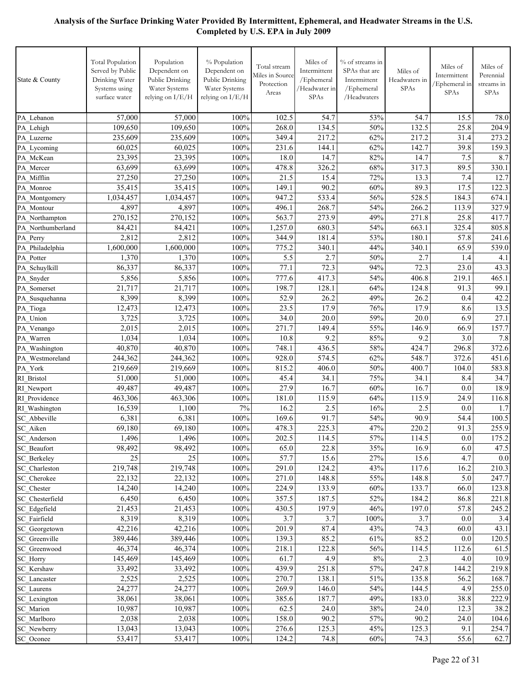| State & County                    | <b>Total Population</b><br>Served by Public<br>Drinking Water<br>Systems using<br>surface water | Population<br>Dependent on<br>Public Drinking<br>Water Systems<br>relying on I/E/H | % Population<br>Dependent on<br>Public Drinking<br>Water Systems<br>relying on I/E/H | Total stream<br>Miles in Source<br>Protection<br>Areas | Miles of<br>Intermittent<br>/Ephemeral<br>/Headwater in<br>SPAs | % of streams in<br>SPAs that are<br>Intermittent<br>/Ephemeral<br>/Headwaters | Miles of<br>Headwaters in<br><b>SPAs</b> | Miles of<br>Intermittent<br>/Ephemeral in<br>SPAs | Miles of<br>Perennial<br>streams in<br><b>SPAs</b> |
|-----------------------------------|-------------------------------------------------------------------------------------------------|------------------------------------------------------------------------------------|--------------------------------------------------------------------------------------|--------------------------------------------------------|-----------------------------------------------------------------|-------------------------------------------------------------------------------|------------------------------------------|---------------------------------------------------|----------------------------------------------------|
| PA Lebanon                        | 57,000                                                                                          | 57,000                                                                             | 100%                                                                                 | 102.5                                                  | 54.7                                                            | 53%                                                                           | 54.7                                     | 15.5                                              | 78.0                                               |
| PA Lehigh                         | 109,650                                                                                         | 109,650                                                                            | 100%                                                                                 | 268.0                                                  | 134.5                                                           | 50%                                                                           | 132.5                                    | 25.8                                              | 204.9                                              |
| PA_Luzerne                        | 235,609                                                                                         | 235.609                                                                            | 100%                                                                                 | 349.4                                                  | 217.2                                                           | 62%                                                                           | 217.2                                    | 31.4                                              | 273.2                                              |
| PA Lycoming                       | 60,025                                                                                          | 60,025                                                                             | 100%                                                                                 | 231.6                                                  | 144.1                                                           | 62%                                                                           | 142.7                                    | 39.8                                              | 159.3                                              |
| PA McKean                         | 23,395                                                                                          | 23,395                                                                             | 100%                                                                                 | 18.0                                                   | 14.7                                                            | 82%                                                                           | 14.7                                     | 7.5                                               | 8.7                                                |
| PA Mercer                         | 63,699                                                                                          | 63,699                                                                             | 100%                                                                                 | 478.8                                                  | 326.2                                                           | 68%                                                                           | 317.3                                    | 89.5                                              | 330.1                                              |
| PA Mifflin                        | 27,250                                                                                          | 27,250                                                                             | 100%                                                                                 | 21.5                                                   | 15.4                                                            | 72%                                                                           | 13.3                                     | 7.4                                               | 12.7                                               |
| PA Monroe                         | 35,415                                                                                          | 35,415                                                                             | 100%                                                                                 | 149.1                                                  | 90.2                                                            | 60%                                                                           | 89.3                                     | 17.5                                              | 122.3                                              |
| PA Montgomery                     | 1,034,457                                                                                       | 1,034,457                                                                          | 100%                                                                                 | 947.2                                                  | 533.4                                                           | 56%                                                                           | 528.5                                    | 184.3                                             | 674.1                                              |
| PA Montour                        | 4,897                                                                                           | 4,897                                                                              | 100%                                                                                 | 496.1                                                  | 268.7                                                           | 54%                                                                           | 266.2                                    | 113.9                                             | 327.9                                              |
| PA Northampton                    | 270,152                                                                                         | 270,152                                                                            | 100%                                                                                 | 563.7                                                  | 273.9                                                           | 49%                                                                           | 271.8                                    | 25.8                                              | 417.7                                              |
| PA Northumberland                 | 84,421                                                                                          | 84,421                                                                             | 100%                                                                                 | 1,257.0                                                | 680.3                                                           | 54%                                                                           | 663.1                                    | 325.4                                             | 805.8                                              |
| PA Perry                          | 2,812                                                                                           | 2,812                                                                              | 100%                                                                                 | 344.9                                                  | 181.4                                                           | 53%                                                                           | 180.1                                    | 57.8                                              | 241.6                                              |
| PA Philadelphia                   | 1,600,000                                                                                       | 1,600,000                                                                          | 100%                                                                                 | 775.2                                                  | 340.1                                                           | 44%                                                                           | 340.1                                    | 65.9                                              | 539.0                                              |
| PA Potter                         | 1,370                                                                                           | 1,370                                                                              | 100%                                                                                 | 5.5                                                    | 2.7                                                             | 50%                                                                           | 2.7                                      | 1.4                                               | 4.1                                                |
| PA Schuylkill                     | 86,337                                                                                          | 86,337                                                                             | 100%                                                                                 | 77.1                                                   | 72.3                                                            | 94%                                                                           | 72.3                                     | 23.0                                              | 43.3                                               |
| PA Snyder                         | 5,856                                                                                           | 5,856                                                                              | 100%                                                                                 | 777.6                                                  | 417.3                                                           | 54%                                                                           | 406.8                                    | 219.1                                             | 465.1                                              |
| PA Somerset                       | 21,717                                                                                          | 21,717                                                                             | 100%                                                                                 | 198.7                                                  | 128.1                                                           | 64%                                                                           | 124.8                                    | 91.3                                              | 99.1                                               |
| PA Susquehanna                    | 8,399                                                                                           | 8,399                                                                              | 100%                                                                                 | 52.9                                                   | 26.2                                                            | 49%                                                                           | 26.2                                     | 0.4                                               | 42.2                                               |
| PA Tioga                          | 12,473                                                                                          | 12,473                                                                             | 100%                                                                                 | 23.5                                                   | 17.9                                                            | 76%                                                                           | 17.9                                     | 8.6                                               | 13.5                                               |
| PA Union                          | 3,725                                                                                           | 3,725                                                                              | 100%                                                                                 | 34.0                                                   | 20.0                                                            | 59%                                                                           | 20.0                                     | 6.9                                               | 27.1                                               |
| PA Venango                        | 2,015                                                                                           | 2,015                                                                              | 100%                                                                                 | 271.7<br>10.8                                          | 149.4<br>9.2                                                    | 55%<br>85%                                                                    | 146.9<br>9.2                             | 66.9                                              | 157.7                                              |
| PA Warren                         | 1,034<br>40,870                                                                                 | 1,034<br>40,870                                                                    | 100%<br>100%                                                                         | 748.1                                                  | 436.5                                                           | 58%                                                                           | 424.7                                    | 3.0<br>296.8                                      | 7.8<br>372.6                                       |
| PA Washington<br>PA Westmoreland  | 244,362                                                                                         | 244,362                                                                            | 100%                                                                                 | 928.0                                                  | 574.5                                                           | 62%                                                                           | 548.7                                    | 372.6                                             | 451.6                                              |
| PA_York                           | 219,669                                                                                         | 219,669                                                                            | 100%                                                                                 | 815.2                                                  | 406.0                                                           | 50%                                                                           | 400.7                                    | 104.0                                             | 583.8                                              |
| RI Bristol                        | 51,000                                                                                          | 51,000                                                                             | 100%                                                                                 | 45.4                                                   | 34.1                                                            | 75%                                                                           | 34.1                                     | 8.4                                               | 34.7                                               |
| RI Newport                        | 49,487                                                                                          | 49,487                                                                             | 100%                                                                                 | 27.9                                                   | 16.7                                                            | 60%                                                                           | 16.7                                     | 0.0                                               | 18.9                                               |
| RI Providence                     | 463,306                                                                                         | 463,306                                                                            | 100%                                                                                 | 181.0                                                  | 115.9                                                           | 64%                                                                           | 115.9                                    | 24.9                                              | 116.8                                              |
| RI Washington                     | 16,539                                                                                          | 1,100                                                                              | 7%                                                                                   | 16.2                                                   | 2.5                                                             | 16%                                                                           | 2.5                                      | 0.0                                               | 1.7                                                |
| SC Abbeville                      | 6,381                                                                                           | 6,381                                                                              | 100%                                                                                 | 169.6                                                  | 91.7                                                            | 54%                                                                           | 90.9                                     | 54.4                                              | 100.5                                              |
| SC_Aiken                          | 69,180                                                                                          | 69,180                                                                             | 100%                                                                                 | 478.3                                                  | 225.3                                                           | 47%                                                                           | 220.2                                    | 91.3                                              | 255.9                                              |
| SC_Anderson                       | 1,496                                                                                           | 1,496                                                                              | 100%                                                                                 | 202.5                                                  | $11\overline{4.5}$                                              | 57%                                                                           | 114.5                                    | 0.0                                               | 175.2                                              |
| <b>SC</b> Beaufort                | 98,492                                                                                          | 98,492                                                                             | 100%                                                                                 | 65.0                                                   | 22.8                                                            | 35%                                                                           | 16.9                                     | 6.0                                               | 47.5                                               |
| <b>SC</b> Berkeley                | 25                                                                                              | 25                                                                                 | 100%                                                                                 | 57.7                                                   | 15.6                                                            | 27%                                                                           | 15.6                                     | 4.7                                               | $0.0\,$                                            |
| SC Charleston                     | 219,748                                                                                         | 219,748                                                                            | $100\%$                                                                              | 291.0                                                  | 124.2                                                           | 43%                                                                           | 117.6                                    | 16.2                                              | 210.3                                              |
| SC Cherokee                       | 22,132                                                                                          | 22,132                                                                             | $100\%$                                                                              | 271.0                                                  | 148.8                                                           | 55%                                                                           | 148.8                                    | 5.0                                               | 247.7                                              |
| SC Chester                        | 14,240                                                                                          | 14,240                                                                             | 100%                                                                                 | 224.9                                                  | 133.9                                                           | 60%                                                                           | 133.7                                    | 66.0                                              | 123.8                                              |
| SC Chesterfield                   | 6,450                                                                                           | 6,450                                                                              | 100%                                                                                 | 357.5                                                  | 187.5                                                           | 52%                                                                           | 184.2                                    | 86.8                                              | 221.8                                              |
| SC_Edgefield                      | 21,453                                                                                          | 21,453                                                                             | $100\%$                                                                              | 430.5                                                  | 197.9                                                           | 46%                                                                           | 197.0                                    | 57.8                                              | 245.2                                              |
| SC Fairfield                      | 8,319                                                                                           | 8,319                                                                              | 100%                                                                                 | 3.7                                                    | 3.7                                                             | 100%                                                                          | 3.7                                      | 0.0                                               | 3.4                                                |
| SC Georgetown                     | 42,216                                                                                          | 42,216                                                                             | $100\%$                                                                              | 201.9                                                  | 87.4                                                            | 43%                                                                           | 74.3                                     | 60.0                                              | 43.1                                               |
| SC_Greenville                     | 389,446                                                                                         | 389,446                                                                            | $100\%$                                                                              | 139.3                                                  | 85.2                                                            | 61%                                                                           | 85.2                                     | 0.0                                               | 120.5                                              |
| SC Greenwood                      | 46,374                                                                                          | 46,374                                                                             | 100%                                                                                 | 218.1                                                  | 122.8                                                           | 56%                                                                           | 114.5                                    | 112.6                                             | 61.5                                               |
| SC_Horry                          | 145,469                                                                                         | 145,469                                                                            | 100%                                                                                 | 61.7                                                   | 4.9                                                             | $8\%$                                                                         | 2.3                                      | 4.0                                               | 10.9                                               |
| SC Kershaw                        | 33,492                                                                                          | 33,492                                                                             | 100%                                                                                 | 439.9                                                  | 251.8                                                           | 57%                                                                           | 247.8                                    | 144.2                                             | 219.8                                              |
| SC Lancaster                      | 2,525<br>24,277                                                                                 | 2,525<br>24,277                                                                    | 100%<br>100%                                                                         | 270.7<br>269.9                                         | 138.1<br>146.0                                                  | 51%<br>54%                                                                    | 135.8<br>144.5                           | 56.2<br>4.9                                       | 168.7<br>255.0                                     |
| <b>SC</b> Laurens<br>SC_Lexington | 38,061                                                                                          | 38,061                                                                             | 100%                                                                                 | 385.6                                                  | 187.7                                                           | 49%                                                                           | 183.0                                    | 38.8                                              | 222.9                                              |
| SC_Marion                         | 10,987                                                                                          | 10,987                                                                             | 100%                                                                                 | 62.5                                                   | 24.0                                                            | 38%                                                                           | 24.0                                     | 12.3                                              | 38.2                                               |
| SC Marlboro                       | 2,038                                                                                           | 2,038                                                                              | $100\%$                                                                              | 158.0                                                  | 90.2                                                            | 57%                                                                           | 90.2                                     | 24.0                                              | 104.6                                              |
| SC_Newberry                       | 13,043                                                                                          | 13,043                                                                             | 100%                                                                                 | 276.6                                                  | 125.3                                                           | 45%                                                                           | 125.3                                    | 9.1                                               | 254.7                                              |
| SC_Oconee                         | 53,417                                                                                          | 53,417                                                                             | 100%                                                                                 | 124.2                                                  | 74.8                                                            | $60\%$                                                                        | 74.3                                     | 55.6                                              | 62.7                                               |
|                                   |                                                                                                 |                                                                                    |                                                                                      |                                                        |                                                                 |                                                                               |                                          |                                                   |                                                    |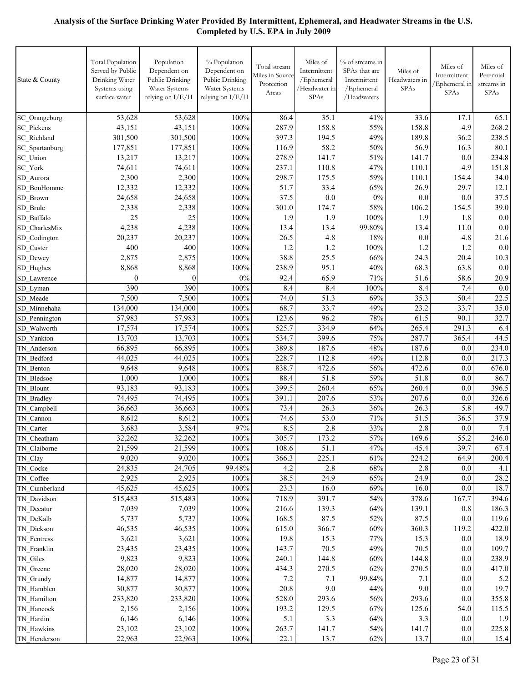| State & County             | <b>Total Population</b><br>Served by Public<br>Drinking Water<br>Systems using<br>surface water | Population<br>Dependent on<br>Public Drinking<br>Water Systems<br>relying on I/E/H | % Population<br>Dependent on<br>Public Drinking<br>Water Systems<br>relying on I/E/H | Total stream<br>Miles in Source<br>Protection<br>Areas | Miles of<br>Intermittent<br>/Ephemeral<br>/Headwater in<br>SPAs | % of streams in<br>SPAs that are<br>Intermittent<br>/Ephemeral<br>/Headwaters | Miles of<br>Headwaters in<br><b>SPAs</b> | Miles of<br>Intermittent<br>/Ephemeral in<br>SPAs | Miles of<br>Perennial<br>streams in<br><b>SPAs</b> |
|----------------------------|-------------------------------------------------------------------------------------------------|------------------------------------------------------------------------------------|--------------------------------------------------------------------------------------|--------------------------------------------------------|-----------------------------------------------------------------|-------------------------------------------------------------------------------|------------------------------------------|---------------------------------------------------|----------------------------------------------------|
| SC_Orangeburg              | 53,628                                                                                          | 53,628                                                                             | 100%                                                                                 | 86.4                                                   | 35.1                                                            | 41%                                                                           | 33.6                                     | 17.1                                              | 65.1                                               |
| <b>SC</b> Pickens          | 43,151                                                                                          | 43,151                                                                             | 100%                                                                                 | 287.9                                                  | 158.8                                                           | 55%                                                                           | 158.8                                    | 4.9                                               | 268.2                                              |
| <b>SC</b> Richland         | 301,500                                                                                         | 301,500                                                                            | 100%                                                                                 | 397.3                                                  | 194.5                                                           | 49%                                                                           | 189.8                                    | 36.2                                              | 238.5                                              |
| SC Spartanburg             | 177,851                                                                                         | 177,851                                                                            | 100%                                                                                 | 116.9                                                  | 58.2                                                            | 50%                                                                           | 56.9                                     | 16.3                                              | 80.1                                               |
| SC Union                   | 13,217                                                                                          | 13,217                                                                             | 100%                                                                                 | 278.9                                                  | 141.7                                                           | 51%                                                                           | 141.7                                    | 0.0                                               | 234.8                                              |
| SC York                    | 74,611                                                                                          | 74,611                                                                             | 100%                                                                                 | 237.1                                                  | 110.8                                                           | 47%                                                                           | 110.1                                    | 4.9                                               | 151.8                                              |
| SD Aurora                  | 2,300                                                                                           | 2,300                                                                              | 100%                                                                                 | 298.7                                                  | 175.5                                                           | 59%                                                                           | 110.1                                    | 154.4                                             | 34.0                                               |
| SD BonHomme                | 12,332                                                                                          | 12,332                                                                             | 100%                                                                                 | 51.7                                                   | 33.4                                                            | 65%                                                                           | 26.9                                     | 29.7                                              | 12.1                                               |
| SD Brown                   | 24,658                                                                                          | 24,658                                                                             | 100%                                                                                 | 37.5                                                   | 0.0                                                             | $0\%$                                                                         | 0.0                                      | 0.0                                               | 37.5                                               |
| SD Brule                   | 2,338                                                                                           | 2,338                                                                              | 100%                                                                                 | 301.0                                                  | 174.7                                                           | 58%                                                                           | 106.2                                    | 154.5                                             | 39.0                                               |
| SD Buffalo                 | 25                                                                                              | 25                                                                                 | 100%                                                                                 | 1.9                                                    | 1.9                                                             | 100%                                                                          | 1.9                                      | 1.8                                               | 0.0                                                |
| SD CharlesMix              | 4,238                                                                                           | 4,238                                                                              | 100%                                                                                 | 13.4                                                   | 13.4                                                            | 99.80%                                                                        | 13.4                                     | 11.0                                              | 0.0                                                |
| SD Codington               | 20,237                                                                                          | 20,237                                                                             | 100%                                                                                 | 26.5                                                   | 4.8                                                             | 18%                                                                           | 0.0                                      | 4.8                                               | 21.6                                               |
| SD Custer                  | 400                                                                                             | 400                                                                                | 100%                                                                                 | 1.2                                                    | 1.2                                                             | 100%                                                                          | 1.2                                      | 1.2                                               | 0.0                                                |
| SD_Dewey                   | 2,875                                                                                           | 2,875                                                                              | 100%                                                                                 | 38.8                                                   | 25.5                                                            | 66%                                                                           | 24.3                                     | 20.4                                              | 10.3                                               |
| SD Hughes                  | 8,868                                                                                           | 8,868                                                                              | 100%                                                                                 | 238.9                                                  | 95.1                                                            | 40%                                                                           | 68.3                                     | 63.8                                              | 0.0                                                |
| SD Lawrence                | $\mathbf{0}$                                                                                    | $\theta$                                                                           | 0%                                                                                   | 92.4                                                   | 65.9                                                            | 71%                                                                           | 51.6                                     | 58.6                                              | 20.9                                               |
| SD Lyman                   | 390                                                                                             | 390                                                                                | 100%                                                                                 | 8.4                                                    | 8.4                                                             | 100%                                                                          | 8.4                                      | 7.4                                               | 0.0                                                |
| SD Meade                   | 7,500                                                                                           | 7,500                                                                              | 100%                                                                                 | 74.0                                                   | 51.3                                                            | 69%                                                                           | 35.3                                     | 50.4                                              | 22.5                                               |
| SD Minnehaha               | 134,000                                                                                         | 134,000                                                                            | 100%                                                                                 | 68.7                                                   | 33.7                                                            | 49%                                                                           | 23.2                                     | 33.7                                              | 35.0                                               |
| SD Pennington              | 57,983                                                                                          | 57,983                                                                             | 100%                                                                                 | 123.6                                                  | 96.2                                                            | 78%                                                                           | 61.5                                     | 90.1                                              | 32.7                                               |
| SD Walworth                | 17,574                                                                                          | 17,574                                                                             | 100%                                                                                 | 525.7                                                  | 334.9                                                           | 64%                                                                           | 265.4                                    | 291.3                                             | 6.4                                                |
| SD Yankton                 | 13,703                                                                                          | 13,703                                                                             | 100%                                                                                 | 534.7                                                  | 399.6                                                           | 75%                                                                           | 287.7                                    | 365.4                                             | 44.5                                               |
| TN Anderson                | 66,895                                                                                          | 66,895                                                                             | 100%                                                                                 | 389.8                                                  | 187.6                                                           | 48%                                                                           | 187.6                                    | 0.0                                               | 234.0                                              |
| TN Bedford                 | 44,025                                                                                          | 44,025                                                                             | 100%                                                                                 | 228.7                                                  | 112.8                                                           | 49%                                                                           | 112.8                                    | 0.0                                               | 217.3                                              |
| TN Benton                  | 9,648                                                                                           | 9,648                                                                              | 100%                                                                                 | 838.7                                                  | 472.6                                                           | 56%                                                                           | 472.6                                    | 0.0                                               | 676.0                                              |
| TN Bledsoe                 | 1,000                                                                                           | 1,000                                                                              | 100%                                                                                 | 88.4                                                   | 51.8                                                            | 59%                                                                           | 51.8                                     | 0.0                                               | 86.7                                               |
| TN Blount                  | 93,183                                                                                          | 93,183                                                                             | 100%                                                                                 | 399.5                                                  | 260.4                                                           | 65%                                                                           | 260.4                                    | 0.0                                               | 396.5                                              |
| TN Bradley                 | 74,495                                                                                          | 74,495                                                                             | 100%                                                                                 | 391.1                                                  | 207.6                                                           | 53%                                                                           | 207.6                                    | 0.0                                               | 326.6                                              |
| TN Campbell                | 36,663                                                                                          | 36,663                                                                             | 100%                                                                                 | 73.4                                                   | 26.3                                                            | 36%                                                                           | 26.3                                     | 5.8                                               | 49.7                                               |
| TN Cannon                  | 8,612                                                                                           | 8,612                                                                              | 100%                                                                                 | 74.6                                                   | 53.0                                                            | 71%                                                                           | 51.5                                     | 36.5                                              | 37.9                                               |
| TN Carter                  | 3,683                                                                                           | 3,584                                                                              | 97%                                                                                  | 8.5                                                    | 2.8                                                             | 33%                                                                           | 2.8                                      | 0.0                                               | 7.4                                                |
| TN Cheatham                | 32,262                                                                                          | 32,262                                                                             | $100\%$                                                                              | 305.7                                                  | 173.2                                                           | 57%                                                                           | 169.6                                    | 55.2                                              | 246.0                                              |
| TN Claiborne               | 21,599                                                                                          | 21,599                                                                             | 100%                                                                                 | 108.6                                                  | 51.1                                                            | 47%                                                                           | 45.4                                     | 39.7                                              | 67.4                                               |
| TN Clay                    | 9,020                                                                                           | 9,020                                                                              | 100%                                                                                 | 366.3                                                  | 225.1                                                           | 61%                                                                           | 224.2                                    | 64.9                                              | 200.4                                              |
| TN Cocke                   | 24,835                                                                                          | 24,705                                                                             | 99.48%                                                                               | 4.2                                                    | 2.8                                                             | 68%                                                                           | 2.8                                      | 0.0                                               | 4.1                                                |
| TN Coffee<br>TN Cumberland | 2,925<br>45,625                                                                                 | 2,925<br>45,625                                                                    | 100%<br>100%                                                                         | 38.5<br>23.3                                           | 24.9<br>16.0                                                    | 65%<br>69%                                                                    | 24.9<br>16.0                             | 0.0<br>0.0                                        | 28.2<br>18.7                                       |
| TN Davidson                | 515,483                                                                                         | 515,483                                                                            | 100%                                                                                 | 718.9                                                  | 391.7                                                           | 54%                                                                           | 378.6                                    | 167.7                                             | 394.6                                              |
| TN Decatur                 | 7,039                                                                                           | 7,039                                                                              | 100%                                                                                 | 216.6                                                  | 139.3                                                           | 64%                                                                           | 139.1                                    | 0.8                                               | 186.3                                              |
| TN DeKalb                  | 5,737                                                                                           | 5,737                                                                              | 100%                                                                                 | 168.5                                                  | 87.5                                                            | 52%                                                                           | 87.5                                     | $0.0\,$                                           | 119.6                                              |
| TN Dickson                 | 46,535                                                                                          | 46,535                                                                             | 100%                                                                                 | 615.0                                                  | 366.7                                                           | 60%                                                                           | 360.3                                    | 119.2                                             | 422.0                                              |
| TN Fentress                | 3,621                                                                                           | 3,621                                                                              | 100%                                                                                 | 19.8                                                   | 15.3                                                            | 77%                                                                           | 15.3                                     | 0.0                                               | 18.9                                               |
| TN Franklin                | 23,435                                                                                          | 23,435                                                                             | 100%                                                                                 | 143.7                                                  | 70.5                                                            | 49%                                                                           | 70.5                                     | 0.0                                               | 109.7                                              |
| TN Giles                   | 9,823                                                                                           | 9,823                                                                              | 100%                                                                                 | 240.1                                                  | 144.8                                                           | 60%                                                                           | 144.8                                    | 0.0                                               | 238.9                                              |
| TN Greene                  | 28,020                                                                                          | 28,020                                                                             | 100%                                                                                 | 434.3                                                  | 270.5                                                           | 62%                                                                           | 270.5                                    | 0.0                                               | 417.0                                              |
| TN Grundy                  | 14,877                                                                                          | 14,877                                                                             | 100%                                                                                 | 7.2                                                    | 7.1                                                             | 99.84%                                                                        | 7.1                                      | 0.0                                               | 5.2                                                |
| TN_Hamblen                 | 30,877                                                                                          | 30,877                                                                             | 100%                                                                                 | 20.8                                                   | 9.0                                                             | 44%                                                                           | 9.0                                      | 0.0                                               | 19.7                                               |
| TN Hamilton                | 233,820                                                                                         | 233,820                                                                            | 100%                                                                                 | 528.0                                                  | 293.6                                                           | 56%                                                                           | 293.6                                    | 0.0                                               | 355.8                                              |
| TN Hancock                 | 2,156                                                                                           | 2,156                                                                              | 100%                                                                                 | 193.2                                                  | 129.5                                                           | 67%                                                                           | 125.6                                    | 54.0                                              | 115.5                                              |
| TN Hardin                  | 6,146                                                                                           | 6,146                                                                              | 100%                                                                                 | 5.1                                                    | 3.3                                                             | 64%                                                                           | 3.3                                      | 0.0                                               | 1.9                                                |
| TN Hawkins                 | 23,102                                                                                          | 23,102                                                                             | 100%                                                                                 | 263.7                                                  | 141.7                                                           | 54%                                                                           | 141.7                                    | 0.0                                               | 225.8                                              |
| TN Henderson               | 22,963                                                                                          | 22,963                                                                             | 100%                                                                                 | 22.1                                                   | 13.7                                                            | 62%                                                                           | 13.7                                     | 0.0                                               | 15.4                                               |
|                            |                                                                                                 |                                                                                    |                                                                                      |                                                        |                                                                 |                                                                               |                                          |                                                   |                                                    |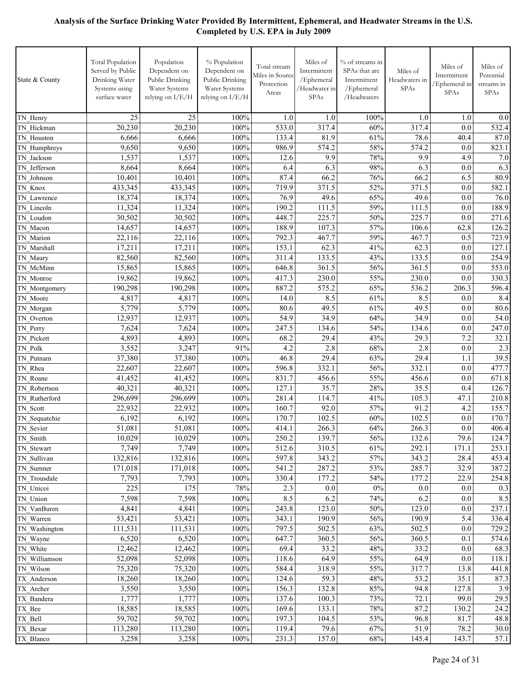| State & County | <b>Total Population</b><br>Served by Public<br>Drinking Water<br>Systems using<br>surface water | Population<br>Dependent on<br>Public Drinking<br>Water Systems<br>relying on I/E/H | % Population<br>Dependent on<br>Public Drinking<br>Water Systems<br>relying on I/E/H | Total stream<br>Miles in Source<br>Protection<br>Areas | Miles of<br>Intermittent<br>/Ephemeral<br>/Headwater in<br>SPAs | % of streams in<br>SPAs that are<br>Intermittent<br>/Ephemeral<br>/ $Headwaters$ | Miles of<br>Headwaters in<br>SPAs | Miles of<br>Intermittent<br>/Ephemeral in<br>SPAs | Miles of<br>Perennial<br>streams in<br><b>SPAs</b> |
|----------------|-------------------------------------------------------------------------------------------------|------------------------------------------------------------------------------------|--------------------------------------------------------------------------------------|--------------------------------------------------------|-----------------------------------------------------------------|----------------------------------------------------------------------------------|-----------------------------------|---------------------------------------------------|----------------------------------------------------|
| TN Henry       | 25                                                                                              | 25                                                                                 | 100%                                                                                 | 1.0                                                    | 1.0                                                             | 100%                                                                             | 1.0                               | 1.0                                               | 0.0                                                |
| TN Hickman     | 20,230                                                                                          | 20,230                                                                             | 100%                                                                                 | 533.0                                                  | 317.4                                                           | 60%                                                                              | 317.4                             | 0.0                                               | 532.4                                              |
| TN Houston     | 6,666                                                                                           | 6,666                                                                              | 100%                                                                                 | 133.4                                                  | 81.9                                                            | 61%                                                                              | 78.6                              | 40.4                                              | 87.0                                               |
| TN Humphreys   | 9,650                                                                                           | 9,650                                                                              | 100%                                                                                 | 986.9                                                  | 574.2                                                           | 58%                                                                              | 574.2                             | 0.0                                               | 823.1                                              |
| TN Jackson     | 1,537                                                                                           | 1,537                                                                              | 100%                                                                                 | 12.6                                                   | 9.9                                                             | 78%                                                                              | 9.9                               | 4.9                                               | 7.0                                                |
| TN Jefferson   | 8,664                                                                                           | 8,664                                                                              | 100%                                                                                 | 6.4                                                    | 6.3                                                             | 98%                                                                              | 6.3                               | 0.0                                               | 6.3                                                |
| TN Johnson     | 10,401                                                                                          | 10,401                                                                             | 100%                                                                                 | 87.4                                                   | 66.2                                                            | 76%                                                                              | 66.2                              | 6.5                                               | 80.9                                               |
| TN Knox        | 433,345                                                                                         | 433,345                                                                            | 100%                                                                                 | 719.9                                                  | 371.5                                                           | 52%                                                                              | 371.5                             | $0.0\,$                                           | 582.1                                              |
| TN Lawrence    | 18,374                                                                                          | 18,374                                                                             | 100%                                                                                 | 76.9                                                   | 49.6                                                            | 65%                                                                              | 49.6                              | 0.0                                               | 76.0                                               |
| TN Lincoln     | 11,324                                                                                          | 11,324                                                                             | 100%                                                                                 | 190.2                                                  | 111.5                                                           | 59%                                                                              | 111.5                             | 0.0                                               | 188.9                                              |
| TN Loudon      | 30,502                                                                                          | 30,502                                                                             | 100%                                                                                 | 448.7                                                  | 225.7                                                           | 50%                                                                              | 225.7                             | 0.0                                               | 271.6                                              |
| TN Macon       | 14,657                                                                                          | 14,657                                                                             | 100%                                                                                 | 188.9                                                  | 107.3                                                           | 57%                                                                              | 106.6                             | 62.8                                              | 126.2                                              |
| TN Marion      | 22,116                                                                                          | 22,116                                                                             | 100%                                                                                 | 792.3                                                  | 467.7                                                           | 59%                                                                              | 467.7                             | 0.5                                               | 723.9                                              |
| TN Marshall    | 17,211                                                                                          | 17,211                                                                             | 100%                                                                                 | 153.1                                                  | 62.3                                                            | 41%                                                                              | 62.3                              | 0.0                                               | 127.1                                              |
| TN Maury       | 82,560                                                                                          | 82,560                                                                             | 100%                                                                                 | 311.4                                                  | 133.5                                                           | 43%                                                                              | 133.5                             | 0.0                                               | 254.9                                              |
| TN McMinn      | 15,865                                                                                          | 15,865                                                                             | 100%                                                                                 | 646.8                                                  | 361.5                                                           | 56%                                                                              | 361.5                             | 0.0                                               | 553.0                                              |
| TN Monroe      | 19,862                                                                                          | 19,862                                                                             | 100%                                                                                 | 417.3                                                  | 230.0                                                           | 55%                                                                              | 230.0                             | 0.0                                               | 330.3                                              |
| TN Montgomery  | 190,298                                                                                         | 190,298                                                                            | 100%                                                                                 | 887.2                                                  | 575.2                                                           | 65%                                                                              | 536.2                             | 206.3                                             | 596.4                                              |
| TN Moore       | 4,817                                                                                           | 4,817                                                                              | 100%                                                                                 | 14.0                                                   | 8.5                                                             | 61%                                                                              | 8.5                               | 0.0                                               | 8.4                                                |
| TN_Morgan      | 5,779                                                                                           | 5,779                                                                              | 100%                                                                                 | 80.6                                                   | 49.5                                                            | 61%                                                                              | 49.5                              | 0.0                                               | 80.6                                               |
| TN Overton     | 12,937                                                                                          | 12,937                                                                             | 100%                                                                                 | 54.9                                                   | 34.9                                                            | 64%                                                                              | 34.9                              | 0.0                                               | 54.0                                               |
| TN Perry       | 7,624                                                                                           | 7,624                                                                              | 100%                                                                                 | 247.5                                                  | 134.6                                                           | 54%                                                                              | 134.6                             | 0.0                                               | 247.0                                              |
| TN Pickett     | 4,893                                                                                           | 4,893                                                                              | 100%                                                                                 | 68.2                                                   | 29.4                                                            | 43%                                                                              | 29.3                              | 7.2                                               | 32.1                                               |
| TN Polk        | 3,552                                                                                           | 3,247                                                                              | 91%                                                                                  | 4.2                                                    | 2.8                                                             | 68%                                                                              | 2.8                               | 0.0                                               | 2.3                                                |
| TN Putnam      | 37,380                                                                                          | 37,380                                                                             | 100%                                                                                 | 46.8                                                   | 29.4                                                            | 63%                                                                              | 29.4                              | 1.1                                               | 39.5                                               |
| TN Rhea        | 22,607                                                                                          | 22,607                                                                             | 100%                                                                                 | 596.8                                                  | 332.1                                                           | 56%                                                                              | 332.1                             | 0.0                                               | 477.7                                              |
| TN Roane       | 41,452                                                                                          | 41,452                                                                             | 100%                                                                                 | 831.7                                                  | 456.6                                                           | 55%                                                                              | 456.6                             | 0.0                                               | 671.8                                              |
| TN Robertson   | 40,321                                                                                          | 40,321                                                                             | 100%                                                                                 | 127.1                                                  | 35.7                                                            | 28%                                                                              | 35.5                              | 0.4                                               | 126.7                                              |
| TN Rutherford  | 296,699                                                                                         | 296,699                                                                            | 100%                                                                                 | 281.4                                                  | 114.7                                                           | 41%                                                                              | 105.3                             | 47.1                                              | 210.8                                              |
| TN Scott       | 22,932                                                                                          | 22,932                                                                             | 100%                                                                                 | 160.7                                                  | 92.0                                                            | 57%                                                                              | 91.2                              | 4.2                                               | 155.7                                              |
| TN_Sequatchie  | 6,192                                                                                           | 6,192                                                                              | 100%                                                                                 | 170.7                                                  | 102.5                                                           | 60%                                                                              | 102.5                             | 0.0                                               | 170.7                                              |
| TN_Sevier      | 51,081                                                                                          | 51,081                                                                             | 100%                                                                                 | 414.1                                                  | 266.3                                                           | 64%                                                                              | 266.3                             | 0.0                                               | 406.4                                              |
| TN Smith       | 10,029                                                                                          | 10,029                                                                             | 100%                                                                                 | 250.2                                                  | 139.7                                                           | $56\%$                                                                           | 132.6                             | 79.6                                              | 124.7                                              |
| TN Stewart     | 7,749                                                                                           | 7,749                                                                              | 100%                                                                                 | 512.6                                                  | 310.5                                                           | 61%                                                                              | 292.1                             | 171.1                                             | 253.1                                              |
| TN Sullivan    | 132,816                                                                                         | 132,816                                                                            | 100%                                                                                 | 597.8                                                  | 343.2                                                           | 57%                                                                              | 343.2                             | 28.4                                              | 453.4                                              |
| TN Sumner      | 171,018                                                                                         | 171,018                                                                            | 100%                                                                                 | 541.2                                                  | 287.2                                                           | 53%                                                                              | 285.7                             | 32.9                                              | 387.2                                              |
| TN Trousdale   | 7,793                                                                                           | 7,793                                                                              | 100%                                                                                 | 330.4                                                  | 177.2                                                           | 54%                                                                              | 177.2                             | 22.9                                              | 254.8                                              |
| TN Unicoi      | 225                                                                                             | 175                                                                                | 78%                                                                                  | 2.3                                                    | $0.0\,$                                                         | $0\%$                                                                            | $0.0\,$                           | 0.0                                               | 0.3                                                |
| TN Union       | 7,598                                                                                           | 7,598                                                                              | 100%                                                                                 | 8.5                                                    | 6.2                                                             | 74%                                                                              | 6.2                               | 0.0                                               | 8.5                                                |
| TN VanBuren    | 4,841                                                                                           | 4,841                                                                              | 100%                                                                                 | 243.8                                                  | 123.0                                                           | 50%                                                                              | 123.0                             | 0.0                                               | 237.1                                              |
| TN Warren      | 53,421                                                                                          | 53,421                                                                             | 100%                                                                                 | 343.1                                                  | 190.9                                                           | 56%                                                                              | 190.9                             | 5.4                                               | 336.4                                              |
| TN Washington  | 111,531                                                                                         | 111,531                                                                            | 100%                                                                                 | 797.5                                                  | 502.5                                                           | 63%                                                                              | 502.5                             | 0.0                                               | 729.2                                              |
| TN_Wayne       | 6,520                                                                                           | 6,520                                                                              | 100%                                                                                 | 647.7                                                  | 360.5                                                           | 56%                                                                              | 360.5                             | 0.1                                               | 574.6                                              |
| TN White       | 12,462                                                                                          | 12,462                                                                             | 100%                                                                                 | 69.4                                                   | 33.2                                                            | 48%                                                                              | 33.2                              | 0.0                                               | 68.3                                               |
| TN Williamson  | 52,098                                                                                          | 52,098                                                                             | 100%                                                                                 | 118.6                                                  | 64.9                                                            | 55%                                                                              | 64.9                              | $0.0\,$                                           | 118.1                                              |
| TN Wilson      | 75,320                                                                                          | 75,320                                                                             | 100%                                                                                 | 584.4                                                  | 318.9                                                           | 55%                                                                              | 317.7                             | 13.8                                              | 441.8                                              |
| TX Anderson    | 18,260                                                                                          | 18,260                                                                             | 100%                                                                                 | 124.6                                                  | 59.3                                                            | 48%                                                                              | 53.2                              | 35.1                                              | 87.3                                               |
| TX Archer      | 3,550                                                                                           | 3,550                                                                              | 100%                                                                                 | 156.3                                                  | 132.8                                                           | 85%                                                                              | 94.8                              | 127.8                                             | 3.9                                                |
| TX Bandera     | 1,777                                                                                           | 1,777                                                                              | 100%                                                                                 | 137.6                                                  | 100.3                                                           | 73%                                                                              | 72.1                              | 99.0                                              | 29.5                                               |
| TX_Bee         | 18,585                                                                                          | 18,585                                                                             | 100%                                                                                 | 169.6                                                  | 133.1                                                           | 78%                                                                              | 87.2                              | 130.2                                             | 24.2                                               |
| TX Bell        | 59,702                                                                                          | 59,702                                                                             | 100%                                                                                 | 197.3                                                  | 104.5                                                           | 53%                                                                              | 96.8                              | 81.7                                              | 48.8                                               |
| TX Bexar       | 113,280                                                                                         | 113,280                                                                            | 100%                                                                                 | 119.4                                                  | 79.6                                                            | 67%                                                                              | 51.9                              | 78.2                                              | 30.0                                               |
| TX_Blanco      | 3,258                                                                                           | 3,258                                                                              | 100%                                                                                 | 231.3                                                  | 157.0                                                           | 68%                                                                              | 145.4                             | 143.7                                             | 57.1                                               |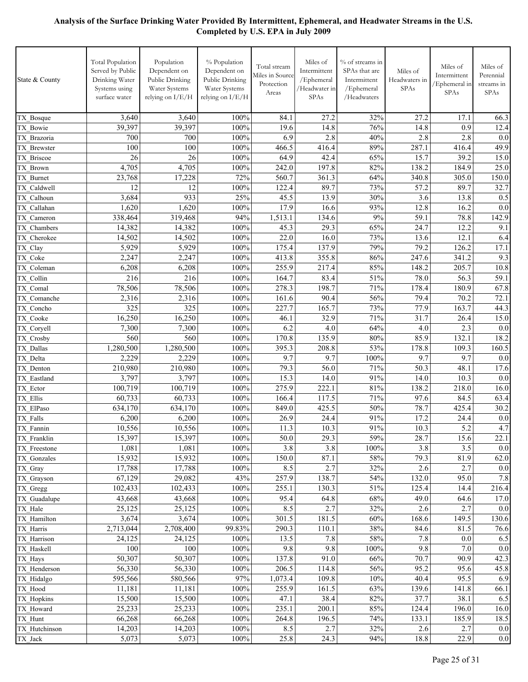| State & County             | <b>Total Population</b><br>Served by Public<br>Drinking Water<br>Systems using<br>surface water | Population<br>Dependent on<br>Public Drinking<br>Water Systems<br>relying on I/E/H | % Population<br>Dependent on<br>Public Drinking<br>Water Systems<br>relying on I/E/H | Total stream<br>Miles in Source<br>Protection<br>Areas | Miles of<br>Intermittent<br>/Ephemeral<br>/Headwater in<br>SPAs | % of streams in<br>SPAs that are<br>Intermittent<br>/Ephemeral<br>/Headwaters | Miles of<br>Headwaters in<br>SPAs | Miles of<br>Intermittent<br>Ephemeral in<br><b>SPAs</b> | Miles of<br>Perennial<br>streams in<br>SPAs |
|----------------------------|-------------------------------------------------------------------------------------------------|------------------------------------------------------------------------------------|--------------------------------------------------------------------------------------|--------------------------------------------------------|-----------------------------------------------------------------|-------------------------------------------------------------------------------|-----------------------------------|---------------------------------------------------------|---------------------------------------------|
| TX Bosque                  | 3,640                                                                                           | 3,640                                                                              | 100%                                                                                 | 84.1                                                   | 27.2                                                            | 32%                                                                           | 27.2                              | 17.1                                                    | 66.3                                        |
| TX Bowie                   | 39,397                                                                                          | 39,397                                                                             | 100%                                                                                 | 19.6                                                   | 14.8                                                            | 76%                                                                           | 14.8                              | 0.9                                                     | 12.4                                        |
| TX Brazoria                | 700                                                                                             | 700                                                                                | 100%                                                                                 | 6.9                                                    | 2.8                                                             | 40%                                                                           | 2.8                               | 2.8                                                     | 0.0                                         |
| TX Brewster                | 100                                                                                             | 100                                                                                | 100%                                                                                 | 466.5                                                  | 416.4                                                           | 89%                                                                           | 287.1                             | 416.4                                                   | 49.9                                        |
| TX Briscoe                 | 26                                                                                              | 26                                                                                 | 100%                                                                                 | 64.9                                                   | 42.4                                                            | 65%                                                                           | 15.7                              | 39.2                                                    | 15.0                                        |
| TX Brown                   | 4,705                                                                                           | 4,705                                                                              | 100%                                                                                 | 242.0                                                  | 197.8                                                           | $82\sqrt{6}$                                                                  | 138.2                             | 184.9                                                   | 25.0                                        |
| TX Burnet                  | 23,768                                                                                          | 17,228                                                                             | 72%                                                                                  | 560.7                                                  | 361.3                                                           | 64%                                                                           | 340.8                             | 305.0                                                   | 150.0                                       |
| TX Caldwell                | 12                                                                                              | 12                                                                                 | 100%                                                                                 | 122.4                                                  | 89.7                                                            | 73%                                                                           | 57.2                              | 89.7                                                    | 32.7                                        |
| TX Calhoun                 | 3,684                                                                                           | 933                                                                                | 25%                                                                                  | 45.5                                                   | 13.9                                                            | 30%                                                                           | 3.6                               | 13.8                                                    | 0.5                                         |
| TX Callahan                | 1,620                                                                                           | 1,620                                                                              | 100%<br>94%                                                                          | 17.9                                                   | 16.6<br>134.6                                                   | 93%<br>9%                                                                     | 12.8<br>59.1                      | 16.2<br>78.8                                            | 0.0                                         |
| TX Cameron                 | 338,464<br>14,382                                                                               | 319,468<br>14,382                                                                  | 100%                                                                                 | 1,513.1<br>45.3                                        | 29.3                                                            | 65%                                                                           | 24.7                              | 12.2                                                    | 142.9<br>9.1                                |
| TX Chambers<br>TX Cherokee | 14,502                                                                                          | 14,502                                                                             | 100%                                                                                 | 22.0                                                   | 16.0                                                            | 73%                                                                           | 13.6                              | 12.1                                                    | 6.4                                         |
| TX_Clay                    | 5,929                                                                                           | 5,929                                                                              | 100%                                                                                 | 175.4                                                  | 137.9                                                           | 79%                                                                           | 79.2                              | 126.2                                                   | 17.1                                        |
| TX Coke                    | 2,247                                                                                           | 2,247                                                                              | 100%                                                                                 | 413.8                                                  | 355.8                                                           | 86%                                                                           | 247.6                             | 341.2                                                   | 9.3                                         |
| TX Coleman                 | 6,208                                                                                           | 6,208                                                                              | 100%                                                                                 | 255.9                                                  | 217.4                                                           | 85%                                                                           | 148.2                             | 205.7                                                   | 10.8                                        |
| TX Collin                  | 216                                                                                             | 216                                                                                | 100%                                                                                 | 164.7                                                  | 83.4                                                            | 51%                                                                           | 78.0                              | 56.3                                                    | 59.1                                        |
| TX Comal                   | 78,506                                                                                          | 78,506                                                                             | 100%                                                                                 | 278.3                                                  | 198.7                                                           | 71%                                                                           | 178.4                             | 180.9                                                   | 67.8                                        |
| TX Comanche                | 2,316                                                                                           | 2,316                                                                              | 100%                                                                                 | 161.6                                                  | 90.4                                                            | 56%                                                                           | 79.4                              | 70.2                                                    | 72.1                                        |
| TX Concho                  | 325                                                                                             | 325                                                                                | 100%                                                                                 | 227.7                                                  | 165.7                                                           | 73%                                                                           | 77.9                              | 163.7                                                   | 44.3                                        |
| TX Cooke                   | 16,250                                                                                          | 16,250                                                                             | 100%                                                                                 | 46.1                                                   | 32.9                                                            | 71%                                                                           | 31.7                              | 26.4                                                    | 15.0                                        |
| TX Coryell                 | 7,300                                                                                           | 7,300                                                                              | 100%                                                                                 | 6.2                                                    | 4.0                                                             | 64%                                                                           | 4.0                               | 2.3                                                     | 0.0                                         |
| TX Crosby                  | 560                                                                                             | 560                                                                                | 100%                                                                                 | 170.8                                                  | 135.9                                                           | 80%                                                                           | 85.9                              | 132.1                                                   | 18.2                                        |
| TX Dallas                  | 1,280,500                                                                                       | 1,280,500                                                                          | 100%                                                                                 | 395.3                                                  | 208.8                                                           | 53%                                                                           | 178.8                             | 109.3                                                   | 160.5                                       |
| TX Delta                   | 2,229                                                                                           | 2,229                                                                              | 100%                                                                                 | 9.7                                                    | 9.7                                                             | 100%                                                                          | 9.7                               | 9.7                                                     | 0.0                                         |
| TX Denton                  | 210,980                                                                                         | 210,980                                                                            | 100%                                                                                 | 79.3                                                   | 56.0                                                            | 71%                                                                           | 50.3                              | 48.1                                                    | 17.6                                        |
| TX Eastland                | 3,797                                                                                           | 3,797                                                                              | 100%                                                                                 | 15.3                                                   | 14.0                                                            | 91%                                                                           | 14.0                              | 10.3                                                    | 0.0                                         |
| TX Ector                   | 100,719                                                                                         | 100,719                                                                            | 100%                                                                                 | 275.9                                                  | 222.1                                                           | 81%                                                                           | 138.2                             | 218.0                                                   | 16.0                                        |
| TX Ellis                   | 60,733<br>634,170                                                                               | 60,733<br>634,170                                                                  | 100%<br>100%                                                                         | 166.4<br>849.0                                         | 117.5<br>425.5                                                  | 71%<br>50%                                                                    | 97.6<br>78.7                      | 84.5<br>425.4                                           | 63.4<br>30.2                                |
| TX ElPaso<br>TX Falls      | 6,200                                                                                           | 6,200                                                                              | 100%                                                                                 | 26.9                                                   | 24.4                                                            | 91%                                                                           | 17.2                              | 24.4                                                    | 0.0                                         |
| TX Fannin                  | 10,556                                                                                          | 10,556                                                                             | 100%                                                                                 | 11.3                                                   | 10.3                                                            | 91%                                                                           | 10.3                              | 5.2                                                     | 4.7                                         |
| TX Franklin                | 15,397                                                                                          | 15,397                                                                             | 100%                                                                                 | 50.0                                                   | 29.3                                                            | 59%                                                                           | 28.7                              | 15.6                                                    | 22.1                                        |
| TX Freestone               | 1,081                                                                                           | 1,081                                                                              | 100%                                                                                 | 3.8                                                    | 3.8                                                             | 100%                                                                          | 3.8                               | 3.5                                                     | 0.0                                         |
| TX Gonzales                | 15,932                                                                                          | 15,932                                                                             | 100%                                                                                 | 150.0                                                  | 87.1                                                            | 58%                                                                           | 79.3                              | 81.9                                                    | 62.0                                        |
| TX Gray                    | 17,788                                                                                          | 17,788                                                                             | 100%                                                                                 | 8.5                                                    | 2.7                                                             | 32%                                                                           | 2.6                               | 2.7                                                     | 0.0                                         |
| TX Grayson                 | 67,129                                                                                          | 29,082                                                                             | 43%                                                                                  | 257.9                                                  | 138.7                                                           | 54%                                                                           | 132.0                             | 95.0                                                    | 7.8                                         |
| TX Gregg                   | 102,433                                                                                         | 102,433                                                                            | 100%                                                                                 | 255.1                                                  | 130.3                                                           | 51%                                                                           | 125.4                             | 14.4                                                    | 216.4                                       |
| TX Guadalupe               | 43,668                                                                                          | 43,668                                                                             | 100%                                                                                 | 95.4                                                   | 64.8                                                            | 68%                                                                           | 49.0                              | 64.6                                                    | 17.0                                        |
| TX Hale                    | 25,125                                                                                          | 25,125                                                                             | 100%                                                                                 | 8.5                                                    | 2.7                                                             | 32%                                                                           | 2.6                               | 2.7                                                     | 0.0                                         |
| TX Hamilton                | 3,674                                                                                           | 3,674                                                                              | 100%                                                                                 | 301.5                                                  | 181.5                                                           | 60%                                                                           | 168.6                             | 149.5                                                   | 130.6                                       |
| TX_Harris                  | 2,713,044                                                                                       | 2,708,400                                                                          | 99.83%                                                                               | 290.3                                                  | 110.1                                                           | 38%                                                                           | 84.6                              | 81.5                                                    | 76.6                                        |
| TX Harrison                | 24,125                                                                                          | 24,125                                                                             | 100%                                                                                 | 13.5                                                   | 7.8                                                             | 58%                                                                           | 7.8                               | 0.0                                                     | 6.5                                         |
| TX Haskell                 | 100                                                                                             | 100                                                                                | 100%                                                                                 | 9.8                                                    | 9.8                                                             | 100%                                                                          | 9.8                               | 7.0                                                     | 0.0                                         |
| TX_Hays                    | 50,307                                                                                          | 50,307                                                                             | 100%                                                                                 | 137.8                                                  | 91.0                                                            | 66%                                                                           | 70.7                              | 90.9                                                    | 42.3                                        |
| TX Henderson               | 56,330<br>595,566                                                                               | 56,330                                                                             | 100%<br>97%                                                                          | 206.5<br>1,073.4                                       | 114.8<br>109.8                                                  | 56%<br>10%                                                                    | 95.2<br>40.4                      | 95.6<br>95.5                                            | 45.8<br>6.9                                 |
| TX_Hidalgo<br>TX_Hood      | 11,181                                                                                          | 580,566<br>11,181                                                                  | 100%                                                                                 | 255.9                                                  | 161.5                                                           | 63%                                                                           | 139.6                             | 141.8                                                   | 66.1                                        |
| TX Hopkins                 | 15,500                                                                                          | 15,500                                                                             | 100%                                                                                 | 47.1                                                   | 38.4                                                            | 82%                                                                           | 37.7                              | 38.1                                                    | 6.5                                         |
| TX Howard                  | 25,233                                                                                          | 25,233                                                                             | 100%                                                                                 | 235.1                                                  | 200.1                                                           | 85%                                                                           | 124.4                             | 196.0                                                   | 16.0                                        |
| TX Hunt                    | 66,268                                                                                          | 66,268                                                                             | 100%                                                                                 | 264.8                                                  | 196.5                                                           | 74%                                                                           | 133.1                             | 185.9                                                   | 18.5                                        |
| TX Hutchinson              | 14,203                                                                                          | 14,203                                                                             | 100%                                                                                 | 8.5                                                    | 2.7                                                             | 32%                                                                           | 2.6                               | 2.7                                                     | 0.0                                         |
| TX_Jack                    | 5,073                                                                                           | 5,073                                                                              | $100\%$                                                                              | 25.8                                                   | 24.3                                                            | 94%                                                                           | 18.8                              | 22.9                                                    | 0.0                                         |
|                            |                                                                                                 |                                                                                    |                                                                                      |                                                        |                                                                 |                                                                               |                                   |                                                         |                                             |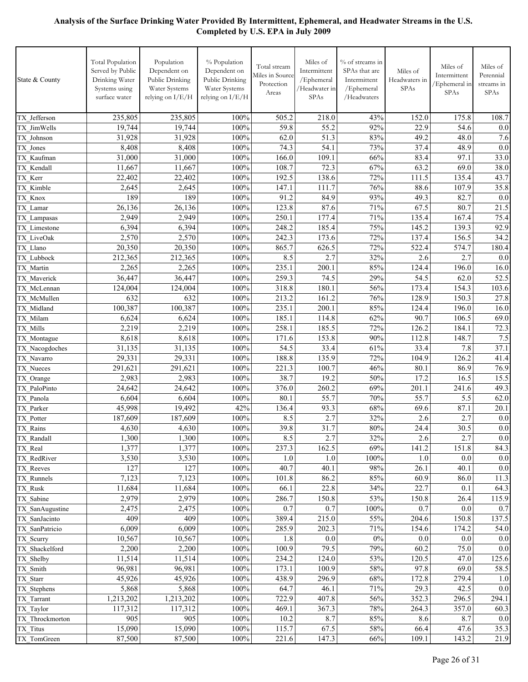| State & County             | <b>Total Population</b><br>Served by Public<br>Drinking Water<br>Systems using<br>surface water | Population<br>Dependent on<br>Public Drinking<br>Water Systems<br>relying on I/E/H | % Population<br>Dependent on<br>Public Drinking<br>Water Systems<br>relying on I/E/H | Total stream<br>Miles in Source<br>Protection<br>Areas | Miles of<br>Intermittent<br>/Ephemeral<br>/Headwater in<br>SPAs | % of streams in<br>SPAs that are<br>Intermittent<br>/Ephemeral<br>/Headwaters | Miles of<br>Headwaters in<br><b>SPAs</b> | Miles of<br>Intermittent<br>/Ephemeral in<br><b>SPAs</b> | Miles of<br>Perennial<br>streams in<br><b>SPAs</b> |
|----------------------------|-------------------------------------------------------------------------------------------------|------------------------------------------------------------------------------------|--------------------------------------------------------------------------------------|--------------------------------------------------------|-----------------------------------------------------------------|-------------------------------------------------------------------------------|------------------------------------------|----------------------------------------------------------|----------------------------------------------------|
| TX Jefferson               | 235,805                                                                                         | 235,805                                                                            | 100%                                                                                 | 505.2                                                  | 218.0                                                           | 43%                                                                           | 152.0                                    | 175.8                                                    | 108.7                                              |
| TX JimWells                | 19,744                                                                                          | 19,744                                                                             | 100%                                                                                 | 59.8                                                   | 55.2                                                            | 92%                                                                           | 22.9                                     | 54.6                                                     | 0.0                                                |
| TX Johnson                 | 31,928                                                                                          | 31,928                                                                             | 100%                                                                                 | 62.0                                                   | 51.3                                                            | 83%                                                                           | 49.2                                     | 48.0                                                     | 7.6                                                |
| TX Jones                   | 8,408                                                                                           | 8,408                                                                              | 100%                                                                                 | 74.3                                                   | 54.1                                                            | 73%                                                                           | 37.4                                     | 48.9                                                     | 0.0                                                |
| TX Kaufman                 | 31,000                                                                                          | 31,000                                                                             | 100%                                                                                 | 166.0                                                  | 109.1                                                           | 66%                                                                           | 83.4                                     | 97.1                                                     | 33.0                                               |
| TX Kendall                 | 11,667                                                                                          | 11,667                                                                             | 100%                                                                                 | 108.7                                                  | 72.3                                                            | 67%                                                                           | 63.2                                     | 69.0                                                     | 38.0                                               |
| TX Kerr                    | 22,402                                                                                          | 22,402                                                                             | 100%                                                                                 | 192.5                                                  | 138.6                                                           | 72%                                                                           | 111.5                                    | 135.4                                                    | 43.7                                               |
| TX Kimble                  | 2,645                                                                                           | 2,645                                                                              | 100%                                                                                 | 147.1                                                  | 111.7                                                           | 76%                                                                           | 88.6                                     | 107.9                                                    | 35.8                                               |
| TX Knox                    | 189                                                                                             | 189                                                                                | 100%                                                                                 | 91.2                                                   | 84.9                                                            | 93%                                                                           | 49.3                                     | 82.7                                                     | 0.0                                                |
| TX Lamar                   | 26,136<br>2,949                                                                                 | 26,136<br>2,949                                                                    | 100%<br>100%                                                                         | 123.8<br>250.1                                         | 87.6<br>177.4                                                   | 71%<br>71%                                                                    | 67.5<br>135.4                            | 80.7<br>167.4                                            | 21.5<br>75.4                                       |
| TX Lampasas                | 6,394                                                                                           | 6,394                                                                              | 100%                                                                                 | 248.2                                                  | 185.4                                                           | 75%                                                                           | 145.2                                    | 139.3                                                    | 92.9                                               |
| TX Limestone<br>TX LiveOak | 2,570                                                                                           | 2,570                                                                              | 100%                                                                                 | 242.3                                                  | 173.6                                                           | 72%                                                                           | 137.4                                    | 156.5                                                    | 34.2                                               |
| TX Llano                   | 20,350                                                                                          | 20,350                                                                             | 100%                                                                                 | 865.7                                                  | 626.5                                                           | 72%                                                                           | 522.4                                    | 574.7                                                    | 180.4                                              |
| TX Lubbock                 | 212,365                                                                                         | 212,365                                                                            | 100%                                                                                 | 8.5                                                    | 2.7                                                             | 32%                                                                           | 2.6                                      | 2.7                                                      | 0.0                                                |
| TX Martin                  | 2,265                                                                                           | 2,265                                                                              | 100%                                                                                 | 235.1                                                  | 200.1                                                           | 85%                                                                           | 124.4                                    | 196.0                                                    | 16.0                                               |
| TX Maverick                | 36,447                                                                                          | 36,447                                                                             | 100%                                                                                 | 259.3                                                  | 74.5                                                            | 29%                                                                           | 54.5                                     | 62.0                                                     | 52.5                                               |
| TX McLennan                | 124,004                                                                                         | 124,004                                                                            | 100%                                                                                 | 318.8                                                  | 180.1                                                           | 56%                                                                           | 173.4                                    | 154.3                                                    | 103.6                                              |
| TX McMullen                | 632                                                                                             | 632                                                                                | 100%                                                                                 | 213.2                                                  | 161.2                                                           | 76%                                                                           | 128.9                                    | 150.3                                                    | 27.8                                               |
| TX Midland                 | 100,387                                                                                         | 100,387                                                                            | 100%                                                                                 | 235.1                                                  | 200.1                                                           | 85%                                                                           | 124.4                                    | 196.0                                                    | 16.0                                               |
| TX Milam                   | 6,624                                                                                           | 6,624                                                                              | 100%                                                                                 | 185.1                                                  | 114.8                                                           | 62%                                                                           | 90.7                                     | 106.5                                                    | 69.0                                               |
| TX Mills                   | 2,219                                                                                           | 2,219                                                                              | 100%                                                                                 | 258.1                                                  | 185.5                                                           | 72%                                                                           | 126.2                                    | 184.1                                                    | 72.3                                               |
| TX Montague                | 8,618                                                                                           | 8,618                                                                              | 100%                                                                                 | 171.6                                                  | 153.8                                                           | 90%                                                                           | 112.8                                    | 148.7                                                    | 7.5                                                |
| TX Nacogdoches             | 31,135                                                                                          | 31,135                                                                             | 100%                                                                                 | 54.5                                                   | 33.4                                                            | 61%                                                                           | 33.4                                     | 7.8                                                      | 37.1                                               |
| TX Navarro                 | 29,331                                                                                          | 29,331                                                                             | 100%                                                                                 | 188.8                                                  | 135.9                                                           | 72%                                                                           | 104.9                                    | 126.2                                                    | 41.4                                               |
| TX Nueces                  | 291,621                                                                                         | 291,621                                                                            | 100%                                                                                 | 221.3                                                  | 100.7                                                           | 46%                                                                           | 80.1                                     | 86.9                                                     | 76.9                                               |
| TX Orange                  | 2,983                                                                                           | 2,983                                                                              | 100%                                                                                 | 38.7                                                   | 19.2                                                            | 50%                                                                           | 17.2                                     | 16.5                                                     | 15.5                                               |
| TX PaloPinto               | 24,642                                                                                          | 24,642                                                                             | 100%                                                                                 | 376.0                                                  | 260.2<br>55.7                                                   | 69%                                                                           | 201.1                                    | 241.6                                                    | 49.3                                               |
| TX Panola<br>TX Parker     | 6,604<br>45,998                                                                                 | 6,604<br>19,492                                                                    | 100%<br>42%                                                                          | 80.1<br>136.4                                          | 93.3                                                            | 70%<br>68%                                                                    | 55.7<br>69.6                             | 5.5<br>87.1                                              | 62.0<br>20.1                                       |
| TX Potter                  | 187,609                                                                                         | 187,609                                                                            | 100%                                                                                 | 8.5                                                    | 2.7                                                             | 32%                                                                           | 2.6                                      | 2.7                                                      | 0.0                                                |
| TX Rains                   | 4,630                                                                                           | 4,630                                                                              | 100%                                                                                 | 39.8                                                   | 31.7                                                            | 80%                                                                           | 24.4                                     | 30.5                                                     | $0.0\,$                                            |
| TX_Randall                 | 1,300                                                                                           | 1,300                                                                              | 100%                                                                                 | 8.5                                                    | 2.7                                                             | $32\frac{6}{6}$                                                               | 2.6                                      | 2.7                                                      | $0.0\,$                                            |
| TX Real                    | 1,377                                                                                           | 1,377                                                                              | 100%                                                                                 | 237.3                                                  | 162.5                                                           | 69%                                                                           | 141.2                                    | 151.8                                                    | 84.3                                               |
| TX RedRiver                | 3,530                                                                                           | 3,530                                                                              | 100%                                                                                 | 1.0                                                    | 1.0                                                             | 100%                                                                          | 1.0                                      | 0.0                                                      | 0.0                                                |
| TX Reeves                  | 127                                                                                             | 127                                                                                | 100%                                                                                 | 40.7                                                   | 40.1                                                            | 98%                                                                           | 26.1                                     | 40.1                                                     | 0.0                                                |
| TX Runnels                 | 7,123                                                                                           | 7,123                                                                              | 100%                                                                                 | 101.8                                                  | 86.2                                                            | 85%                                                                           | 60.9                                     | 86.0                                                     | 11.3                                               |
| TX Rusk                    | 11,684                                                                                          | 11,684                                                                             | 100%                                                                                 | 66.1                                                   | 22.8                                                            | 34%                                                                           | 22.7                                     | 0.1                                                      | 64.3                                               |
| TX Sabine                  | 2,979                                                                                           | 2,979                                                                              | 100%                                                                                 | 286.7                                                  | 150.8                                                           | 53%                                                                           | 150.8                                    | 26.4                                                     | 115.9                                              |
| TX SanAugustine            | 2,475                                                                                           | 2,475                                                                              | $100\%$                                                                              | 0.7                                                    | 0.7                                                             | 100%                                                                          | 0.7                                      | 0.0                                                      | 0.7                                                |
| TX SanJacinto              | 409                                                                                             | 409                                                                                | 100%                                                                                 | 389.4                                                  | 215.0                                                           | 55%                                                                           | 204.6                                    | 150.8                                                    | 137.5                                              |
| TX_SanPatricio             | 6,009                                                                                           | 6,009                                                                              | $100\%$                                                                              | 285.9                                                  | 202.3                                                           | 71%                                                                           | 154.6                                    | 174.2                                                    | 54.0                                               |
| TX_Scurry                  | 10,567                                                                                          | 10,567                                                                             | 100%                                                                                 | 1.8                                                    | $0.0\,$                                                         | $0\%$                                                                         | $0.0\,$                                  | 0.0                                                      | 0.0                                                |
| TX Shackelford             | 2,200                                                                                           | 2,200                                                                              | $100\%$                                                                              | 100.9                                                  | 79.5                                                            | 79%                                                                           | 60.2                                     | 75.0                                                     | $0.0\,$                                            |
| TX_Shelby                  | 11,514                                                                                          | 11,514                                                                             | 100%                                                                                 | 234.2                                                  | 124.0                                                           | 53%                                                                           | 120.5                                    | 47.0                                                     | 125.6                                              |
| TX_Smith                   | 96,981<br>45,926                                                                                | 96,981<br>45,926                                                                   | $100\%$<br>100%                                                                      | 173.1<br>438.9                                         | 100.9<br>296.9                                                  | 58%<br>68%                                                                    | 97.8<br>172.8                            | 69.0<br>279.4                                            | 58.5                                               |
| TX_Starr<br>TX_Stephens    | 5,868                                                                                           | 5,868                                                                              | 100%                                                                                 | 64.7                                                   | 46.1                                                            | 71%                                                                           | 29.3                                     | 42.5                                                     | 1.0<br>$0.0\,$                                     |
| TX_Tarrant                 | 1,213,202                                                                                       | 1,213,202                                                                          | 100%                                                                                 | 722.9                                                  | 407.8                                                           | 56%                                                                           | 352.3                                    | 296.5                                                    | 294.1                                              |
| TX_Taylor                  | 117,312                                                                                         | 117,312                                                                            | 100%                                                                                 | 469.1                                                  | 367.3                                                           | $78\%$                                                                        | 264.3                                    | 357.0                                                    | 60.3                                               |
| TX Throckmorton            | 905                                                                                             | 905                                                                                | 100%                                                                                 | 10.2                                                   | 8.7                                                             | 85%                                                                           | 8.6                                      | 8.7                                                      | $0.0\,$                                            |
| TX Titus                   | 15,090                                                                                          | 15,090                                                                             | 100%                                                                                 | 115.7                                                  | 67.5                                                            | 58%                                                                           | 66.4                                     | 47.6                                                     | 35.3                                               |
| TX_TomGreen                | 87,500                                                                                          | 87,500                                                                             | 100%                                                                                 | 221.6                                                  | 147.3                                                           | 66%                                                                           | 109.1                                    | 143.2                                                    | 21.9                                               |
|                            |                                                                                                 |                                                                                    |                                                                                      |                                                        |                                                                 |                                                                               |                                          |                                                          |                                                    |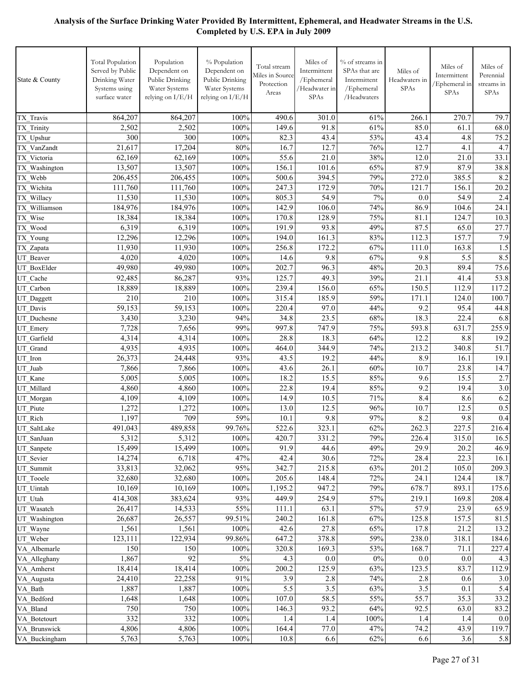| State & County | <b>Total Population</b><br>Served by Public<br>Drinking Water<br>Systems using<br>surface water | Population<br>Dependent on<br>Public Drinking<br>Water Systems<br>relying on I/E/H | % Population<br>Dependent on<br>Public Drinking<br>Water Systems<br>relying on I/E/H | Total stream<br>Miles in Source<br>Protection<br>Areas | Miles of<br>Intermittent<br>/Ephemeral<br>/Headwater in<br>SPAs | % of streams in<br>SPAs that are<br>Intermittent<br>/Ephemeral<br>/ $Headwaters$ | Miles of<br>Headwaters in<br>SPAs | Miles of<br>Intermittent<br>/Ephemeral in<br>SPAs | Miles of<br>Perennial<br>streams in<br><b>SPAs</b> |
|----------------|-------------------------------------------------------------------------------------------------|------------------------------------------------------------------------------------|--------------------------------------------------------------------------------------|--------------------------------------------------------|-----------------------------------------------------------------|----------------------------------------------------------------------------------|-----------------------------------|---------------------------------------------------|----------------------------------------------------|
| TX Travis      | 864,207                                                                                         | 864,207                                                                            | 100%                                                                                 | 490.6                                                  | 301.0                                                           | 61%                                                                              | 266.1                             | 270.7                                             | 79.7                                               |
| TX Trinity     | 2,502                                                                                           | 2,502                                                                              | 100%                                                                                 | 149.6                                                  | 91.8                                                            | 61%                                                                              | 85.0                              | 61.1                                              | 68.0                                               |
| TX Upshur      | 300                                                                                             | 300                                                                                | 100%                                                                                 | 82.3                                                   | 43.4                                                            | 53%                                                                              | 43.4                              | 4.8                                               | 75.2                                               |
| TX VanZandt    | 21,617                                                                                          | 17,204                                                                             | 80%                                                                                  | 16.7                                                   | 12.7                                                            | 76%                                                                              | 12.7                              | 4.1                                               | 4.7                                                |
| TX Victoria    | 62,169                                                                                          | 62,169                                                                             | 100%                                                                                 | 55.6                                                   | 21.0                                                            | 38%                                                                              | 12.0                              | 21.0                                              | 33.1                                               |
| TX_Washington  | 13,507                                                                                          | 13,507                                                                             | 100%                                                                                 | 156.1                                                  | 101.6                                                           | 65%                                                                              | 87.9                              | 87.9                                              | 38.8                                               |
| TX Webb        | 206,455                                                                                         | 206,455                                                                            | 100%                                                                                 | 500.6                                                  | 394.5                                                           | 79%                                                                              | 272.0                             | 385.5                                             | 8.2                                                |
| TX Wichita     | 111,760                                                                                         | 111,760                                                                            | 100%                                                                                 | 247.3                                                  | 172.9                                                           | 70%                                                                              | 121.7                             | 156.1                                             | 20.2                                               |
| TX_Willacy     | 11,530                                                                                          | 11,530                                                                             | 100%                                                                                 | 805.3                                                  | 54.9                                                            | 7%                                                                               | 0.0                               | 54.9                                              | 2.4                                                |
| TX Williamson  | 184,976                                                                                         | 184,976                                                                            | 100%                                                                                 | 142.9                                                  | 106.0                                                           | 74%                                                                              | 86.9                              | 104.6                                             | 24.1                                               |
| TX Wise        | 18,384                                                                                          | 18,384                                                                             | 100%                                                                                 | 170.8                                                  | 128.9                                                           | 75%                                                                              | 81.1                              | 124.7                                             | 10.3                                               |
| TX_Wood        | 6,319                                                                                           | 6,319                                                                              | 100%                                                                                 | 191.9                                                  | 93.8                                                            | 49%                                                                              | 87.5                              | 65.0                                              | 27.7                                               |
| TX Young       | 12,296                                                                                          | 12,296                                                                             | 100%                                                                                 | 194.0                                                  | 161.3                                                           | 83%                                                                              | 112.3                             | 157.7                                             | 7.9                                                |
| TX_Zapata      | 11,930                                                                                          | 11,930                                                                             | 100%                                                                                 | 256.8                                                  | 172.2                                                           | 67%                                                                              | 111.0                             | 163.8                                             | 1.5                                                |
| UT Beaver      | 4,020                                                                                           | 4,020                                                                              | 100%                                                                                 | 14.6                                                   | 9.8                                                             | 67%                                                                              | 9.8                               | 5.5                                               | 8.5                                                |
| UT BoxElder    | 49,980                                                                                          | 49,980                                                                             | 100%                                                                                 | 202.7                                                  | 96.3                                                            | 48%                                                                              | 20.3                              | 89.4                                              | 75.6                                               |
| UT Cache       | 92,485                                                                                          | 86,287                                                                             | 93%                                                                                  | 125.7                                                  | 49.3                                                            | 39%                                                                              | 21.1                              | 41.4                                              | 53.8                                               |
| UT Carbon      | 18,889                                                                                          | 18,889                                                                             | 100%                                                                                 | 239.4                                                  | 156.0                                                           | 65%                                                                              | 150.5                             | 112.9                                             | 117.2                                              |
| UT_Daggett     | 210                                                                                             | 210                                                                                | 100%                                                                                 | 315.4                                                  | 185.9                                                           | 59%                                                                              | 171.1                             | 124.0                                             | 100.7                                              |
| UT Davis       | 59,153                                                                                          | 59,153                                                                             | 100%                                                                                 | 220.4                                                  | 97.0                                                            | 44%                                                                              | 9.2                               | 95.4                                              | 44.8                                               |
| UT Duchesne    | 3,430                                                                                           | 3,230                                                                              | 94%                                                                                  | 34.8                                                   | 23.5                                                            | 68%                                                                              | 18.3                              | 22.4                                              | 6.8                                                |
| UT Emery       | 7,728                                                                                           | 7,656                                                                              | 99%                                                                                  | 997.8                                                  | 747.9                                                           | 75%                                                                              | 593.8                             | 631.7                                             | 255.9                                              |
| UT Garfield    | 4,314                                                                                           | 4,314                                                                              | 100%                                                                                 | 28.8                                                   | 18.3                                                            | 64%                                                                              | 12.2                              | 8.8                                               | 19.2                                               |
| UT Grand       | 4,935                                                                                           | 4,935                                                                              | 100%                                                                                 | 464.0                                                  | 344.9                                                           | 74%                                                                              | 213.2                             | 340.8                                             | 51.7                                               |
| UT Iron        | 26,373                                                                                          | 24,448                                                                             | 93%                                                                                  | 43.5                                                   | 19.2                                                            | 44%                                                                              | 8.9                               | 16.1                                              | 19.1                                               |
| UT Juab        | 7,866                                                                                           | 7,866                                                                              | 100%                                                                                 | 43.6                                                   | 26.1                                                            | 60%                                                                              | 10.7                              | 23.8                                              | 14.7                                               |
| UT Kane        | 5,005                                                                                           | 5,005                                                                              | 100%                                                                                 | 18.2                                                   | 15.5                                                            | 85%                                                                              | 9.6                               | 15.5                                              | 2.7                                                |
| UT Millard     | 4,860                                                                                           | 4,860                                                                              | 100%                                                                                 | 22.8                                                   | 19.4                                                            | 85%                                                                              | 9.2                               | 19.4                                              | 3.0                                                |
| UT_Morgan      | 4,109                                                                                           | 4,109                                                                              | 100%                                                                                 | 14.9                                                   | 10.5                                                            | 71%                                                                              | 8.4                               | 8.6                                               | 6.2                                                |
| UT Piute       | 1,272                                                                                           | 1,272                                                                              | 100%                                                                                 | 13.0                                                   | 12.5                                                            | 96%                                                                              | 10.7                              | 12.5                                              | 0.5                                                |
| UT Rich        | 1,197                                                                                           | 709                                                                                | 59%                                                                                  | 10.1                                                   | 9.8                                                             | 97%                                                                              | 8.2                               | 9.8                                               | 0.4                                                |
| UT_SaltLake    | 491,043                                                                                         | 489,858                                                                            | 99.76%                                                                               | 522.6                                                  | 323.1                                                           | 62%                                                                              | 262.3                             | 227.5                                             | 216.4                                              |
| UT SanJuan     | 5,312                                                                                           | 5,312                                                                              | 100%                                                                                 | 420.7                                                  | 331.2                                                           | 79%                                                                              | 226.4                             | 315.0                                             | 16.5                                               |
| UT_Sanpete     | 15,499                                                                                          | 15,499                                                                             | 100%                                                                                 | 91.9                                                   | 44.6                                                            | 49%                                                                              | 29.9                              | 20.2                                              | 46.9                                               |
| UT Sevier      | 14,274                                                                                          | 6,718                                                                              | 47%                                                                                  | 42.4                                                   | 30.6                                                            | 72%                                                                              | 28.4                              | 22.3                                              | 16.1                                               |
| UT Summit      | 33,813                                                                                          | 32,062                                                                             | 95%                                                                                  | 342.7                                                  | 215.8                                                           | 63%                                                                              | 201.2                             | 105.0                                             | 209.3                                              |
| UT Tooele      | 32,680                                                                                          | 32,680                                                                             | 100%                                                                                 | 205.6                                                  | 148.4                                                           | 72%                                                                              | 24.1                              | 124.4                                             | 18.7                                               |
| UT Uintah      | 10,169                                                                                          | 10,169                                                                             | 100%                                                                                 | 1,195.2                                                | 947.2                                                           | 79%                                                                              | 678.7                             | 893.1                                             | 175.6                                              |
| UT Utah        | 414,308                                                                                         | 383,624                                                                            | 93%                                                                                  | 449.9                                                  | 254.9                                                           | 57%                                                                              | 219.1                             | 169.8                                             | 208.4                                              |
| UT Wasatch     | 26,417                                                                                          | 14,533                                                                             | 55%                                                                                  | 111.1                                                  | 63.1                                                            | 57%                                                                              | 57.9                              | 23.9                                              | 65.9                                               |
| UT Washington  | 26,687                                                                                          | 26,557                                                                             | 99.51%                                                                               | 240.2                                                  | 161.8                                                           | 67%                                                                              | 125.8                             | 157.5                                             | 81.5                                               |
| UT Wayne       | 1,561                                                                                           | 1,561                                                                              | $100\%$                                                                              | 42.6                                                   | 27.8                                                            | 65%                                                                              | 17.8                              | 21.2                                              | 13.2                                               |
| UT Weber       | 123,111                                                                                         | 122,934                                                                            | 99.86%                                                                               | 647.2                                                  | 378.8                                                           | 59%                                                                              | 238.0                             | 318.1                                             | 184.6                                              |
| VA Albemarle   | 150                                                                                             | 150                                                                                | 100%                                                                                 | 320.8                                                  | 169.3                                                           | 53%                                                                              | 168.7                             | 71.1                                              | 227.4                                              |
| VA Alleghany   | 1,867                                                                                           | 92                                                                                 | $5\%$                                                                                | 4.3                                                    | $0.0\,$                                                         | $0\%$                                                                            | $0.0\,$                           | $0.0\,$                                           | 4.3                                                |
| VA Amherst     | 18,414                                                                                          | 18,414                                                                             | $100\%$                                                                              | 200.2                                                  | 125.9                                                           | 63%                                                                              | 123.5                             | 83.7                                              | 112.9                                              |
| VA_Augusta     | 24,410                                                                                          | 22,258                                                                             | 91%                                                                                  | 3.9                                                    | 2.8                                                             | 74%                                                                              | 2.8                               | 0.6                                               | 3.0                                                |
| VA_Bath        | 1,887                                                                                           | 1,887                                                                              | 100%                                                                                 | 5.5                                                    | 3.5                                                             | 63%                                                                              | 3.5                               | 0.1                                               | 5.4                                                |
| VA Bedford     | 1,648                                                                                           | 1,648                                                                              | 100%                                                                                 | 107.0                                                  | 58.5                                                            | 55%                                                                              | 55.7                              | 35.3                                              | 33.2                                               |
| VA Bland       | 750                                                                                             | 750                                                                                | 100%                                                                                 | 146.3                                                  | 93.2                                                            | 64%                                                                              | 92.5                              | 63.0                                              | 83.2                                               |
| VA Botetourt   | 332                                                                                             | 332                                                                                | 100%                                                                                 | 1.4                                                    | 1.4                                                             | $100\%$                                                                          | 1.4                               | 1.4                                               | 0.0                                                |
| VA Brunswick   | 4,806                                                                                           | 4,806                                                                              | 100%                                                                                 | 164.4                                                  | 77.0                                                            | 47%                                                                              | 74.2                              | 43.9                                              | 119.7                                              |
| VA Buckingham  | 5,763                                                                                           | $\overline{5,763}$                                                                 | 100%                                                                                 | 10.8                                                   | 6.6                                                             | 62%                                                                              | 6.6                               | 3.6                                               | 5.8                                                |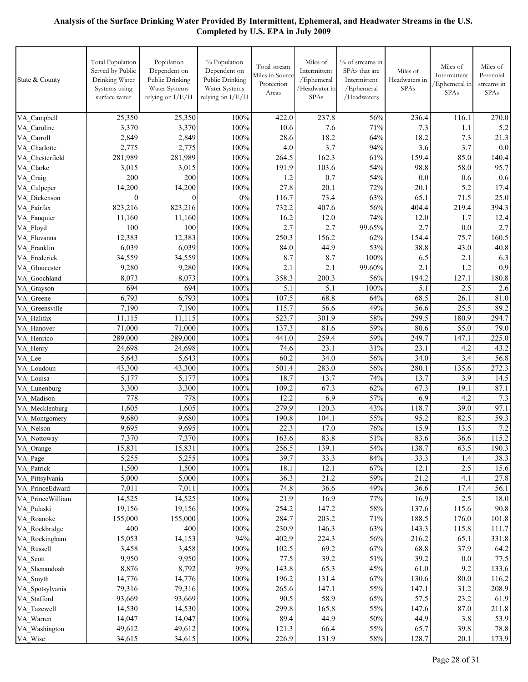| State & County     | <b>Total Population</b><br>Served by Public<br>Drinking Water<br>Systems using<br>surface water | Population<br>Dependent on<br>Public Drinking<br>Water Systems<br>relying on I/E/H | % Population<br>Dependent on<br>Public Drinking<br>Water Systems<br>relying on I/E/H | Total stream<br>Miles in Source<br>Protection<br>Areas | Miles of<br>Intermittent<br>/Ephemeral<br>/Headwater in<br>SPAs | % of streams in<br>SPAs that are<br>Intermittent<br>/Ephemeral<br>/Headwaters | Miles of<br>Headwaters in<br><b>SPAs</b> | Miles of<br>Intermittent<br>Ephemeral in<br>SPAs | Miles of<br>Perennial<br>streams in<br>SPAs |
|--------------------|-------------------------------------------------------------------------------------------------|------------------------------------------------------------------------------------|--------------------------------------------------------------------------------------|--------------------------------------------------------|-----------------------------------------------------------------|-------------------------------------------------------------------------------|------------------------------------------|--------------------------------------------------|---------------------------------------------|
| VA Campbell        | 25,350                                                                                          | 25,350                                                                             | 100%                                                                                 | 422.0                                                  | 237.8                                                           | 56%                                                                           | 236.4                                    | 116.1                                            | 270.0                                       |
| VA Caroline        | 3,370                                                                                           | 3,370                                                                              | 100%                                                                                 | 10.6                                                   | 7.6                                                             | 71%                                                                           | 7.3                                      | 1.1                                              | 5.2                                         |
| VA Carroll         | 2,849                                                                                           | 2,849                                                                              | 100%                                                                                 | 28.6                                                   | 18.2                                                            | 64%                                                                           | 18.2                                     | 7.3                                              | 21.3                                        |
| VA Charlotte       | 2,775                                                                                           | 2,775                                                                              | 100%                                                                                 | 4.0                                                    | 3.7                                                             | 94%                                                                           | 3.6                                      | $\overline{3.7}$                                 | 0.0                                         |
| VA Chesterfield    | 281,989                                                                                         | 281,989                                                                            | 100%                                                                                 | 264.5                                                  | 162.3                                                           | 61%                                                                           | 159.4                                    | 85.0                                             | 140.4                                       |
| VA Clarke          | 3,015                                                                                           | 3,015                                                                              | 100%                                                                                 | 191.9                                                  | 103.6                                                           | 54%                                                                           | 98.8                                     | 58.0                                             | 95.7                                        |
| VA Craig           | 200                                                                                             | 200                                                                                | 100%                                                                                 | 1.2                                                    | 0.7                                                             | 54%                                                                           | 0.0                                      | 0.6                                              | 0.6                                         |
| VA_Culpeper        | 14,200                                                                                          | 14,200                                                                             | 100%                                                                                 | 27.8                                                   | 20.1                                                            | 72%                                                                           | 20.1                                     | 5.2                                              | 17.4                                        |
| VA Dickenson       | $\theta$                                                                                        | $\Omega$                                                                           | $0\%$                                                                                | 116.7                                                  | 73.4                                                            | 63%                                                                           | 65.1                                     | 71.5                                             | 25.0                                        |
| VA Fairfax         | 823,216                                                                                         | 823,216                                                                            | 100%                                                                                 | 732.2                                                  | 407.6                                                           | 56%                                                                           | 404.4                                    | 219.4                                            | 394.3                                       |
| VA Fauquier        | 11,160                                                                                          | 11,160                                                                             | 100%                                                                                 | 16.2                                                   | 12.0                                                            | 74%                                                                           | 12.0                                     | 1.7                                              | 12.4                                        |
| VA Floyd           | 100                                                                                             | 100                                                                                | 100%                                                                                 | 2.7                                                    | 2.7                                                             | 99.65%                                                                        | 2.7                                      | 0.0                                              | 2.7                                         |
| VA Fluvanna        | 12,383                                                                                          | 12,383                                                                             | 100%                                                                                 | 250.3                                                  | 156.2                                                           | 62%                                                                           | 154.4                                    | 75.7                                             | 160.5                                       |
| VA Franklin        | 6,039                                                                                           | 6,039                                                                              | 100%                                                                                 | 84.0                                                   | 44.9                                                            | 53%                                                                           | 38.8                                     | 43.0                                             | 40.8                                        |
| VA_Frederick       | 34,559                                                                                          | 34,559                                                                             | 100%                                                                                 | 8.7                                                    | 8.7                                                             | 100%                                                                          | 6.5                                      | 2.1                                              | 6.3                                         |
| VA Gloucester      | 9,280                                                                                           | 9,280                                                                              | 100%                                                                                 | 2.1                                                    | 2.1                                                             | 99.60%                                                                        | 2.1                                      | 1.2                                              | 0.9                                         |
| VA Goochland       | 8,073                                                                                           | 8,073                                                                              | 100%                                                                                 | 358.3                                                  | 200.3                                                           | 56%                                                                           | 194.2                                    | 127.1                                            | 180.8                                       |
| VA Grayson         | 694                                                                                             | 694                                                                                | 100%                                                                                 | 5.1                                                    | 5.1                                                             | 100%                                                                          | 5.1                                      | 2.5                                              | 2.6                                         |
| VA Greene          | 6,793                                                                                           | 6,793                                                                              | 100%                                                                                 | 107.5                                                  | 68.8                                                            | 64%                                                                           | 68.5                                     | 26.1                                             | 81.0                                        |
| VA Greensville     | 7,190                                                                                           | 7,190                                                                              | 100%                                                                                 | 115.7                                                  | 56.6                                                            | 49%                                                                           | 56.6                                     | 25.5                                             | 89.2                                        |
| VA Halifax         | 11,115                                                                                          | 11,115                                                                             | 100%                                                                                 | 523.7                                                  | 301.9                                                           | 58%                                                                           | 299.5                                    | 180.9                                            | 294.7                                       |
| VA Hanover         | 71,000                                                                                          | 71,000                                                                             | 100%                                                                                 | 137.3                                                  | 81.6                                                            | 59%                                                                           | 80.6                                     | 55.0                                             | 79.0                                        |
| VA Henrico         | 289,000                                                                                         | 289,000                                                                            | 100%<br>100%                                                                         | 441.0                                                  | 259.4<br>23.1                                                   | 59%                                                                           | 249.7<br>23.1                            | 147.1                                            | 225.0                                       |
| VA_Henry<br>VA Lee | 24,698<br>5,643                                                                                 | 24,698<br>5,643                                                                    | 100%                                                                                 | 74.6<br>60.2                                           | 34.0                                                            | 31%<br>56%                                                                    | 34.0                                     | 4.2<br>3.4                                       | 43.2<br>56.8                                |
| VA Loudoun         | 43,300                                                                                          | 43,300                                                                             | 100%                                                                                 | 501.4                                                  | 283.0                                                           | 56%                                                                           | 280.1                                    | 135.6                                            | 272.3                                       |
| VA Louisa          | 5,177                                                                                           | 5,177                                                                              | 100%                                                                                 | 18.7                                                   | 13.7                                                            | 74%                                                                           | 13.7                                     | 3.9                                              | 14.5                                        |
| VA Lunenburg       | 3,300                                                                                           | 3,300                                                                              | 100%                                                                                 | 109.2                                                  | 67.3                                                            | 62%                                                                           | 67.3                                     | 19.1                                             | 87.1                                        |
| VA_Madison         | 778                                                                                             | 778                                                                                | 100%                                                                                 | 12.2                                                   | 6.9                                                             | 57%                                                                           | 6.9                                      | 4.2                                              | 7.3                                         |
| VA_Mecklenburg     | 1,605                                                                                           | 1,605                                                                              | 100%                                                                                 | 279.9                                                  | 120.3                                                           | 43%                                                                           | 118.7                                    | 39.0                                             | 97.1                                        |
| VA_Montgomery      | 9,680                                                                                           | 9,680                                                                              | 100%                                                                                 | 190.8                                                  | 104.1                                                           | 55%                                                                           | $95.\overline{2}$                        | 82.5                                             | 59.3                                        |
| VA_Nelson          | 9,695                                                                                           | 9,695                                                                              | 100%                                                                                 | 22.3                                                   | 17.0                                                            | 76%                                                                           | 15.9                                     | 13.5                                             | 7.2                                         |
| VA_Nottoway        | 7,370                                                                                           | 7,370                                                                              | 100%                                                                                 | 163.6                                                  | 83.8                                                            | 51%                                                                           | 83.6                                     | 36.6                                             | 115.2                                       |
| VA Orange          | 15,831                                                                                          | 15,831                                                                             | 100%                                                                                 | 256.5                                                  | 139.1                                                           | 54%                                                                           | 138.7                                    | 63.5                                             | 190.3                                       |
| VA_Page            | 5,255                                                                                           | 5,255                                                                              | 100%                                                                                 | 39.7                                                   | 33.3                                                            | 84%                                                                           | 33.3                                     | 1.4                                              | 38.3                                        |
| VA_Patrick         | 1,500                                                                                           | 1,500                                                                              | $100\%$                                                                              | 18.1                                                   | 12.1                                                            | 67%                                                                           | 12.1                                     | 2.5                                              | 15.6                                        |
| VA Pittsylvania    | 5,000                                                                                           | 5,000                                                                              | 100%                                                                                 | 36.3                                                   | 21.2                                                            | 59%                                                                           | 21.2                                     | 4.1                                              | 27.8                                        |
| VA PrinceEdward    | 7,011                                                                                           | 7,011                                                                              | 100%                                                                                 | 74.8                                                   | 36.6                                                            | 49%                                                                           | 36.6                                     | 17.4                                             | 56.1                                        |
| VA PrinceWilliam   | 14,525                                                                                          | 14,525                                                                             | 100%                                                                                 | 21.9                                                   | 16.9                                                            | 77%                                                                           | 16.9                                     | 2.5                                              | 18.0                                        |
| VA Pulaski         | 19,156                                                                                          | 19,156                                                                             | 100%                                                                                 | 254.2                                                  | 147.2                                                           | 58%                                                                           | 137.6                                    | 115.6                                            | 90.8                                        |
| VA Roanoke         | 155,000                                                                                         | 155,000                                                                            | 100%                                                                                 | 284.7                                                  | 203.2                                                           | 71%                                                                           | 188.5                                    | 176.0                                            | 101.8                                       |
| VA Rockbridge      | 400                                                                                             | 400                                                                                | 100%                                                                                 | 230.9                                                  | 146.3                                                           | 63%                                                                           | 143.3                                    | 115.8                                            | 111.7                                       |
| VA Rockingham      | 15,053                                                                                          | 14,153                                                                             | 94%                                                                                  | 402.9                                                  | 224.3                                                           | 56%                                                                           | 216.2                                    | 65.1                                             | 331.8                                       |
| VA Russell         | 3,458                                                                                           | 3,458                                                                              | 100%                                                                                 | 102.5                                                  | 69.2                                                            | 67%                                                                           | 68.8                                     | 37.9                                             | 64.2                                        |
| VA_Scott           | 9,950                                                                                           | 9,950                                                                              | 100%                                                                                 | 77.5                                                   | 39.2                                                            | 51%                                                                           | 39.2                                     | 0.0                                              | 77.5                                        |
| VA_Shenandoah      | 8,876                                                                                           | 8,792                                                                              | 99%                                                                                  | 143.8                                                  | 65.3                                                            | 45%                                                                           | 61.0                                     | 9.2                                              | 133.6                                       |
| VA_Smyth           | 14,776                                                                                          | 14,776                                                                             | 100%                                                                                 | 196.2                                                  | 131.4                                                           | 67%                                                                           | 130.6                                    | 80.0                                             | 116.2                                       |
| VA_Spotsylvania    | 79,316                                                                                          | 79,316                                                                             | 100%                                                                                 | 265.6                                                  | 147.1                                                           | 55%                                                                           | 147.1                                    | 31.2                                             | 208.9                                       |
| VA_Stafford        | 93,669                                                                                          | 93,669                                                                             | 100%                                                                                 | 90.5                                                   | 58.9                                                            | 65%                                                                           | 57.5                                     | 23.2                                             | 61.9                                        |
| VA_Tazewell        | 14,530                                                                                          | 14,530                                                                             | 100%                                                                                 | 299.8                                                  | 165.8                                                           | 55%                                                                           | 147.6                                    | 87.0                                             | 211.8                                       |
| VA_Warren          | 14,047                                                                                          | 14,047                                                                             | 100%                                                                                 | 89.4                                                   | 44.9                                                            | 50%                                                                           | 44.9                                     | 3.8                                              | 53.9                                        |
| VA_Washington      | 49,612                                                                                          | 49,612                                                                             | $100\%$                                                                              | 121.3                                                  | 66.4                                                            | 55%                                                                           | 65.7                                     | 39.8                                             | 78.8                                        |
| VA_Wise            | 34,615                                                                                          | 34,615                                                                             | $100\%$                                                                              | 226.9                                                  | 131.9                                                           | 58%                                                                           | 128.7                                    | 20.1                                             | 173.9                                       |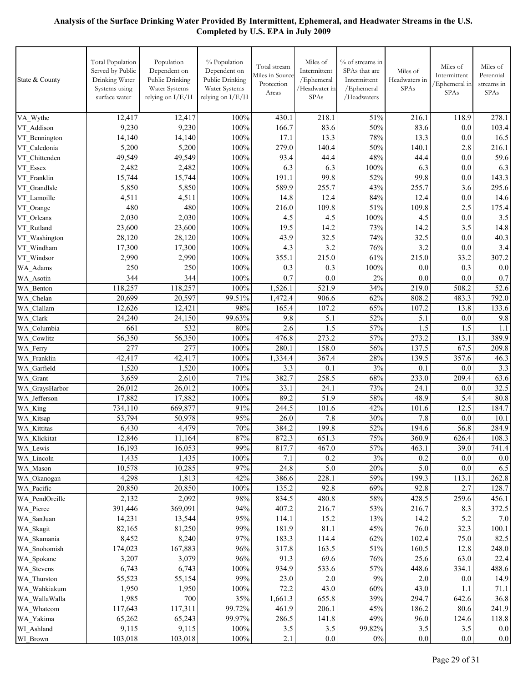| State & County         | <b>Total Population</b><br>Served by Public<br>Drinking Water<br>Systems using<br>surface water | Population<br>Dependent on<br>Public Drinking<br>Water Systems<br>relying on I/E/H | % Population<br>Dependent on<br>Public Drinking<br>Water Systems<br>relying on I/E/H | Total stream<br>Miles in Source<br>Protection<br>Areas | Miles of<br>Intermittent<br>/Ephemeral<br>/Headwater in<br>SPAs | % of streams in<br>SPAs that are<br>Intermittent<br>/Ephemeral<br>/Headwaters | Miles of<br>Headwaters in<br>SPAs | Miles of<br>Intermittent<br>Ephemeral in<br>SPAs | Miles of<br>Perennial<br>streams in<br><b>SPAs</b> |
|------------------------|-------------------------------------------------------------------------------------------------|------------------------------------------------------------------------------------|--------------------------------------------------------------------------------------|--------------------------------------------------------|-----------------------------------------------------------------|-------------------------------------------------------------------------------|-----------------------------------|--------------------------------------------------|----------------------------------------------------|
| VA Wythe               | 12,417                                                                                          | 12,417                                                                             | 100%                                                                                 | 430.1                                                  | 218.1                                                           | 51%                                                                           | 216.1                             | 118.9                                            | 278.1                                              |
| VT Addison             | 9,230                                                                                           | 9,230                                                                              | 100%                                                                                 | 166.7                                                  | 83.6                                                            | 50%                                                                           | 83.6                              | 0.0                                              | 103.4                                              |
| VT Bennington          | 14,140                                                                                          | 14,140                                                                             | 100%                                                                                 | 17.1                                                   | 13.3                                                            | 78%                                                                           | 13.3                              | 0.0                                              | 16.5                                               |
| VT Caledonia           | 5,200                                                                                           | 5,200                                                                              | 100%                                                                                 | 279.0                                                  | 140.4                                                           | 50%                                                                           | 140.1                             | 2.8                                              | 216.1                                              |
| VT Chittenden          | 49,549                                                                                          | 49,549                                                                             | 100%                                                                                 | 93.4                                                   | 44.4                                                            | 48%                                                                           | 44.4                              | 0.0                                              | 59.6                                               |
| VT Essex               | 2,482                                                                                           | 2,482                                                                              | 100%                                                                                 | 6.3                                                    | 6.3                                                             | 100%                                                                          | 6.3                               | 0.0                                              | 6.3                                                |
| VT Franklin            | 15,744                                                                                          | 15,744                                                                             | 100%                                                                                 | 191.1                                                  | 99.8                                                            | 52%                                                                           | 99.8                              | 0.0                                              | 143.3                                              |
| VT GrandIsle           | 5,850                                                                                           | 5,850                                                                              | 100%                                                                                 | 589.9                                                  | 255.7                                                           | 43%                                                                           | 255.7                             | 3.6                                              | 295.6                                              |
| VT Lamoille            | 4,511                                                                                           | 4,511                                                                              | 100%                                                                                 | 14.8                                                   | 12.4                                                            | 84%                                                                           | 12.4                              | 0.0                                              | 14.6                                               |
| VT Orange              | 480                                                                                             | 480                                                                                | 100%                                                                                 | 216.0                                                  | 109.8                                                           | 51%                                                                           | 109.8                             | 2.5                                              | 175.4                                              |
| VT Orleans             | 2,030                                                                                           | 2,030                                                                              | 100%                                                                                 | 4.5                                                    | 4.5                                                             | 100%                                                                          | 4.5                               | 0.0                                              | 3.5                                                |
| VT Rutland             | 23,600                                                                                          | 23,600                                                                             | 100%                                                                                 | 19.5                                                   | 14.2                                                            | 73%                                                                           | 14.2                              | 3.5                                              | 14.8                                               |
| VT Washington          | 28,120                                                                                          | 28,120                                                                             | 100%                                                                                 | 43.9                                                   | 32.5                                                            | 74%                                                                           | $32.\overline{5}$                 | 0.0                                              | 40.3                                               |
| VT Windham             | 17,300                                                                                          | 17,300                                                                             | 100%                                                                                 | 4.3                                                    | 3.2                                                             | 76%                                                                           | 3.2                               | 0.0                                              | 3.4                                                |
| VT Windsor             | 2,990                                                                                           | 2,990                                                                              | 100%                                                                                 | 355.1                                                  | 215.0                                                           | 61%                                                                           | 215.0                             | 33.2                                             | 307.2                                              |
| WA Adams               | 250                                                                                             | 250                                                                                | 100%                                                                                 | 0.3                                                    | 0.3                                                             | 100%                                                                          | 0.0                               | 0.3                                              | 0.0                                                |
| WA Asotin              | 344                                                                                             | 344                                                                                | 100%                                                                                 | 0.7                                                    | 0.0                                                             | 2%                                                                            | 0.0                               | 0.0                                              | 0.7                                                |
| WA Benton<br>WA Chelan | 118,257<br>20,699                                                                               | 118,257<br>20,597                                                                  | 100%<br>99.51%                                                                       | 1,526.1<br>1,472.4                                     | 521.9<br>906.6                                                  | 34%<br>62%                                                                    | 219.0<br>808.2                    | 508.2<br>483.3                                   | 52.6<br>792.0                                      |
| WA Clallam             | 12,626                                                                                          | 12,421                                                                             | 98%                                                                                  | 165.4                                                  | 107.2                                                           | 65%                                                                           | 107.2                             | 13.8                                             | 133.6                                              |
| WA Clark               | 24,240                                                                                          | 24,150                                                                             | 99.63%                                                                               | 9.8                                                    | 5.1                                                             | 52%                                                                           | 5.1                               | 0.0                                              | 9.8                                                |
| WA Columbia            | 661                                                                                             | 532                                                                                | 80%                                                                                  | 2.6                                                    | 1.5                                                             | 57%                                                                           | 1.5                               | 1.5                                              | 1.1                                                |
| WA Cowlitz             | 56,350                                                                                          | 56,350                                                                             | 100%                                                                                 | 476.8                                                  | 273.2                                                           | 57%                                                                           | 273.2                             | 13.1                                             | 389.9                                              |
| WA Ferry               | 277                                                                                             | 277                                                                                | 100%                                                                                 | 280.1                                                  | 158.0                                                           | 56%                                                                           | 137.5                             | 67.5                                             | 209.8                                              |
| WA Franklin            | 42,417                                                                                          | 42,417                                                                             | 100%                                                                                 | 1,334.4                                                | 367.4                                                           | 28%                                                                           | 139.5                             | 357.6                                            | 46.3                                               |
| WA Garfield            | 1,520                                                                                           | 1,520                                                                              | 100%                                                                                 | 3.3                                                    | 0.1                                                             | 3%                                                                            | 0.1                               | 0.0                                              | 3.3                                                |
| WA Grant               | 3,659                                                                                           | 2,610                                                                              | 71%                                                                                  | 382.7                                                  | 258.5                                                           | 68%                                                                           | 233.0                             | 209.4                                            | 63.6                                               |
| WA_GraysHarbor         | 26,012                                                                                          | 26,012                                                                             | 100%                                                                                 | 33.1                                                   | 24.1                                                            | 73%                                                                           | 24.1                              | 0.0                                              | 32.5                                               |
| WA Jefferson           | 17,882                                                                                          | 17,882                                                                             | 100%                                                                                 | 89.2                                                   | 51.9                                                            | 58%                                                                           | 48.9                              | 5.4                                              | 80.8                                               |
| WA_King                | 734,110                                                                                         | 669,877                                                                            | 91%                                                                                  | 244.5                                                  | 101.6                                                           | 42%                                                                           | 101.6                             | 12.5                                             | 184.7                                              |
| WA_Kitsap              | 53,794                                                                                          | 50,978                                                                             | 95%                                                                                  | 26.0                                                   | 7.8                                                             | 30%                                                                           | 7.8                               | 0.0                                              | 10.1                                               |
| WA Kittitas            | 6,430                                                                                           | 4,479                                                                              | 70%                                                                                  | 384.2                                                  | 199.8                                                           | 52%                                                                           | 194.6                             | 56.8                                             | 284.9                                              |
| WA_Klickitat           | 12,846                                                                                          | 11,164                                                                             | 87%                                                                                  | 872.3                                                  | 651.3                                                           | $75\%$                                                                        | 360.9                             | 626.4                                            | 108.3                                              |
| WA Lewis               | 16,193                                                                                          | 16,053                                                                             | 99%                                                                                  | 817.7                                                  | 467.0                                                           | 57%                                                                           | 463.1                             | 39.0                                             | 741.4                                              |
| WA Lincoln<br>WA Mason | 1,435<br>10,578                                                                                 | 1,435                                                                              | $100\%$<br>97%                                                                       | 7.1                                                    | 0.2<br>5.0                                                      | $3\%$<br>20%                                                                  | 0.2<br>5.0                        | 0.0                                              | $0.0\,$<br>6.5                                     |
| WA Okanogan            | 4,298                                                                                           | 10,285<br>1,813                                                                    | 42%                                                                                  | 24.8<br>386.6                                          | 228.1                                                           | 59%                                                                           | 199.3                             | 0.0<br>113.1                                     | 262.8                                              |
| WA Pacific             | 20,850                                                                                          | 20,850                                                                             | 100%                                                                                 | 135.2                                                  | 92.8                                                            | 69%                                                                           | 92.8                              | 2.7                                              | 128.7                                              |
| WA PendOreille         | 2,132                                                                                           | 2,092                                                                              | 98%                                                                                  | 834.5                                                  | 480.8                                                           | 58%                                                                           | 428.5                             | 259.6                                            | 456.1                                              |
| WA Pierce              | 391,446                                                                                         | 369,091                                                                            | 94%                                                                                  | 407.2                                                  | 216.7                                                           | 53%                                                                           | 216.7                             | 8.3                                              | 372.5                                              |
| WA SanJuan             | 14,231                                                                                          | 13,544                                                                             | 95%                                                                                  | 114.1                                                  | 15.2                                                            | 13%                                                                           | 14.2                              | 5.2                                              | $7.0\,$                                            |
| WA_Skagit              | 82,165                                                                                          | 81,250                                                                             | 99%                                                                                  | 181.9                                                  | 81.1                                                            | 45%                                                                           | 76.0                              | 32.3                                             | 100.1                                              |
| WA Skamania            | 8,452                                                                                           | 8,240                                                                              | 97%                                                                                  | 183.3                                                  | 114.4                                                           | 62%                                                                           | 102.4                             | 75.0                                             | 82.5                                               |
| WA Snohomish           | 174,023                                                                                         | 167,883                                                                            | 96%                                                                                  | 317.8                                                  | 163.5                                                           | 51%                                                                           | 160.5                             | 12.8                                             | 248.0                                              |
| WA Spokane             | 3,207                                                                                           | 3,079                                                                              | 96%                                                                                  | 91.3                                                   | 69.6                                                            | $76\%$                                                                        | 25.6                              | 63.0                                             | 22.4                                               |
| WA_Stevens             | 6,743                                                                                           | 6,743                                                                              | 100%                                                                                 | 934.9                                                  | 533.6                                                           | 57%                                                                           | 448.6                             | 334.1                                            | 488.6                                              |
| WA Thurston            | 55,523                                                                                          | 55,154                                                                             | 99%                                                                                  | 23.0                                                   | $2.0$                                                           | 9%                                                                            | $2.0\,$                           | 0.0                                              | 14.9                                               |
| WA_Wahkiakum           | 1,950                                                                                           | 1,950                                                                              | 100%                                                                                 | 72.2                                                   | 43.0                                                            | $60\%$                                                                        | 43.0                              | 1.1                                              | 71.1                                               |
| WA WallaWalla          | 1,985                                                                                           | 700                                                                                | 35%                                                                                  | 1,661.3                                                | 655.8                                                           | 39%                                                                           | 294.7                             | 642.6                                            | 36.8                                               |
| WA Whatcom             | 117,643                                                                                         | 117,311                                                                            | 99.72%                                                                               | 461.9                                                  | 206.1                                                           | 45%                                                                           | 186.2                             | 80.6                                             | 241.9                                              |
| WA Yakima              | 65,262                                                                                          | 65,243                                                                             | 99.97%                                                                               | 286.5                                                  | 141.8                                                           | 49%                                                                           | 96.0                              | 124.6                                            | 118.8                                              |
| WI Ashland             | 9,115                                                                                           | 9,115                                                                              | 100%                                                                                 | 3.5                                                    | 3.5                                                             | 99.82%                                                                        | $3.5$                             | 3.5                                              | 0.0                                                |
| WI Brown               | 103,018                                                                                         | 103,018                                                                            | 100%                                                                                 | 2.1                                                    | 0.0                                                             | $0\%$                                                                         | 0.0                               | 0.0                                              | 0.0                                                |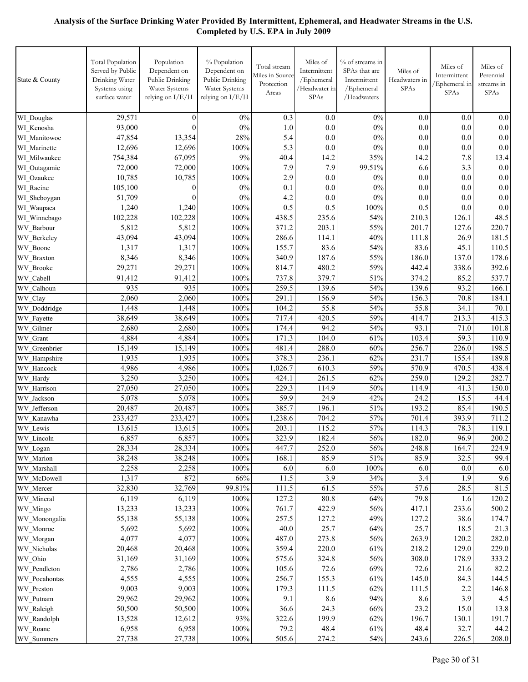| State & County         | <b>Total Population</b><br>Served by Public<br>Drinking Water<br>Systems using<br>surface water | Population<br>Dependent on<br>Public Drinking<br>Water Systems<br>relying on I/E/H | % Population<br>Dependent on<br>Public Drinking<br>Water Systems<br>relying on I/E/H | Total stream<br>Miles in Source<br>Protection<br>Areas | Miles of<br>Intermittent<br>/Ephemeral<br>/Headwater in<br>SPAs | % of streams in<br>SPAs that are<br>Intermittent<br>/Ephemeral<br>/Headwaters | Miles of<br>Headwaters in<br><b>SPAs</b> | Miles of<br>Intermittent<br>/Ephemeral in<br>SPAs | Miles of<br>Perennial<br>streams in<br><b>SPAs</b> |
|------------------------|-------------------------------------------------------------------------------------------------|------------------------------------------------------------------------------------|--------------------------------------------------------------------------------------|--------------------------------------------------------|-----------------------------------------------------------------|-------------------------------------------------------------------------------|------------------------------------------|---------------------------------------------------|----------------------------------------------------|
| WI_Douglas             | 29,571                                                                                          | $\mathbf{0}$                                                                       | 0%                                                                                   | 0.3                                                    | 0.0                                                             | 0%                                                                            | 0.0                                      | 0.0                                               | 0.0                                                |
| WI Kenosha             | 93,000                                                                                          | $\theta$                                                                           | 0%                                                                                   | 1.0                                                    | 0.0                                                             | 0%                                                                            | 0.0                                      | 0.0                                               | 0.0                                                |
| WI Manitowoc           | 47,854                                                                                          | 13,354                                                                             | 28%                                                                                  | 5.4                                                    | 0.0                                                             | 0%                                                                            | 0.0                                      | 0.0                                               | 0.0                                                |
| WI Marinette           | 12,696                                                                                          | 12,696                                                                             | 100%                                                                                 | 5.3                                                    | 0.0                                                             | 0%                                                                            | 0.0                                      | 0.0                                               | 0.0                                                |
| WI Milwaukee           | 754,384                                                                                         | 67,095                                                                             | 9%                                                                                   | 40.4                                                   | 14.2                                                            | 35%                                                                           | 14.2                                     | 7.8                                               | 13.4                                               |
| WI_Outagamie           | 72,000                                                                                          | 72,000                                                                             | 100%                                                                                 | 7.9                                                    | 7.9                                                             | 99.51%                                                                        | 6.6                                      | 3.3                                               | 0.0                                                |
| WI Ozaukee             | 10,785                                                                                          | 10,785                                                                             | 100%                                                                                 | 2.9                                                    | 0.0                                                             | $0\%$                                                                         | 0.0                                      | 0.0                                               | 0.0                                                |
| WI Racine              | 105,100                                                                                         | $\boldsymbol{0}$                                                                   | $0\%$                                                                                | 0.1                                                    | 0.0                                                             | 0%                                                                            | 0.0                                      | 0.0                                               | 0.0                                                |
| WI_Sheboygan           | 51,709                                                                                          | $\mathbf{0}$                                                                       | 0%                                                                                   | 4.2                                                    | 0.0                                                             | 0%                                                                            | 0.0                                      | 0.0                                               | 0.0                                                |
| WI Waupaca             | 1,240                                                                                           | 1,240                                                                              | 100%                                                                                 | 0.5                                                    | 0.5                                                             | 100%                                                                          | 0.5                                      | 0.0                                               | 0.0                                                |
| WI Winnebago           | 102,228                                                                                         | 102,228                                                                            | 100%                                                                                 | 438.5                                                  | 235.6                                                           | 54%                                                                           | 210.3                                    | 126.1                                             | 48.5                                               |
| WV Barbour             | 5,812                                                                                           | 5,812                                                                              | 100%                                                                                 | 371.2                                                  | 203.1                                                           | 55%                                                                           | 201.7                                    | 127.6                                             | 220.7                                              |
| <b>WV</b> Berkelev     | 43,094                                                                                          | 43,094                                                                             | 100%                                                                                 | 286.6                                                  | 114.1                                                           | 40%                                                                           | 111.8                                    | 26.9                                              | 181.5                                              |
| WV Boone               | 1,317                                                                                           | 1,317                                                                              | 100%                                                                                 | 155.7                                                  | 83.6                                                            | 54%                                                                           | 83.6                                     | 45.1                                              | 110.5                                              |
| <b>WV</b> Braxton      | 8,346                                                                                           | 8,346                                                                              | 100%                                                                                 | 340.9                                                  | 187.6                                                           | 55%                                                                           | 186.0                                    | 137.0                                             | 178.6                                              |
| WV Brooke              | 29,271                                                                                          | 29,271                                                                             | 100%                                                                                 | 814.7                                                  | 480.2                                                           | 59%                                                                           | 442.4                                    | 338.6                                             | 392.6                                              |
| WV Cabell              | 91,412                                                                                          | 91,412                                                                             | 100%                                                                                 | 737.8                                                  | 379.7                                                           | 51%                                                                           | 374.2                                    | 85.2                                              | 537.7                                              |
| Calhoun<br>WV          | 935                                                                                             | 935                                                                                | 100%                                                                                 | 259.5                                                  | 139.6                                                           | 54%                                                                           | 139.6                                    | 93.2                                              | 166.1                                              |
| WV Clay                | 2,060                                                                                           | 2,060                                                                              | 100%                                                                                 | 291.1                                                  | 156.9                                                           | 54%                                                                           | 156.3                                    | 70.8                                              | 184.1                                              |
| WV Doddridge           | 1,448                                                                                           | 1,448                                                                              | 100%                                                                                 | 104.2                                                  | 55.8                                                            | 54%                                                                           | 55.8                                     | 34.1                                              | 70.1                                               |
| WV Fayette             | 38,649                                                                                          | 38,649                                                                             | 100%                                                                                 | 717.4                                                  | 420.5                                                           | 59%                                                                           | 414.7                                    | 213.3                                             | 415.3                                              |
| WV Gilmer              | 2,680                                                                                           | 2,680                                                                              | 100%                                                                                 | 174.4                                                  | 94.2                                                            | 54%                                                                           | 93.1                                     | 71.0                                              | 101.8                                              |
| WV Grant               | 4,884                                                                                           | 4,884                                                                              | 100%                                                                                 | 171.3                                                  | 104.0                                                           | 61%                                                                           | 103.4                                    | 59.3                                              | 110.9                                              |
| WV Greenbrier          | 15,149                                                                                          | 15,149                                                                             | 100%                                                                                 | 481.4                                                  | 288.0                                                           | 60%                                                                           | 256.7                                    | 226.0                                             | 198.5                                              |
| WV Hampshire           | 1,935                                                                                           | 1,935                                                                              | 100%                                                                                 | 378.3                                                  | 236.1                                                           | 62%                                                                           | 231.7                                    | 155.4                                             | 189.8                                              |
| WV Hancock             | 4,986                                                                                           | 4,986                                                                              | 100%                                                                                 | 1,026.7                                                | 610.3                                                           | 59%                                                                           | 570.9                                    | 470.5                                             | 438.4                                              |
| WV Hardy               | 3,250                                                                                           | 3,250                                                                              | 100%                                                                                 | 424.1                                                  | 261.5                                                           | 62%                                                                           | 259.0                                    | 129.2                                             | 282.7                                              |
| WV Harrison            | 27,050                                                                                          | 27,050                                                                             | 100%                                                                                 | 229.3                                                  | 114.9                                                           | 50%                                                                           | 114.9                                    | 41.3                                              | 150.0                                              |
| WV Jackson             | 5,078<br>20,487                                                                                 | 5,078<br>20,487                                                                    | 100%<br>100%                                                                         | 59.9<br>385.7                                          | 24.9                                                            | 42%                                                                           | 24.2<br>193.2                            | 15.5<br>85.4                                      | 44.4                                               |
| WV Jefferson           | 233,427                                                                                         |                                                                                    | 100%                                                                                 | 1,238.6                                                | 196.1<br>704.2                                                  | 51%<br>57%                                                                    | 701.4                                    | 393.9                                             | 190.5<br>711.2                                     |
| WV Kanawha<br>WV_Lewis | 13,615                                                                                          | 233,427<br>13,615                                                                  | 100%                                                                                 | 203.1                                                  | 115.2                                                           | 57%                                                                           | 114.3                                    | 78.3                                              | 119.1                                              |
| WV_Lincoln             | 6,857                                                                                           | 6,857                                                                              | 100%                                                                                 | 323.9                                                  | 182.4                                                           | 56%                                                                           | 182.0                                    | 96.9                                              | 200.2                                              |
| WV_Logan               | 28,334                                                                                          | 28,334                                                                             | 100%                                                                                 | 447.7                                                  | 252.0                                                           | 56%                                                                           | 248.8                                    | 164.7                                             | 224.9                                              |
| WV_Marion              | 38,248                                                                                          | 38,248                                                                             | 100%                                                                                 | 168.1                                                  | 85.9                                                            | 51%                                                                           | 85.9                                     | 32.5                                              | 99.4                                               |
| WV Marshall            | 2,258                                                                                           | 2,258                                                                              | 100%                                                                                 | 6.0                                                    | 6.0                                                             | 100%                                                                          | 6.0                                      | 0.0                                               | 6.0                                                |
| WV McDowell            | 1,317                                                                                           | 872                                                                                | 66%                                                                                  | 11.5                                                   | 3.9                                                             | 34%                                                                           | 3.4                                      | 1.9                                               | 9.6                                                |
| WV Mercer              | 32,830                                                                                          | 32,769                                                                             | 99.81%                                                                               | 111.5                                                  | 61.5                                                            | 55%                                                                           | 57.6                                     | 28.5                                              | 81.5                                               |
| WV Mineral             | 6,119                                                                                           | 6,119                                                                              | 100%                                                                                 | 127.2                                                  | $80.8\,$                                                        | 64%                                                                           | 79.8                                     | 1.6                                               | 120.2                                              |
| WV Mingo               | 13,233                                                                                          | 13,233                                                                             | 100%                                                                                 | 761.7                                                  | 422.9                                                           | 56%                                                                           | 417.1                                    | 233.6                                             | 500.2                                              |
| WV Monongalia          | 55,138                                                                                          | 55,138                                                                             | 100%                                                                                 | 257.5                                                  | 127.2                                                           | 49%                                                                           | 127.2                                    | 38.6                                              | 174.7                                              |
| WV Monroe              | 5,692                                                                                           | 5,692                                                                              | 100%                                                                                 | 40.0                                                   | 25.7                                                            | 64%                                                                           | 25.7                                     | 18.5                                              | 21.3                                               |
| WV Morgan              | 4,077                                                                                           | 4,077                                                                              | 100%                                                                                 | 487.0                                                  | 273.8                                                           | 56%                                                                           | 263.9                                    | 120.2                                             | 282.0                                              |
| WV Nicholas            | 20,468                                                                                          | 20,468                                                                             | 100%                                                                                 | 359.4                                                  | 220.0                                                           | 61%                                                                           | 218.2                                    | 129.0                                             | 229.0                                              |
| WV Ohio                | 31,169                                                                                          | 31,169                                                                             | 100%                                                                                 | 575.6                                                  | 324.8                                                           | 56%                                                                           | 308.0                                    | 178.9                                             | 333.2                                              |
| WV Pendleton           | 2,786                                                                                           | 2,786                                                                              | 100%                                                                                 | 105.6                                                  | 72.6                                                            | 69%                                                                           | 72.6                                     | 21.6                                              | 82.2                                               |
| WV Pocahontas          | 4,555                                                                                           | 4,555                                                                              | 100%                                                                                 | 256.7                                                  | 155.3                                                           | 61%                                                                           | 145.0                                    | 84.3                                              | 144.5                                              |
| WV_Preston             | 9,003                                                                                           | 9,003                                                                              | 100%                                                                                 | 179.3                                                  | 111.5                                                           | 62%                                                                           | 111.5                                    | 2.2                                               | 146.8                                              |
| WV_Putnam              | 29,962                                                                                          | 29,962                                                                             | 100%                                                                                 | 9.1                                                    | 8.6                                                             | 94%                                                                           | 8.6                                      | 3.9                                               | 4.5                                                |
| WV Raleigh             | 50,500                                                                                          | 50,500                                                                             | 100%                                                                                 | 36.6                                                   | 24.3                                                            | 66%                                                                           | 23.2                                     | 15.0                                              | 13.8                                               |
| WV_Randolph            | 13,528                                                                                          | 12,612                                                                             | 93%                                                                                  | 322.6                                                  | 199.9                                                           | 62%                                                                           | 196.7                                    | 130.1                                             | 191.7                                              |
| WV_Roane               | 6,958                                                                                           | 6,958                                                                              | 100%                                                                                 | 79.2                                                   | 48.4                                                            | 61%                                                                           | 48.4                                     | 32.7                                              | 44.2                                               |
| WV_Summers             | 27,738                                                                                          | 27,738                                                                             | 100%                                                                                 | 505.6                                                  | 274.2                                                           | 54%                                                                           | 243.6                                    | 226.5                                             | 208.0                                              |